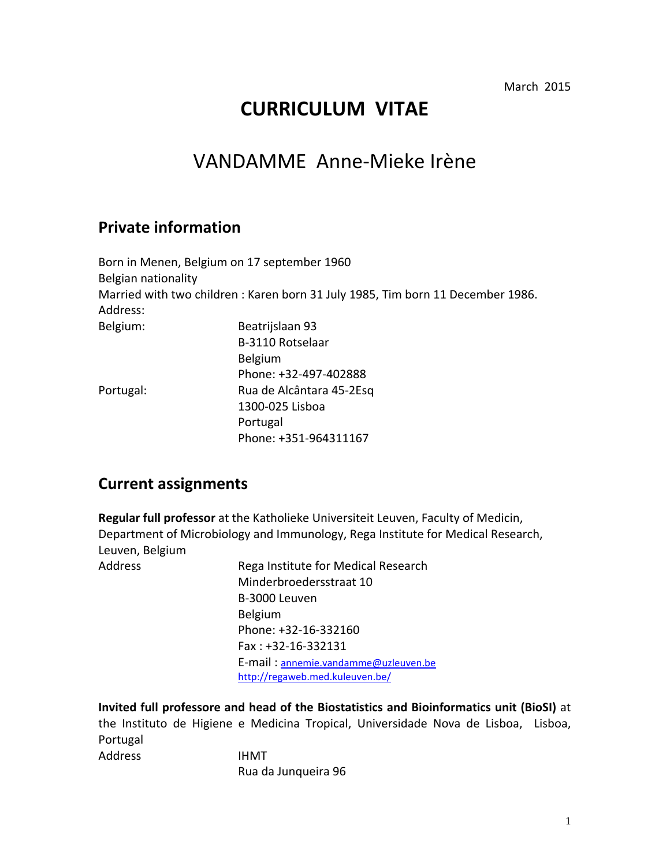March 2015

# **CURRICULUM VITAE**

# VANDAMME Anne-Mieke Irène

### **Private information**

|                     | Born in Menen, Belgium on 17 september 1960                                    |
|---------------------|--------------------------------------------------------------------------------|
| Belgian nationality |                                                                                |
|                     | Married with two children: Karen born 31 July 1985, Tim born 11 December 1986. |
| Address:            |                                                                                |
| Belgium:            | Beatrijslaan 93                                                                |
|                     | B-3110 Rotselaar                                                               |
|                     | <b>Belgium</b>                                                                 |
|                     | Phone: +32-497-402888                                                          |
| Portugal:           | Rua de Alcântara 45-2Esq                                                       |
|                     | 1300-025 Lisboa                                                                |
|                     | Portugal                                                                       |
|                     | Phone: +351-964311167                                                          |

### **Current assignments**

**Regular full professor** at the Katholieke Universiteit Leuven, Faculty of Medicin, Department of Microbiology and Immunology, Rega Institute for Medical Research, Leuven, Belgium

Address Rega Institute for Medical Research Minderbroedersstraat 10 B-3000 Leuven Belgium Phone: +32-16-332160 Fax : +32-16-332131 E-mail : [annemie.vandamme@uzleuven.be](mailto:annemie.vandamme@uzleuven.be) <http://regaweb.med.kuleuven.be/>

**Invited full professore and head of the Biostatistics and Bioinformatics unit (BioSI)** at the Instituto de Higiene e Medicina Tropical, Universidade Nova de Lisboa, Lisboa, Portugal Address IHMT

Rua da Junqueira 96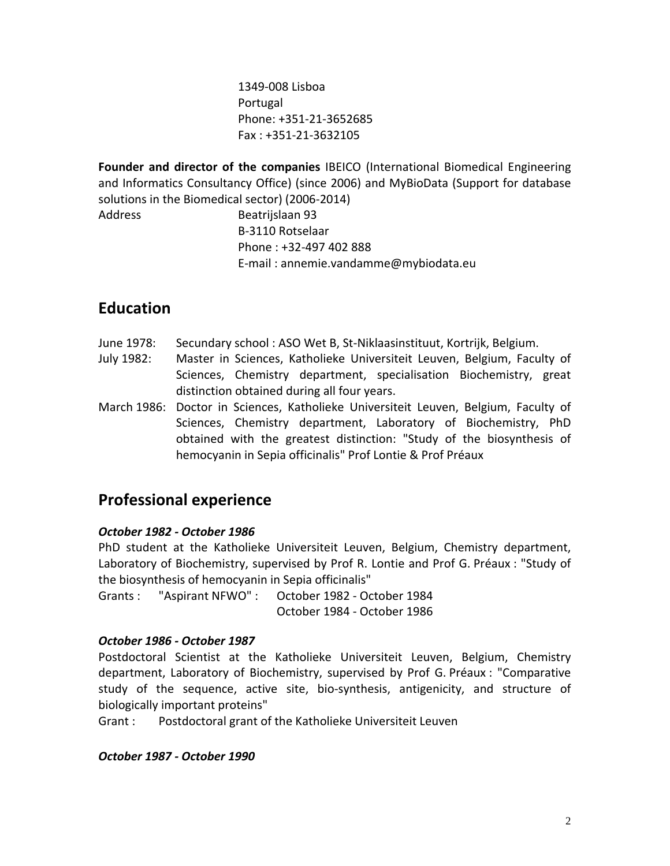1349-008 Lisboa Portugal Phone: +351-21-3652685 Fax : +351-21-3632105

**Founder and director of the companies** IBEICO (International Biomedical Engineering and Informatics Consultancy Office) (since 2006) and MyBioData (Support for database solutions in the Biomedical sector) (2006-2014)

Address Beatrijslaan 93 B-3110 Rotselaar Phone : +32-497 402 888 E-mail : annemie.vandamme@mybiodata.eu

### **Education**

- June 1978: Secundary school : ASO Wet B, St-Niklaasinstituut, Kortrijk, Belgium.
- July 1982: Master in Sciences, Katholieke Universiteit Leuven, Belgium, Faculty of Sciences, Chemistry department, specialisation Biochemistry, great distinction obtained during all four years.
- March 1986: Doctor in Sciences, Katholieke Universiteit Leuven, Belgium, Faculty of Sciences, Chemistry department, Laboratory of Biochemistry, PhD obtained with the greatest distinction: "Study of the biosynthesis of hemocyanin in Sepia officinalis" Prof Lontie & Prof Préaux

### **Professional experience**

#### *October 1982 - October 1986*

PhD student at the Katholieke Universiteit Leuven, Belgium, Chemistry department, Laboratory of Biochemistry, supervised by Prof R. Lontie and Prof G. Préaux : "Study of the biosynthesis of hemocyanin in Sepia officinalis"

Grants : "Aspirant NFWO" : October 1982 - October 1984 October 1984 - October 1986

#### *October 1986 - October 1987*

Postdoctoral Scientist at the Katholieke Universiteit Leuven, Belgium, Chemistry department, Laboratory of Biochemistry, supervised by Prof G. Préaux : "Comparative study of the sequence, active site, bio-synthesis, antigenicity, and structure of biologically important proteins"

Grant : Postdoctoral grant of the Katholieke Universiteit Leuven

*October 1987 - October 1990*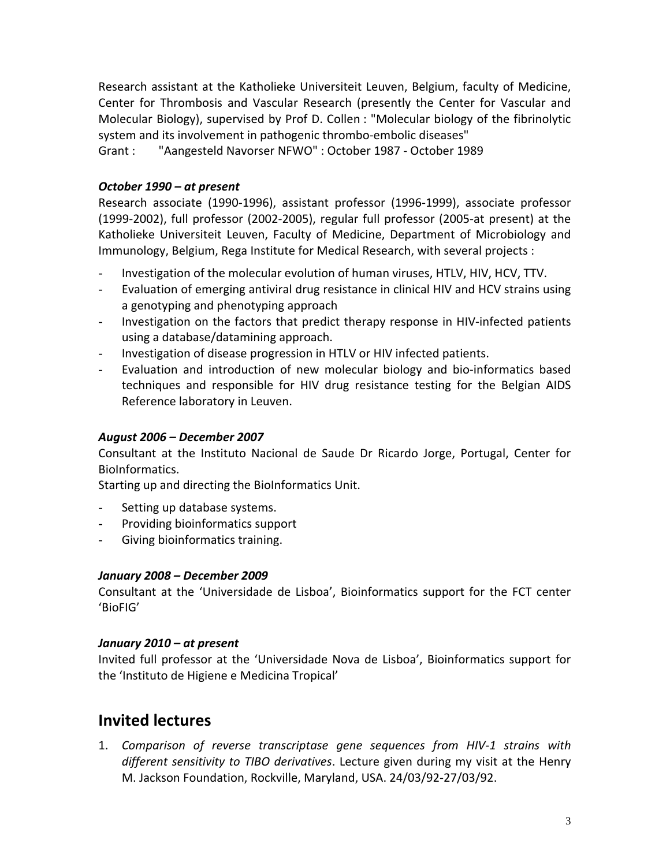Research assistant at the Katholieke Universiteit Leuven, Belgium, faculty of Medicine, Center for Thrombosis and Vascular Research (presently the Center for Vascular and Molecular Biology), supervised by Prof D. Collen : "Molecular biology of the fibrinolytic system and its involvement in pathogenic thrombo-embolic diseases" Grant : "Aangesteld Navorser NFWO" : October 1987 - October 1989

#### *October 1990 – at present*

Research associate (1990-1996), assistant professor (1996-1999), associate professor (1999-2002), full professor (2002-2005), regular full professor (2005-at present) at the Katholieke Universiteit Leuven, Faculty of Medicine, Department of Microbiology and Immunology, Belgium, Rega Institute for Medical Research, with several projects :

- Investigation of the molecular evolution of human viruses, HTLV, HIV, HCV, TTV.
- Evaluation of emerging antiviral drug resistance in clinical HIV and HCV strains using a genotyping and phenotyping approach
- Investigation on the factors that predict therapy response in HIV-infected patients using a database/datamining approach.
- Investigation of disease progression in HTLV or HIV infected patients.
- Evaluation and introduction of new molecular biology and bio-informatics based techniques and responsible for HIV drug resistance testing for the Belgian AIDS Reference laboratory in Leuven.

#### *August 2006 – December 2007*

Consultant at the Instituto Nacional de Saude Dr Ricardo Jorge, Portugal, Center for BioInformatics.

Starting up and directing the BioInformatics Unit.

- Setting up database systems.
- Providing bioinformatics support
- Giving bioinformatics training.

#### *January 2008 – December 2009*

Consultant at the 'Universidade de Lisboa', Bioinformatics support for the FCT center 'BioFIG'

#### *January 2010 – at present*

Invited full professor at the 'Universidade Nova de Lisboa', Bioinformatics support for the 'Instituto de Higiene e Medicina Tropical'

### **Invited lectures**

1. *Comparison of reverse transcriptase gene sequences from HIV-1 strains with different sensitivity to TIBO derivatives*. Lecture given during my visit at the Henry M. Jackson Foundation, Rockville, Maryland, USA. 24/03/92-27/03/92.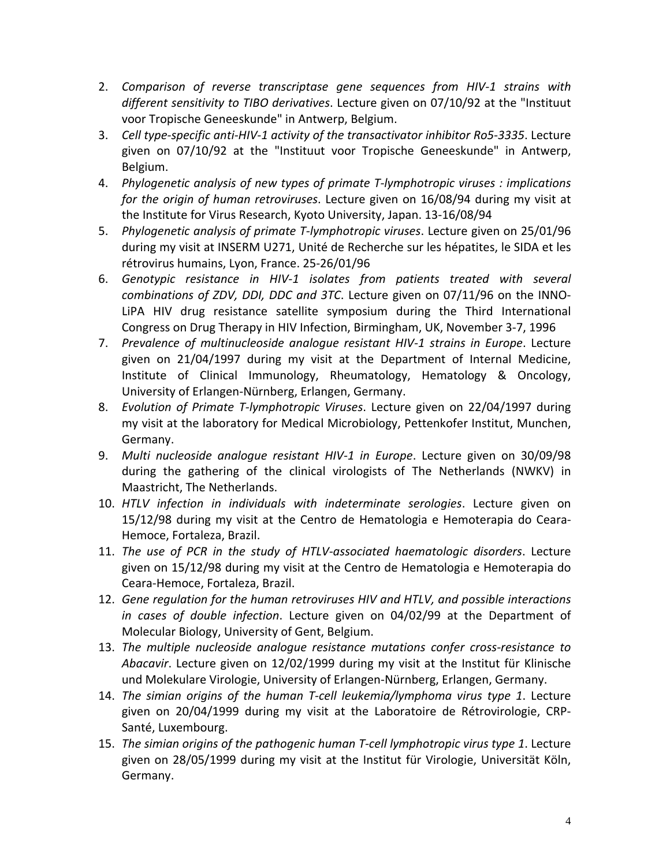- 2. *Comparison of reverse transcriptase gene sequences from HIV-1 strains with different sensitivity to TIBO derivatives*. Lecture given on 07/10/92 at the "Instituut voor Tropische Geneeskunde" in Antwerp, Belgium.
- 3. *Cell type-specific anti-HIV-1 activity of the transactivator inhibitor Ro5-3335*. Lecture given on 07/10/92 at the "Instituut voor Tropische Geneeskunde" in Antwerp, Belgium.
- 4. *Phylogenetic analysis of new types of primate T-lymphotropic viruses : implications for the origin of human retroviruses*. Lecture given on 16/08/94 during my visit at the Institute for Virus Research, Kyoto University, Japan. 13-16/08/94
- 5. *Phylogenetic analysis of primate T-lymphotropic viruses*. Lecture given on 25/01/96 during my visit at INSERM U271, Unité de Recherche sur les hépatites, le SIDA et les rétrovirus humains, Lyon, France. 25-26/01/96
- 6. *Genotypic resistance in HIV-1 isolates from patients treated with several combinations of ZDV, DDI, DDC and 3TC*. Lecture given on 07/11/96 on the INNO-LiPA HIV drug resistance satellite symposium during the Third International Congress on Drug Therapy in HIV Infection, Birmingham, UK, November 3-7, 1996
- 7. *Prevalence of multinucleoside analogue resistant HIV-1 strains in Europe*. Lecture given on 21/04/1997 during my visit at the Department of Internal Medicine, Institute of Clinical Immunology, Rheumatology, Hematology & Oncology, University of Erlangen-Nürnberg, Erlangen, Germany.
- 8. *Evolution of Primate T-lymphotropic Viruses*. Lecture given on 22/04/1997 during my visit at the laboratory for Medical Microbiology, Pettenkofer Institut, Munchen, Germany.
- 9. *Multi nucleoside analogue resistant HIV-1 in Europe*. Lecture given on 30/09/98 during the gathering of the clinical virologists of The Netherlands (NWKV) in Maastricht, The Netherlands.
- 10. *HTLV infection in individuals with indeterminate serologies*. Lecture given on 15/12/98 during my visit at the Centro de Hematologia e Hemoterapia do Ceara-Hemoce, Fortaleza, Brazil.
- 11. *The use of PCR in the study of HTLV-associated haematologic disorders*. Lecture given on 15/12/98 during my visit at the Centro de Hematologia e Hemoterapia do Ceara-Hemoce, Fortaleza, Brazil.
- 12. *Gene regulation for the human retroviruses HIV and HTLV, and possible interactions in cases of double infection*. Lecture given on 04/02/99 at the Department of Molecular Biology, University of Gent, Belgium.
- 13. *The multiple nucleoside analogue resistance mutations confer cross-resistance to Abacavir*. Lecture given on 12/02/1999 during my visit at the Institut für Klinische und Molekulare Virologie, University of Erlangen-Nürnberg, Erlangen, Germany.
- 14. *The simian origins of the human T-cell leukemia/lymphoma virus type 1*. Lecture given on 20/04/1999 during my visit at the Laboratoire de Rétrovirologie, CRP-Santé, Luxembourg.
- 15. *The simian origins of the pathogenic human T-cell lymphotropic virus type 1*. Lecture given on 28/05/1999 during my visit at the Institut für Virologie, Universität Köln, Germany.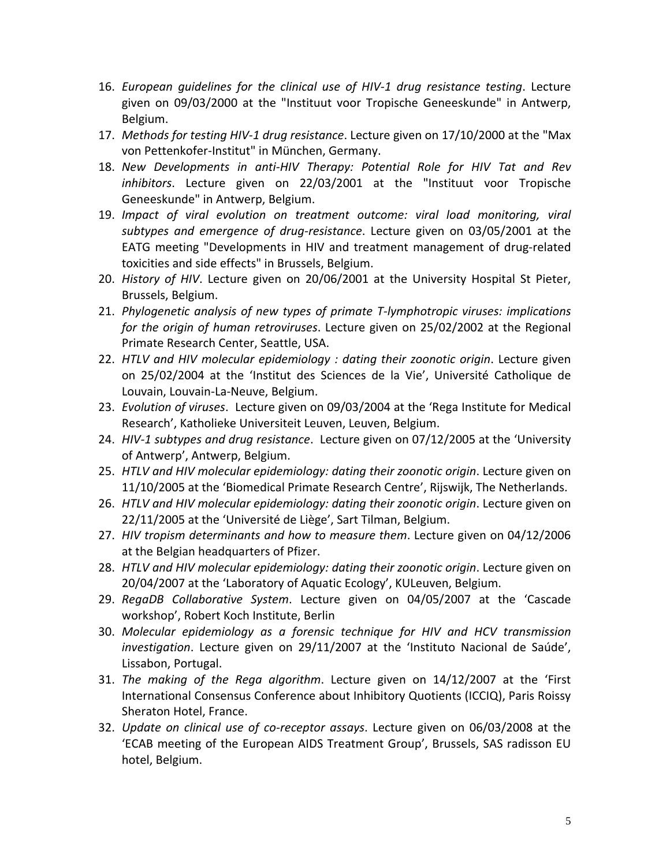- 16. *European guidelines for the clinical use of HIV-1 drug resistance testing*. Lecture given on 09/03/2000 at the "Instituut voor Tropische Geneeskunde" in Antwerp, Belgium.
- 17. *Methods for testing HIV-1 drug resistance*. Lecture given on 17/10/2000 at the "Max von Pettenkofer-Institut" in München, Germany.
- 18. *New Developments in anti-HIV Therapy: Potential Role for HIV Tat and Rev inhibitors*. Lecture given on 22/03/2001 at the "Instituut voor Tropische Geneeskunde" in Antwerp, Belgium.
- 19. *Impact of viral evolution on treatment outcome: viral load monitoring, viral subtypes and emergence of drug-resistance*. Lecture given on 03/05/2001 at the EATG meeting "Developments in HIV and treatment management of drug-related toxicities and side effects" in Brussels, Belgium.
- 20. *History of HIV*. Lecture given on 20/06/2001 at the University Hospital St Pieter, Brussels, Belgium.
- 21. *Phylogenetic analysis of new types of primate T-lymphotropic viruses: implications for the origin of human retroviruses*. Lecture given on 25/02/2002 at the Regional Primate Research Center, Seattle, USA.
- 22. *HTLV and HIV molecular epidemiology : dating their zoonotic origin*. Lecture given on 25/02/2004 at the 'Institut des Sciences de la Vie', Université Catholique de Louvain, Louvain-La-Neuve, Belgium.
- 23. *Evolution of viruses*. Lecture given on 09/03/2004 at the 'Rega Institute for Medical Research', Katholieke Universiteit Leuven, Leuven, Belgium.
- 24. *HIV-1 subtypes and drug resistance*. Lecture given on 07/12/2005 at the 'University of Antwerp', Antwerp, Belgium.
- 25. *HTLV and HIV molecular epidemiology: dating their zoonotic origin*. Lecture given on 11/10/2005 at the 'Biomedical Primate Research Centre', Rijswijk, The Netherlands.
- 26. *HTLV and HIV molecular epidemiology: dating their zoonotic origin*. Lecture given on 22/11/2005 at the 'Université de Liège', Sart Tilman, Belgium.
- 27. *HIV tropism determinants and how to measure them*. Lecture given on 04/12/2006 at the Belgian headquarters of Pfizer.
- 28. *HTLV and HIV molecular epidemiology: dating their zoonotic origin*. Lecture given on 20/04/2007 at the 'Laboratory of Aquatic Ecology', KULeuven, Belgium.
- 29. *RegaDB Collaborative System*. Lecture given on 04/05/2007 at the 'Cascade workshop', Robert Koch Institute, Berlin
- 30. *Molecular epidemiology as a forensic technique for HIV and HCV transmission investigation*. Lecture given on 29/11/2007 at the 'Instituto Nacional de Saúde', Lissabon, Portugal.
- 31. *The making of the Rega algorithm*. Lecture given on 14/12/2007 at the 'First International Consensus Conference about Inhibitory Quotients (ICCIQ), Paris Roissy Sheraton Hotel, France.
- 32. *Update on clinical use of co-receptor assays*. Lecture given on 06/03/2008 at the 'ECAB meeting of the European AIDS Treatment Group', Brussels, SAS radisson EU hotel, Belgium.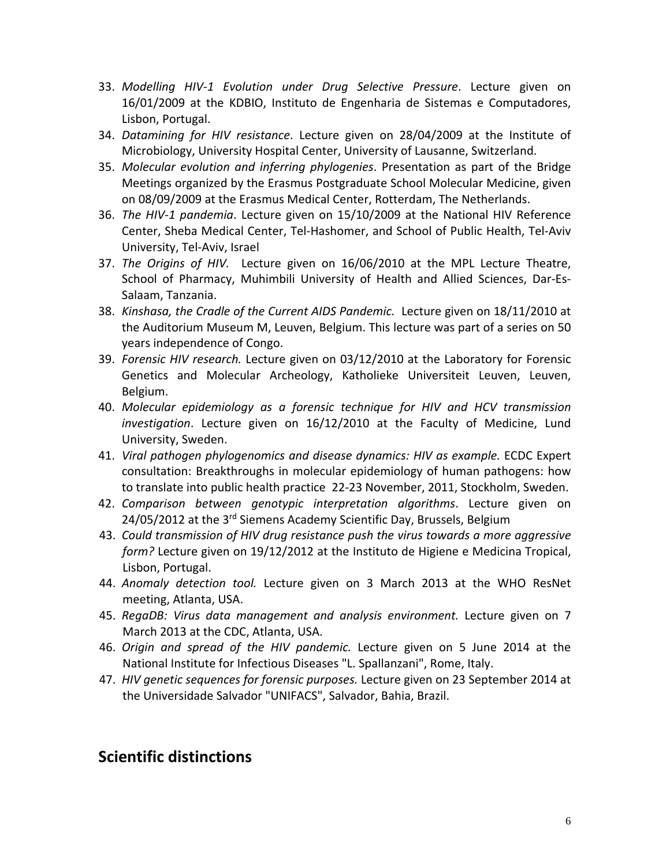- 33. *Modelling HIV-1 Evolution under Drug Selective Pressure*. Lecture given on 16/01/2009 at the KDBIO, Instituto de Engenharia de Sistemas e Computadores, Lisbon, Portugal.
- 34. *Datamining for HIV resistance*. Lecture given on 28/04/2009 at the Institute of Microbiology, University Hospital Center, University of Lausanne, Switzerland.
- 35. *Molecular evolution and inferring phylogenies*. Presentation as part of the Bridge Meetings organized by the Erasmus Postgraduate School Molecular Medicine, given on 08/09/2009 at the Erasmus Medical Center, Rotterdam, The Netherlands.
- 36. *The HIV-1 pandemia*. Lecture given on 15/10/2009 at the National HIV Reference Center, Sheba Medical Center, Tel-Hashomer, and School of Public Health, Tel-Aviv University, Tel-Aviv, Israel
- 37. *The Origins of HIV.* Lecture given on 16/06/2010 at the MPL Lecture Theatre, School of Pharmacy, Muhimbili University of Health and Allied Sciences, Dar-Es-Salaam, Tanzania.
- 38. *Kinshasa, the Cradle of the Current AIDS Pandemic.* Lecture given on 18/11/2010 at the Auditorium Museum M, Leuven, Belgium. This lecture was part of a series on 50 years independence of Congo.
- 39. *Forensic HIV research.* Lecture given on 03/12/2010 at the Laboratory for Forensic Genetics and Molecular Archeology, Katholieke Universiteit Leuven, Leuven, Belgium.
- 40. *Molecular epidemiology as a forensic technique for HIV and HCV transmission investigation*. Lecture given on 16/12/2010 at the Faculty of Medicine, Lund University, Sweden.
- 41. *Viral pathogen phylogenomics and disease dynamics: HIV as example.* ECDC Expert consultation: Breakthroughs in molecular epidemiology of human pathogens: how to translate into public health practice 22-23 November, 2011, Stockholm, Sweden.
- 42. *Comparison between genotypic interpretation algorithms*. Lecture given on 24/05/2012 at the 3<sup>rd</sup> Siemens Academy Scientific Day, Brussels, Belgium
- 43. *Could transmission of HIV drug resistance push the virus towards a more aggressive form?* Lecture given on 19/12/2012 at the Instituto de Higiene e Medicina Tropical, Lisbon, Portugal.
- 44. *Anomaly detection tool.* Lecture given on 3 March 2013 at the WHO ResNet meeting, Atlanta, USA.
- 45. *RegaDB: Virus data management and analysis environment.* Lecture given on 7 March 2013 at the CDC, Atlanta, USA.
- 46. *Origin and spread of the HIV pandemic.* Lecture given on 5 June 2014 at the National Institute for Infectious Diseases "L. Spallanzani", Rome, Italy.
- 47. *HIV genetic sequences for forensic purposes.* Lecture given on 23 September 2014 at the Universidade Salvador "UNIFACS", Salvador, Bahia, Brazil.

### **Scientific distinctions**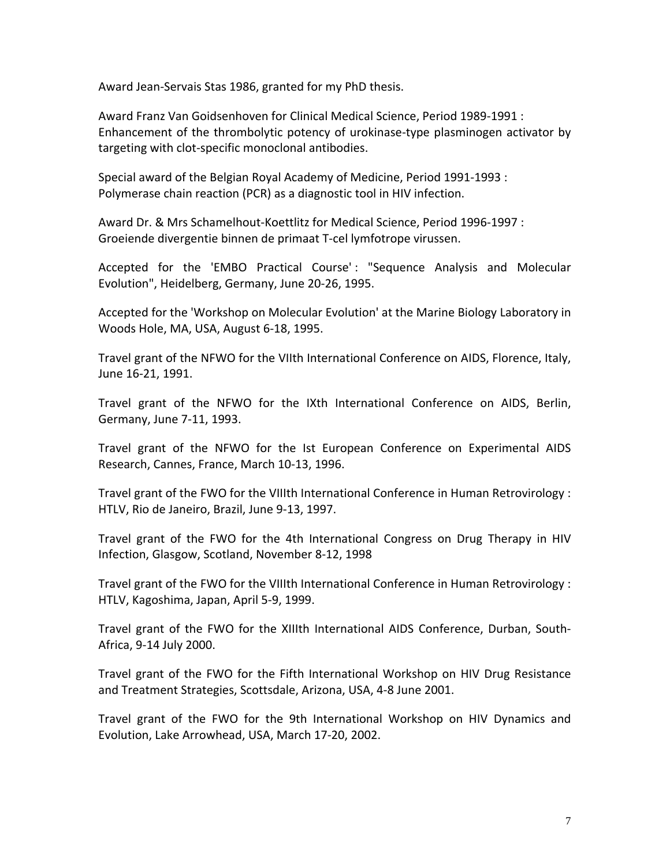Award Jean-Servais Stas 1986, granted for my PhD thesis.

Award Franz Van Goidsenhoven for Clinical Medical Science, Period 1989-1991 : Enhancement of the thrombolytic potency of urokinase-type plasminogen activator by targeting with clot-specific monoclonal antibodies.

Special award of the Belgian Royal Academy of Medicine, Period 1991-1993 : Polymerase chain reaction (PCR) as a diagnostic tool in HIV infection.

Award Dr. & Mrs Schamelhout-Koettlitz for Medical Science, Period 1996-1997 : Groeiende divergentie binnen de primaat T-cel lymfotrope virussen.

Accepted for the 'EMBO Practical Course' : "Sequence Analysis and Molecular Evolution", Heidelberg, Germany, June 20-26, 1995.

Accepted for the 'Workshop on Molecular Evolution' at the Marine Biology Laboratory in Woods Hole, MA, USA, August 6-18, 1995.

Travel grant of the NFWO for the VIIth International Conference on AIDS, Florence, Italy, June 16-21, 1991.

Travel grant of the NFWO for the IXth International Conference on AIDS, Berlin, Germany, June 7-11, 1993.

Travel grant of the NFWO for the Ist European Conference on Experimental AIDS Research, Cannes, France, March 10-13, 1996.

Travel grant of the FWO for the VIIIth International Conference in Human Retrovirology : HTLV, Rio de Janeiro, Brazil, June 9-13, 1997.

Travel grant of the FWO for the 4th International Congress on Drug Therapy in HIV Infection, Glasgow, Scotland, November 8-12, 1998

Travel grant of the FWO for the VIIIth International Conference in Human Retrovirology : HTLV, Kagoshima, Japan, April 5-9, 1999.

Travel grant of the FWO for the XIIIth International AIDS Conference, Durban, South-Africa, 9-14 July 2000.

Travel grant of the FWO for the Fifth International Workshop on HIV Drug Resistance and Treatment Strategies, Scottsdale, Arizona, USA, 4-8 June 2001.

Travel grant of the FWO for the 9th International Workshop on HIV Dynamics and Evolution, Lake Arrowhead, USA, March 17-20, 2002.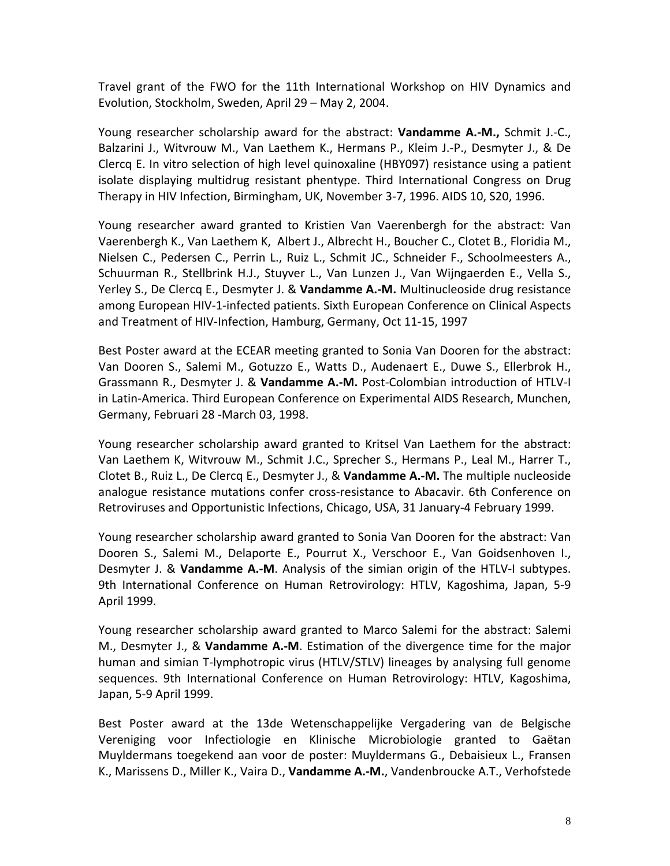Travel grant of the FWO for the 11th International Workshop on HIV Dynamics and Evolution, Stockholm, Sweden, April 29 – May 2, 2004.

Young researcher scholarship award for the abstract: **Vandamme A.-M.,** Schmit J.-C., Balzarini J., Witvrouw M., Van Laethem K., Hermans P., Kleim J.-P., Desmyter J., & De Clercq E. In vitro selection of high level quinoxaline (HBY097) resistance using a patient isolate displaying multidrug resistant phentype. Third International Congress on Drug Therapy in HIV Infection, Birmingham, UK, November 3-7, 1996. AIDS 10, S20, 1996.

Young researcher award granted to Kristien Van Vaerenbergh for the abstract: Van Vaerenbergh K., Van Laethem K, Albert J., Albrecht H., Boucher C., Clotet B., Floridia M., Nielsen C., Pedersen C., Perrin L., Ruiz L., Schmit JC., Schneider F., Schoolmeesters A., Schuurman R., Stellbrink H.J., Stuyver L., Van Lunzen J., Van Wijngaerden E., Vella S., Yerley S., De Clercq E., Desmyter J. & **Vandamme A.-M.** Multinucleoside drug resistance among European HIV-1-infected patients. Sixth European Conference on Clinical Aspects and Treatment of HIV-Infection, Hamburg, Germany, Oct 11-15, 1997

Best Poster award at the ECEAR meeting granted to Sonia Van Dooren for the abstract: Van Dooren S., Salemi M., Gotuzzo E., Watts D., Audenaert E., Duwe S., Ellerbrok H., Grassmann R., Desmyter J. & **Vandamme A.-M.** Post-Colombian introduction of HTLV-I in Latin-America. Third European Conference on Experimental AIDS Research, Munchen, Germany, Februari 28 -March 03, 1998.

Young researcher scholarship award granted to Kritsel Van Laethem for the abstract: Van Laethem K, Witvrouw M., Schmit J.C., Sprecher S., Hermans P., Leal M., Harrer T., Clotet B., Ruiz L., De Clercq E., Desmyter J., & **Vandamme A.-M.** The multiple nucleoside analogue resistance mutations confer cross-resistance to Abacavir. 6th Conference on Retroviruses and Opportunistic Infections, Chicago, USA, 31 January-4 February 1999.

Young researcher scholarship award granted to Sonia Van Dooren for the abstract: Van Dooren S., Salemi M., Delaporte E., Pourrut X., Verschoor E., Van Goidsenhoven I., Desmyter J. & **Vandamme A.-M**. Analysis of the simian origin of the HTLV-I subtypes. 9th International Conference on Human Retrovirology: HTLV, Kagoshima, Japan, 5-9 April 1999.

Young researcher scholarship award granted to Marco Salemi for the abstract: Salemi M., Desmyter J., & **Vandamme A.-M**. Estimation of the divergence time for the major human and simian T-lymphotropic virus (HTLV/STLV) lineages by analysing full genome sequences. 9th International Conference on Human Retrovirology: HTLV, Kagoshima, Japan, 5-9 April 1999.

Best Poster award at the 13de Wetenschappelijke Vergadering van de Belgische Vereniging voor Infectiologie en Klinische Microbiologie granted to Gaëtan Muyldermans toegekend aan voor de poster: Muyldermans G., Debaisieux L., Fransen K., Marissens D., Miller K., Vaira D., **Vandamme A.-M.**, Vandenbroucke A.T., Verhofstede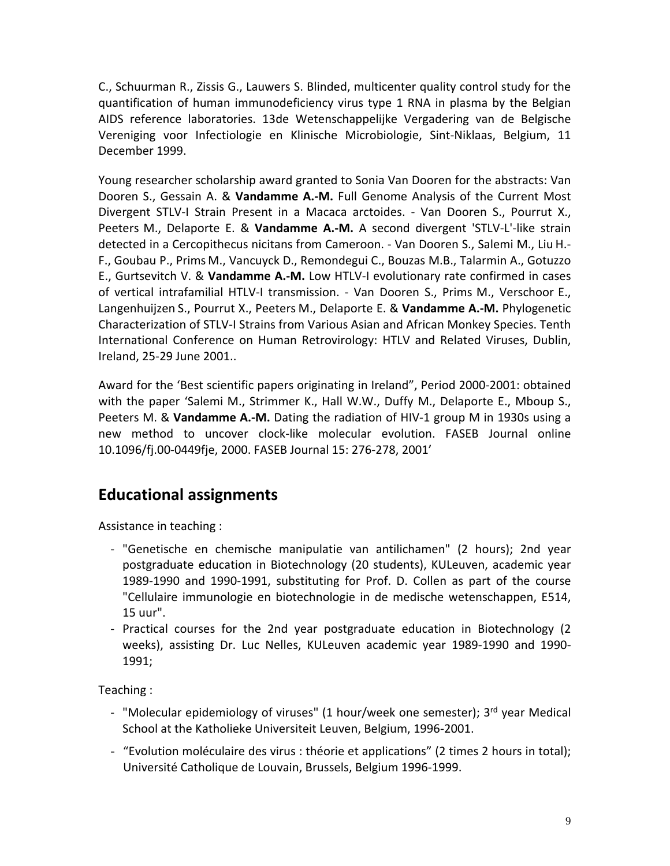C., Schuurman R., Zissis G., Lauwers S. Blinded, multicenter quality control study for the quantification of human immunodeficiency virus type 1 RNA in plasma by the Belgian AIDS reference laboratories. 13de Wetenschappelijke Vergadering van de Belgische Vereniging voor Infectiologie en Klinische Microbiologie, Sint-Niklaas, Belgium, 11 December 1999.

Young researcher scholarship award granted to Sonia Van Dooren for the abstracts: Van Dooren S., Gessain A. & **Vandamme A.-M.** Full Genome Analysis of the Current Most Divergent STLV-I Strain Present in a Macaca arctoides. - Van Dooren S., Pourrut X., Peeters M., Delaporte E. & **Vandamme A.-M.** A second divergent 'STLV-L'-like strain detected in a Cercopithecus nicitans from Cameroon. - Van Dooren S., Salemi M., Liu H.- F., Goubau P., Prims M., Vancuyck D., Remondegui C., Bouzas M.B., Talarmin A., Gotuzzo E., Gurtsevitch V. & **Vandamme A.-M.** Low HTLV-I evolutionary rate confirmed in cases of vertical intrafamilial HTLV-I transmission. - Van Dooren S., Prims M., Verschoor E., Langenhuijzen S., Pourrut X., Peeters M., Delaporte E. & **Vandamme A.-M.** Phylogenetic Characterization of STLV-I Strains from Various Asian and African Monkey Species. Tenth International Conference on Human Retrovirology: HTLV and Related Viruses, Dublin, Ireland, 25-29 June 2001..

Award for the 'Best scientific papers originating in Ireland", Period 2000-2001: obtained with the paper 'Salemi M., Strimmer K., Hall W.W., Duffy M., Delaporte E., Mboup S., Peeters M. & **Vandamme A.-M.** Dating the radiation of HIV-1 group M in 1930s using a new method to uncover clock-like molecular evolution. FASEB Journal online 10.1096/fj.00-0449fje, 2000. FASEB Journal 15: 276-278, 2001'

## **Educational assignments**

Assistance in teaching :

- "Genetische en chemische manipulatie van antilichamen" (2 hours); 2nd year postgraduate education in Biotechnology (20 students), KULeuven, academic year 1989-1990 and 1990-1991, substituting for Prof. D. Collen as part of the course "Cellulaire immunologie en biotechnologie in de medische wetenschappen, E514, 15 uur".
- Practical courses for the 2nd year postgraduate education in Biotechnology (2 weeks), assisting Dr. Luc Nelles, KULeuven academic year 1989-1990 and 1990- 1991;

Teaching :

- "Molecular epidemiology of viruses" (1 hour/week one semester); 3<sup>rd</sup> year Medical School at the Katholieke Universiteit Leuven, Belgium, 1996-2001.
- "Evolution moléculaire des virus : théorie et applications" (2 times 2 hours in total); Université Catholique de Louvain, Brussels, Belgium 1996-1999.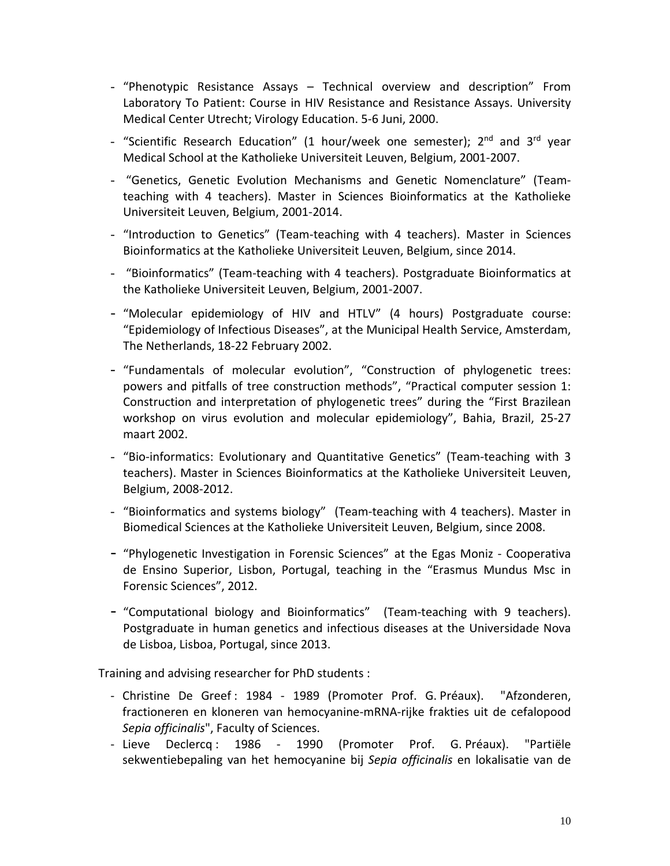- "Phenotypic Resistance Assays Technical overview and description" From Laboratory To Patient: Course in HIV Resistance and Resistance Assays. University Medical Center Utrecht; Virology Education. 5-6 Juni, 2000.
- "Scientific Research Education" (1 hour/week one semester); 2<sup>nd</sup> and 3<sup>rd</sup> year Medical School at the Katholieke Universiteit Leuven, Belgium, 2001-2007.
- "Genetics, Genetic Evolution Mechanisms and Genetic Nomenclature" (Teamteaching with 4 teachers). Master in Sciences Bioinformatics at the Katholieke Universiteit Leuven, Belgium, 2001-2014.
- "Introduction to Genetics" (Team-teaching with 4 teachers). Master in Sciences Bioinformatics at the Katholieke Universiteit Leuven, Belgium, since 2014.
- "Bioinformatics" (Team-teaching with 4 teachers). Postgraduate Bioinformatics at the Katholieke Universiteit Leuven, Belgium, 2001-2007.
- "Molecular epidemiology of HIV and HTLV" (4 hours) Postgraduate course: "Epidemiology of Infectious Diseases", at the Municipal Health Service, Amsterdam, The Netherlands, 18-22 February 2002.
- "Fundamentals of molecular evolution", "Construction of phylogenetic trees: powers and pitfalls of tree construction methods", "Practical computer session 1: Construction and interpretation of phylogenetic trees" during the "First Brazilean workshop on virus evolution and molecular epidemiology", Bahia, Brazil, 25-27 maart 2002.
- ["Bio-informatics: Evolutionary and Quantitative Genetics"](https://cygnus.cc.kuleuven.be/webapps/portal/frameset.jsp?tab=courses&url=/bin/common/course.pl?course_id=_159276_1) (Team-teaching with 3 teachers). Master in Sciences Bioinformatics at the Katholieke Universiteit Leuven, Belgium, 2008-2012.
- "Bioinformatics and systems biology" (Team-teaching with 4 teachers). Master in Biomedical Sciences at the Katholieke Universiteit Leuven, Belgium, since 2008.
- "Phylogenetic Investigation in Forensic Sciences" at the Egas Moniz Cooperativa de Ensino Superior, Lisbon, Portugal, teaching in the "Erasmus Mundus Msc in Forensic Sciences", 2012.
- "Computational biology and Bioinformatics" (Team-teaching with 9 teachers). Postgraduate in human genetics and infectious diseases at the Universidade Nova de Lisboa, Lisboa, Portugal, since 2013.

Training and advising researcher for PhD students :

- Christine De Greef : 1984 1989 (Promoter Prof. G. Préaux). "Afzonderen, fractioneren en kloneren van hemocyanine-mRNA-rijke frakties uit de cefalopood *Sepia officinalis*", Faculty of Sciences.
- Lieve Declercq : 1986 1990 (Promoter Prof. G. Préaux). "Partiële sekwentiebepaling van het hemocyanine bij *Sepia officinalis* en lokalisatie van de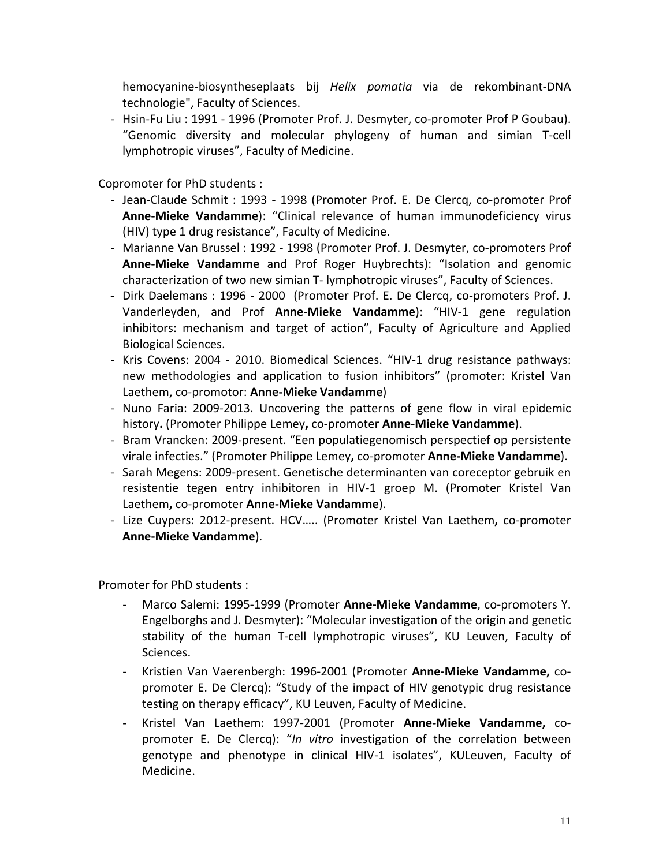hemocyanine-biosyntheseplaats bij *Helix pomatia* via de rekombinant-DNA technologie", Faculty of Sciences.

- Hsin-Fu Liu : 1991 - 1996 (Promoter Prof. J. Desmyter, co-promoter Prof P Goubau). "Genomic diversity and molecular phylogeny of human and simian T-cell lymphotropic viruses", Faculty of Medicine.

Copromoter for PhD students :

- Jean-Claude Schmit : 1993 1998 (Promoter Prof. E. De Clercq, co-promoter Prof **Anne-Mieke Vandamme**): "Clinical relevance of human immunodeficiency virus (HIV) type 1 drug resistance", Faculty of Medicine.
- Marianne Van Brussel : 1992 1998 (Promoter Prof. J. Desmyter, co-promoters Prof **Anne-Mieke Vandamme** and Prof Roger Huybrechts): "Isolation and genomic characterization of two new simian T- lymphotropic viruses", Faculty of Sciences.
- Dirk Daelemans : 1996 2000 (Promoter Prof. E. De Clercq, co-promoters Prof. J. Vanderleyden, and Prof **Anne-Mieke Vandamme**): "HIV-1 gene regulation inhibitors: mechanism and target of action", Faculty of Agriculture and Applied Biological Sciences.
- Kris Covens: 2004 2010. Biomedical Sciences. "HIV-1 drug resistance pathways: new methodologies and application to fusion inhibitors" (promoter: Kristel Van Laethem, co-promotor: **Anne-Mieke Vandamme**)
- Nuno Faria: 2009-2013. Uncovering the patterns of gene flow in viral epidemic history**.** (Promoter Philippe Lemey**,** co-promoter **Anne-Mieke Vandamme**).
- Bram Vrancken: 2009-present. "Een populatiegenomisch perspectief op persistente virale infecties." (Promoter Philippe Lemey**,** co-promoter **Anne-Mieke Vandamme**).
- Sarah Megens: 2009-present. Genetische determinanten van coreceptor gebruik en resistentie tegen entry inhibitoren in HIV-1 groep M. (Promoter Kristel Van Laethem**,** co-promoter **Anne-Mieke Vandamme**).
- Lize Cuypers: 2012-present. HCV….. (Promoter Kristel Van Laethem**,** co-promoter **Anne-Mieke Vandamme**).

Promoter for PhD students :

- Marco Salemi: 1995-1999 (Promoter **Anne-Mieke Vandamme**, co-promoters Y. Engelborghs and J. Desmyter): "Molecular investigation of the origin and genetic stability of the human T-cell lymphotropic viruses", KU Leuven, Faculty of Sciences.
- Kristien Van Vaerenbergh: 1996-2001 (Promoter **Anne-Mieke Vandamme,** copromoter E. De Clercq): "Study of the impact of HIV genotypic drug resistance testing on therapy efficacy", KU Leuven, Faculty of Medicine.
- Kristel Van Laethem: 1997-2001 (Promoter **Anne-Mieke Vandamme,** copromoter E. De Clercq): "*In vitro* investigation of the correlation between genotype and phenotype in clinical HIV-1 isolates", KULeuven, Faculty of Medicine.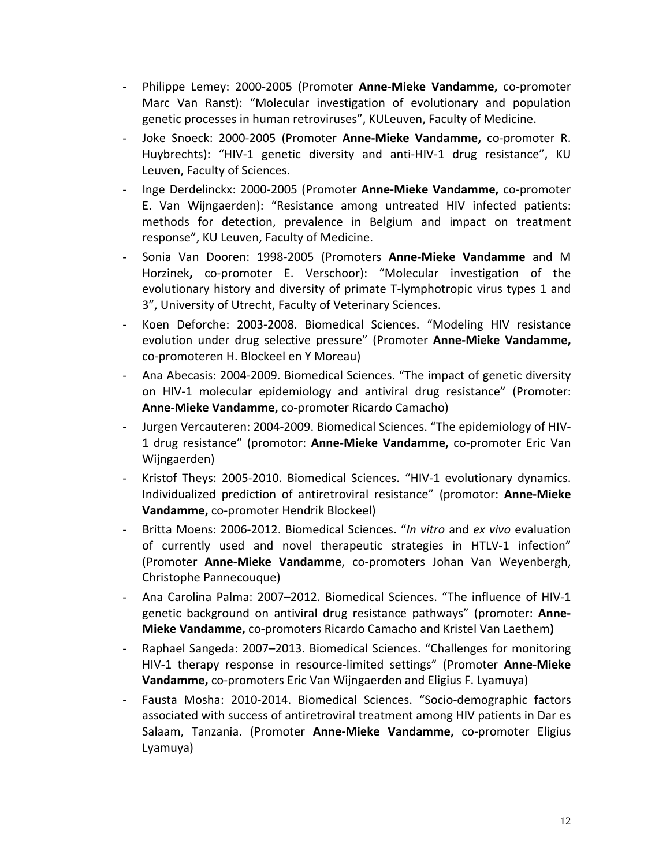- Philippe Lemey: 2000-2005 (Promoter **Anne-Mieke Vandamme,** co-promoter Marc Van Ranst): "Molecular investigation of evolutionary and population genetic processes in human retroviruses", KULeuven, Faculty of Medicine.
- Joke Snoeck: 2000-2005 (Promoter **Anne-Mieke Vandamme,** co-promoter R. Huybrechts): "HIV-1 genetic diversity and anti-HIV-1 drug resistance", KU Leuven, Faculty of Sciences.
- Inge Derdelinckx: 2000-2005 (Promoter **Anne-Mieke Vandamme,** co-promoter E. Van Wijngaerden): "Resistance among untreated HIV infected patients: methods for detection, prevalence in Belgium and impact on treatment response", KU Leuven, Faculty of Medicine.
- Sonia Van Dooren: 1998-2005 (Promoters **Anne-Mieke Vandamme** and M Horzinek**,** co-promoter E. Verschoor): "Molecular investigation of the evolutionary history and diversity of primate T-lymphotropic virus types 1 and 3", University of Utrecht, Faculty of Veterinary Sciences.
- Koen Deforche: 2003-2008. Biomedical Sciences. "Modeling HIV resistance evolution under drug selective pressure" (Promoter **Anne-Mieke Vandamme,** co-promoteren H. Blockeel en Y Moreau)
- Ana Abecasis: 2004-2009. Biomedical Sciences. "The impact of genetic diversity on HIV-1 molecular epidemiology and antiviral drug resistance" (Promoter: **Anne-Mieke Vandamme,** co-promoter Ricardo Camacho)
- Jurgen Vercauteren: 2004-2009. Biomedical Sciences. "The epidemiology of HIV-1 drug resistance" (promotor: **Anne-Mieke Vandamme,** co-promoter Eric Van Wijngaerden)
- Kristof Theys: 2005-2010. Biomedical Sciences. "HIV-1 evolutionary dynamics. Individualized prediction of antiretroviral resistance" (promotor: **Anne-Mieke Vandamme,** co-promoter Hendrik Blockeel)
- Britta Moens: 2006-2012. Biomedical Sciences. "*In vitro* and *ex vivo* evaluation of currently used and novel therapeutic strategies in HTLV-1 infection" (Promoter **Anne-Mieke Vandamme**, co-promoters Johan Van Weyenbergh, Christophe Pannecouque)
- Ana Carolina Palma: 2007–2012. Biomedical Sciences. "The influence of HIV-1 genetic background on antiviral drug resistance pathways" (promoter: **Anne-Mieke Vandamme,** co-promoters Ricardo Camacho and Kristel Van Laethem**)**
- Raphael Sangeda: 2007–2013. Biomedical Sciences. "Challenges for monitoring HIV-1 therapy response in resource-limited settings" (Promoter **Anne-Mieke Vandamme,** co-promoters Eric Van Wijngaerden and Eligius F. Lyamuya)
- Fausta Mosha: 2010-2014. Biomedical Sciences. "Socio-demographic factors associated with success of antiretroviral treatment among HIV patients in Dar es Salaam, Tanzania. (Promoter **Anne-Mieke Vandamme,** co-promoter Eligius Lyamuya)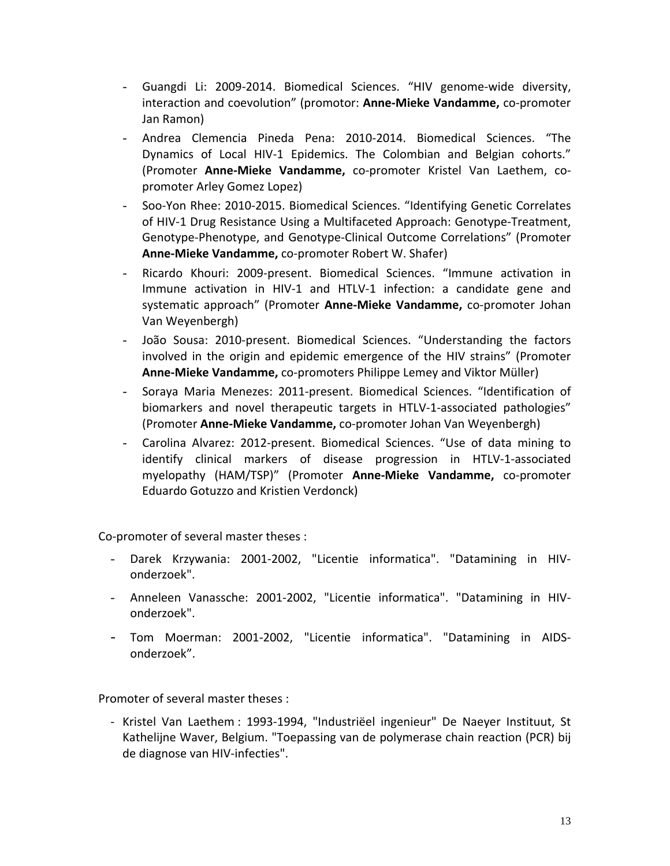- Guangdi Li: 2009-2014. Biomedical Sciences. "HIV genome-wide diversity, interaction and coevolution" (promotor: **Anne-Mieke Vandamme,** co-promoter Jan Ramon)
- Andrea Clemencia Pineda Pena: 2010-2014. Biomedical Sciences. "The Dynamics of Local HIV-1 Epidemics. The Colombian and Belgian cohorts." (Promoter **Anne-Mieke Vandamme,** co-promoter Kristel Van Laethem, copromoter Arley Gomez Lopez)
- Soo-Yon Rhee: 2010-2015. Biomedical Sciences. "Identifying Genetic Correlates of HIV-1 Drug Resistance Using a Multifaceted Approach: Genotype-Treatment, Genotype-Phenotype, and Genotype-Clinical Outcome Correlations" (Promoter **Anne-Mieke Vandamme,** co-promoter Robert W. Shafer)
- Ricardo Khouri: 2009-present. Biomedical Sciences. "Immune activation in Immune activation in HIV-1 and HTLV-1 infection: a candidate gene and systematic approach" (Promoter **Anne-Mieke Vandamme,** co-promoter Johan Van Weyenbergh)
- João Sousa: 2010-present. Biomedical Sciences. "Understanding the factors involved in the origin and epidemic emergence of the HIV strains" (Promoter **Anne-Mieke Vandamme,** co-promoters Philippe Lemey and Viktor Müller)
- Soraya Maria Menezes: 2011-present. Biomedical Sciences. "Identification of biomarkers and novel therapeutic targets in HTLV-1-associated pathologies" (Promoter **Anne-Mieke Vandamme,** co-promoter Johan Van Weyenbergh)
- Carolina Alvarez: 2012-present. Biomedical Sciences. "Use of data mining to identify clinical markers of disease progression in HTLV-1-associated myelopathy (HAM/TSP)" (Promoter **Anne-Mieke Vandamme,** co-promoter Eduardo Gotuzzo and Kristien Verdonck)

Co-promoter of several master theses :

- Darek Krzywania: 2001-2002, "Licentie informatica". "Datamining in HIVonderzoek".
- Anneleen Vanassche: 2001-2002, "Licentie informatica". "Datamining in HIVonderzoek".
- Tom Moerman: 2001-2002, "Licentie informatica". "Datamining in AIDSonderzoek".

Promoter of several master theses :

- Kristel Van Laethem : 1993-1994, "Industriëel ingenieur" De Naeyer Instituut, St Kathelijne Waver, Belgium. "Toepassing van de polymerase chain reaction (PCR) bij de diagnose van HIV-infecties".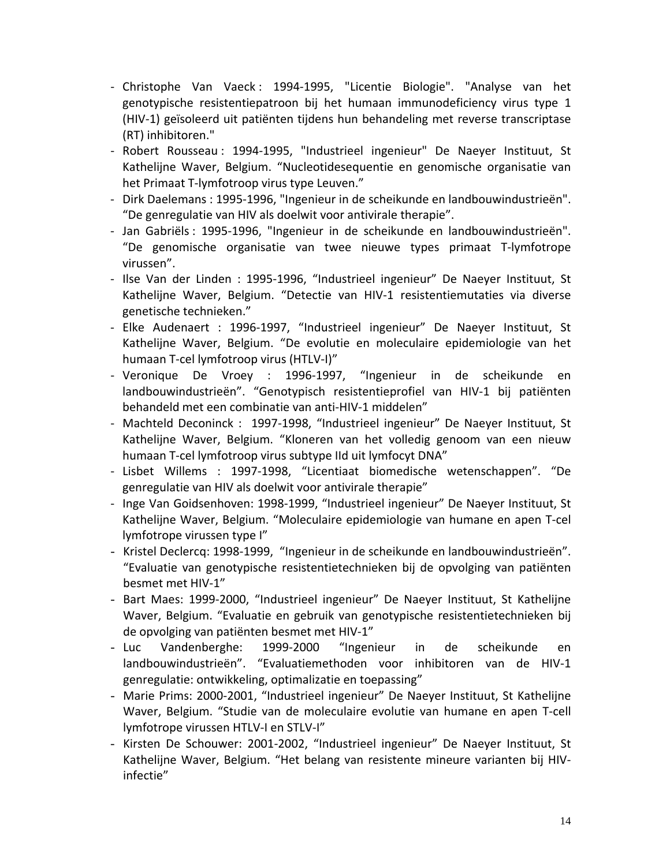- Christophe Van Vaeck: 1994-1995, "Licentie Biologie". "Analyse van het genotypische resistentiepatroon bij het humaan immunodeficiency virus type 1 (HIV-1) geïsoleerd uit patiënten tijdens hun behandeling met reverse transcriptase (RT) inhibitoren."
- Robert Rousseau : 1994-1995, "Industrieel ingenieur" De Naeyer Instituut, St Kathelijne Waver, Belgium. "Nucleotidesequentie en genomische organisatie van het Primaat T-lymfotroop virus type Leuven."
- Dirk Daelemans : 1995-1996, "Ingenieur in de scheikunde en landbouwindustrieën". "De genregulatie van HIV als doelwit voor antivirale therapie".
- Jan Gabriëls : 1995-1996, "Ingenieur in de scheikunde en landbouwindustrieën". "De genomische organisatie van twee nieuwe types primaat T-lymfotrope virussen".
- Ilse Van der Linden : 1995-1996, "Industrieel ingenieur" De Naeyer Instituut, St Kathelijne Waver, Belgium. "Detectie van HIV-1 resistentiemutaties via diverse genetische technieken."
- Elke Audenaert : 1996-1997, "Industrieel ingenieur" De Naeyer Instituut, St Kathelijne Waver, Belgium. "De evolutie en moleculaire epidemiologie van het humaan T-cel lymfotroop virus (HTLV-I)"
- Veronique De Vroey : 1996-1997, "Ingenieur in de scheikunde en landbouwindustrieën". "Genotypisch resistentieprofiel van HIV-1 bij patiënten behandeld met een combinatie van anti-HIV-1 middelen"
- Machteld Deconinck : 1997-1998, "Industrieel ingenieur" De Naeyer Instituut, St Kathelijne Waver, Belgium. "Kloneren van het volledig genoom van een nieuw humaan T-cel lymfotroop virus subtype IId uit lymfocyt DNA"
- Lisbet Willems : 1997-1998, "Licentiaat biomedische wetenschappen". "De genregulatie van HIV als doelwit voor antivirale therapie"
- Inge Van Goidsenhoven: 1998-1999, "Industrieel ingenieur" De Naeyer Instituut, St Kathelijne Waver, Belgium. "Moleculaire epidemiologie van humane en apen T-cel lymfotrope virussen type I"
- Kristel Declercq: 1998-1999, "Ingenieur in de scheikunde en landbouwindustrieën". "Evaluatie van genotypische resistentietechnieken bij de opvolging van patiënten besmet met HIV-1"
- Bart Maes: 1999-2000, "Industrieel ingenieur" De Naeyer Instituut, St Kathelijne Waver, Belgium. "Evaluatie en gebruik van genotypische resistentietechnieken bij de opvolging van patiënten besmet met HIV-1"
- Luc Vandenberghe: 1999-2000 "Ingenieur in de scheikunde en landbouwindustrieën". "Evaluatiemethoden voor inhibitoren van de HIV-1 genregulatie: ontwikkeling, optimalizatie en toepassing"
- Marie Prims: 2000-2001, "Industrieel ingenieur" De Naeyer Instituut, St Kathelijne Waver, Belgium. "Studie van de moleculaire evolutie van humane en apen T-cell lymfotrope virussen HTLV-I en STLV-I"
- Kirsten De Schouwer: 2001-2002, "Industrieel ingenieur" De Naeyer Instituut, St Kathelijne Waver, Belgium. "Het belang van resistente mineure varianten bij HIVinfectie"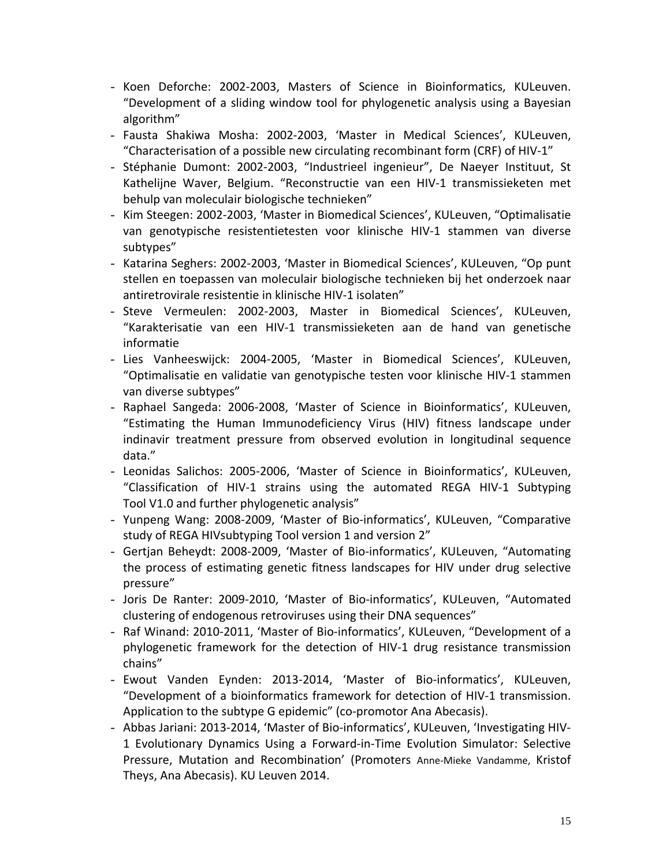- Koen Deforche: 2002-2003, Masters of Science in Bioinformatics, KULeuven. "Development of a sliding window tool for phylogenetic analysis using a Bayesian algorithm"
- Fausta Shakiwa Mosha: 2002-2003, 'Master in Medical Sciences', KULeuven, "Characterisation of a possible new circulating recombinant form (CRF) of HIV-1"
- Stéphanie Dumont: 2002-2003, "Industrieel ingenieur", De Naeyer Instituut, St Kathelijne Waver, Belgium. "Reconstructie van een HIV-1 transmissieketen met behulp van moleculair biologische technieken"
- Kim Steegen: 2002-2003, 'Master in Biomedical Sciences', KULeuven, "Optimalisatie van genotypische resistentietesten voor klinische HIV-1 stammen van diverse subtypes"
- Katarina Seghers: 2002-2003, 'Master in Biomedical Sciences', KULeuven, "Op punt stellen en toepassen van moleculair biologische technieken bij het onderzoek naar antiretrovirale resistentie in klinische HIV-1 isolaten"
- Steve Vermeulen: 2002-2003, Master in Biomedical Sciences', KULeuven, "Karakterisatie van een HIV-1 transmissieketen aan de hand van genetische informatie
- Lies Vanheeswijck: 2004-2005, 'Master in Biomedical Sciences', KULeuven, "Optimalisatie en validatie van genotypische testen voor klinische HIV-1 stammen van diverse subtypes"
- Raphael Sangeda: 2006-2008, 'Master of Science in Bioinformatics', KULeuven, "Estimating the Human Immunodeficiency Virus (HIV) fitness landscape under indinavir treatment pressure from observed evolution in longitudinal sequence data."
- Leonidas Salichos: 2005-2006, 'Master of Science in Bioinformatics', KULeuven, "Classification of HIV-1 strains using the automated REGA HIV-1 Subtyping Tool V1.0 and further phylogenetic analysis"
- Yunpeng Wang: 2008-2009, 'Master of Bio-informatics', KULeuven, "Comparative study of REGA HIVsubtyping Tool version 1 and version 2"
- Gertjan Beheydt: 2008-2009, 'Master of Bio-informatics', KULeuven, "Automating the process of estimating genetic fitness landscapes for HIV under drug selective pressure"
- Joris De Ranter: 2009-2010, 'Master of Bio-informatics', KULeuven, "Automated clustering of endogenous retroviruses using their DNA sequences"
- Raf Winand: 2010-2011, 'Master of Bio-informatics', KULeuven, "Development of a phylogenetic framework for the detection of HIV-1 drug resistance transmission chains"
- Ewout Vanden Eynden: 2013-2014, 'Master of Bio-informatics', KULeuven, "Development of a bioinformatics framework for detection of HIV-1 transmission. Application to the subtype G epidemic" (co-promotor Ana Abecasis).
- Abbas Jariani: 2013-2014, 'Master of Bio-informatics', KULeuven, 'Investigating HIV-1 Evolutionary Dynamics Using a Forward-in-Time Evolution Simulator: Selective Pressure, Mutation and Recombination' (Promoters Anne-Mieke Vandamme, Kristof Theys, Ana Abecasis). KU Leuven 2014.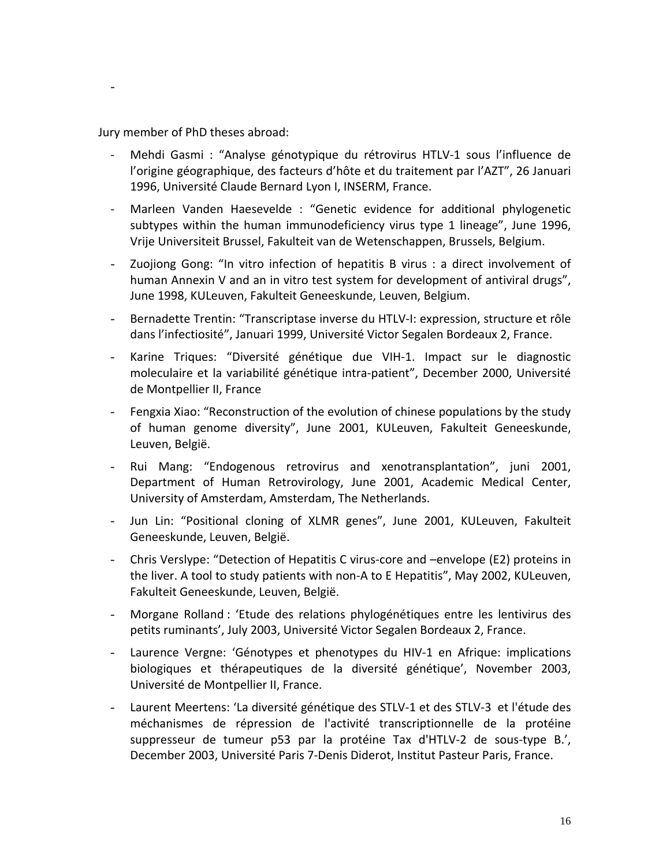Jury member of PhD theses abroad:

-

- Mehdi Gasmi : "Analyse génotypique du rétrovirus HTLV-1 sous l'influence de l'origine géographique, des facteurs d'hôte et du traitement par l'AZT", 26 Januari 1996, Université Claude Bernard Lyon I, INSERM, France.
- Marleen Vanden Haesevelde : "Genetic evidence for additional phylogenetic subtypes within the human immunodeficiency virus type 1 lineage", June 1996, Vrije Universiteit Brussel, Fakulteit van de Wetenschappen, Brussels, Belgium.
- Zuojiong Gong: "In vitro infection of hepatitis B virus : a direct involvement of human Annexin V and an in vitro test system for development of antiviral drugs", June 1998, KULeuven, Fakulteit Geneeskunde, Leuven, Belgium.
- Bernadette Trentin: "Transcriptase inverse du HTLV-I: expression, structure et rôle dans l'infectiosité", Januari 1999, Université Victor Segalen Bordeaux 2, France.
- Karine Triques: "Diversité génétique due VIH-1. Impact sur le diagnostic moleculaire et la variabilité génétique intra-patient", December 2000, Université de Montpellier II, France
- Fengxia Xiao: "Reconstruction of the evolution of chinese populations by the study of human genome diversity", June 2001, KULeuven, Fakulteit Geneeskunde, Leuven, België.
- Rui Mang: "Endogenous retrovirus and xenotransplantation", juni 2001, Department of Human Retrovirology, June 2001, Academic Medical Center, University of Amsterdam, Amsterdam, The Netherlands.
- Jun Lin: "Positional cloning of XLMR genes", June 2001, KULeuven, Fakulteit Geneeskunde, Leuven, België.
- Chris Verslype: "Detection of Hepatitis C virus-core and –envelope (E2) proteins in the liver. A tool to study patients with non-A to E Hepatitis", May 2002, KULeuven, Fakulteit Geneeskunde, Leuven, België.
- Morgane Rolland : 'Etude des relations phylogénétiques entre les lentivirus des petits ruminants', July 2003, Université Victor Segalen Bordeaux 2, France.
- Laurence Vergne: 'Génotypes et phenotypes du HIV-1 en Afrique: implications biologiques et thérapeutiques de la diversité génétique', November 2003, Université de Montpellier II, France.
- Laurent Meertens: 'La diversité génétique des STLV-1 et des STLV-3 et l'étude des méchanismes de répression de l'activité transcriptionnelle de la protéine suppresseur de tumeur p53 par la protéine Tax d'HTLV-2 de sous-type B.', December 2003, Université Paris 7-Denis Diderot, Institut Pasteur Paris, France.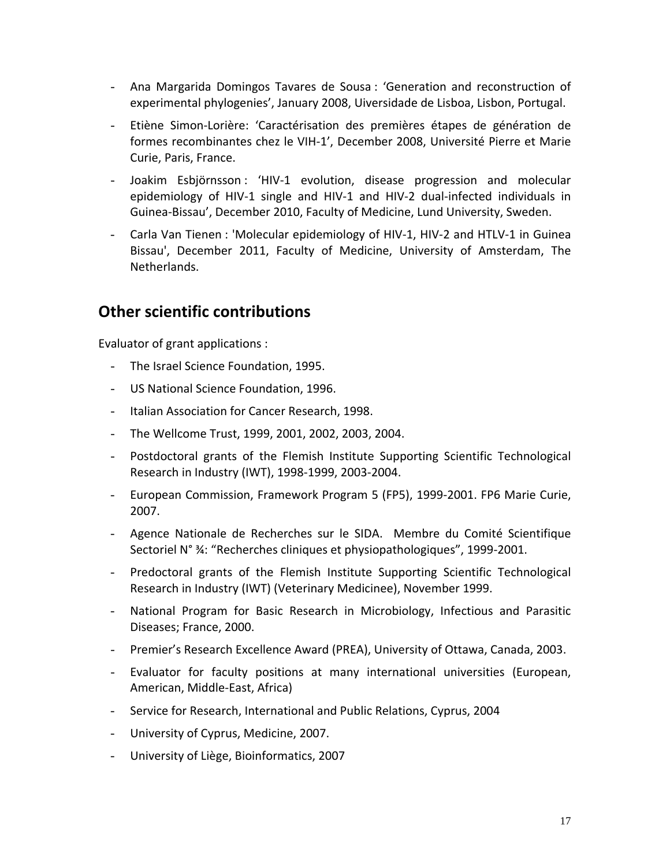- Ana Margarida Domingos Tavares de Sousa : 'Generation and reconstruction of experimental phylogenies', January 2008, Uiversidade de Lisboa, Lisbon, Portugal.
- Etiène Simon-Lorière: 'Caractérisation des premières étapes de génération de formes recombinantes chez le VIH-1', December 2008, Université Pierre et Marie Curie, Paris, France.
- Joakim Esbjörnsson : 'HIV-1 evolution, disease progression and molecular epidemiology of HIV-1 single and HIV-1 and HIV-2 dual-infected individuals in Guinea-Bissau', December 2010, Faculty of Medicine, Lund University, Sweden.
- Carla Van Tienen : 'Molecular epidemiology of HIV-1, HIV-2 and HTLV-1 in Guinea Bissau', December 2011, Faculty of Medicine, University of Amsterdam, The Netherlands.

### **Other scientific contributions**

Evaluator of grant applications :

- The Israel Science Foundation, 1995.
- US National Science Foundation, 1996.
- Italian Association for Cancer Research, 1998.
- The Wellcome Trust, 1999, 2001, 2002, 2003, 2004.
- Postdoctoral grants of the Flemish Institute Supporting Scientific Technological Research in Industry (IWT), 1998-1999, 2003-2004.
- European Commission, Framework Program 5 (FP5), 1999-2001. FP6 Marie Curie, 2007.
- Agence Nationale de Recherches sur le SIDA. Membre du Comité Scientifique Sectoriel N° ¾: "Recherches cliniques et physiopathologiques", 1999-2001.
- Predoctoral grants of the Flemish Institute Supporting Scientific Technological Research in Industry (IWT) (Veterinary Medicinee), November 1999.
- National Program for Basic Research in Microbiology, Infectious and Parasitic Diseases; France, 2000.
- Premier's Research Excellence Award (PREA), University of Ottawa, Canada, 2003.
- Evaluator for faculty positions at many international universities (European, American, Middle-East, Africa)
- Service for Research, International and Public Relations, Cyprus, 2004
- University of Cyprus, Medicine, 2007.
- University of Liège, Bioinformatics, 2007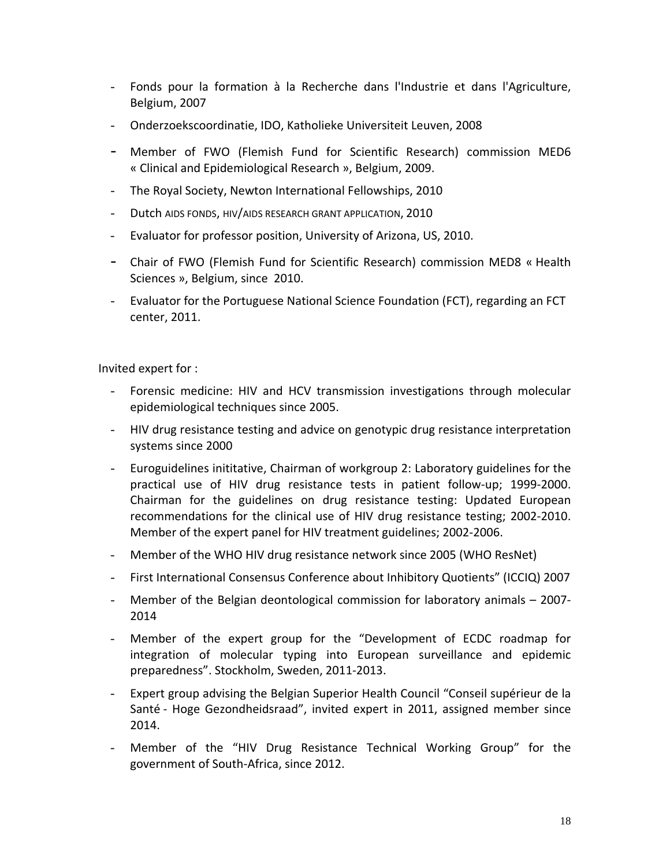- Fonds pour la formation à la Recherche dans l'Industrie et dans l'Agriculture, Belgium, 2007
- Onderzoekscoordinatie, IDO, Katholieke Universiteit Leuven, 2008
- Member of FWO (Flemish Fund for Scientific Research) commission MED6 « Clinical and Epidemiological Research », Belgium, 2009.
- The Royal Society, Newton International Fellowships, 2010
- Dutch AIDS FONDS, HIV/AIDS RESEARCH GRANT APPLICATION, 2010
- Evaluator for professor position, University of Arizona, US, 2010.
- Chair of FWO (Flemish Fund for Scientific Research) commission MED8 « Health Sciences », Belgium, since 2010.
- Evaluator for the Portuguese National Science Foundation (FCT), regarding an FCT center, 2011.

Invited expert for :

- Forensic medicine: HIV and HCV transmission investigations through molecular epidemiological techniques since 2005.
- HIV drug resistance testing and advice on genotypic drug resistance interpretation systems since 2000
- Euroguidelines inititative, Chairman of workgroup 2: Laboratory guidelines for the practical use of HIV drug resistance tests in patient follow-up; 1999-2000. Chairman for the guidelines on drug resistance testing: Updated European recommendations for the clinical use of HIV drug resistance testing; 2002-2010. Member of the expert panel for HIV treatment guidelines; 2002-2006.
- Member of the WHO HIV drug resistance network since 2005 (WHO ResNet)
- First International Consensus Conference about Inhibitory Quotients" (ICCIQ) 2007
- Member of the Belgian deontological commission for laboratory animals 2007- 2014
- Member of the expert group for the "Development of ECDC roadmap for integration of molecular typing into European surveillance and epidemic preparedness". Stockholm, Sweden, 2011-2013.
- Expert group advising the Belgian Superior Health Council "Conseil supérieur de la Santé - Hoge Gezondheidsraad", invited expert in 2011, assigned member since 2014.
- Member of the "HIV Drug Resistance Technical Working Group" for the government of South-Africa, since 2012.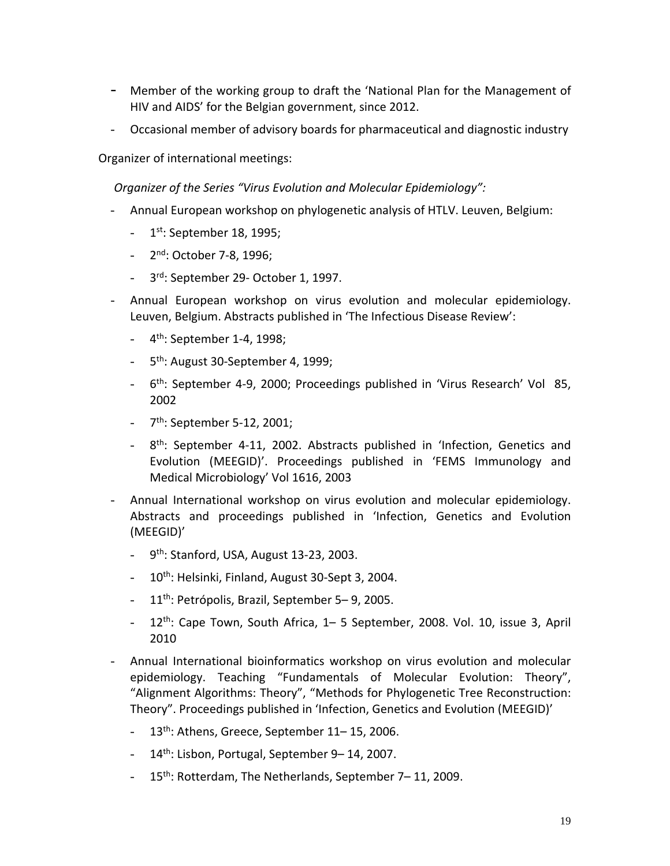- Member of the working group to draft the 'National Plan for the Management of HIV and AIDS' for the Belgian government, since 2012.
- Occasional member of advisory boards for pharmaceutical and diagnostic industry

Organizer of international meetings:

*Organizer of the Series "Virus Evolution and Molecular Epidemiology":*

- Annual European workshop on phylogenetic analysis of HTLV. Leuven, Belgium:
	- $-1$ <sup>st</sup>: September 18, 1995;
	- 2nd: October 7-8, 1996;
	- 3<sup>rd</sup>: September 29- October 1, 1997.
- Annual European workshop on virus evolution and molecular epidemiology. Leuven, Belgium. Abstracts published in 'The Infectious Disease Review':
	- 4<sup>th</sup>: September 1-4, 1998;
	- 5<sup>th</sup>: August 30-September 4, 1999;
	- 6<sup>th</sup>: September 4-9, 2000; Proceedings published in 'Virus Research' Vol 85, 2002
	- $-7$ <sup>th</sup>: September 5-12, 2001:
	- 8<sup>th</sup>: September 4-11, 2002. Abstracts published in 'Infection, Genetics and Evolution (MEEGID)'. Proceedings published in 'FEMS Immunology and Medical Microbiology' Vol 1616, 2003
- Annual International workshop on virus evolution and molecular epidemiology. Abstracts and proceedings published in 'Infection, Genetics and Evolution (MEEGID)'
	- $-9$ <sup>th</sup>: Stanford, USA, August 13-23, 2003.
	- 10<sup>th</sup>: Helsinki, Finland, August 30-Sept 3, 2004.
	- 11<sup>th</sup>: Petrópolis, Brazil, September 5–9, 2005.
	- 12<sup>th</sup>: Cape Town, South Africa, 1– 5 September, 2008. Vol. 10, issue 3, April 2010
- Annual International bioinformatics workshop on virus evolution and molecular epidemiology. Teaching "Fundamentals of Molecular Evolution: Theory", "Alignment Algorithms: Theory", "Methods for Phylogenetic Tree Reconstruction: Theory". Proceedings published in 'Infection, Genetics and Evolution (MEEGID)'
	- 13<sup>th</sup>: Athens, Greece, September 11-15, 2006.
	- 14<sup>th</sup>: Lisbon, Portugal, September 9–14, 2007.
	- 15<sup>th</sup>: Rotterdam, The Netherlands, September 7–11, 2009.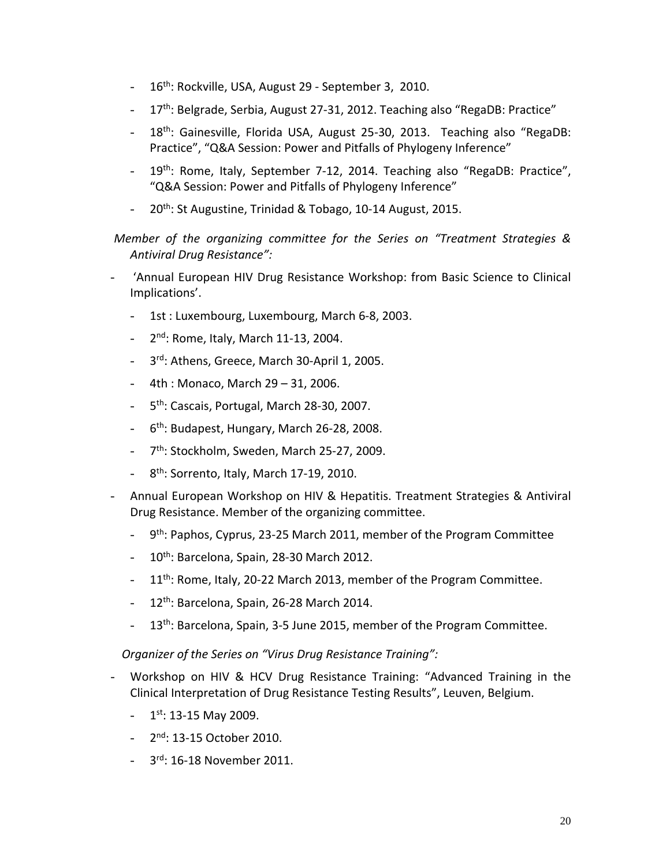- 16<sup>th</sup>: Rockville, USA, August 29 September 3, 2010.
- 17<sup>th</sup>: Belgrade, Serbia, August 27-31, 2012. Teaching also "RegaDB: Practice"
- 18<sup>th</sup>: Gainesville, Florida USA, August 25-30, 2013. Teaching also "RegaDB: Practice", "Q&A Session: Power and Pitfalls of Phylogeny Inference"
- 19<sup>th</sup>: Rome, Italy, September 7-12, 2014. Teaching also "RegaDB: Practice", "Q&A Session: Power and Pitfalls of Phylogeny Inference"
- 20<sup>th</sup>: St Augustine, Trinidad & Tobago, 10-14 August, 2015.

*Member of the organizing committee for the Series on "Treatment Strategies & Antiviral Drug Resistance":*

- 'Annual European HIV Drug Resistance Workshop: from Basic Science to Clinical Implications'.
	- 1st : Luxembourg, Luxembourg, March 6-8, 2003.
	- $2<sup>nd</sup>$ : Rome, Italy, March 11-13, 2004.
	- 3rd: Athens, Greece, March 30-April 1, 2005.
	- 4th : Monaco, March 29 31, 2006.
	- 5<sup>th</sup>: Cascais, Portugal, March 28-30, 2007.
	- 6th: Budapest, Hungary, March 26-28, 2008.
	- 7<sup>th</sup>: Stockholm, Sweden, March 25-27, 2009.
	- $8<sup>th</sup>$ : Sorrento, Italy, March 17-19, 2010.
- Annual European Workshop on HIV & Hepatitis. Treatment Strategies & Antiviral Drug Resistance. Member of the organizing committee.
	- 9<sup>th</sup>: Paphos, Cyprus, 23-25 March 2011, member of the Program Committee
	- $10^{th}$ : Barcelona, Spain, 28-30 March 2012.
	- 11<sup>th</sup>: Rome, Italy, 20-22 March 2013, member of the Program Committee.
	- $-12$ <sup>th</sup>: Barcelona, Spain, 26-28 March 2014.
	- 13<sup>th</sup>: Barcelona, Spain, 3-5 June 2015, member of the Program Committee.

*Organizer of the Series on "Virus Drug Resistance Training":*

- Workshop on HIV & HCV Drug Resistance Training: "Advanced Training in the Clinical Interpretation of Drug Resistance Testing Results", Leuven, Belgium.
	- $-1$ <sup>st</sup>: 13-15 May 2009.
	- $-2^{nd}$ : 13-15 October 2010.
	- 3rd: 16-18 November 2011.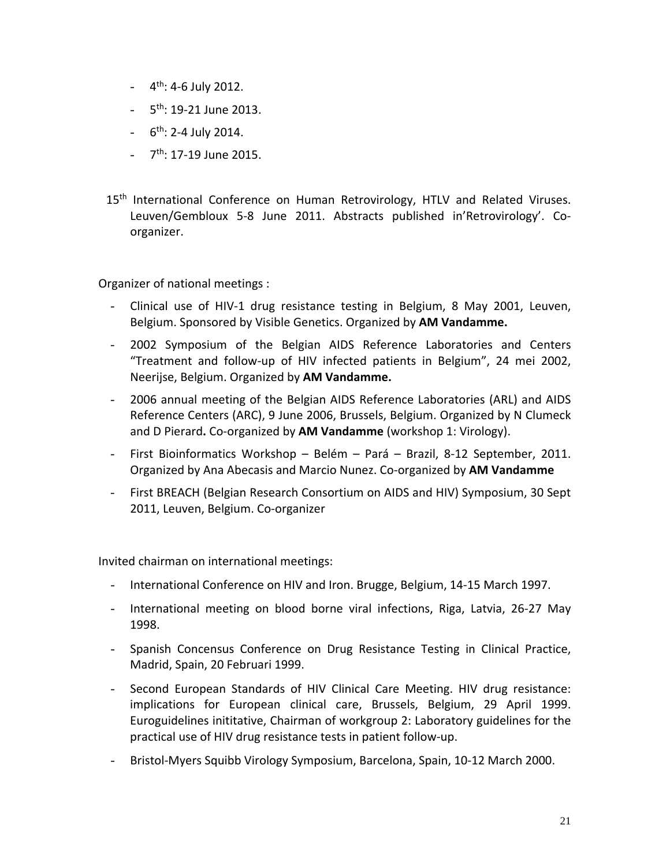- $-4$ <sup>th</sup>: 4-6 July 2012.
- $-5$ <sup>th</sup>: 19-21 June 2013.
- $-6$ <sup>th</sup>: 2-4 July 2014.
- $-7$ <sup>th</sup>: 17-19 June 2015.
- 15<sup>th</sup> International Conference on Human Retrovirology, HTLV and Related Viruses. Leuven/Gembloux 5-8 June 2011. Abstracts published in'Retrovirology'. Coorganizer.

Organizer of national meetings :

- Clinical use of HIV-1 drug resistance testing in Belgium, 8 May 2001, Leuven, Belgium. Sponsored by Visible Genetics. Organized by **AM Vandamme.**
- 2002 Symposium of the Belgian AIDS Reference Laboratories and Centers "Treatment and follow-up of HIV infected patients in Belgium", 24 mei 2002, Neerijse, Belgium. Organized by **AM Vandamme.**
- 2006 annual meeting of the Belgian AIDS Reference Laboratories (ARL) and AIDS Reference Centers (ARC), 9 June 2006, Brussels, Belgium. Organized by N Clumeck and D Pierard**.** Co-organized by **AM Vandamme** (workshop 1: Virology).
- First Bioinformatics Workshop Belém Pará Brazil, 8-12 September, 2011. Organized by Ana Abecasis and Marcio Nunez. Co-organized by **AM Vandamme**
- First BREACH (Belgian Research Consortium on AIDS and HIV) Symposium, 30 Sept 2011, Leuven, Belgium. Co-organizer

Invited chairman on international meetings:

- International Conference on HIV and Iron. Brugge, Belgium, 14-15 March 1997.
- International meeting on blood borne viral infections, Riga, Latvia, 26-27 May 1998.
- Spanish Concensus Conference on Drug Resistance Testing in Clinical Practice, Madrid, Spain, 20 Februari 1999.
- Second European Standards of HIV Clinical Care Meeting. HIV drug resistance: implications for European clinical care, Brussels, Belgium, 29 April 1999. Euroguidelines inititative, Chairman of workgroup 2: Laboratory guidelines for the practical use of HIV drug resistance tests in patient follow-up.
- Bristol-Myers Squibb Virology Symposium, Barcelona, Spain, 10-12 March 2000.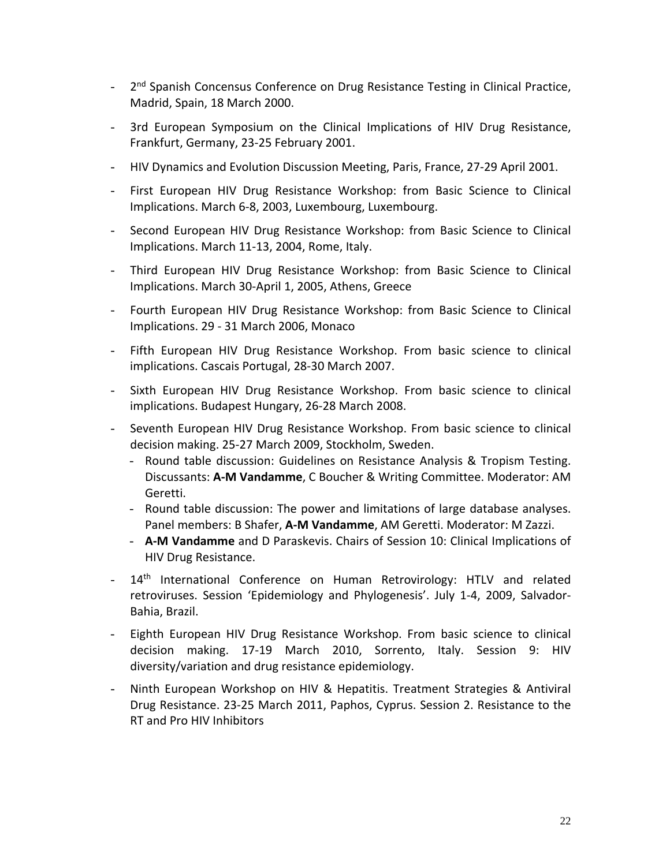- 2<sup>nd</sup> Spanish Concensus Conference on Drug Resistance Testing in Clinical Practice, Madrid, Spain, 18 March 2000.
- 3rd European Symposium on the Clinical Implications of HIV Drug Resistance, Frankfurt, Germany, 23-25 February 2001.
- HIV Dynamics and Evolution Discussion Meeting, Paris, France, 27-29 April 2001.
- First European HIV Drug Resistance Workshop: from Basic Science to Clinical Implications. March 6-8, 2003, Luxembourg, Luxembourg.
- Second European HIV Drug Resistance Workshop: from Basic Science to Clinical Implications. March 11-13, 2004, Rome, Italy.
- Third European HIV Drug Resistance Workshop: from Basic Science to Clinical Implications. March 30-April 1, 2005, Athens, Greece
- Fourth European HIV Drug Resistance Workshop: from Basic Science to Clinical Implications. 29 - 31 March 2006, Monaco
- Fifth European HIV Drug Resistance Workshop. From basic science to clinical implications. Cascais Portugal, 28-30 March 2007.
- Sixth European HIV Drug Resistance Workshop. From basic science to clinical implications. Budapest Hungary, 26-28 March 2008.
- Seventh European HIV Drug Resistance Workshop. From basic science to clinical decision making. 25-27 March 2009, Stockholm, Sweden.
	- Round table discussion: Guidelines on Resistance Analysis & Tropism Testing. Discussants: **A-M Vandamme**, C Boucher & Writing Committee. Moderator: AM Geretti.
	- Round table discussion: The power and limitations of large database analyses. Panel members: B Shafer, **A-M Vandamme**, AM Geretti. Moderator: M Zazzi.
	- **A-M Vandamme** and D Paraskevis. Chairs of Session 10: Clinical Implications of HIV Drug Resistance.
- 14<sup>th</sup> International Conference on Human Retrovirology: HTLV and related retroviruses. Session 'Epidemiology and Phylogenesis'. July 1-4, 2009, Salvador-Bahia, Brazil.
- Eighth European HIV Drug Resistance Workshop. From basic science to clinical decision making. 17-19 March 2010, Sorrento, Italy. Session 9: HIV diversity/variation and drug resistance epidemiology.
- Ninth European Workshop on HIV & Hepatitis. Treatment Strategies & Antiviral Drug Resistance. 23-25 March 2011, Paphos, Cyprus. Session 2. Resistance to the RT and Pro HIV Inhibitors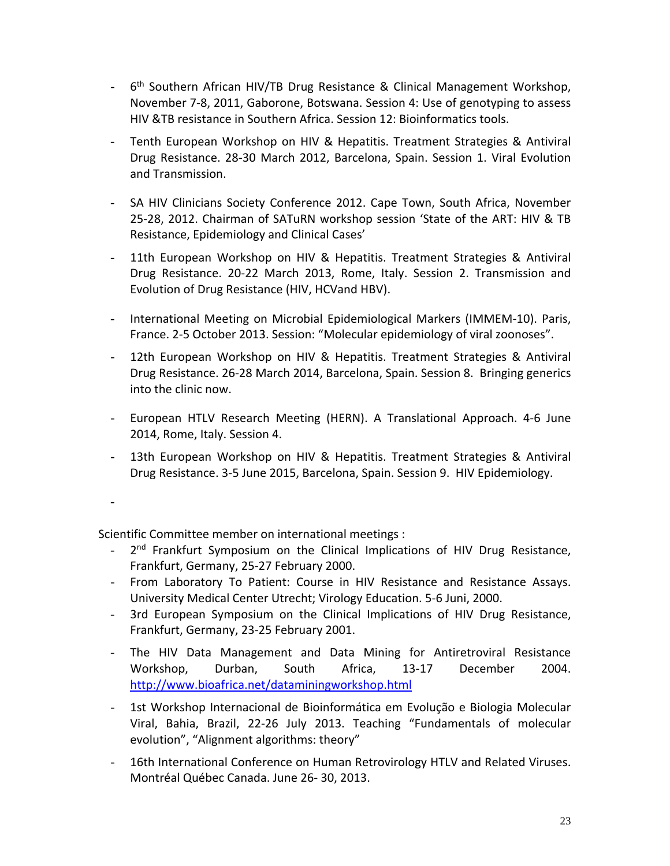- 6<sup>th</sup> Southern African HIV/TB Drug Resistance & Clinical Management Workshop, November 7-8, 2011, Gaborone, Botswana. Session 4: Use of genotyping to assess HIV &TB resistance in Southern Africa. Session 12: Bioinformatics tools.
- Tenth European Workshop on HIV & Hepatitis. Treatment Strategies & Antiviral Drug Resistance. 28-30 March 2012, Barcelona, Spain. Session 1. Viral Evolution and Transmission.
- SA HIV Clinicians Society Conference 2012. Cape Town, South Africa, November 25-28, 2012. Chairman of SATuRN workshop session 'State of the ART: HIV & TB Resistance, Epidemiology and Clinical Cases'
- 11th European Workshop on HIV & Hepatitis. Treatment Strategies & Antiviral Drug Resistance. 20-22 March 2013, Rome, Italy. Session 2. Transmission and Evolution of Drug Resistance (HIV, HCVand HBV).
- International Meeting on Microbial Epidemiological Markers (IMMEM-10). Paris, France. 2-5 October 2013. Session: "Molecular epidemiology of viral zoonoses".
- 12th European Workshop on HIV & Hepatitis. Treatment Strategies & Antiviral Drug Resistance. 26-28 March 2014, Barcelona, Spain. Session 8. Bringing generics into the clinic now.
- European HTLV Research Meeting (HERN). A Translational Approach. 4-6 June 2014, Rome, Italy. Session 4.
- 13th European Workshop on HIV & Hepatitis. Treatment Strategies & Antiviral Drug Resistance. 3-5 June 2015, Barcelona, Spain. Session 9. HIV Epidemiology.

-

Scientific Committee member on international meetings :

- 2<sup>nd</sup> Frankfurt Symposium on the Clinical Implications of HIV Drug Resistance, Frankfurt, Germany, 25-27 February 2000.
- From Laboratory To Patient: Course in HIV Resistance and Resistance Assays. University Medical Center Utrecht; Virology Education. 5-6 Juni, 2000.
- 3rd European Symposium on the Clinical Implications of HIV Drug Resistance, Frankfurt, Germany, 23-25 February 2001.
- The HIV Data Management and Data Mining for Antiretroviral Resistance Workshop, Durban, South Africa, 13-17 December 2004. <http://www.bioafrica.net/dataminingworkshop.html>
- 1st Workshop Internacional de Bioinformática em Evolução e Biologia Molecular Viral, Bahia, Brazil, 22-26 July 2013. Teaching "Fundamentals of molecular evolution", "Alignment algorithms: theory"
- 16th International Conference on Human Retrovirology HTLV and Related Viruses. Montréal Québec Canada. June 26- 30, 2013.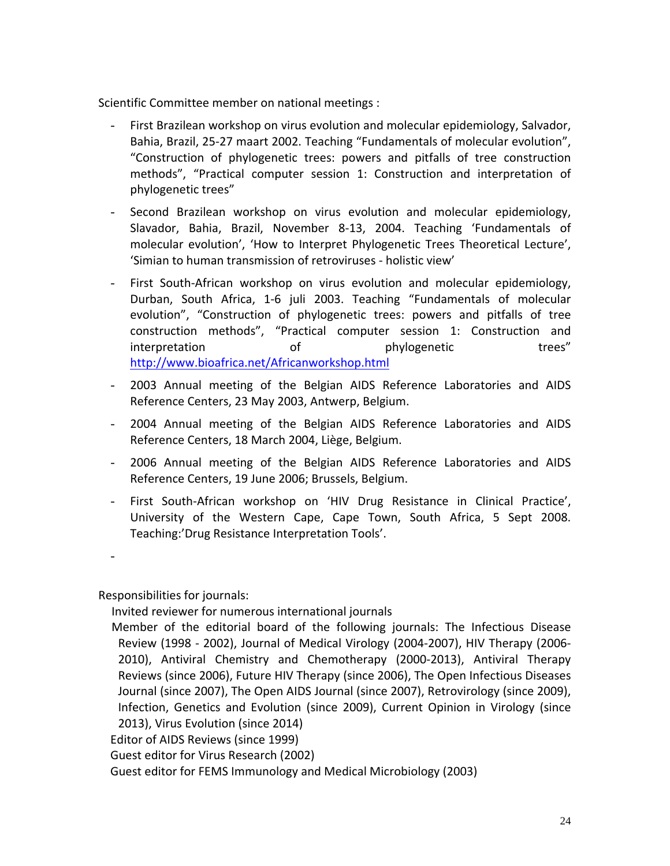Scientific Committee member on national meetings :

- First Brazilean workshop on virus evolution and molecular epidemiology, Salvador, Bahia, Brazil, 25-27 maart 2002. Teaching "Fundamentals of molecular evolution", "Construction of phylogenetic trees: powers and pitfalls of tree construction methods", "Practical computer session 1: Construction and interpretation of phylogenetic trees"
- Second Brazilean workshop on virus evolution and molecular epidemiology, Slavador, Bahia, Brazil, November 8-13, 2004. Teaching 'Fundamentals of molecular evolution', 'How to Interpret Phylogenetic Trees Theoretical Lecture', 'Simian to human transmission of retroviruses - holistic view'
- First South-African workshop on virus evolution and molecular epidemiology, Durban, South Africa, 1-6 juli 2003. Teaching "Fundamentals of molecular evolution", "Construction of phylogenetic trees: powers and pitfalls of tree construction methods", "Practical computer session 1: Construction and interpretation of phylogenetic trees" <http://www.bioafrica.net/Africanworkshop.html>
- 2003 Annual meeting of the Belgian AIDS Reference Laboratories and AIDS Reference Centers, 23 May 2003, Antwerp, Belgium.
- 2004 Annual meeting of the Belgian AIDS Reference Laboratories and AIDS Reference Centers, 18 March 2004, Liège, Belgium.
- 2006 Annual meeting of the Belgian AIDS Reference Laboratories and AIDS Reference Centers, 19 June 2006; Brussels, Belgium.
- First South-African workshop on 'HIV Drug Resistance in Clinical Practice', University of the Western Cape, Cape Town, South Africa, 5 Sept 2008. Teaching:'Drug Resistance Interpretation Tools'.

-

Responsibilities for journals:

Invited reviewer for numerous international journals

Member of the editorial board of the following journals: The Infectious Disease Review (1998 - 2002), Journal of Medical Virology (2004-2007), HIV Therapy (2006- 2010), Antiviral Chemistry and Chemotherapy (2000-2013), Antiviral Therapy Reviews (since 2006), Future HIV Therapy (since 2006), The Open Infectious Diseases Journal (since 2007), The Open AIDS Journal (since 2007), Retrovirology (since 2009), Infection, Genetics and Evolution (since 2009), Current Opinion in Virology (since 2013), Virus Evolution (since 2014)

Editor of AIDS Reviews (since 1999)

Guest editor for Virus Research (2002)

Guest editor for FEMS Immunology and Medical Microbiology (2003)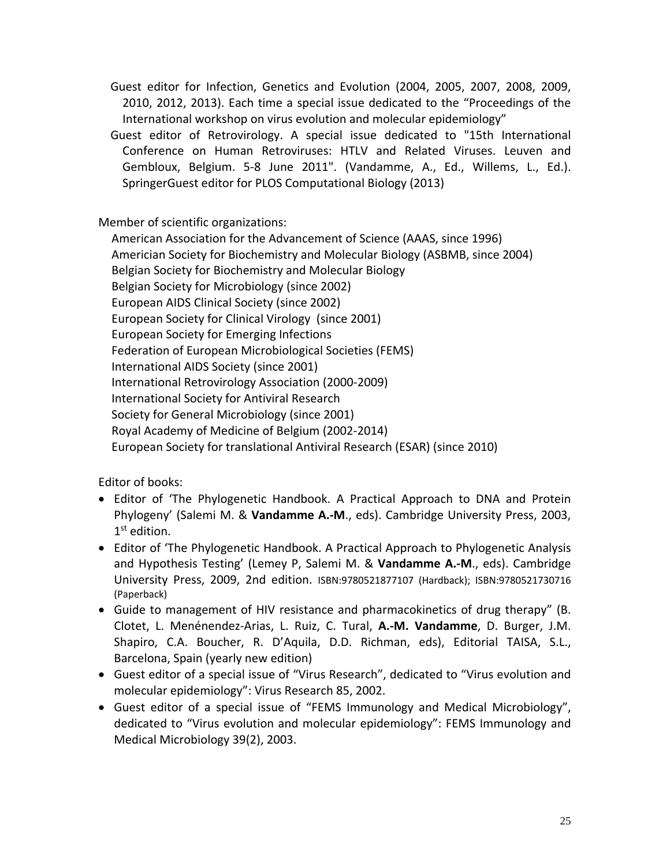Guest editor for Infection, Genetics and Evolution (2004, 2005, 2007, 2008, 2009, 2010, 2012, 2013). Each time a special issue dedicated to the "Proceedings of the International workshop on virus evolution and molecular epidemiology"

Guest editor of Retrovirology. A special issue dedicated to "15th International Conference on Human Retroviruses: HTLV and Related Viruses. Leuven and Gembloux, Belgium. 5-8 June 2011". (Vandamme, A., Ed., Willems, L., Ed.). SpringerGuest editor for PLOS Computational Biology (2013)

Member of scientific organizations:

American Association for the Advancement of Science (AAAS, since 1996) Americian Society for Biochemistry and Molecular Biology (ASBMB, since 2004) Belgian Society for Biochemistry and Molecular Biology Belgian Society for Microbiology (since 2002) European AIDS Clinical Society (since 2002) European Society for Clinical Virology (since 2001) European Society for Emerging Infections Federation of European Microbiological Societies (FEMS) International AIDS Society (since 2001) International Retrovirology Association (2000-2009) International Society for Antiviral Research Society for General Microbiology (since 2001) Royal Academy of Medicine of Belgium (2002-2014) European Society for translational Antiviral Research (ESAR) (since 2010)

Editor of books:

- Editor of 'The Phylogenetic Handbook. A Practical Approach to DNA and Protein Phylogeny' (Salemi M. & **Vandamme A.-M**., eds). Cambridge University Press, 2003, 1<sup>st</sup> edition.
- Editor of 'The Phylogenetic Handbook. A Practical Approach to Phylogenetic Analysis and Hypothesis Testing' (Lemey P, Salemi M. & **Vandamme A.-M**., eds). Cambridge University Press, 2009, 2nd edition. ISBN:9780521877107 (Hardback); ISBN:9780521730716 (Paperback)
- Guide to management of HIV resistance and pharmacokinetics of drug therapy" (B. Clotet, L. Menénendez-Arias, L. Ruiz, C. Tural, **A.-M. Vandamme**, D. Burger, J.M. Shapiro, C.A. Boucher, R. D'Aquila, D.D. Richman, eds), Editorial TAISA, S.L., Barcelona, Spain (yearly new edition)
- Guest editor of a special issue of "Virus Research", dedicated to "Virus evolution and molecular epidemiology": Virus Research 85, 2002.
- Guest editor of a special issue of "FEMS Immunology and Medical Microbiology", dedicated to "Virus evolution and molecular epidemiology": FEMS Immunology and Medical Microbiology 39(2), 2003.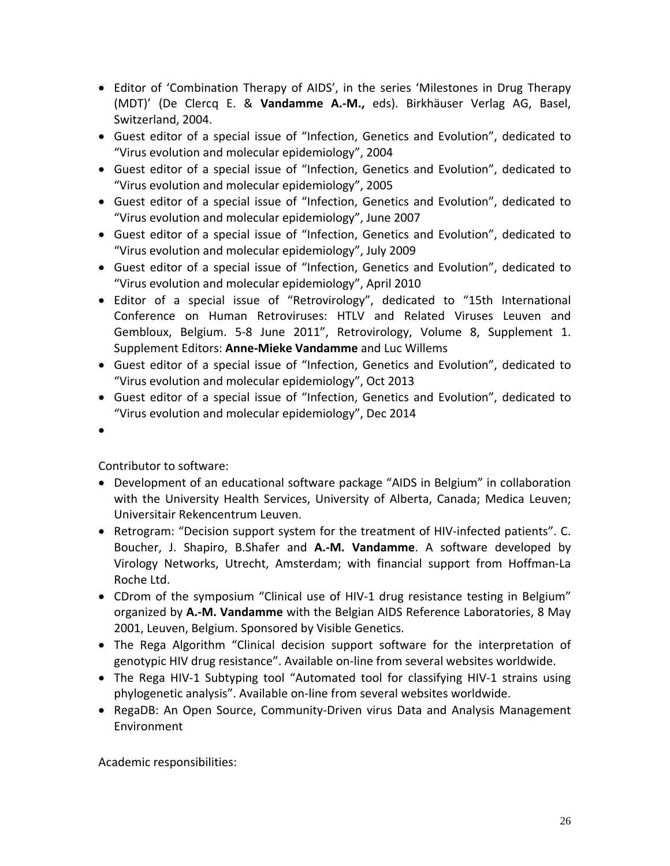- Editor of 'Combination Therapy of AIDS', in the series 'Milestones in Drug Therapy (MDT)' (De Clercq E. & **Vandamme A.-M.,** eds). Birkhäuser Verlag AG, Basel, Switzerland, 2004.
- Guest editor of a special issue of "Infection, Genetics and Evolution", dedicated to "Virus evolution and molecular epidemiology", 2004
- Guest editor of a special issue of "Infection, Genetics and Evolution", dedicated to "Virus evolution and molecular epidemiology", 2005
- Guest editor of a special issue of "Infection, Genetics and Evolution", dedicated to "Virus evolution and molecular epidemiology", June 2007
- Guest editor of a special issue of "Infection, Genetics and Evolution", dedicated to "Virus evolution and molecular epidemiology", July 2009
- Guest editor of a special issue of "Infection, Genetics and Evolution", dedicated to "Virus evolution and molecular epidemiology", April 2010
- Editor of a special issue of "Retrovirology", dedicated to "15th International Conference on Human Retroviruses: HTLV and Related Viruses Leuven and Gembloux, Belgium. 5-8 June 2011", Retrovirology, Volume 8, Supplement 1. Supplement Editors: **Anne-Mieke Vandamme** and Luc Willems
- Guest editor of a special issue of "Infection, Genetics and Evolution", dedicated to "Virus evolution and molecular epidemiology", Oct 2013
- Guest editor of a special issue of "Infection, Genetics and Evolution", dedicated to "Virus evolution and molecular epidemiology", Dec 2014
- •

Contributor to software:

- Development of an educational software package "AIDS in Belgium" in collaboration with the University Health Services, University of Alberta, Canada; Medica Leuven; Universitair Rekencentrum Leuven.
- Retrogram: "Decision support system for the treatment of HIV-infected patients". C. Boucher, J. Shapiro, B.Shafer and **A.-M. Vandamme**. A software developed by Virology Networks, Utrecht, Amsterdam; with financial support from Hoffman-La Roche Ltd.
- CDrom of the symposium "Clinical use of HIV-1 drug resistance testing in Belgium" organized by **A.-M. Vandamme** with the Belgian AIDS Reference Laboratories, 8 May 2001, Leuven, Belgium. Sponsored by Visible Genetics.
- The Rega Algorithm "Clinical decision support software for the interpretation of genotypic HIV drug resistance". Available on-line from several websites worldwide.
- The Rega HIV-1 Subtyping tool "Automated tool for classifying HIV-1 strains using phylogenetic analysis". Available on-line from several websites worldwide.
- RegaDB: An Open Source, Community-Driven virus Data and Analysis Management Environment

Academic responsibilities: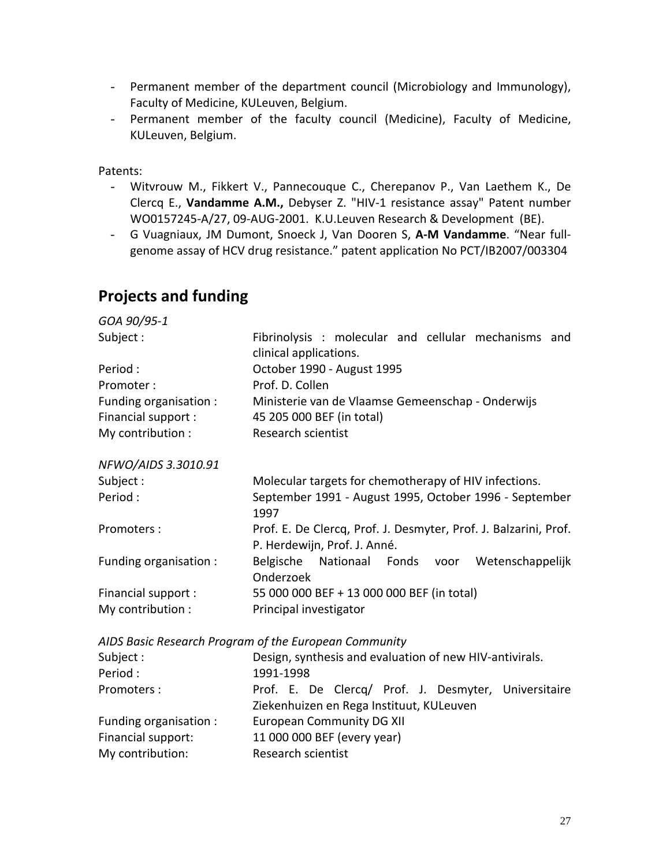- Permanent member of the department council (Microbiology and Immunology), Faculty of Medicine, KULeuven, Belgium.
- Permanent member of the faculty council (Medicine), Faculty of Medicine, KULeuven, Belgium.

Patents:

- Witvrouw M., Fikkert V., Pannecouque C., Cherepanov P., Van Laethem K., De Clercq E., **Vandamme A.M.,** Debyser Z. "HIV-1 resistance assay" Patent number WO0157245-A/27, 09-AUG-2001. K.U.Leuven Research & Development (BE).
- G Vuagniaux, JM Dumont, Snoeck J, Van Dooren S, **A-M Vandamme**. "Near fullgenome assay of HCV drug resistance." patent application No PCT/IB2007/003304

## **Projects and funding**

My contribution: Research scientist

| GOA 90/95-1            |                                                                                                  |  |  |  |
|------------------------|--------------------------------------------------------------------------------------------------|--|--|--|
| Subject:               | Fibrinolysis : molecular and cellular mechanisms and<br>clinical applications.                   |  |  |  |
| Period:                | October 1990 - August 1995                                                                       |  |  |  |
| Promoter:              | Prof. D. Collen                                                                                  |  |  |  |
| Funding organisation : | Ministerie van de Vlaamse Gemeenschap - Onderwijs                                                |  |  |  |
| Financial support:     | 45 205 000 BEF (in total)                                                                        |  |  |  |
| My contribution :      | Research scientist                                                                               |  |  |  |
| NFWO/AIDS 3.3010.91    |                                                                                                  |  |  |  |
| Subject:               | Molecular targets for chemotherapy of HIV infections.                                            |  |  |  |
| Period:                | September 1991 - August 1995, October 1996 - September<br>1997                                   |  |  |  |
| Promoters:             | Prof. E. De Clercq, Prof. J. Desmyter, Prof. J. Balzarini, Prof.<br>P. Herdewijn, Prof. J. Anné. |  |  |  |
| Funding organisation : | Belgische<br>Nationaal Fonds voor Wetenschappelijk<br>Onderzoek                                  |  |  |  |
| Financial support:     | 55 000 000 BEF + 13 000 000 BEF (in total)                                                       |  |  |  |
| My contribution :      | Principal investigator                                                                           |  |  |  |
|                        | AIDS Basic Research Program of the European Community                                            |  |  |  |
| Subject:               | Design, synthesis and evaluation of new HIV-antivirals.                                          |  |  |  |
| Period:                | 1991-1998                                                                                        |  |  |  |
| Promoters:             | Prof. E. De Clercq/ Prof. J. Desmyter, Universitaire                                             |  |  |  |
|                        | Ziekenhuizen en Rega Instituut, KULeuven                                                         |  |  |  |
| Funding organisation : | <b>European Community DG XII</b>                                                                 |  |  |  |
| Financial support:     | 11 000 000 BEF (every year)                                                                      |  |  |  |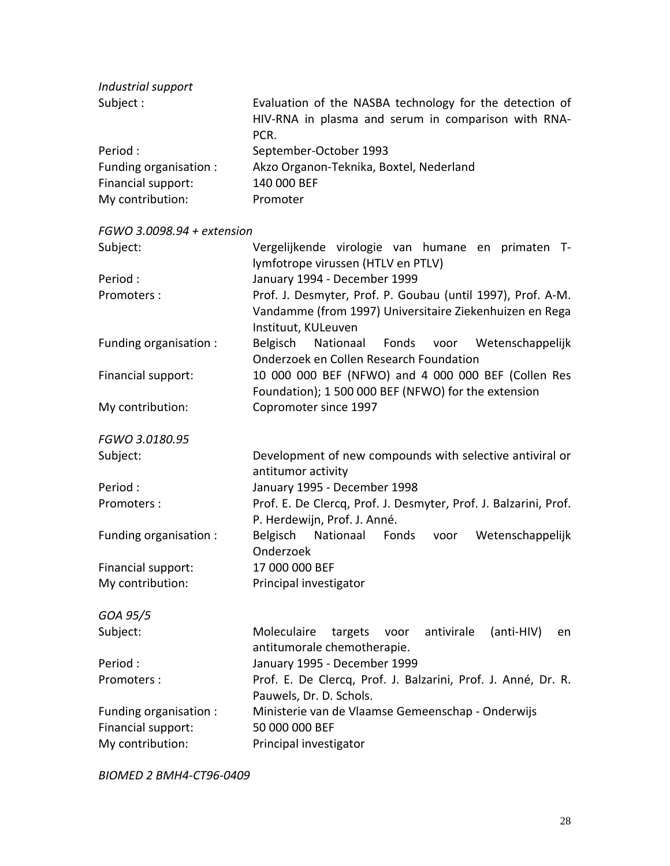| Industrial support     |                                                                                                                        |
|------------------------|------------------------------------------------------------------------------------------------------------------------|
| Subject :              | Evaluation of the NASBA technology for the detection of<br>HIV-RNA in plasma and serum in comparison with RNA-<br>PCR. |
| Period :               | September-October 1993                                                                                                 |
| Funding organisation : | Akzo Organon-Teknika, Boxtel, Nederland                                                                                |
| Financial support:     | 140 000 BEF                                                                                                            |
| My contribution:       | Promoter                                                                                                               |

*FGWO 3.0098.94 + extension*

| Subject:               | Vergelijkende virologie van humane en primaten T-<br>lymfotrope virussen (HTLV en PTLV) |
|------------------------|-----------------------------------------------------------------------------------------|
| Period:                | January 1994 - December 1999                                                            |
|                        |                                                                                         |
| Promoters:             | Prof. J. Desmyter, Prof. P. Goubau (until 1997), Prof. A-M.                             |
|                        | Vandamme (from 1997) Universitaire Ziekenhuizen en Rega                                 |
|                        | Instituut, KULeuven                                                                     |
| Funding organisation : | Belgisch Nationaal Fonds voor Wetenschappelijk                                          |
|                        | Onderzoek en Collen Research Foundation                                                 |
| Financial support:     | 10 000 000 BEF (NFWO) and 4 000 000 BEF (Collen Res                                     |
|                        | Foundation); 1 500 000 BEF (NFWO) for the extension                                     |
| My contribution:       | Copromoter since 1997                                                                   |
| FGWO 3.0180.95         |                                                                                         |
| Subject:               | Development of new compounds with selective antiviral or                                |
|                        | antitumor activity                                                                      |
| Period:                | January 1995 - December 1998                                                            |
| Promoters:             | Prof. E. De Clercq, Prof. J. Desmyter, Prof. J. Balzarini, Prof.                        |
|                        | P. Herdewijn, Prof. J. Anné.                                                            |
| Funding organisation : | Belgisch<br>Nationaal<br>Fonds voor<br>Wetenschappelijk                                 |
|                        | Onderzoek                                                                               |
| Financial support:     | 17 000 000 BEF                                                                          |
| My contribution:       | Principal investigator                                                                  |
|                        |                                                                                         |
| GOA 95/5               |                                                                                         |
| Subject:               | Moleculaire<br>antivirale<br>(anti-HIV)<br>targets<br>voor<br>en                        |
|                        | antitumorale chemotherapie.                                                             |

Period : January 1995 - December 1999 Promoters : Prof. E. De Clercq, Prof. J. Balzarini, Prof. J. Anné, Dr. R.

Pauwels, Dr. D. Schols. Funding organisation : Ministerie van de Vlaamse Gemeenschap - Onderwijs Financial support: My contribution: Principal investigator

*BIOMED 2 BMH4-CT96-0409*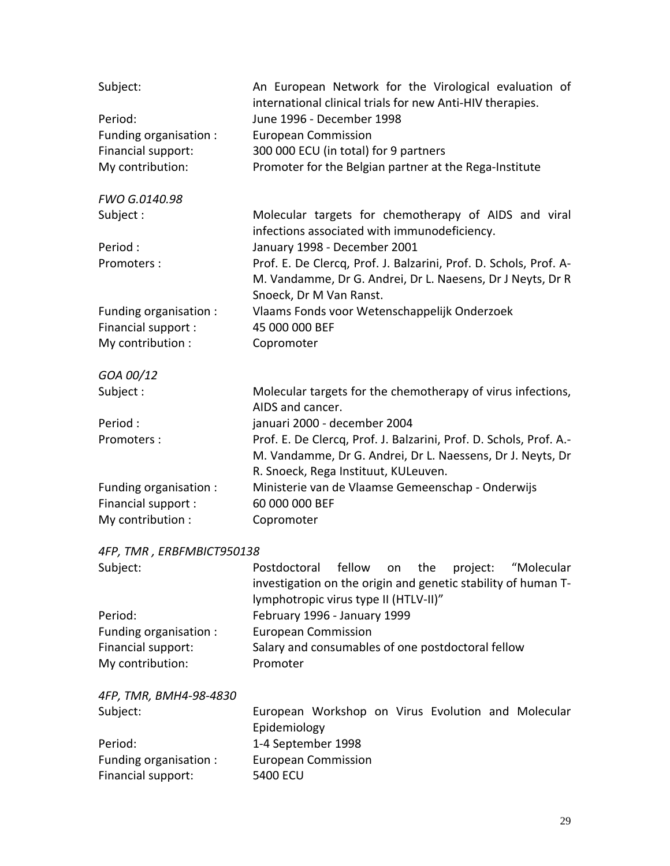| Subject:                  | An European Network for the Virological evaluation of<br>international clinical trials for new Anti-HIV therapies. |
|---------------------------|--------------------------------------------------------------------------------------------------------------------|
| Period:                   | June 1996 - December 1998                                                                                          |
| Funding organisation :    | <b>European Commission</b>                                                                                         |
| Financial support:        | 300 000 ECU (in total) for 9 partners                                                                              |
| My contribution:          | Promoter for the Belgian partner at the Rega-Institute                                                             |
| FWO G.0140.98             |                                                                                                                    |
| Subject:                  | Molecular targets for chemotherapy of AIDS and viral<br>infections associated with immunodeficiency.               |
| Period:                   | January 1998 - December 2001                                                                                       |
| Promoters:                | Prof. E. De Clercq, Prof. J. Balzarini, Prof. D. Schols, Prof. A-                                                  |
|                           | M. Vandamme, Dr G. Andrei, Dr L. Naesens, Dr J Neyts, Dr R                                                         |
|                           | Snoeck, Dr M Van Ranst.                                                                                            |
| Funding organisation :    | Vlaams Fonds voor Wetenschappelijk Onderzoek                                                                       |
| Financial support:        | 45 000 000 BEF                                                                                                     |
| My contribution :         | Copromoter                                                                                                         |
| GOA 00/12                 |                                                                                                                    |
| Subject:                  | Molecular targets for the chemotherapy of virus infections,                                                        |
|                           | AIDS and cancer.                                                                                                   |
| Period:                   | januari 2000 - december 2004                                                                                       |
| Promoters:                | Prof. E. De Clercq, Prof. J. Balzarini, Prof. D. Schols, Prof. A.-                                                 |
|                           | M. Vandamme, Dr G. Andrei, Dr L. Naessens, Dr J. Neyts, Dr                                                         |
|                           | R. Snoeck, Rega Instituut, KULeuven.                                                                               |
| Funding organisation :    | Ministerie van de Vlaamse Gemeenschap - Onderwijs                                                                  |
| Financial support:        | 60 000 000 BEF                                                                                                     |
| My contribution :         | Copromoter                                                                                                         |
| 4FP, TMR, ERBFMBICT950138 |                                                                                                                    |
| Subject:                  | Postdoctoral<br>fellow<br>the<br>project:<br>"Molecular<br>on                                                      |
|                           | investigation on the origin and genetic stability of human T-                                                      |
|                           | lymphotropic virus type II (HTLV-II)"                                                                              |
| Period:                   | February 1996 - January 1999                                                                                       |
| Funding organisation :    | <b>European Commission</b>                                                                                         |
| Financial support:        | Salary and consumables of one postdoctoral fellow                                                                  |
| My contribution:          | Promoter                                                                                                           |

*4FP, TMR, BMH4-98-4830*

| Subject:               |                    | European Workshop on Virus Evolution and Molecular |  |  |  |
|------------------------|--------------------|----------------------------------------------------|--|--|--|
|                        | Epidemiology       |                                                    |  |  |  |
| Period:                | 1-4 September 1998 |                                                    |  |  |  |
| Funding organisation : |                    | European Commission                                |  |  |  |
| Financial support:     | 5400 ECU           |                                                    |  |  |  |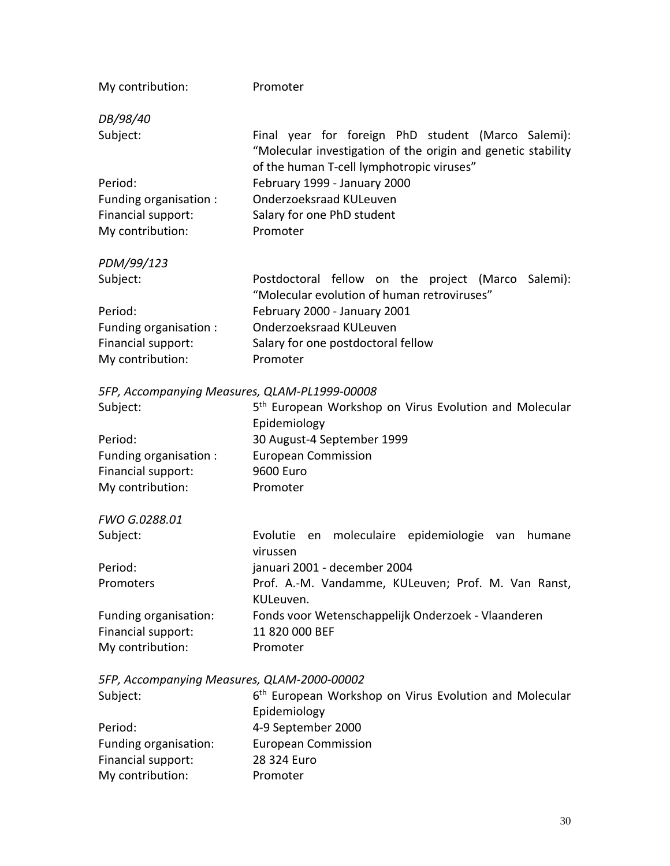| My contribution:       | Promoter                                                                                                                                                        |
|------------------------|-----------------------------------------------------------------------------------------------------------------------------------------------------------------|
| DB/98/40               |                                                                                                                                                                 |
| Subject:               | Final year for foreign PhD student (Marco Salemi):<br>"Molecular investigation of the origin and genetic stability<br>of the human T-cell lymphotropic viruses" |
| Period:                | February 1999 - January 2000                                                                                                                                    |
| Funding organisation : | Onderzoeksraad KULeuven                                                                                                                                         |
| Financial support:     | Salary for one PhD student                                                                                                                                      |
| My contribution:       | Promoter                                                                                                                                                        |
| PDM/99/123             |                                                                                                                                                                 |
| Subject:               | Postdoctoral fellow on the project (Marco<br>Salemi):<br>"Molecular evolution of human retroviruses"                                                            |
| Period:                | February 2000 - January 2001                                                                                                                                    |
| Funding organisation:  | Onderzoeksraad KULeuven                                                                                                                                         |
| Financial support:     | Salary for one postdoctoral fellow                                                                                                                              |
| My contribution:       | Promoter                                                                                                                                                        |

#### *5FP, Accompanying Measures, QLAM-PL1999-00008*

| Subject:               | 5 <sup>th</sup> European Workshop on Virus Evolution and Molecular |
|------------------------|--------------------------------------------------------------------|
|                        | Epidemiology                                                       |
| Period:                | 30 August-4 September 1999                                         |
| Funding organisation : | <b>European Commission</b>                                         |
| Financial support:     | 9600 Euro                                                          |
| My contribution:       | Promoter                                                           |

### *FWO G.0288.01*

| Subject:              | Evolutie en moleculaire epidemiologie van humane    |
|-----------------------|-----------------------------------------------------|
|                       | virussen                                            |
| Period:               | januari 2001 - december 2004                        |
| Promoters             | Prof. A.-M. Vandamme, KULeuven; Prof. M. Van Ranst, |
|                       | KULeuven.                                           |
| Funding organisation: | Fonds voor Wetenschappelijk Onderzoek - Vlaanderen  |
| Financial support:    | 11 820 000 BEF                                      |
| My contribution:      | Promoter                                            |

*5FP, Accompanying Measures, QLAM-2000-00002*

| Subject:              | 6 <sup>th</sup> European Workshop on Virus Evolution and Molecular |
|-----------------------|--------------------------------------------------------------------|
|                       | Epidemiology                                                       |
| Period:               | 4-9 September 2000                                                 |
| Funding organisation: | <b>European Commission</b>                                         |
| Financial support:    | 28 324 Euro                                                        |
| My contribution:      | Promoter                                                           |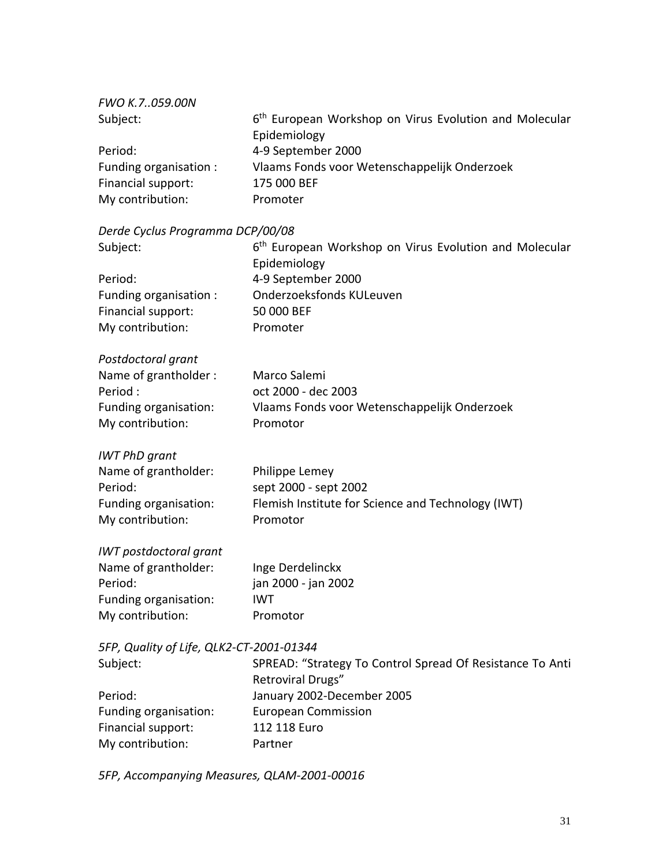| FWO K.7059.00N         |                                                                    |
|------------------------|--------------------------------------------------------------------|
| Subject:               | 6 <sup>th</sup> European Workshop on Virus Evolution and Molecular |
|                        | Epidemiology                                                       |
| Period:                | 4-9 September 2000                                                 |
| Funding organisation : | Vlaams Fonds voor Wetenschappelijk Onderzoek                       |
| Financial support:     | 175 000 BEF                                                        |
| My contribution:       | Promoter                                                           |

#### *Derde Cyclus Programma DCP/00/08*

| Subject:                                 | 6 <sup>th</sup> European Workshop on Virus Evolution and Molecular<br>Epidemiology |
|------------------------------------------|------------------------------------------------------------------------------------|
| Period:                                  | 4-9 September 2000                                                                 |
| Funding organisation :                   | <b>Onderzoeksfonds KULeuven</b>                                                    |
| Financial support:                       | 50 000 BEF                                                                         |
| My contribution:                         | Promoter                                                                           |
| Postdoctoral grant                       |                                                                                    |
| Name of grantholder:                     | Marco Salemi                                                                       |
| Period:                                  | oct 2000 - dec 2003                                                                |
| Funding organisation:                    | Vlaams Fonds voor Wetenschappelijk Onderzoek                                       |
| My contribution:                         | Promotor                                                                           |
| <b>IWT PhD grant</b>                     |                                                                                    |
| Name of grantholder:                     | Philippe Lemey                                                                     |
| Period:                                  | sept 2000 - sept 2002                                                              |
| Funding organisation:                    | Flemish Institute for Science and Technology (IWT)                                 |
| My contribution:                         | Promotor                                                                           |
| <b>IWT</b> postdoctoral grant            |                                                                                    |
| Name of grantholder:                     | Inge Derdelinckx                                                                   |
| Period:                                  | jan 2000 - jan 2002                                                                |
| Funding organisation:                    | <b>IWT</b>                                                                         |
| My contribution:                         | Promotor                                                                           |
| 5FP, Quality of Life, QLK2-CT-2001-01344 |                                                                                    |
| Subject:                                 | SPREAD: "Strategy To Control Spread Of Resistance To Anti                          |
|                                          | Retroviral Drugs"                                                                  |
| Period:                                  | January 2002-December 2005                                                         |
| Funding organisation:                    | <b>European Commission</b>                                                         |
| Financial support:                       | 112 118 Euro                                                                       |
| My contribution:                         | Partner                                                                            |

*5FP, Accompanying Measures, QLAM-2001-00016*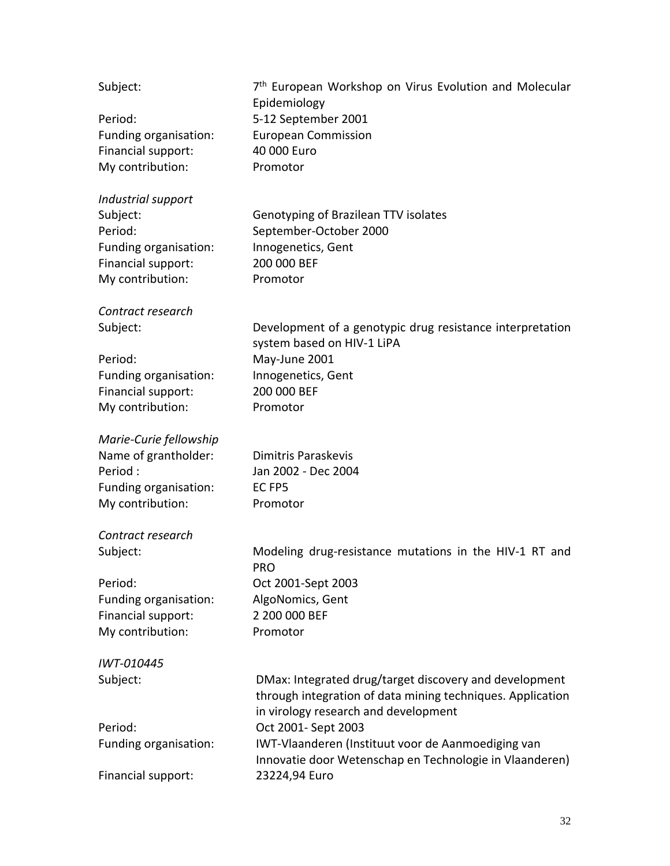| Subject:               | 7 <sup>th</sup> European Workshop on Virus Evolution and Molecular<br>Epidemiology |  |  |  |
|------------------------|------------------------------------------------------------------------------------|--|--|--|
| Period:                | 5-12 September 2001                                                                |  |  |  |
| Funding organisation:  | <b>European Commission</b>                                                         |  |  |  |
| Financial support:     | 40 000 Euro                                                                        |  |  |  |
| My contribution:       | Promotor                                                                           |  |  |  |
|                        |                                                                                    |  |  |  |
| Industrial support     |                                                                                    |  |  |  |
| Subject:               | Genotyping of Brazilean TTV isolates                                               |  |  |  |
| Period:                | September-October 2000                                                             |  |  |  |
| Funding organisation:  | Innogenetics, Gent                                                                 |  |  |  |
| Financial support:     | 200 000 BEF                                                                        |  |  |  |
| My contribution:       | Promotor                                                                           |  |  |  |
|                        |                                                                                    |  |  |  |
| Contract research      |                                                                                    |  |  |  |
| Subject:               | Development of a genotypic drug resistance interpretation                          |  |  |  |
|                        | system based on HIV-1 LiPA                                                         |  |  |  |
| Period:                | May-June 2001                                                                      |  |  |  |
| Funding organisation:  | Innogenetics, Gent                                                                 |  |  |  |
| Financial support:     | 200 000 BEF                                                                        |  |  |  |
| My contribution:       | Promotor                                                                           |  |  |  |
|                        |                                                                                    |  |  |  |
| Marie-Curie fellowship |                                                                                    |  |  |  |
| Name of grantholder:   | Dimitris Paraskevis                                                                |  |  |  |
| Period:                | Jan 2002 - Dec 2004                                                                |  |  |  |
| Funding organisation:  | EC <sub>FP5</sub>                                                                  |  |  |  |
| My contribution:       | Promotor                                                                           |  |  |  |
|                        |                                                                                    |  |  |  |
| Contract research      |                                                                                    |  |  |  |
| Subject:               | Modeling drug-resistance mutations in the HIV-1 RT and                             |  |  |  |
|                        | <b>PRO</b>                                                                         |  |  |  |
| Period:                | Oct 2001-Sept 2003                                                                 |  |  |  |
| Funding organisation:  | AlgoNomics, Gent                                                                   |  |  |  |
| Financial support:     | 2 200 000 BEF                                                                      |  |  |  |
| My contribution:       | Promotor                                                                           |  |  |  |
| IWT-010445             |                                                                                    |  |  |  |
| Subject:               | DMax: Integrated drug/target discovery and development                             |  |  |  |
|                        | through integration of data mining techniques. Application                         |  |  |  |
|                        | in virology research and development                                               |  |  |  |
| Period:                | Oct 2001- Sept 2003                                                                |  |  |  |
| Funding organisation:  | IWT-Vlaanderen (Instituut voor de Aanmoediging van                                 |  |  |  |
|                        | Innovatie door Wetenschap en Technologie in Vlaanderen)                            |  |  |  |
| Financial support:     | 23224,94 Euro                                                                      |  |  |  |
|                        |                                                                                    |  |  |  |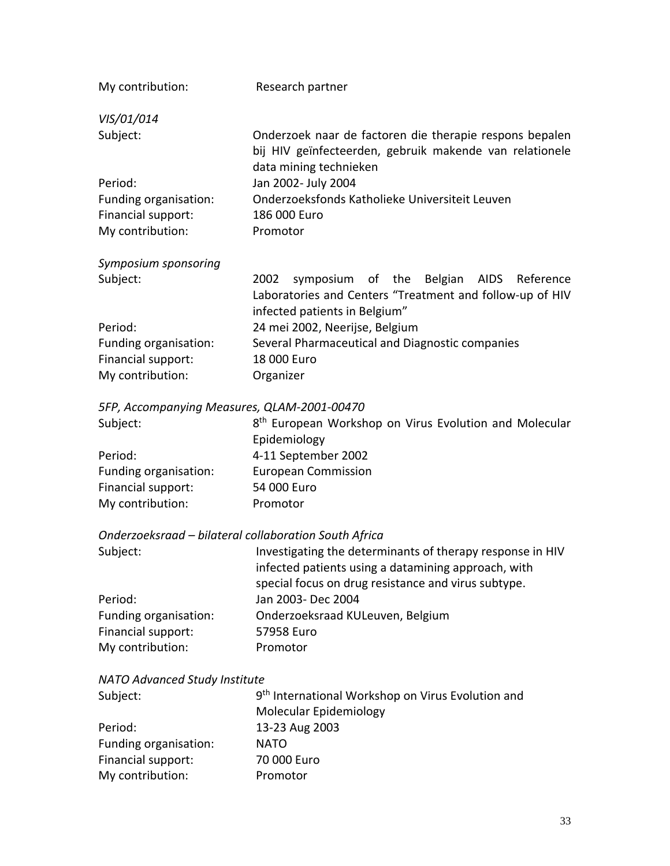| My contribution:                            | Research partner                                                                                                                             |  |  |  |  |  |
|---------------------------------------------|----------------------------------------------------------------------------------------------------------------------------------------------|--|--|--|--|--|
| VIS/01/014                                  |                                                                                                                                              |  |  |  |  |  |
| Subject:                                    | Onderzoek naar de factoren die therapie respons bepalen<br>bij HIV geïnfecteerden, gebruik makende van relationele<br>data mining technieken |  |  |  |  |  |
| Period:                                     | Jan 2002- July 2004                                                                                                                          |  |  |  |  |  |
| Funding organisation:                       | Onderzoeksfonds Katholieke Universiteit Leuven                                                                                               |  |  |  |  |  |
| Financial support:                          | 186 000 Euro                                                                                                                                 |  |  |  |  |  |
| My contribution:                            | Promotor                                                                                                                                     |  |  |  |  |  |
| Symposium sponsoring                        |                                                                                                                                              |  |  |  |  |  |
| Subject:                                    | 2002<br>symposium of the Belgian AIDS Reference<br>Laboratories and Centers "Treatment and follow-up of HIV<br>infected patients in Belgium" |  |  |  |  |  |
| Period:                                     | 24 mei 2002, Neerijse, Belgium                                                                                                               |  |  |  |  |  |
| Funding organisation:                       | Several Pharmaceutical and Diagnostic companies                                                                                              |  |  |  |  |  |
| Financial support:                          | 18 000 Euro                                                                                                                                  |  |  |  |  |  |
| My contribution:                            | Organizer                                                                                                                                    |  |  |  |  |  |
| 5FP, Accompanying Measures, QLAM-2001-00470 |                                                                                                                                              |  |  |  |  |  |
| Subject:                                    | 8 <sup>th</sup> European Workshop on Virus Evolution and Molecular                                                                           |  |  |  |  |  |

| $-0.00$               | C Larepean montanop on mas Erolation and molecular |
|-----------------------|----------------------------------------------------|
|                       | Epidemiology                                       |
| Period:               | 4-11 September 2002                                |
| Funding organisation: | European Commission                                |
| Financial support:    | 54 000 Euro                                        |
| My contribution:      | Promotor                                           |
|                       |                                                    |

### *Onderzoeksraad – bilateral collaboration South Africa*

| Subject:              | Investigating the determinants of therapy response in HIV<br>infected patients using a datamining approach, with |
|-----------------------|------------------------------------------------------------------------------------------------------------------|
|                       | special focus on drug resistance and virus subtype.                                                              |
| Period:               | Jan 2003- Dec 2004                                                                                               |
| Funding organisation: | Onderzoeksraad KULeuven, Belgium                                                                                 |
| Financial support:    | 57958 Euro                                                                                                       |
| My contribution:      | Promotor                                                                                                         |

#### *NATO Advanced Study Institute*

| Subject:              | 9 <sup>th</sup> International Workshop on Virus Evolution and |
|-----------------------|---------------------------------------------------------------|
|                       | Molecular Epidemiology                                        |
| Period:               | 13-23 Aug 2003                                                |
| Funding organisation: | <b>NATO</b>                                                   |
| Financial support:    | 70 000 Euro                                                   |
| My contribution:      | Promotor                                                      |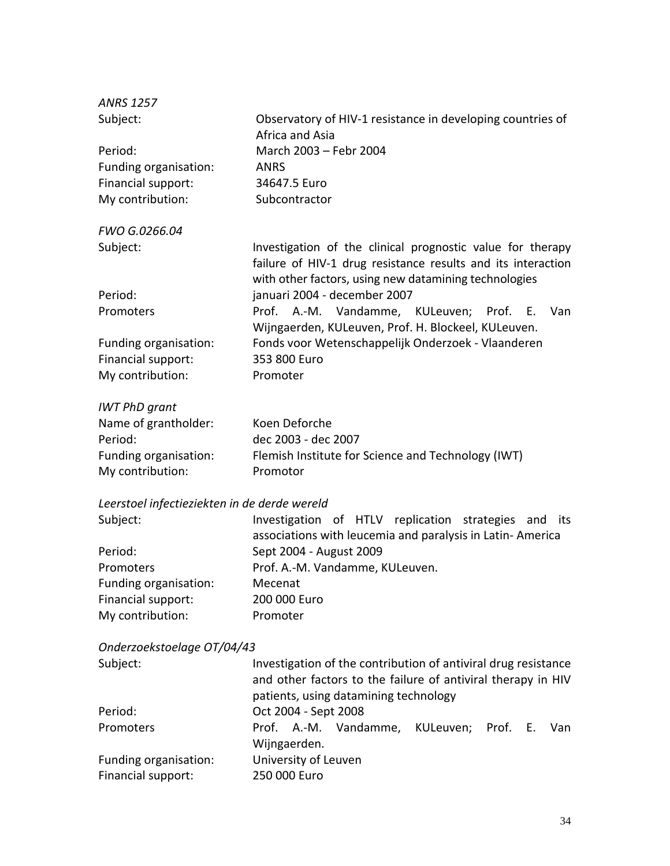| <b>ANRS 1257</b>                             |                                                                                                                                                                                     |  |  |  |
|----------------------------------------------|-------------------------------------------------------------------------------------------------------------------------------------------------------------------------------------|--|--|--|
| Subject:                                     | Observatory of HIV-1 resistance in developing countries of<br>Africa and Asia                                                                                                       |  |  |  |
| Period:                                      | March 2003 - Febr 2004                                                                                                                                                              |  |  |  |
| Funding organisation:                        | <b>ANRS</b>                                                                                                                                                                         |  |  |  |
| Financial support:                           | 34647.5 Euro                                                                                                                                                                        |  |  |  |
| My contribution:                             | Subcontractor                                                                                                                                                                       |  |  |  |
| FWO G.0266.04                                |                                                                                                                                                                                     |  |  |  |
| Subject:                                     | Investigation of the clinical prognostic value for therapy<br>failure of HIV-1 drug resistance results and its interaction<br>with other factors, using new datamining technologies |  |  |  |
| Period:                                      | januari 2004 - december 2007                                                                                                                                                        |  |  |  |
| Promoters                                    | A.-M. Vandamme, KULeuven; Prof. E.<br>Prof.<br>Van<br>Wijngaerden, KULeuven, Prof. H. Blockeel, KULeuven.                                                                           |  |  |  |
| Funding organisation:                        | Fonds voor Wetenschappelijk Onderzoek - Vlaanderen                                                                                                                                  |  |  |  |
| Financial support:                           | 353 800 Euro                                                                                                                                                                        |  |  |  |
| My contribution:                             | Promoter                                                                                                                                                                            |  |  |  |
| <b>IWT PhD grant</b>                         |                                                                                                                                                                                     |  |  |  |
| Name of grantholder:                         | Koen Deforche                                                                                                                                                                       |  |  |  |
| Period:                                      | dec 2003 - dec 2007                                                                                                                                                                 |  |  |  |
| Funding organisation:                        | Flemish Institute for Science and Technology (IWT)                                                                                                                                  |  |  |  |
| My contribution:                             | Promotor                                                                                                                                                                            |  |  |  |
| Leerstoel infectieziekten in de derde wereld |                                                                                                                                                                                     |  |  |  |
| Subject:                                     | Investigation of HTLV replication strategies and<br>its<br>associations with leucemia and paralysis in Latin-America                                                                |  |  |  |
| Period:                                      | Sept 2004 - August 2009                                                                                                                                                             |  |  |  |
| <b>Dromotors</b>                             | $Draf \land M \land$ landamma Killawan                                                                                                                                              |  |  |  |

| Prof. A.-M. Vandamme, KULeuven. |
|---------------------------------|
| Mecenat                         |
| 200 000 Euro                    |
| Promoter                        |
|                                 |

### *Onderzoekstoelage OT/04/43*

| Subject:              | Investigation of the contribution of antiviral drug resistance<br>and other factors to the failure of antiviral therapy in HIV<br>patients, using datamining technology |                      |                                              |  |  |  |
|-----------------------|-------------------------------------------------------------------------------------------------------------------------------------------------------------------------|----------------------|----------------------------------------------|--|--|--|
| Period:               |                                                                                                                                                                         | Oct 2004 - Sept 2008 |                                              |  |  |  |
| Promoters             |                                                                                                                                                                         | Wijngaerden.         | Prof. A.-M. Vandamme, KULeuven; Prof. E. Van |  |  |  |
| Funding organisation: |                                                                                                                                                                         | University of Leuven |                                              |  |  |  |
| Financial support:    |                                                                                                                                                                         | 250 000 Euro         |                                              |  |  |  |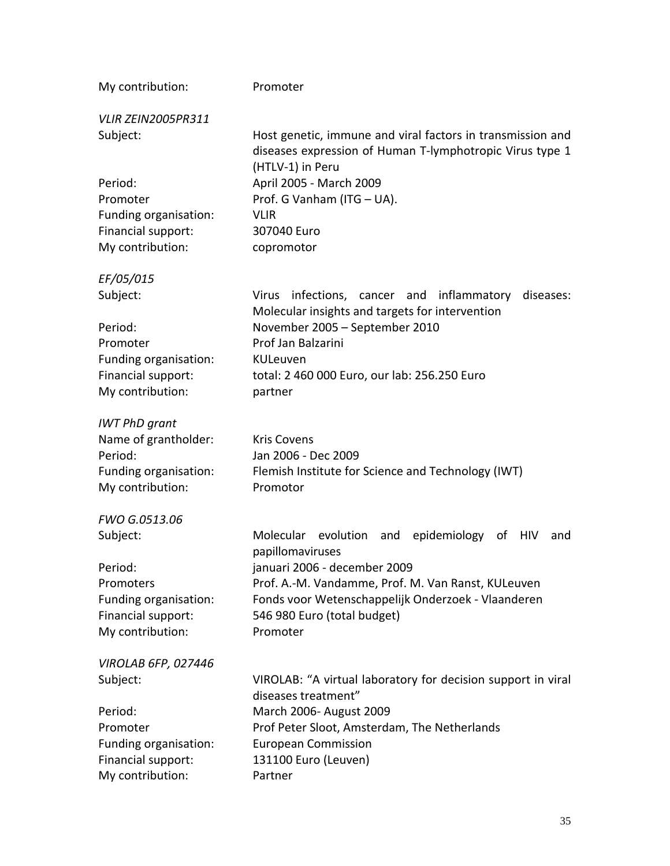| My contribution:                                                                                    | Promoter                                                                                                                                                                                                                                                                     |  |  |  |
|-----------------------------------------------------------------------------------------------------|------------------------------------------------------------------------------------------------------------------------------------------------------------------------------------------------------------------------------------------------------------------------------|--|--|--|
| <b>VLIR ZEIN2005PR311</b>                                                                           |                                                                                                                                                                                                                                                                              |  |  |  |
| Subject:<br>Period:<br>Promoter<br>Funding organisation:<br>Financial support:<br>My contribution:  | Host genetic, immune and viral factors in transmission and<br>diseases expression of Human T-lymphotropic Virus type 1<br>(HTLV-1) in Peru<br>April 2005 - March 2009<br>Prof. G Vanham (ITG - UA).<br><b>VLIR</b><br>307040 Euro<br>copromotor                              |  |  |  |
| EF/05/015                                                                                           |                                                                                                                                                                                                                                                                              |  |  |  |
| Subject:<br>Period:<br>Promoter<br>Funding organisation:<br>Financial support:<br>My contribution:  | Virus infections, cancer and inflammatory<br>diseases:<br>Molecular insights and targets for intervention<br>November 2005 - September 2010<br>Prof Jan Balzarini<br>KULeuven<br>total: 2 460 000 Euro, our lab: 256.250 Euro<br>partner                                     |  |  |  |
| <b>IWT PhD grant</b>                                                                                |                                                                                                                                                                                                                                                                              |  |  |  |
| Name of grantholder:<br>Period:<br>Funding organisation:<br>My contribution:                        | <b>Kris Covens</b><br>Jan 2006 - Dec 2009<br>Flemish Institute for Science and Technology (IWT)<br>Promotor                                                                                                                                                                  |  |  |  |
| FWO G.0513.06                                                                                       |                                                                                                                                                                                                                                                                              |  |  |  |
| Subject:<br>Period:<br>Promoters<br>Funding organisation:<br>Financial support:<br>My contribution: | Molecular<br>evolution<br>epidemiology<br>and<br>of<br>HIV<br>and<br>papillomaviruses<br>januari 2006 - december 2009<br>Prof. A.-M. Vandamme, Prof. M. Van Ranst, KULeuven<br>Fonds voor Wetenschappelijk Onderzoek - Vlaanderen<br>546 980 Euro (total budget)<br>Promoter |  |  |  |
| <b>VIROLAB 6FP, 027446</b>                                                                          |                                                                                                                                                                                                                                                                              |  |  |  |
| Subject:<br>Period:<br>Promoter<br>Funding organisation:<br>Financial support:<br>My contribution:  | VIROLAB: "A virtual laboratory for decision support in viral<br>diseases treatment"<br>March 2006- August 2009<br>Prof Peter Sloot, Amsterdam, The Netherlands<br><b>European Commission</b><br>131100 Euro (Leuven)<br>Partner                                              |  |  |  |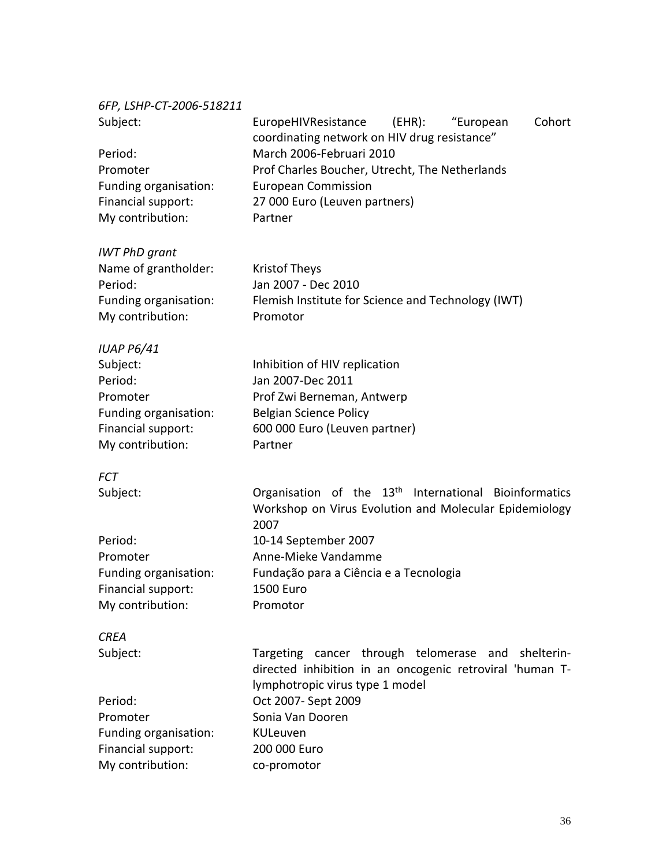*6FP, LSHP-CT-2006-518211*

| Subject:<br>Period:<br>Promoter<br>Funding organisation:<br>Financial support:<br>My contribution:                      | EuropeHIVResistance<br>$(EHR)$ :<br>Cohort<br>"European<br>coordinating network on HIV drug resistance"<br>March 2006-Februari 2010<br>Prof Charles Boucher, Utrecht, The Netherlands<br><b>European Commission</b><br>27 000 Euro (Leuven partners)<br>Partner |
|-------------------------------------------------------------------------------------------------------------------------|-----------------------------------------------------------------------------------------------------------------------------------------------------------------------------------------------------------------------------------------------------------------|
| <b>IWT PhD grant</b><br>Name of grantholder:<br>Period:<br>Funding organisation:<br>My contribution:                    | <b>Kristof Theys</b><br>Jan 2007 - Dec 2010<br>Flemish Institute for Science and Technology (IWT)<br>Promotor                                                                                                                                                   |
| <b>IUAP P6/41</b><br>Subject:<br>Period:<br>Promoter<br>Funding organisation:<br>Financial support:<br>My contribution: | Inhibition of HIV replication<br>Jan 2007-Dec 2011<br>Prof Zwi Berneman, Antwerp<br><b>Belgian Science Policy</b><br>600 000 Euro (Leuven partner)<br>Partner                                                                                                   |
| <b>FCT</b>                                                                                                              |                                                                                                                                                                                                                                                                 |
| Subject:                                                                                                                | Organisation of the 13 <sup>th</sup><br>International Bioinformatics<br>Workshop on Virus Evolution and Molecular Epidemiology<br>2007                                                                                                                          |
| Period:                                                                                                                 | 10-14 September 2007                                                                                                                                                                                                                                            |
| Promoter<br>Funding organisation:                                                                                       | Anne-Mieke Vandamme<br>Fundação para a Ciência e a Tecnologia                                                                                                                                                                                                   |
| Financial support:<br>My contribution:                                                                                  | <b>1500 Euro</b><br>Promotor                                                                                                                                                                                                                                    |
| <b>CREA</b>                                                                                                             |                                                                                                                                                                                                                                                                 |
| Subject:                                                                                                                | Targeting cancer through telomerase and shelterin-<br>directed inhibition in an oncogenic retroviral 'human T-<br>lymphotropic virus type 1 model                                                                                                               |
| Period:                                                                                                                 | Oct 2007- Sept 2009                                                                                                                                                                                                                                             |
| Promoter<br>Funding organisation:                                                                                       | Sonia Van Dooren<br>KULeuven                                                                                                                                                                                                                                    |
| Financial support:                                                                                                      | 200 000 Euro                                                                                                                                                                                                                                                    |
| My contribution:                                                                                                        | co-promotor                                                                                                                                                                                                                                                     |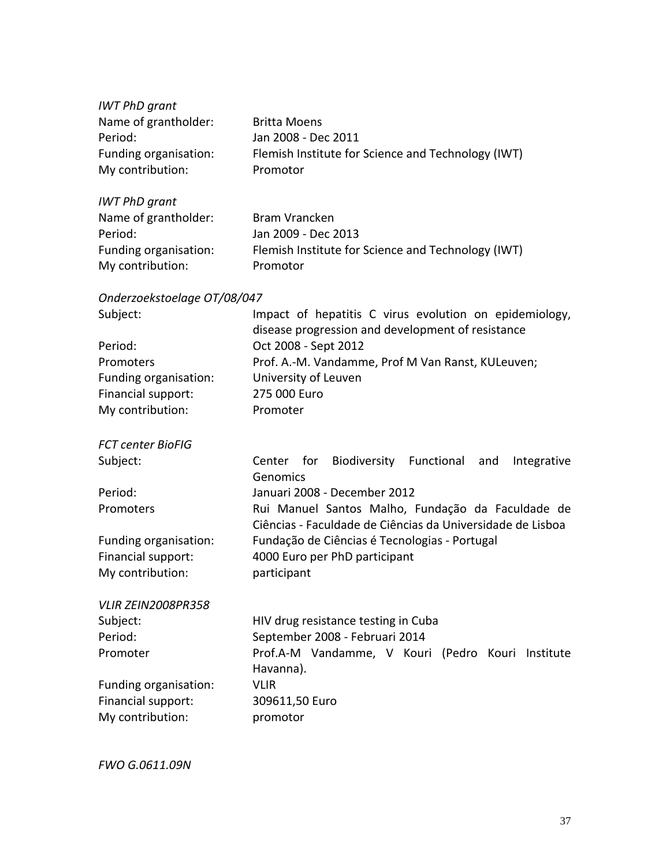| <b>IWT PhD grant</b>        |                                                                                                             |
|-----------------------------|-------------------------------------------------------------------------------------------------------------|
| Name of grantholder:        | <b>Britta Moens</b>                                                                                         |
| Period:                     | Jan 2008 - Dec 2011                                                                                         |
| Funding organisation:       | Flemish Institute for Science and Technology (IWT)                                                          |
| My contribution:            | Promotor                                                                                                    |
| <b>IWT PhD grant</b>        |                                                                                                             |
| Name of grantholder:        | <b>Bram Vrancken</b>                                                                                        |
| Period:                     | Jan 2009 - Dec 2013                                                                                         |
| Funding organisation:       | Flemish Institute for Science and Technology (IWT)                                                          |
| My contribution:            | Promotor                                                                                                    |
| Onderzoekstoelage OT/08/047 |                                                                                                             |
| Subject:                    | Impact of hepatitis C virus evolution on epidemiology,<br>disease progression and development of resistance |
| Period:                     | Oct 2008 - Sept 2012                                                                                        |
| Promoters                   | Prof. A.-M. Vandamme, Prof M Van Ranst, KULeuven;                                                           |
| Funding organisation:       | University of Leuven                                                                                        |
| Financial support:          | 275 000 Euro                                                                                                |
| My contribution:            | Promoter                                                                                                    |
| <b>FCT center BioFIG</b>    |                                                                                                             |
| Subject:                    | Biodiversity Functional<br>Center for<br>Integrative<br>and<br>Genomics                                     |
| Period:                     | Januari 2008 - December 2012                                                                                |
| Promoters                   | Rui Manuel Santos Malho, Fundação da Faculdade de                                                           |
|                             | Ciências - Faculdade de Ciências da Universidade de Lisboa                                                  |
| Funding organisation:       | Fundação de Ciências é Tecnologias - Portugal                                                               |
| Financial support:          | 4000 Euro per PhD participant                                                                               |
| My contribution:            | participant                                                                                                 |
| VLIR ZEIN2008PR358          |                                                                                                             |
| Subject:                    | HIV drug resistance testing in Cuba                                                                         |
| Period:                     | September 2008 - Februari 2014                                                                              |
| Promoter                    | Prof.A-M Vandamme, V Kouri (Pedro Kouri Institute                                                           |
|                             | Havanna).                                                                                                   |
| Funding organisation:       | <b>VLIR</b>                                                                                                 |
| Financial support:          | 309611,50 Euro                                                                                              |
| My contribution:            | promotor                                                                                                    |
|                             |                                                                                                             |

*FWO G.0611.09N*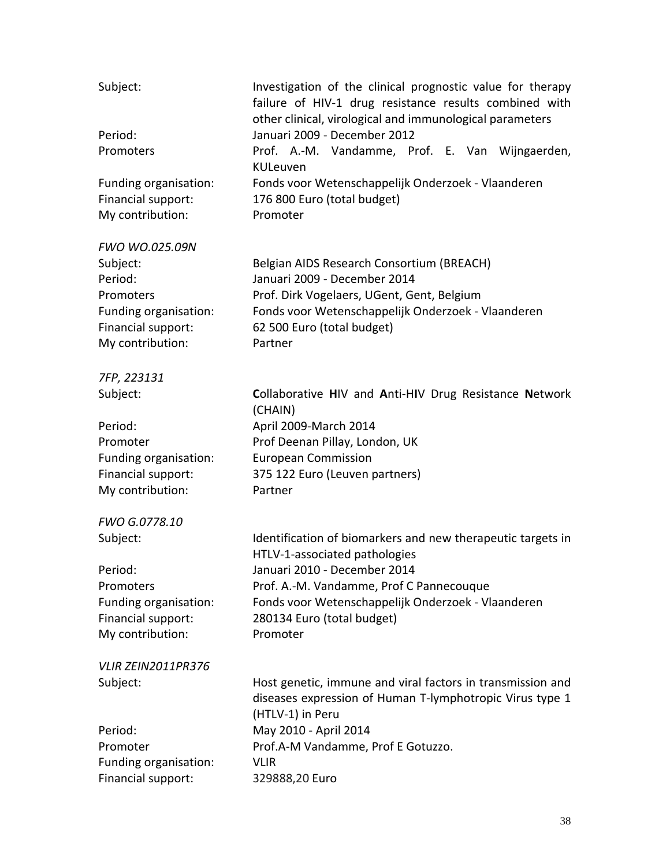| Subject:                                                                                                                     | Investigation of the clinical prognostic value for therapy<br>failure of HIV-1 drug resistance results combined with<br>other clinical, virological and immunological parameters                                       |
|------------------------------------------------------------------------------------------------------------------------------|------------------------------------------------------------------------------------------------------------------------------------------------------------------------------------------------------------------------|
| Period:<br>Promoters                                                                                                         | Januari 2009 - December 2012<br>Prof. A.-M. Vandamme, Prof. E. Van Wijngaerden,                                                                                                                                        |
| Funding organisation:<br>Financial support:<br>My contribution:                                                              | KULeuven<br>Fonds voor Wetenschappelijk Onderzoek - Vlaanderen<br>176 800 Euro (total budget)<br>Promoter                                                                                                              |
| <b>FWO WO.025.09N</b><br>Subject:<br>Period:<br>Promoters<br>Funding organisation:<br>Financial support:<br>My contribution: | Belgian AIDS Research Consortium (BREACH)<br>Januari 2009 - December 2014<br>Prof. Dirk Vogelaers, UGent, Gent, Belgium<br>Fonds voor Wetenschappelijk Onderzoek - Vlaanderen<br>62 500 Euro (total budget)<br>Partner |
| 7FP, 223131                                                                                                                  |                                                                                                                                                                                                                        |
| Subject:                                                                                                                     | Collaborative HIV and Anti-HIV Drug Resistance Network<br>(CHAIN)                                                                                                                                                      |
| Period:                                                                                                                      | April 2009-March 2014                                                                                                                                                                                                  |
| Promoter                                                                                                                     | Prof Deenan Pillay, London, UK                                                                                                                                                                                         |
| Funding organisation:                                                                                                        | <b>European Commission</b>                                                                                                                                                                                             |
| Financial support:                                                                                                           | 375 122 Euro (Leuven partners)                                                                                                                                                                                         |
| My contribution:                                                                                                             | Partner                                                                                                                                                                                                                |
| FWO G.0778.10                                                                                                                |                                                                                                                                                                                                                        |
| Subject:                                                                                                                     | Identification of biomarkers and new therapeutic targets in<br>HTLV-1-associated pathologies                                                                                                                           |
| Period:                                                                                                                      | Januari 2010 - December 2014                                                                                                                                                                                           |
| Promoters                                                                                                                    | Prof. A.-M. Vandamme, Prof C Pannecouque                                                                                                                                                                               |
| Funding organisation:                                                                                                        | Fonds voor Wetenschappelijk Onderzoek - Vlaanderen                                                                                                                                                                     |
| Financial support:                                                                                                           | 280134 Euro (total budget)                                                                                                                                                                                             |
| My contribution:                                                                                                             | Promoter                                                                                                                                                                                                               |
| VLIR ZEIN2011PR376                                                                                                           |                                                                                                                                                                                                                        |
| Subject:                                                                                                                     | Host genetic, immune and viral factors in transmission and<br>diseases expression of Human T-lymphotropic Virus type 1<br>(HTLV-1) in Peru                                                                             |
| Period:                                                                                                                      | May 2010 - April 2014                                                                                                                                                                                                  |
| Promoter                                                                                                                     | Prof.A-M Vandamme, Prof E Gotuzzo.                                                                                                                                                                                     |
| Funding organisation:                                                                                                        | <b>VLIR</b>                                                                                                                                                                                                            |
| Financial support:                                                                                                           | 329888,20 Euro                                                                                                                                                                                                         |
|                                                                                                                              |                                                                                                                                                                                                                        |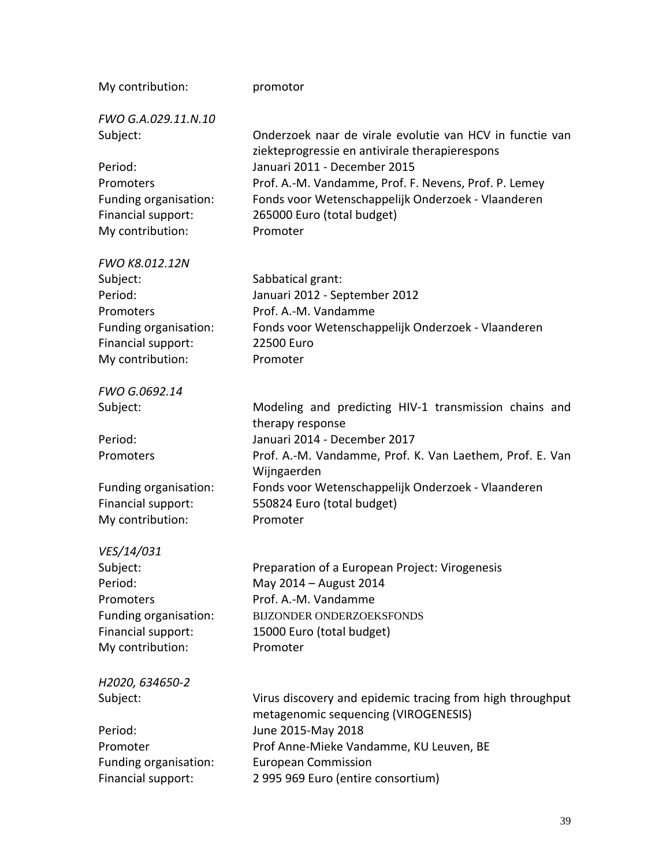| My contribution:                            | promotor                                                                                                    |
|---------------------------------------------|-------------------------------------------------------------------------------------------------------------|
| FWO G.A.029.11.N.10<br>Subject:             | Onderzoek naar de virale evolutie van HCV in functie van                                                    |
|                                             | ziekteprogressie en antivirale therapierespons                                                              |
| Period:                                     | Januari 2011 - December 2015                                                                                |
| Promoters<br>Funding organisation:          | Prof. A.-M. Vandamme, Prof. F. Nevens, Prof. P. Lemey<br>Fonds voor Wetenschappelijk Onderzoek - Vlaanderen |
| Financial support:                          | 265000 Euro (total budget)                                                                                  |
| My contribution:                            | Promoter                                                                                                    |
| FWO K8.012.12N                              |                                                                                                             |
| Subject:                                    | Sabbatical grant:                                                                                           |
| Period:                                     | Januari 2012 - September 2012                                                                               |
| Promoters                                   | Prof. A.-M. Vandamme                                                                                        |
| Funding organisation:                       | Fonds voor Wetenschappelijk Onderzoek - Vlaanderen                                                          |
| Financial support:                          | 22500 Euro                                                                                                  |
| My contribution:                            | Promoter                                                                                                    |
| FWO G.0692.14                               |                                                                                                             |
| Subject:                                    | Modeling and predicting HIV-1 transmission chains and<br>therapy response                                   |
| Period:                                     | Januari 2014 - December 2017                                                                                |
| Promoters                                   | Prof. A.-M. Vandamme, Prof. K. Van Laethem, Prof. E. Van<br>Wijngaerden                                     |
| Funding organisation:                       | Fonds voor Wetenschappelijk Onderzoek - Vlaanderen                                                          |
| Financial support:                          | 550824 Euro (total budget)                                                                                  |
| My contribution:                            | Promoter                                                                                                    |
| VES/14/031                                  |                                                                                                             |
| Subject:                                    | Preparation of a European Project: Virogenesis                                                              |
| Period:                                     | May 2014 - August 2014                                                                                      |
| Promoters                                   | Prof. A.-M. Vandamme                                                                                        |
| Funding organisation:<br>Financial support: | BIJZONDER ONDERZOEKSFONDS<br>15000 Euro (total budget)                                                      |
| My contribution:                            | Promoter                                                                                                    |
|                                             |                                                                                                             |
| H2020, 634650-2                             |                                                                                                             |
| Subject:                                    | Virus discovery and epidemic tracing from high throughput<br>metagenomic sequencing (VIROGENESIS)           |
| Period:                                     | June 2015-May 2018                                                                                          |
| Promoter                                    | Prof Anne-Mieke Vandamme, KU Leuven, BE                                                                     |
| Funding organisation:                       | <b>European Commission</b>                                                                                  |
| Financial support:                          | 2 995 969 Euro (entire consortium)                                                                          |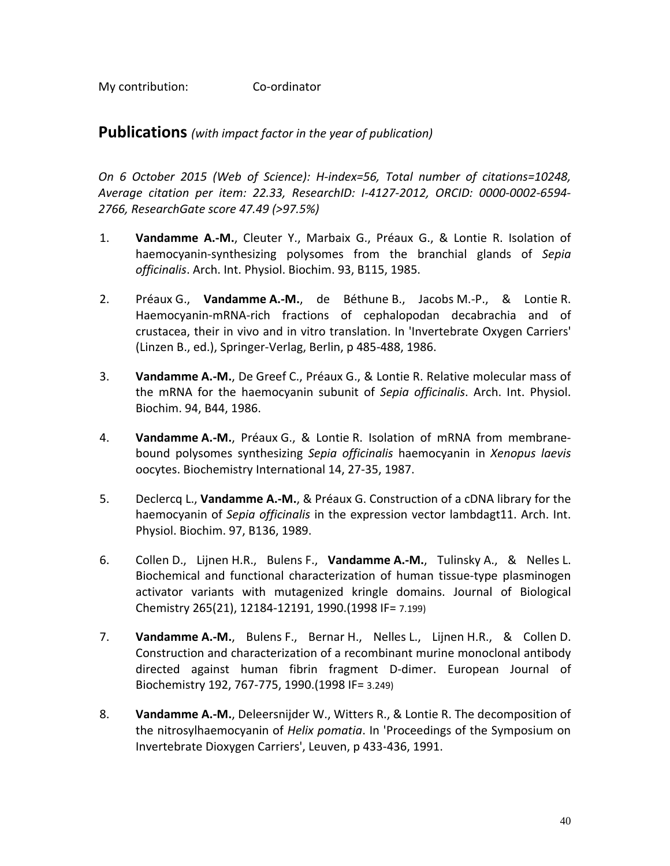My contribution: Co-ordinator

**Publications** *(with impact factor in the year of publication)*

*On 6 October 2015 (Web of Science): H-index=56, Total number of citations=10248, Average citation per item: 22.33, ResearchID: I-4127-2012, ORCID: 0000-0002-6594- 2766, ResearchGate score 47.49 (>97.5%)*

- 1. **Vandamme A.-M.**, Cleuter Y., Marbaix G., Préaux G., & Lontie R. Isolation of haemocyanin-synthesizing polysomes from the branchial glands of *Sepia officinalis*. Arch. Int. Physiol. Biochim. 93, B115, 1985.
- 2. Préaux G., **Vandamme A.-M.**, de Béthune B., Jacobs M.-P., & Lontie R. Haemocyanin-mRNA-rich fractions of cephalopodan decabrachia and of crustacea, their in vivo and in vitro translation. In 'Invertebrate Oxygen Carriers' (Linzen B., ed.), Springer-Verlag, Berlin, p 485-488, 1986.
- 3. **Vandamme A.-M.**, De Greef C., Préaux G., & Lontie R. Relative molecular mass of the mRNA for the haemocyanin subunit of *Sepia officinalis*. Arch. Int. Physiol. Biochim. 94, B44, 1986.
- 4. **Vandamme A.-M.**, Préaux G., & Lontie R. Isolation of mRNA from membranebound polysomes synthesizing *Sepia officinalis* haemocyanin in *Xenopus laevis* oocytes. Biochemistry International 14, 27-35, 1987.
- 5. Declercq L., **Vandamme A.-M.**, & Préaux G. Construction of a cDNA library for the haemocyanin of *Sepia officinalis* in the expression vector lambdagt11. Arch. Int. Physiol. Biochim. 97, B136, 1989.
- 6. Collen D., Lijnen H.R., Bulens F., **Vandamme A.-M.**, Tulinsky A., & Nelles L. Biochemical and functional characterization of human tissue-type plasminogen activator variants with mutagenized kringle domains. Journal of Biological Chemistry 265(21), 12184-12191, 1990.(1998 IF= 7.199)
- 7. **Vandamme A.-M.**, Bulens F., Bernar H., Nelles L., Lijnen H.R., & Collen D. Construction and characterization of a recombinant murine monoclonal antibody directed against human fibrin fragment D-dimer. European Journal of Biochemistry 192, 767-775, 1990.(1998 IF= 3.249)
- 8. **Vandamme A.-M.**, Deleersnijder W., Witters R., & Lontie R. The decomposition of the nitrosylhaemocyanin of *Helix pomatia*. In 'Proceedings of the Symposium on Invertebrate Dioxygen Carriers', Leuven, p 433-436, 1991.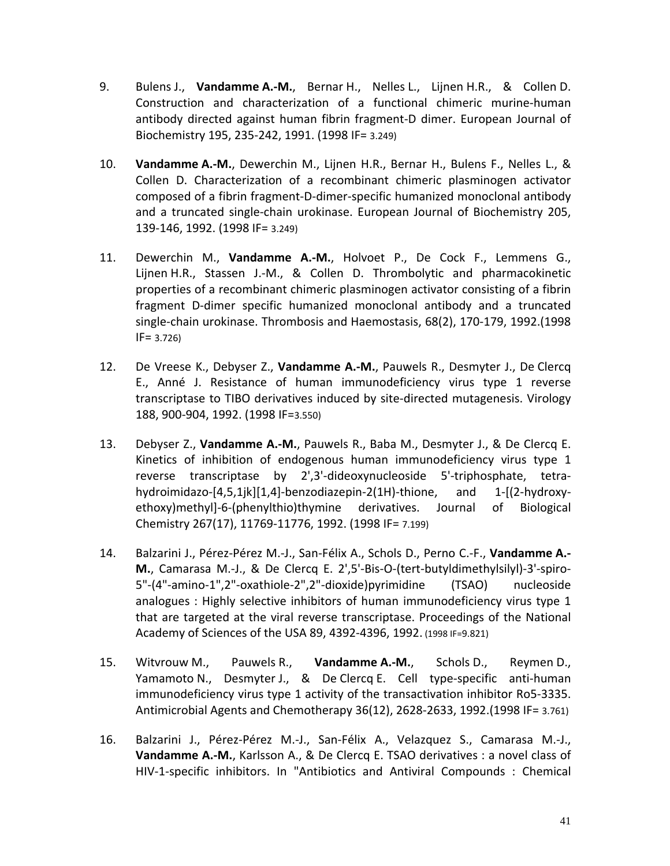- 9. Bulens J., **Vandamme A.-M.**, Bernar H., Nelles L., Lijnen H.R., & Collen D. Construction and characterization of a functional chimeric murine-human antibody directed against human fibrin fragment-D dimer. European Journal of Biochemistry 195, 235-242, 1991. (1998 IF= 3.249)
- 10. **Vandamme A.-M.**, Dewerchin M., Lijnen H.R., Bernar H., Bulens F., Nelles L., & Collen D. Characterization of a recombinant chimeric plasminogen activator composed of a fibrin fragment-D-dimer-specific humanized monoclonal antibody and a truncated single-chain urokinase. European Journal of Biochemistry 205, 139-146, 1992. (1998 IF= 3.249)
- 11. Dewerchin M., **Vandamme A.-M.**, Holvoet P., De Cock F., Lemmens G., Lijnen H.R., Stassen J.-M., & Collen D. Thrombolytic and pharmacokinetic properties of a recombinant chimeric plasminogen activator consisting of a fibrin fragment D-dimer specific humanized monoclonal antibody and a truncated single-chain urokinase. Thrombosis and Haemostasis, 68(2), 170-179, 1992.(1998 IF= 3.726)
- 12. De Vreese K., Debyser Z., **Vandamme A.-M.**, Pauwels R., Desmyter J., De Clercq E., Anné J. Resistance of human immunodeficiency virus type 1 reverse transcriptase to TIBO derivatives induced by site-directed mutagenesis. Virology 188, 900-904, 1992. (1998 IF=3.550)
- 13. Debyser Z., **Vandamme A.-M.**, Pauwels R., Baba M., Desmyter J., & De Clercq E. Kinetics of inhibition of endogenous human immunodeficiency virus type 1 reverse transcriptase by 2',3'-dideoxynucleoside 5'-triphosphate, tetrahydroimidazo-[4,5,1jk][1,4]-benzodiazepin-2(1H)-thione, and 1-[(2-hydroxyethoxy)methyl]-6-(phenylthio)thymine derivatives. Journal of Biological Chemistry 267(17), 11769-11776, 1992. (1998 IF= 7.199)
- 14. Balzarini J., Pérez-Pérez M.-J., San-Félix A., Schols D., Perno C.-F., **Vandamme A.- M.**, Camarasa M.-J., & De Clercq E. 2',5'-Bis-O-(tert-butyldimethylsilyl)-3'-spiro-5"-(4"-amino-1",2"-oxathiole-2",2"-dioxide)pyrimidine (TSAO) nucleoside analogues : Highly selective inhibitors of human immunodeficiency virus type 1 that are targeted at the viral reverse transcriptase. Proceedings of the National Academy of Sciences of the USA 89, 4392-4396, 1992. (1998 IF=9.821)
- 15. Witvrouw M., Pauwels R., **Vandamme A.-M.**, Schols D., Reymen D., Yamamoto N., Desmyter J., & De Clercq E. Cell type-specific anti-human immunodeficiency virus type 1 activity of the transactivation inhibitor Ro5-3335. Antimicrobial Agents and Chemotherapy 36(12), 2628-2633, 1992.(1998 IF= 3.761)
- 16. Balzarini J., Pérez-Pérez M.-J., San-Félix A., Velazquez S., Camarasa M.-J., **Vandamme A.-M.**, Karlsson A., & De Clercq E. TSAO derivatives : a novel class of HIV-1-specific inhibitors. In "Antibiotics and Antiviral Compounds : Chemical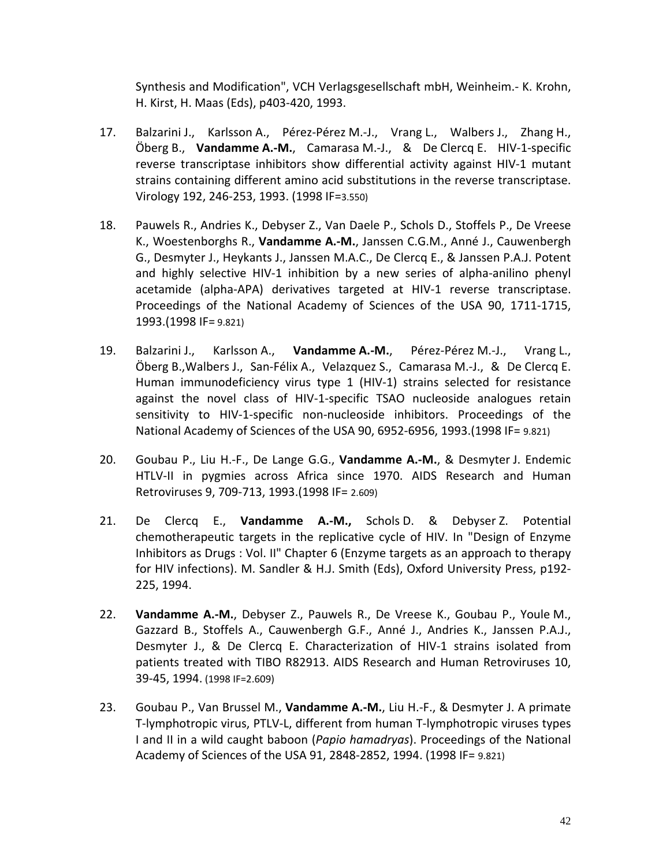Synthesis and Modification", VCH Verlagsgesellschaft mbH, Weinheim.- K. Krohn, H. Kirst, H. Maas (Eds), p403-420, 1993.

- 17. Balzarini J., Karlsson A., Pérez-Pérez M.-J., Vrang L., Walbers J., Zhang H., Öberg B., **Vandamme A.-M.**, Camarasa M.-J., & De Clercq E. HIV-1-specific reverse transcriptase inhibitors show differential activity against HIV-1 mutant strains containing different amino acid substitutions in the reverse transcriptase. Virology 192, 246-253, 1993. (1998 IF=3.550)
- 18. Pauwels R., Andries K., Debyser Z., Van Daele P., Schols D., Stoffels P., De Vreese K., Woestenborghs R., **Vandamme A.-M.**, Janssen C.G.M., Anné J., Cauwenbergh G., Desmyter J., Heykants J., Janssen M.A.C., De Clercq E., & Janssen P.A.J. Potent and highly selective HIV-1 inhibition by a new series of alpha-anilino phenyl acetamide (alpha-APA) derivatives targeted at HIV-1 reverse transcriptase. Proceedings of the National Academy of Sciences of the USA 90, 1711-1715, 1993.(1998 IF= 9.821)
- 19. Balzarini J., Karlsson A., **Vandamme A.-M.**, Pérez-Pérez M.-J., Vrang L., Öberg B.,Walbers J., San-Félix A., Velazquez S., Camarasa M.-J., & De Clercq E. Human immunodeficiency virus type 1 (HIV-1) strains selected for resistance against the novel class of HIV-1-specific TSAO nucleoside analogues retain sensitivity to HIV-1-specific non-nucleoside inhibitors. Proceedings of the National Academy of Sciences of the USA 90, 6952-6956, 1993.(1998 IF= 9.821)
- 20. Goubau P., Liu H.-F., De Lange G.G., **Vandamme A.-M.**, & Desmyter J. Endemic HTLV-II in pygmies across Africa since 1970. AIDS Research and Human Retroviruses 9, 709-713, 1993.(1998 IF= 2.609)
- 21. De Clercq E., **Vandamme A.-M.,** Schols D. & Debyser Z. Potential chemotherapeutic targets in the replicative cycle of HIV. In "Design of Enzyme Inhibitors as Drugs : Vol. II" Chapter 6 (Enzyme targets as an approach to therapy for HIV infections). M. Sandler & H.J. Smith (Eds), Oxford University Press, p192- 225, 1994.
- 22. **Vandamme A.-M.**, Debyser Z., Pauwels R., De Vreese K., Goubau P., Youle M., Gazzard B., Stoffels A., Cauwenbergh G.F., Anné J., Andries K., Janssen P.A.J., Desmyter J., & De Clercq E. Characterization of HIV-1 strains isolated from patients treated with TIBO R82913. AIDS Research and Human Retroviruses 10, 39-45, 1994. (1998 IF=2.609)
- 23. Goubau P., Van Brussel M., **Vandamme A.-M.**, Liu H.-F., & Desmyter J. A primate T-lymphotropic virus, PTLV-L, different from human T-lymphotropic viruses types I and II in a wild caught baboon (*Papio hamadryas*). Proceedings of the National Academy of Sciences of the USA 91, 2848-2852, 1994. (1998 IF= 9.821)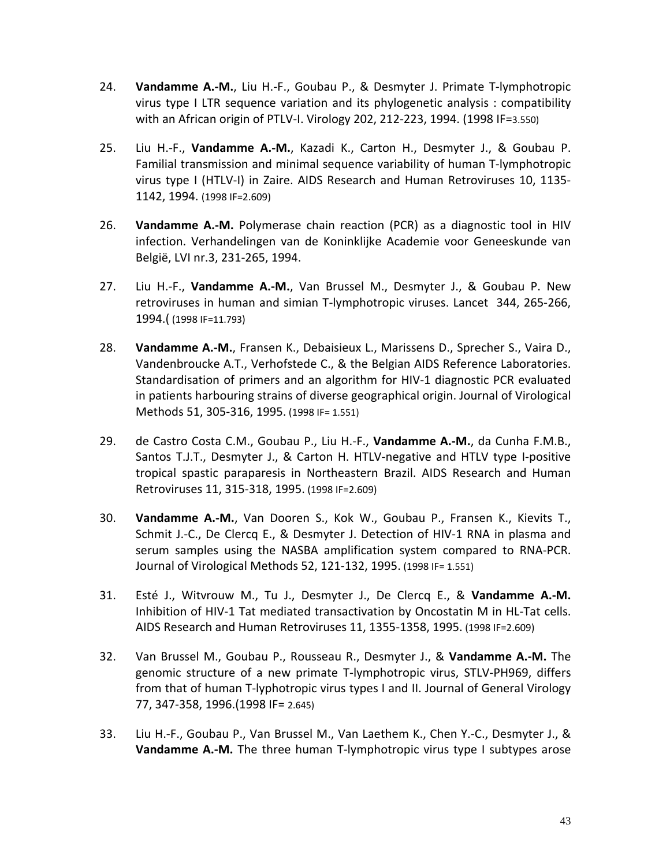- 24. **Vandamme A.-M.**, Liu H.-F., Goubau P., & Desmyter J. Primate T-lymphotropic virus type I LTR sequence variation and its phylogenetic analysis : compatibility with an African origin of PTLV-I. Virology 202, 212-223, 1994. (1998 IF=3.550)
- 25. Liu H.-F., **Vandamme A.-M.**, Kazadi K., Carton H., Desmyter J., & Goubau P. Familial transmission and minimal sequence variability of human T-lymphotropic virus type I (HTLV-I) in Zaire. AIDS Research and Human Retroviruses 10, 1135- 1142, 1994. (1998 IF=2.609)
- 26. **Vandamme A.-M.** Polymerase chain reaction (PCR) as a diagnostic tool in HIV infection. Verhandelingen van de Koninklijke Academie voor Geneeskunde van België, LVI nr.3, 231-265, 1994.
- 27. Liu H.-F., **Vandamme A.-M.**, Van Brussel M., Desmyter J., & Goubau P. New retroviruses in human and simian T-lymphotropic viruses. Lancet 344, 265-266, 1994.( (1998 IF=11.793)
- 28. **Vandamme A.-M.**, Fransen K., Debaisieux L., Marissens D., Sprecher S., Vaira D., Vandenbroucke A.T., Verhofstede C., & the Belgian AIDS Reference Laboratories. Standardisation of primers and an algorithm for HIV-1 diagnostic PCR evaluated in patients harbouring strains of diverse geographical origin. Journal of Virological Methods 51, 305-316, 1995. (1998 IF= 1.551)
- 29. de Castro Costa C.M., Goubau P., Liu H.-F., **Vandamme A.-M.**, da Cunha F.M.B., Santos T.J.T., Desmyter J., & Carton H. HTLV-negative and HTLV type I-positive tropical spastic paraparesis in Northeastern Brazil. AIDS Research and Human Retroviruses 11, 315-318, 1995. (1998 IF=2.609)
- 30. **Vandamme A.-M.**, Van Dooren S., Kok W., Goubau P., Fransen K., Kievits T., Schmit J.-C., De Clercq E., & Desmyter J. Detection of HIV-1 RNA in plasma and serum samples using the NASBA amplification system compared to RNA-PCR. Journal of Virological Methods 52, 121-132, 1995. (1998 IF= 1.551)
- 31. Esté J., Witvrouw M., Tu J., Desmyter J., De Clercq E., & **Vandamme A.-M.**  Inhibition of HIV-1 Tat mediated transactivation by Oncostatin M in HL-Tat cells. AIDS Research and Human Retroviruses 11, 1355-1358, 1995. (1998 IF=2.609)
- 32. Van Brussel M., Goubau P., Rousseau R., Desmyter J., & **Vandamme A.-M.** The genomic structure of a new primate T-lymphotropic virus, STLV-PH969, differs from that of human T-lyphotropic virus types I and II. Journal of General Virology 77, 347-358, 1996.(1998 IF= 2.645)
- 33. Liu H.-F., Goubau P., Van Brussel M., Van Laethem K., Chen Y.-C., Desmyter J., & **Vandamme A.-M.** The three human T-lymphotropic virus type I subtypes arose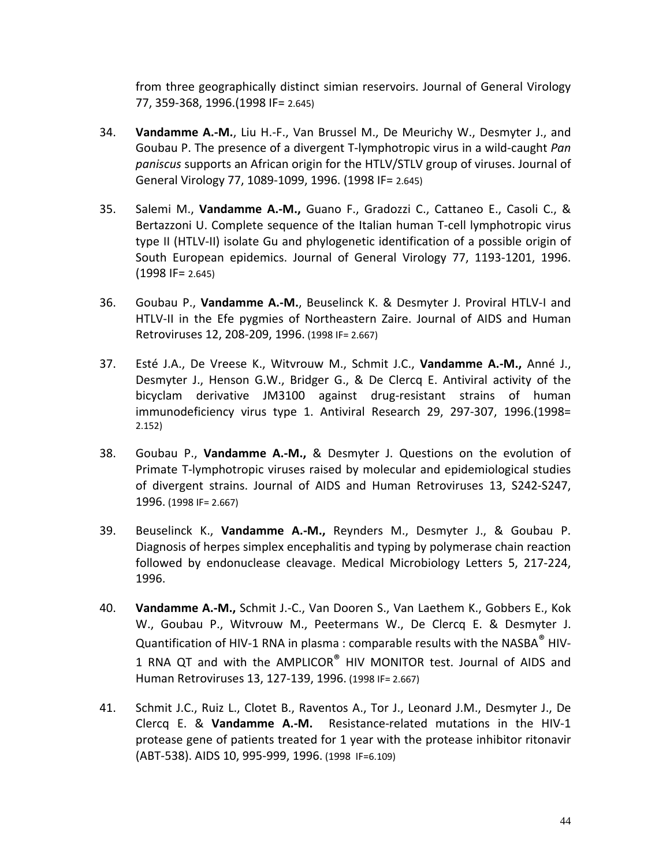from three geographically distinct simian reservoirs. Journal of General Virology 77, 359-368, 1996.(1998 IF= 2.645)

- 34. **Vandamme A.-M.**, Liu H.-F., Van Brussel M., De Meurichy W., Desmyter J., and Goubau P. The presence of a divergent T-lymphotropic virus in a wild-caught *Pan paniscus* supports an African origin for the HTLV/STLV group of viruses. Journal of General Virology 77, 1089-1099, 1996. (1998 IF= 2.645)
- 35. Salemi M., **Vandamme A.-M.,** Guano F., Gradozzi C., Cattaneo E., Casoli C., & Bertazzoni U. Complete sequence of the Italian human T-cell lymphotropic virus type II (HTLV-II) isolate Gu and phylogenetic identification of a possible origin of South European epidemics. Journal of General Virology 77, 1193-1201, 1996. (1998 IF= 2.645)
- 36. Goubau P., **Vandamme A.-M.**, Beuselinck K. & Desmyter J. Proviral HTLV-I and HTLV-II in the Efe pygmies of Northeastern Zaire. Journal of AIDS and Human Retroviruses 12, 208-209, 1996. (1998 IF= 2.667)
- 37. Esté J.A., De Vreese K., Witvrouw M., Schmit J.C., **Vandamme A.-M.,** Anné J., Desmyter J., Henson G.W., Bridger G., & De Clercq E. Antiviral activity of the bicyclam derivative JM3100 against drug-resistant strains of human immunodeficiency virus type 1. Antiviral Research 29, 297-307, 1996.(1998= 2.152)
- 38. Goubau P., **Vandamme A.-M.,** & Desmyter J. Questions on the evolution of Primate T-lymphotropic viruses raised by molecular and epidemiological studies of divergent strains. Journal of AIDS and Human Retroviruses 13, S242-S247, 1996. (1998 IF= 2.667)
- 39. Beuselinck K., **Vandamme A.-M.,** Reynders M., Desmyter J., & Goubau P. Diagnosis of herpes simplex encephalitis and typing by polymerase chain reaction followed by endonuclease cleavage. Medical Microbiology Letters 5, 217-224, 1996.
- 40. **Vandamme A.-M.,** Schmit J.-C., Van Dooren S., Van Laethem K., Gobbers E., Kok W., Goubau P., Witvrouw M., Peetermans W., De Clercq E. & Desmyter J. Quantification of HIV-1 RNA in plasma : comparable results with the NASBA<sup>®</sup> HIV-1 RNA QT and with the AMPLICOR $^{\circ}$  HIV MONITOR test. Journal of AIDS and Human Retroviruses 13, 127-139, 1996. (1998 IF= 2.667)
- 41. Schmit J.C., Ruiz L., Clotet B., Raventos A., Tor J., Leonard J.M., Desmyter J., De Clercq E. & **Vandamme A.-M.** Resistance-related mutations in the HIV-1 protease gene of patients treated for 1 year with the protease inhibitor ritonavir (ABT-538). AIDS 10, 995-999, 1996. (1998 IF=6.109)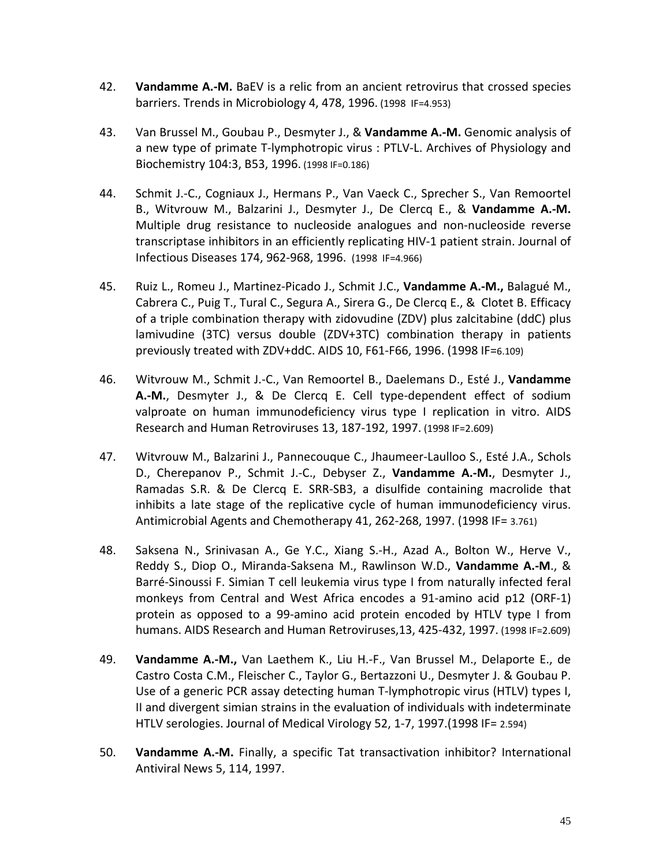- 42. **Vandamme A.-M.** BaEV is a relic from an ancient retrovirus that crossed species barriers. Trends in Microbiology 4, 478, 1996. (1998 IF=4.953)
- 43. Van Brussel M., Goubau P., Desmyter J., & **Vandamme A.-M.** Genomic analysis of a new type of primate T-lymphotropic virus : PTLV-L. Archives of Physiology and Biochemistry 104:3, B53, 1996. (1998 IF=0.186)
- 44. Schmit J.-C., Cogniaux J., Hermans P., Van Vaeck C., Sprecher S., Van Remoortel B., Witvrouw M., Balzarini J., Desmyter J., De Clercq E., & **Vandamme A.-M.** Multiple drug resistance to nucleoside analogues and non-nucleoside reverse transcriptase inhibitors in an efficiently replicating HIV-1 patient strain. Journal of Infectious Diseases 174, 962-968, 1996. (1998 IF=4.966)
- 45. Ruiz L., Romeu J., Martinez-Picado J., Schmit J.C., **Vandamme A.-M.,** Balagué M., Cabrera C., Puig T., Tural C., Segura A., Sirera G., De Clercq E., & Clotet B. Efficacy of a triple combination therapy with zidovudine (ZDV) plus zalcitabine (ddC) plus lamivudine (3TC) versus double (ZDV+3TC) combination therapy in patients previously treated with ZDV+ddC. AIDS 10, F61-F66, 1996. (1998 IF=6.109)
- 46. Witvrouw M., Schmit J.-C., Van Remoortel B., Daelemans D., Esté J., **Vandamme A.-M.**, Desmyter J., & De Clercq E. Cell type-dependent effect of sodium valproate on human immunodeficiency virus type I replication in vitro. AIDS Research and Human Retroviruses 13, 187-192, 1997. (1998 IF=2.609)
- 47. Witvrouw M., Balzarini J., Pannecouque C., Jhaumeer-Laulloo S., Esté J.A., Schols D., Cherepanov P., Schmit J.-C., Debyser Z., **Vandamme A.-M.**, Desmyter J., Ramadas S.R. & De Clercq E. SRR-SB3, a disulfide containing macrolide that inhibits a late stage of the replicative cycle of human immunodeficiency virus. Antimicrobial Agents and Chemotherapy 41, 262-268, 1997. (1998 IF= 3.761)
- 48. Saksena N., Srinivasan A., Ge Y.C., Xiang S.-H., Azad A., Bolton W., Herve V., Reddy S., Diop O., Miranda-Saksena M., Rawlinson W.D., **Vandamme A.-M**., & Barré-Sinoussi F. Simian T cell leukemia virus type I from naturally infected feral monkeys from Central and West Africa encodes a 91-amino acid p12 (ORF-1) protein as opposed to a 99-amino acid protein encoded by HTLV type I from humans. AIDS Research and Human Retroviruses,13, 425-432, 1997. (1998 IF=2.609)
- 49. **Vandamme A.-M.,** Van Laethem K., Liu H.-F., Van Brussel M., Delaporte E., de Castro Costa C.M., Fleischer C., Taylor G., Bertazzoni U., Desmyter J. & Goubau P. Use of a generic PCR assay detecting human T-lymphotropic virus (HTLV) types I, II and divergent simian strains in the evaluation of individuals with indeterminate HTLV serologies. Journal of Medical Virology 52, 1-7, 1997.(1998 IF= 2.594)
- 50. **Vandamme A.-M.** Finally, a specific Tat transactivation inhibitor? International Antiviral News 5, 114, 1997.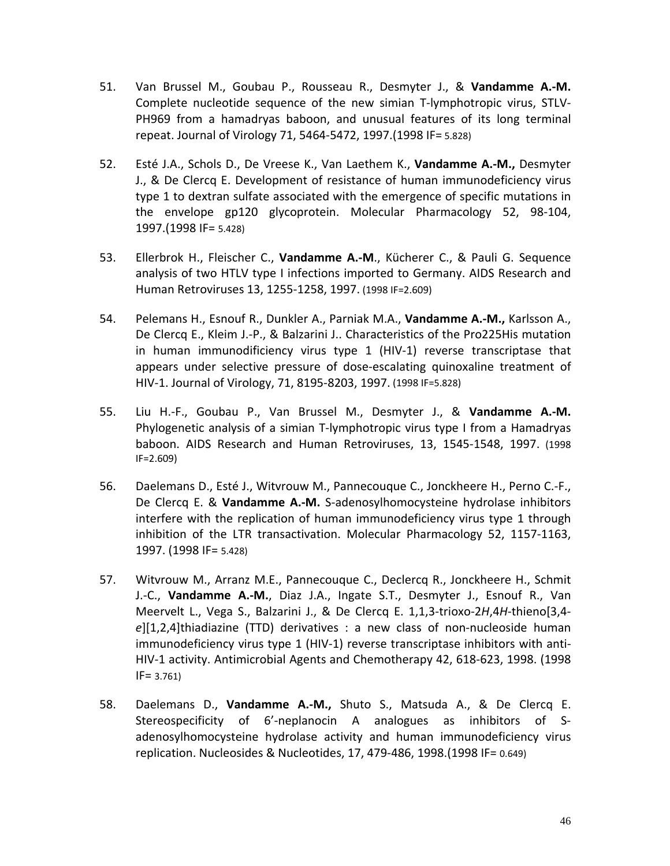- 51. Van Brussel M., Goubau P., Rousseau R., Desmyter J., & **Vandamme A.-M.** Complete nucleotide sequence of the new simian T-lymphotropic virus, STLV-PH969 from a hamadryas baboon, and unusual features of its long terminal repeat. Journal of Virology 71, 5464-5472, 1997.(1998 IF= 5.828)
- 52. Esté J.A., Schols D., De Vreese K., Van Laethem K., **Vandamme A.-M.,** Desmyter J., & De Clercq E. Development of resistance of human immunodeficiency virus type 1 to dextran sulfate associated with the emergence of specific mutations in the envelope gp120 glycoprotein. Molecular Pharmacology 52, 98-104, 1997.(1998 IF= 5.428)
- 53. Ellerbrok H., Fleischer C., **Vandamme A.-M**., Kücherer C., & Pauli G. Sequence analysis of two HTLV type I infections imported to Germany. AIDS Research and Human Retroviruses 13, 1255-1258, 1997. (1998 IF=2.609)
- 54. Pelemans H., Esnouf R., Dunkler A., Parniak M.A., **Vandamme A.-M.,** Karlsson A., De Clercq E., Kleim J.-P., & Balzarini J.. Characteristics of the Pro225His mutation in human immunodificiency virus type 1 (HIV-1) reverse transcriptase that appears under selective pressure of dose-escalating quinoxaline treatment of HIV-1. Journal of Virology, 71, 8195-8203, 1997. (1998 IF=5.828)
- 55. Liu H.-F., Goubau P., Van Brussel M., Desmyter J., & **Vandamme A.-M.** Phylogenetic analysis of a simian T-lymphotropic virus type I from a Hamadryas baboon. AIDS Research and Human Retroviruses, 13, 1545-1548, 1997. (1998 IF=2.609)
- 56. Daelemans D., Esté J., Witvrouw M., Pannecouque C., Jonckheere H., Perno C.-F., De Clercq E. & **Vandamme A.-M.** S-adenosylhomocysteine hydrolase inhibitors interfere with the replication of human immunodeficiency virus type 1 through inhibition of the LTR transactivation. Molecular Pharmacology 52, 1157-1163, 1997. (1998 IF= 5.428)
- 57. Witvrouw M., Arranz M.E., Pannecouque C., Declercq R., Jonckheere H., Schmit J.-C., **Vandamme A.-M.**, Diaz J.A., Ingate S.T., Desmyter J., Esnouf R., Van Meervelt L., Vega S., Balzarini J., & De Clercq E. 1,1,3-trioxo-2*H*,4*H*-thieno[3,4 *e*][1,2,4]thiadiazine (TTD) derivatives : a new class of non-nucleoside human immunodeficiency virus type 1 (HIV-1) reverse transcriptase inhibitors with anti-HIV-1 activity. Antimicrobial Agents and Chemotherapy 42, 618-623, 1998. (1998  $IF = 3.761$
- 58. Daelemans D., **Vandamme A.-M.,** Shuto S., Matsuda A., & De Clercq E. Stereospecificity of 6'-neplanocin A analogues as inhibitors of Sadenosylhomocysteine hydrolase activity and human immunodeficiency virus replication. Nucleosides & Nucleotides, 17, 479-486, 1998.(1998 IF= 0.649)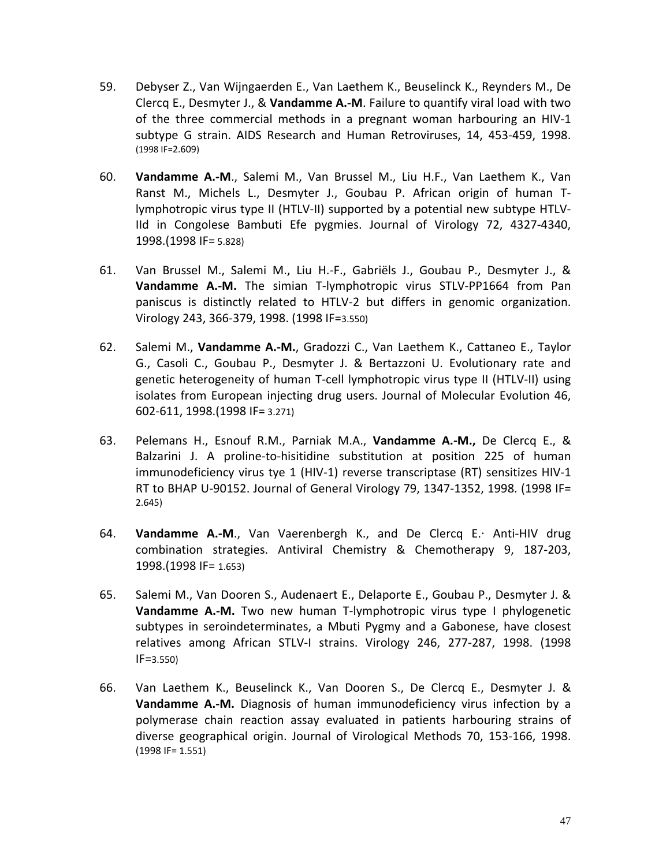- 59. Debyser Z., Van Wijngaerden E., Van Laethem K., Beuselinck K., Reynders M., De Clercq E., Desmyter J., & **Vandamme A.-M**. Failure to quantify viral load with two of the three commercial methods in a pregnant woman harbouring an HIV-1 subtype G strain. AIDS Research and Human Retroviruses, 14, 453-459, 1998. (1998 IF=2.609)
- 60. **Vandamme A.-M**., Salemi M., Van Brussel M., Liu H.F., Van Laethem K., Van Ranst M., Michels L., Desmyter J., Goubau P. African origin of human Tlymphotropic virus type II (HTLV-II) supported by a potential new subtype HTLV-IId in Congolese Bambuti Efe pygmies. Journal of Virology 72, 4327-4340, 1998.(1998 IF= 5.828)
- 61. Van Brussel M., Salemi M., Liu H.-F., Gabriëls J., Goubau P., Desmyter J., & **Vandamme A.-M.** The simian T-lymphotropic virus STLV-PP1664 from Pan paniscus is distinctly related to HTLV-2 but differs in genomic organization. Virology 243, 366-379, 1998. (1998 IF=3.550)
- 62. Salemi M., **Vandamme A.-M.**, Gradozzi C., Van Laethem K., Cattaneo E., Taylor G., Casoli C., Goubau P., Desmyter J. & Bertazzoni U. Evolutionary rate and genetic heterogeneity of human T-cell lymphotropic virus type II (HTLV-II) using isolates from European injecting drug users. Journal of Molecular Evolution 46, 602-611, 1998.(1998 IF= 3.271)
- 63. Pelemans H., Esnouf R.M., Parniak M.A., **Vandamme A.-M.,** De Clercq E., & Balzarini J. A proline-to-hisitidine substitution at position 225 of human immunodeficiency virus tye 1 (HIV-1) reverse transcriptase (RT) sensitizes HIV-1 RT to BHAP U-90152. Journal of General Virology 79, 1347-1352, 1998. (1998 IF= 2.645)
- 64. **Vandamme A.-M**., Van Vaerenbergh K., and De Clercq E.. Anti-HIV drug combination strategies. Antiviral Chemistry & Chemotherapy 9, 187-203, 1998.(1998 IF= 1.653)
- 65. Salemi M., Van Dooren S., Audenaert E., Delaporte E., Goubau P., Desmyter J. & **Vandamme A.-M.** Two new human T-lymphotropic virus type I phylogenetic subtypes in seroindeterminates, a Mbuti Pygmy and a Gabonese, have closest relatives among African STLV-I strains. Virology 246, 277-287, 1998. (1998 IF=3.550)
- 66. Van Laethem K., Beuselinck K., Van Dooren S., De Clercq E., Desmyter J. & **Vandamme A.-M.** Diagnosis of human immunodeficiency virus infection by a polymerase chain reaction assay evaluated in patients harbouring strains of diverse geographical origin. Journal of Virological Methods 70, 153-166, 1998. (1998 IF= 1.551)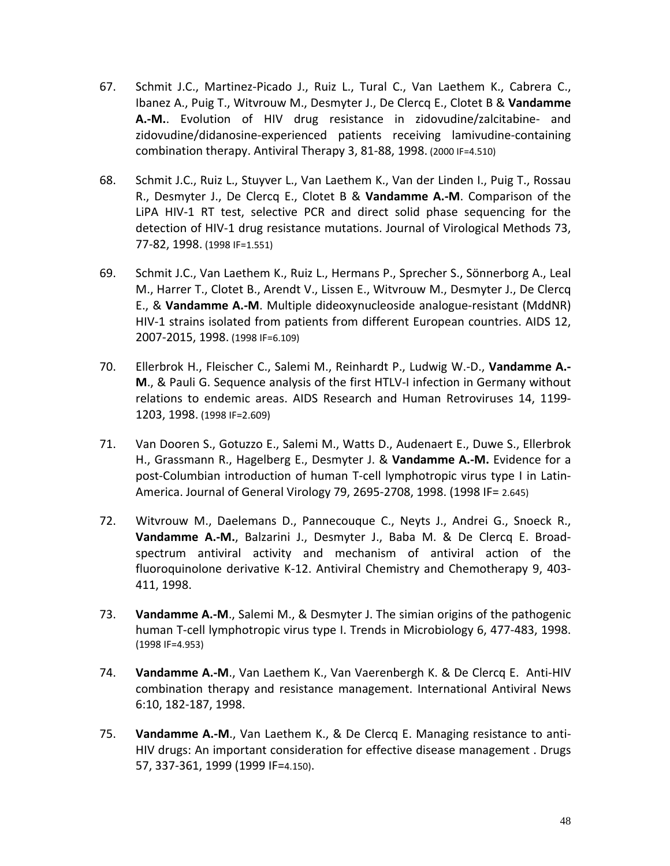- 67. Schmit J.C., Martinez-Picado J., Ruiz L., Tural C., Van Laethem K., Cabrera C., Ibanez A., Puig T., Witvrouw M., Desmyter J., De Clercq E., Clotet B & **Vandamme A.-M.**. Evolution of HIV drug resistance in zidovudine/zalcitabine- and zidovudine/didanosine-experienced patients receiving lamivudine-containing combination therapy. Antiviral Therapy 3, 81-88, 1998. (2000 IF=4.510)
- 68. Schmit J.C., Ruiz L., Stuyver L., Van Laethem K., Van der Linden I., Puig T., Rossau R., Desmyter J., De Clercq E., Clotet B & **Vandamme A.-M**. Comparison of the LiPA HIV-1 RT test, selective PCR and direct solid phase sequencing for the detection of HIV-1 drug resistance mutations. Journal of Virological Methods 73, 77-82, 1998. (1998 IF=1.551)
- 69. Schmit J.C., Van Laethem K., Ruiz L., Hermans P., Sprecher S., Sönnerborg A., Leal M., Harrer T., Clotet B., Arendt V., Lissen E., Witvrouw M., Desmyter J., De Clercq E., & **Vandamme A.-M**. Multiple dideoxynucleoside analogue-resistant (MddNR) HIV-1 strains isolated from patients from different European countries. AIDS 12, 2007-2015, 1998. (1998 IF=6.109)
- 70. Ellerbrok H., Fleischer C., Salemi M., Reinhardt P., Ludwig W.-D., **Vandamme A.- M**., & Pauli G. Sequence analysis of the first HTLV-I infection in Germany without relations to endemic areas. AIDS Research and Human Retroviruses 14, 1199- 1203, 1998. (1998 IF=2.609)
- 71. Van Dooren S., Gotuzzo E., Salemi M., Watts D., Audenaert E., Duwe S., Ellerbrok H., Grassmann R., Hagelberg E., Desmyter J. & **Vandamme A.-M.** Evidence for a post-Columbian introduction of human T-cell lymphotropic virus type I in Latin-America. Journal of General Virology 79, 2695-2708, 1998. (1998 IF= 2.645)
- 72. Witvrouw M., Daelemans D., Pannecouque C., Neyts J., Andrei G., Snoeck R., **Vandamme A.-M.**, Balzarini J., Desmyter J., Baba M. & De Clercq E. Broadspectrum antiviral activity and mechanism of antiviral action of the fluoroquinolone derivative K-12. Antiviral Chemistry and Chemotherapy 9, 403- 411, 1998.
- 73. **Vandamme A.-M**., Salemi M., & Desmyter J. The simian origins of the pathogenic human T-cell lymphotropic virus type I. Trends in Microbiology 6, 477-483, 1998. (1998 IF=4.953)
- 74. **Vandamme A.-M**., Van Laethem K., Van Vaerenbergh K. & De Clercq E. Anti-HIV combination therapy and resistance management. International Antiviral News 6:10, 182-187, 1998.
- 75. **Vandamme A.-M**., Van Laethem K., & De Clercq E. Managing resistance to anti-HIV drugs: An important consideration for effective disease management . Drugs 57, 337-361, 1999 (1999 IF=4.150).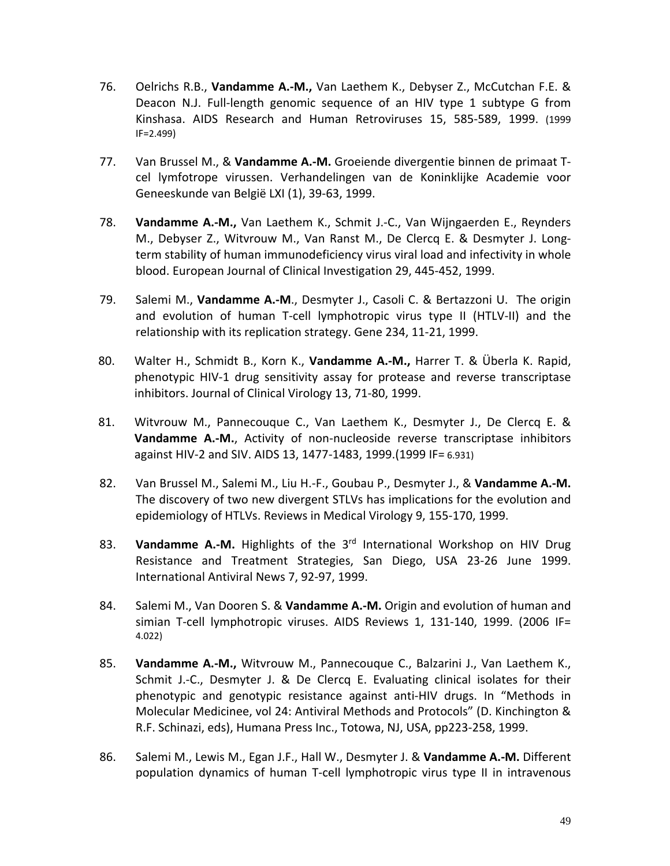- 76. Oelrichs R.B., **Vandamme A.-M.,** Van Laethem K., Debyser Z., McCutchan F.E. & Deacon N.J. Full-length genomic sequence of an HIV type 1 subtype G from Kinshasa. AIDS Research and Human Retroviruses 15, 585-589, 1999. (1999 IF=2.499)
- 77. Van Brussel M., & **Vandamme A.-M.** Groeiende divergentie binnen de primaat Tcel lymfotrope virussen. Verhandelingen van de Koninklijke Academie voor Geneeskunde van België LXI (1), 39-63, 1999.
- 78. **Vandamme A.-M.,** Van Laethem K., Schmit J.-C., Van Wijngaerden E., Reynders M., Debyser Z., Witvrouw M., Van Ranst M., De Clercq E. & Desmyter J. Longterm stability of human immunodeficiency virus viral load and infectivity in whole blood. European Journal of Clinical Investigation 29, 445-452, 1999.
- 79. Salemi M., **Vandamme A.-M**., Desmyter J., Casoli C. & Bertazzoni U. The origin and evolution of human T-cell lymphotropic virus type II (HTLV-II) and the relationship with its replication strategy. Gene 234, 11-21, 1999.
- 80. Walter H., Schmidt B., Korn K., **Vandamme A.-M.,** Harrer T. & Überla K. Rapid, phenotypic HIV-1 drug sensitivity assay for protease and reverse transcriptase inhibitors. Journal of Clinical Virology 13, 71-80, 1999.
- 81. Witvrouw M., Pannecouque C., Van Laethem K., Desmyter J., De Clercq E. & **Vandamme A.-M.**, Activity of non-nucleoside reverse transcriptase inhibitors against HIV-2 and SIV. AIDS 13, 1477-1483, 1999.(1999 IF= 6.931)
- 82. Van Brussel M., Salemi M., Liu H.-F., Goubau P., Desmyter J., & **Vandamme A.-M.** The discovery of two new divergent STLVs has implications for the evolution and epidemiology of HTLVs. Reviews in Medical Virology 9, 155-170, 1999.
- 83. **Vandamme A.-M.** Highlights of the 3rd International Workshop on HIV Drug Resistance and Treatment Strategies, San Diego, USA 23-26 June 1999. International Antiviral News 7, 92-97, 1999.
- 84. Salemi M., Van Dooren S. & **Vandamme A.-M.** Origin and evolution of human and simian T-cell lymphotropic viruses. AIDS Reviews 1, 131-140, 1999. (2006 IF= 4.022)
- 85. **Vandamme A.-M.,** Witvrouw M., Pannecouque C., Balzarini J., Van Laethem K., Schmit J.-C., Desmyter J. & De Clercq E. Evaluating clinical isolates for their phenotypic and genotypic resistance against anti-HIV drugs. In "Methods in Molecular Medicinee, vol 24: Antiviral Methods and Protocols" (D. Kinchington & R.F. Schinazi, eds), Humana Press Inc., Totowa, NJ, USA, pp223-258, 1999.
- 86. Salemi M., Lewis M., Egan J.F., Hall W., Desmyter J. & **Vandamme A.-M.** Different population dynamics of human T-cell lymphotropic virus type II in intravenous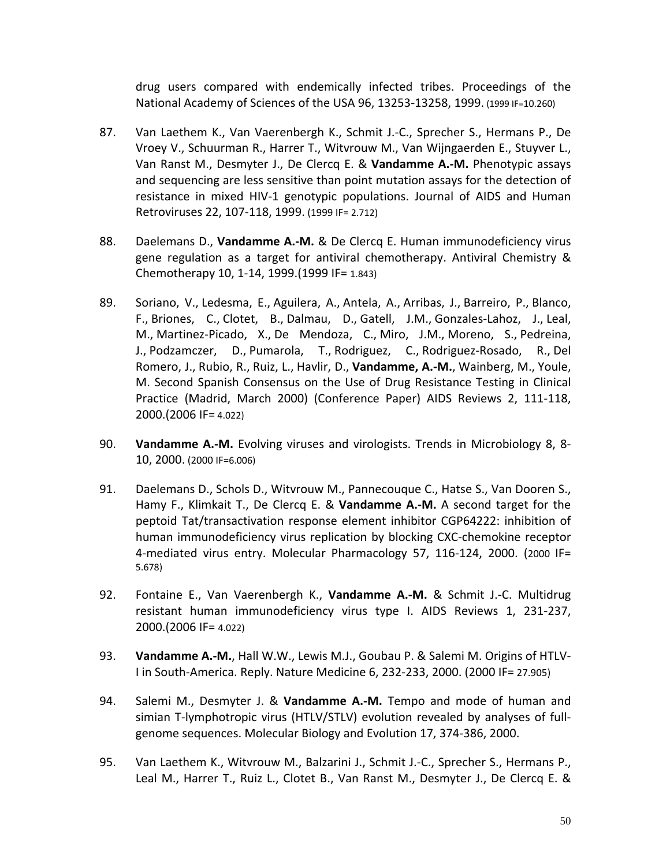drug users compared with endemically infected tribes. Proceedings of the National Academy of Sciences of the USA 96, 13253-13258, 1999. (1999 IF=10.260)

- 87. Van Laethem K., Van Vaerenbergh K., Schmit J.-C., Sprecher S., Hermans P., De Vroey V., Schuurman R., Harrer T., Witvrouw M., Van Wijngaerden E., Stuyver L., Van Ranst M., Desmyter J., De Clercq E. & **Vandamme A.-M.** Phenotypic assays and sequencing are less sensitive than point mutation assays for the detection of resistance in mixed HIV-1 genotypic populations. Journal of AIDS and Human Retroviruses 22, 107-118, 1999. (1999 IF= 2.712)
- 88. Daelemans D., **Vandamme A.-M.** & De Clercq E. Human immunodeficiency virus gene regulation as a target for antiviral chemotherapy. Antiviral Chemistry & Chemotherapy 10, 1-14, 1999.(1999 IF= 1.843)
- 89. [Soriano, V.,](http://www.scopus.com/authid/detail.url?authorId=7201761180&eid=2-s2.0-0033944151) [Ledesma, E.,](http://www.scopus.com/authid/detail.url?authorId=21335048700&eid=2-s2.0-0033944151) [Aguilera, A.,](http://www.scopus.com/authid/detail.url?authorId=7102144868&eid=2-s2.0-0033944151) [Antela, A.,](http://www.scopus.com/authid/detail.url?authorId=56255930600&eid=2-s2.0-0033944151) [Arribas, J.,](http://www.scopus.com/authid/detail.url?authorId=24821482800&eid=2-s2.0-0033944151) [Barreiro, P.,](http://www.scopus.com/authid/detail.url?authorId=7004761120&eid=2-s2.0-0033944151) [Blanco,](http://www.scopus.com/authid/detail.url?authorId=24537097800&eid=2-s2.0-0033944151)  [F.,](http://www.scopus.com/authid/detail.url?authorId=24537097800&eid=2-s2.0-0033944151) [Briones, C.,](http://www.scopus.com/authid/detail.url?authorId=6701780070&eid=2-s2.0-0033944151) [Clotet, B.,](http://www.scopus.com/authid/detail.url?authorId=7102349252&eid=2-s2.0-0033944151) [Dalmau, D.,](http://www.scopus.com/authid/detail.url?authorId=6603731653&eid=2-s2.0-0033944151) [Gatell,](http://www.scopus.com/authid/detail.url?authorId=19834919200&eid=2-s2.0-0033944151) J.M., [Gonzales-Lahoz, J.,](http://www.scopus.com/authid/detail.url?authorId=6506798903&eid=2-s2.0-0033944151) [Leal,](http://www.scopus.com/authid/detail.url?authorId=7101675291&eid=2-s2.0-0033944151)  [M.,](http://www.scopus.com/authid/detail.url?authorId=7101675291&eid=2-s2.0-0033944151) [Martinez-Picado, X.,](http://www.scopus.com/authid/detail.url?authorId=36123506100&eid=2-s2.0-0033944151) [De Mendoza, C.,](http://www.scopus.com/authid/detail.url?authorId=7004253377&eid=2-s2.0-0033944151) [Miro, J.M.,](http://www.scopus.com/authid/detail.url?authorId=35119309800&eid=2-s2.0-0033944151) [Moreno, S.,](http://www.scopus.com/authid/detail.url?authorId=7203036595&eid=2-s2.0-0033944151) [Pedreina,](http://www.scopus.com/authid/detail.url?authorId=36123733900&eid=2-s2.0-0033944151)  [J.,](http://www.scopus.com/authid/detail.url?authorId=36123733900&eid=2-s2.0-0033944151) [Podzamczer, D.,](http://www.scopus.com/authid/detail.url?authorId=7007031677&eid=2-s2.0-0033944151) [Pumarola, T.,](http://www.scopus.com/authid/detail.url?authorId=7003647481&eid=2-s2.0-0033944151) [Rodriguez, C.,](http://www.scopus.com/authid/detail.url?authorId=7401788193&eid=2-s2.0-0033944151) [Rodriguez-Rosado, R.,](http://www.scopus.com/authid/detail.url?authorId=6701706046&eid=2-s2.0-0033944151) [Del](http://www.scopus.com/authid/detail.url?authorId=7003917199&eid=2-s2.0-0033944151)  [Romero, J.,](http://www.scopus.com/authid/detail.url?authorId=7003917199&eid=2-s2.0-0033944151) [Rubio, R.,](http://www.scopus.com/authid/detail.url?authorId=35360713800&eid=2-s2.0-0033944151) [Ruiz, L.,](http://www.scopus.com/authid/detail.url?authorId=7103184450&eid=2-s2.0-0033944151) [Havlir, D.,](http://www.scopus.com/authid/detail.url?authorId=7005743302&eid=2-s2.0-0033944151) **[Vandamme, A.-M.](http://www.scopus.com/authid/detail.url?authorId=35380737400&eid=2-s2.0-0033944151)**, [Wainberg, M.,](http://www.scopus.com/authid/detail.url?authorId=35429954000&eid=2-s2.0-0033944151) [Youle,](http://www.scopus.com/authid/detail.url?authorId=7006018199&eid=2-s2.0-0033944151)  [M.](http://www.scopus.com/authid/detail.url?authorId=7006018199&eid=2-s2.0-0033944151) Second Spanish Consensus on the Use of Drug Resistance Testing in Clinical Practice (Madrid, March 2000) (Conference Paper) AIDS Reviews 2, 111-118, 2000.(2006 IF= 4.022)
- 90. **Vandamme A.-M.** Evolving viruses and virologists. Trends in Microbiology 8, 8- 10, 2000. (2000 IF=6.006)
- 91. Daelemans D., Schols D., Witvrouw M., Pannecouque C., Hatse S., Van Dooren S., Hamy F., Klimkait T., De Clercq E. & **Vandamme A.-M.** A second target for the peptoid Tat/transactivation response element inhibitor CGP64222: inhibition of human immunodeficiency virus replication by blocking CXC-chemokine receptor 4-mediated virus entry. Molecular Pharmacology 57, 116-124, 2000. (2000 IF= 5.678)
- 92. Fontaine E., Van Vaerenbergh K., **Vandamme A.-M.** & Schmit J.-C. Multidrug resistant human immunodeficiency virus type I. AIDS Reviews 1, 231-237, 2000.(2006 IF= 4.022)
- 93. **Vandamme A.-M.**, Hall W.W., Lewis M.J., Goubau P. & Salemi M. Origins of HTLV-I in South-America. Reply. Nature Medicine 6, 232-233, 2000. (2000 IF= 27.905)
- 94. Salemi M., Desmyter J. & **Vandamme A.-M.** Tempo and mode of human and simian T-lymphotropic virus (HTLV/STLV) evolution revealed by analyses of fullgenome sequences. Molecular Biology and Evolution 17, 374-386, 2000.
- 95. Van Laethem K., Witvrouw M., Balzarini J., Schmit J.-C., Sprecher S., Hermans P., Leal M., Harrer T., Ruiz L., Clotet B., Van Ranst M., Desmyter J., De Clercq E. &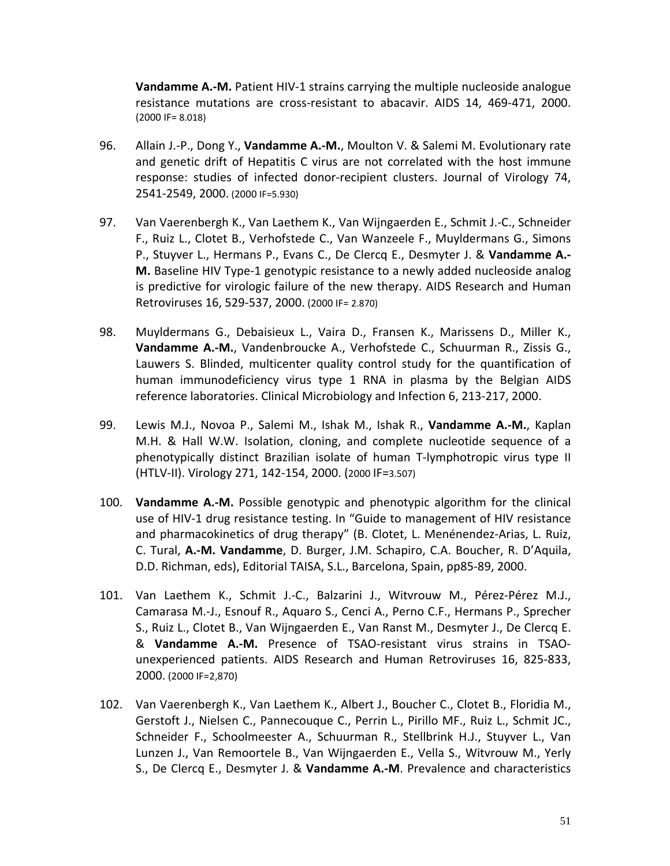**Vandamme A.-M.** Patient HIV-1 strains carrying the multiple nucleoside analogue resistance mutations are cross-resistant to abacavir. AIDS 14, 469-471, 2000. (2000 IF= 8.018)

- 96. Allain J.-P., Dong Y., **Vandamme A.-M.**, Moulton V. & Salemi M. Evolutionary rate and genetic drift of Hepatitis C virus are not correlated with the host immune response: studies of infected donor-recipient clusters. Journal of Virology 74, 2541-2549, 2000. (2000 IF=5.930)
- 97. Van Vaerenbergh K., Van Laethem K., Van Wijngaerden E., Schmit J.-C., Schneider F., Ruiz L., Clotet B., Verhofstede C., Van Wanzeele F., Muyldermans G., Simons P., Stuyver L., Hermans P., Evans C., De Clercq E., Desmyter J. & **Vandamme A.- M.** Baseline HIV Type-1 genotypic resistance to a newly added nucleoside analog is predictive for virologic failure of the new therapy. AIDS Research and Human Retroviruses 16, 529-537, 2000. (2000 IF= 2.870)
- 98. Muyldermans G., Debaisieux L., Vaira D., Fransen K., Marissens D., Miller K., **Vandamme A.-M.**, Vandenbroucke A., Verhofstede C., Schuurman R., Zissis G., Lauwers S. Blinded, multicenter quality control study for the quantification of human immunodeficiency virus type 1 RNA in plasma by the Belgian AIDS reference laboratories. Clinical Microbiology and Infection 6, 213-217, 2000.
- 99. Lewis M.J., Novoa P., Salemi M., Ishak M., Ishak R., **Vandamme A.-M.**, Kaplan M.H. & Hall W.W. Isolation, cloning, and complete nucleotide sequence of a phenotypically distinct Brazilian isolate of human T-lymphotropic virus type II (HTLV-II). Virology 271, 142-154, 2000. (2000 IF=3.507)
- 100. **Vandamme A.-M.** Possible genotypic and phenotypic algorithm for the clinical use of HIV-1 drug resistance testing. In "Guide to management of HIV resistance and pharmacokinetics of drug therapy" (B. Clotet, L. Menénendez-Arias, L. Ruiz, C. Tural, **A.-M. Vandamme**, D. Burger, J.M. Schapiro, C.A. Boucher, R. D'Aquila, D.D. Richman, eds), Editorial TAISA, S.L., Barcelona, Spain, pp85-89, 2000.
- 101. Van Laethem K., Schmit J.-C., Balzarini J., Witvrouw M., Pérez-Pérez M.J., Camarasa M.-J., Esnouf R., Aquaro S., Cenci A., Perno C.F., Hermans P., Sprecher S., Ruiz L., Clotet B., Van Wijngaerden E., Van Ranst M., Desmyter J., De Clercq E. & **Vandamme A.-M.** Presence of TSAO-resistant virus strains in TSAOunexperienced patients. AIDS Research and Human Retroviruses 16, 825-833, 2000. (2000 IF=2,870)
- 102. Van Vaerenbergh K., Van Laethem K., Albert J., Boucher C., Clotet B., Floridia M., Gerstoft J., Nielsen C., Pannecouque C., Perrin L., Pirillo MF., Ruiz L., Schmit JC., Schneider F., Schoolmeester A., Schuurman R., Stellbrink H.J., Stuyver L., Van Lunzen J., Van Remoortele B., Van Wijngaerden E., Vella S., Witvrouw M., Yerly S., De Clercq E., Desmyter J. & **Vandamme A.-M**. Prevalence and characteristics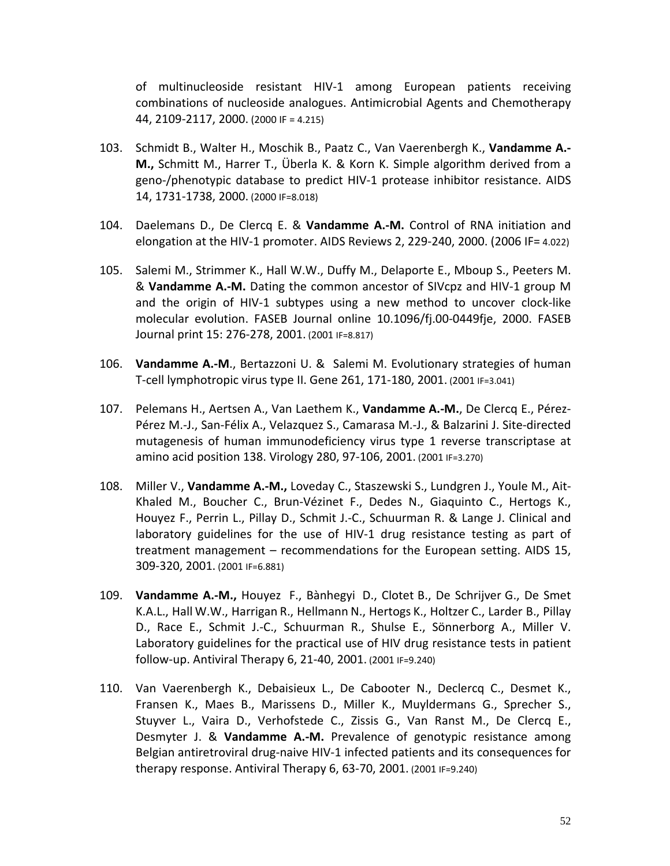of multinucleoside resistant HIV-1 among European patients receiving combinations of nucleoside analogues. Antimicrobial Agents and Chemotherapy 44, 2109-2117, 2000. (2000 IF = 4.215)

- 103. Schmidt B., Walter H., Moschik B., Paatz C., Van Vaerenbergh K., **Vandamme A.- M.,** Schmitt M., Harrer T., Überla K. & Korn K. Simple algorithm derived from a geno-/phenotypic database to predict HIV-1 protease inhibitor resistance. AIDS 14, 1731-1738, 2000. (2000 IF=8.018)
- 104. Daelemans D., De Clercq E. & **Vandamme A.-M.** Control of RNA initiation and elongation at the HIV-1 promoter. AIDS Reviews 2, 229-240, 2000. (2006 IF= 4.022)
- 105. Salemi M., Strimmer K., Hall W.W., Duffy M., Delaporte E., Mboup S., Peeters M. & **Vandamme A.-M.** Dating the common ancestor of SIVcpz and HIV-1 group M and the origin of HIV-1 subtypes using a new method to uncover clock-like molecular evolution. FASEB Journal online 10.1096/fj.00-0449fje, 2000. FASEB Journal print 15: 276-278, 2001. (2001 IF=8.817)
- 106. **Vandamme A.-M**., Bertazzoni U. & Salemi M. Evolutionary strategies of human T-cell lymphotropic virus type II. Gene 261, 171-180, 2001. (2001 IF=3.041)
- 107. Pelemans H., Aertsen A., Van Laethem K., **Vandamme A.-M.**, De Clercq E., Pérez-Pérez M.-J., San-Félix A., Velazquez S., Camarasa M.-J., & Balzarini J. Site-directed mutagenesis of human immunodeficiency virus type 1 reverse transcriptase at amino acid position 138. Virology 280, 97-106, 2001. (2001 IF=3.270)
- 108. Miller V., **Vandamme A.-M.,** Loveday C., Staszewski S., Lundgren J., Youle M., Ait-Khaled M., Boucher C., Brun-Vézinet F., Dedes N., Giaquinto C., Hertogs K., Houyez F., Perrin L., Pillay D., Schmit J.-C., Schuurman R. & Lange J. Clinical and laboratory guidelines for the use of HIV-1 drug resistance testing as part of treatment management – recommendations for the European setting. AIDS 15, 309-320, 2001. (2001 IF=6.881)
- 109. **Vandamme A.-M.,** Houyez F., Bànhegyi D., Clotet B., De Schrijver G., De Smet K.A.L., Hall W.W., Harrigan R., Hellmann N., Hertogs K., Holtzer C., Larder B., Pillay D., Race E., Schmit J.-C., Schuurman R., Shulse E., Sönnerborg A., Miller V. Laboratory guidelines for the practical use of HIV drug resistance tests in patient follow-up. Antiviral Therapy 6, 21-40, 2001. (2001 IF=9.240)
- 110. Van Vaerenbergh K., Debaisieux L., De Cabooter N., Declercq C., Desmet K., Fransen K., Maes B., Marissens D., Miller K., Muyldermans G., Sprecher S., Stuyver L., Vaira D., Verhofstede C., Zissis G., Van Ranst M., De Clercq E., Desmyter J. & **Vandamme A.-M.** Prevalence of genotypic resistance among Belgian antiretroviral drug-naive HIV-1 infected patients and its consequences for therapy response. Antiviral Therapy 6, 63-70, 2001. (2001 IF=9.240)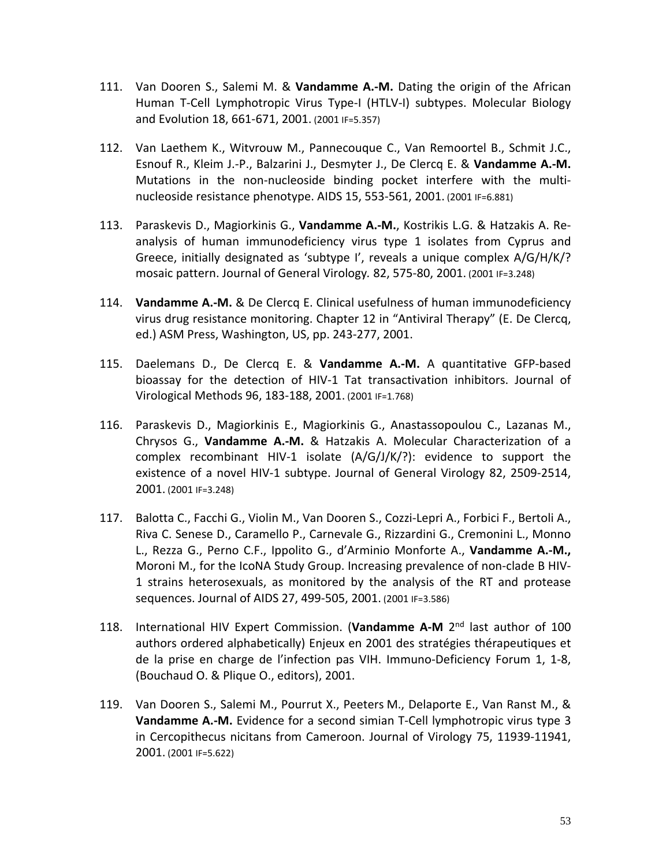- 111. Van Dooren S., Salemi M. & **Vandamme A.-M.** Dating the origin of the African Human T-Cell Lymphotropic Virus Type-I (HTLV-I) subtypes. Molecular Biology and Evolution 18, 661-671, 2001. (2001 IF=5.357)
- 112. Van Laethem K., Witvrouw M., Pannecouque C., Van Remoortel B., Schmit J.C., Esnouf R., Kleim J.-P., Balzarini J., Desmyter J., De Clercq E. & **Vandamme A.-M.** Mutations in the non-nucleoside binding pocket interfere with the multinucleoside resistance phenotype. AIDS 15, 553-561, 2001. (2001 IF=6.881)
- 113. Paraskevis D., Magiorkinis G., **Vandamme A.-M.**, Kostrikis L.G. & Hatzakis A. Reanalysis of human immunodeficiency virus type 1 isolates from Cyprus and Greece, initially designated as 'subtype I', reveals a unique complex A/G/H/K/? mosaic pattern. Journal of General Virology*.* 82, 575-80, 2001. (2001 IF=3.248)
- 114. **Vandamme A.-M.** & De Clercq E. Clinical usefulness of human immunodeficiency virus drug resistance monitoring. Chapter 12 in "Antiviral Therapy" (E. De Clercq, ed.) ASM Press, Washington, US, pp. 243-277, 2001.
- 115. Daelemans D., De Clercq E. & **Vandamme A.-M.** A quantitative GFP-based bioassay for the detection of HIV-1 Tat transactivation inhibitors. Journal of Virological Methods 96, 183-188, 2001. (2001 IF=1.768)
- 116. Paraskevis D., Magiorkinis E., Magiorkinis G., Anastassopoulou C., Lazanas M., Chrysos G., **Vandamme A.-M.** & Hatzakis A. Molecular Characterization of a complex recombinant HIV-1 isolate (A/G/J/K/?): evidence to support the existence of a novel HIV-1 subtype. Journal of General Virology 82, 2509-2514, 2001. (2001 IF=3.248)
- 117. Balotta C., Facchi G., Violin M., Van Dooren S., Cozzi-Lepri A., Forbici F., Bertoli A., Riva C. Senese D., Caramello P., Carnevale G., Rizzardini G., Cremonini L., Monno L., Rezza G., Perno C.F., Ippolito G., d'Arminio Monforte A., **Vandamme A.-M.,** Moroni M., for the IcoNA Study Group. Increasing prevalence of non-clade B HIV-1 strains heterosexuals, as monitored by the analysis of the RT and protease sequences. Journal of AIDS 27, 499-505, 2001. (2001 IF=3.586)
- 118. International HIV Expert Commission. (**Vandamme A-M** 2nd last author of 100 authors ordered alphabetically) Enjeux en 2001 des stratégies thérapeutiques et de la prise en charge de l'infection pas VIH. Immuno-Deficiency Forum 1, 1-8, (Bouchaud O. & Plique O., editors), 2001.
- 119. Van Dooren S., Salemi M., Pourrut X., Peeters M., Delaporte E., Van Ranst M., & **Vandamme A.-M.** Evidence for a second simian T-Cell lymphotropic virus type 3 in Cercopithecus nicitans from Cameroon. Journal of Virology 75, 11939-11941, 2001. (2001 IF=5.622)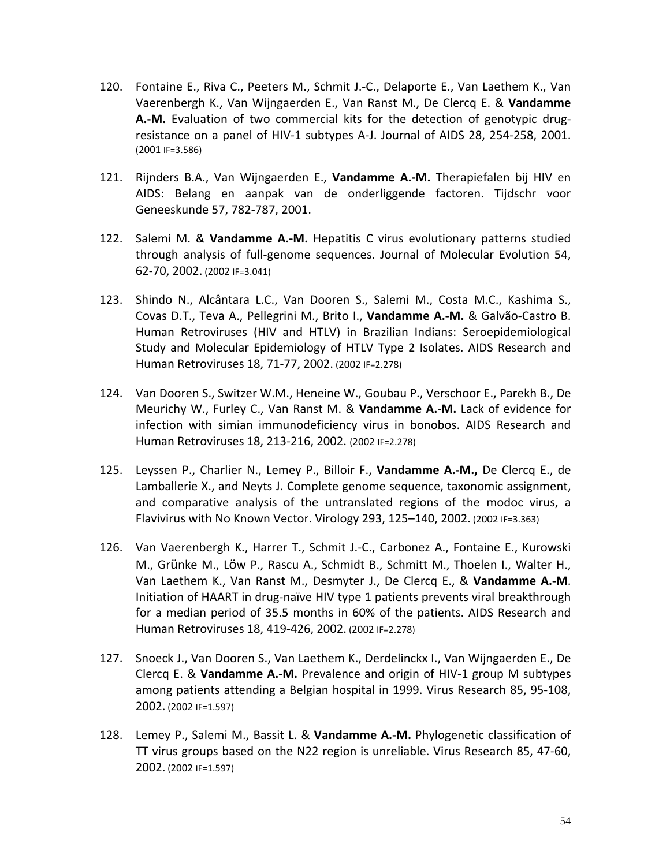- 120. Fontaine E., Riva C., Peeters M., Schmit J.-C., Delaporte E., Van Laethem K., Van Vaerenbergh K., Van Wijngaerden E., Van Ranst M., De Clercq E. & **Vandamme A.-M.** Evaluation of two commercial kits for the detection of genotypic drugresistance on a panel of HIV-1 subtypes A-J. Journal of AIDS 28, 254-258, 2001. (2001 IF=3.586)
- 121. Rijnders B.A., Van Wijngaerden E., **Vandamme A.-M.** Therapiefalen bij HIV en AIDS: Belang en aanpak van de onderliggende factoren. Tijdschr voor Geneeskunde 57, 782-787, 2001.
- 122. Salemi M. & **Vandamme A.-M.** Hepatitis C virus evolutionary patterns studied through analysis of full-genome sequences. Journal of Molecular Evolution 54, 62-70, 2002. (2002 IF=3.041)
- 123. Shindo N., Alcântara L.C., Van Dooren S., Salemi M., Costa M.C., Kashima S., Covas D.T., Teva A., Pellegrini M., Brito I., **Vandamme A.-M.** & Galvão-Castro B. Human Retroviruses (HIV and HTLV) in Brazilian Indians: Seroepidemiological Study and Molecular Epidemiology of HTLV Type 2 Isolates. AIDS Research and Human Retroviruses 18, 71-77, 2002. (2002 IF=2.278)
- 124. Van Dooren S., Switzer W.M., Heneine W., Goubau P., Verschoor E., Parekh B., De Meurichy W., Furley C., Van Ranst M. & **Vandamme A.-M.** Lack of evidence for infection with simian immunodeficiency virus in bonobos. AIDS Research and Human Retroviruses 18, 213-216, 2002. (2002 IF=2.278)
- 125. Leyssen P., Charlier N., Lemey P., Billoir F., **Vandamme A.-M.,** De Clercq E., de Lamballerie X., and Neyts J. Complete genome sequence, taxonomic assignment, and comparative analysis of the untranslated regions of the modoc virus, a Flavivirus with No Known Vector. Virology 293, 125–140, 2002. (2002 IF=3.363)
- 126. Van Vaerenbergh K., Harrer T., Schmit J.-C., Carbonez A., Fontaine E., Kurowski M., Grünke M., Löw P., Rascu A., Schmidt B., Schmitt M., Thoelen I., Walter H., Van Laethem K., Van Ranst M., Desmyter J., De Clercq E., & **Vandamme A.-M**. Initiation of HAART in drug-naïve HIV type 1 patients prevents viral breakthrough for a median period of 35.5 months in 60% of the patients. AIDS Research and Human Retroviruses 18, 419-426, 2002. (2002 IF=2.278)
- 127. Snoeck J., Van Dooren S., Van Laethem K., Derdelinckx I., Van Wijngaerden E., De Clercq E. & **Vandamme A.-M.** Prevalence and origin of HIV-1 group M subtypes among patients attending a Belgian hospital in 1999. Virus Research 85, 95-108, 2002. (2002 IF=1.597)
- 128. Lemey P., Salemi M., Bassit L. & **Vandamme A.-M.** Phylogenetic classification of TT virus groups based on the N22 region is unreliable. Virus Research 85, 47-60, 2002. (2002 IF=1.597)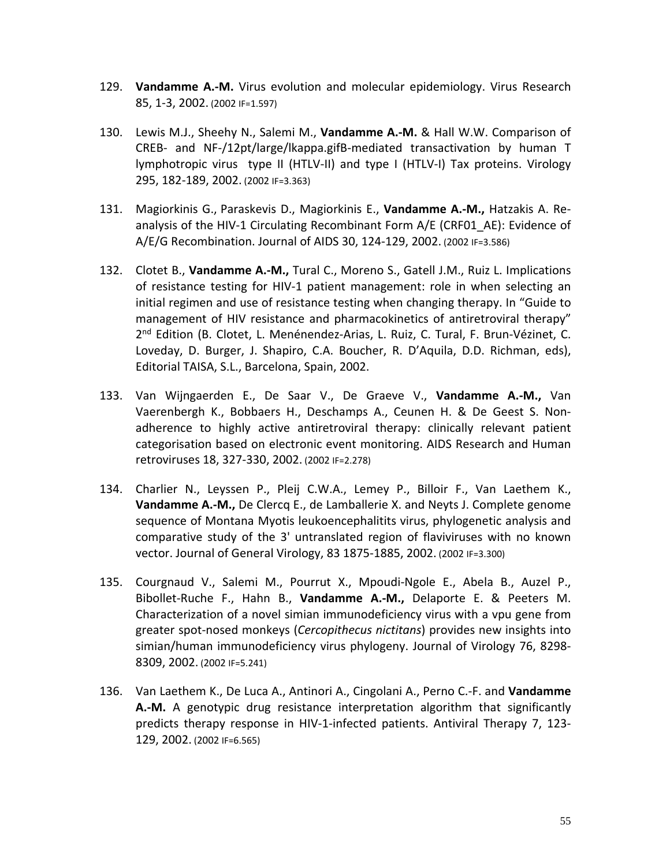- 129. **Vandamme A.-M.** Virus evolution and molecular epidemiology. Virus Research 85, 1-3, 2002. (2002 IF=1.597)
- 130. Lewis M.J., Sheehy N., Salemi M., **Vandamme A.-M.** & Hall W.W. Comparison of CREB- and NF-/12pt/large/lkappa.gifB-mediated transactivation by human T lymphotropic virus type II (HTLV-II) and type I (HTLV-I) Tax proteins. Virology 295, 182-189, 2002. (2002 IF=3.363)
- 131. Magiorkinis G., Paraskevis D., Magiorkinis E., **Vandamme A.-M.,** Hatzakis A. Reanalysis of the HIV-1 Circulating Recombinant Form A/E (CRF01\_AE): Evidence of A/E/G Recombination. Journal of AIDS 30, 124-129, 2002. (2002 IF=3.586)
- 132. Clotet B., **Vandamme A.-M.,** Tural C., Moreno S., Gatell J.M., Ruiz L. Implications of resistance testing for HIV-1 patient management: role in when selecting an initial regimen and use of resistance testing when changing therapy. In "Guide to management of HIV resistance and pharmacokinetics of antiretroviral therapy" 2<sup>nd</sup> Edition (B. Clotet, L. Menénendez-Arias, L. Ruiz, C. Tural, F. Brun-Vézinet, C. Loveday, D. Burger, J. Shapiro, C.A. Boucher, R. D'Aquila, D.D. Richman, eds), Editorial TAISA, S.L., Barcelona, Spain, 2002.
- 133. Van Wijngaerden E., De Saar V., De Graeve V., **Vandamme A.-M.,** Van Vaerenbergh K., Bobbaers H., Deschamps A., Ceunen H. & De Geest S. Nonadherence to highly active antiretroviral therapy: clinically relevant patient categorisation based on electronic event monitoring. AIDS Research and Human retroviruses 18, 327-330, 2002. (2002 IF=2.278)
- 134. Charlier N., Leyssen P., Pleij C.W.A., Lemey P., Billoir F., Van Laethem K., **Vandamme A.-M.,** De Clercq E., de Lamballerie X. and Neyts J. Complete genome sequence of Montana Myotis leukoencephalitits virus, phylogenetic analysis and comparative study of the 3' untranslated region of flaviviruses with no known vector. Journal of General Virology, 83 1875-1885, 2002. (2002 IF=3.300)
- 135. Courgnaud V., Salemi M., Pourrut X., Mpoudi-Ngole E., Abela B., Auzel P., Bibollet-Ruche F., Hahn B., **Vandamme A.-M.,** Delaporte E. & Peeters M. Characterization of a novel simian immunodeficiency virus with a vpu gene from greater spot-nosed monkeys (*Cercopithecus nictitans*) provides new insights into simian/human immunodeficiency virus phylogeny. Journal of Virology 76, 8298- 8309, 2002. (2002 IF=5.241)
- 136. Van Laethem K., De Luca A., Antinori A., Cingolani A., Perno C.-F. and **Vandamme A.-M.** A genotypic drug resistance interpretation algorithm that significantly predicts therapy response in HIV-1-infected patients. Antiviral Therapy 7, 123- 129, 2002. (2002 IF=6.565)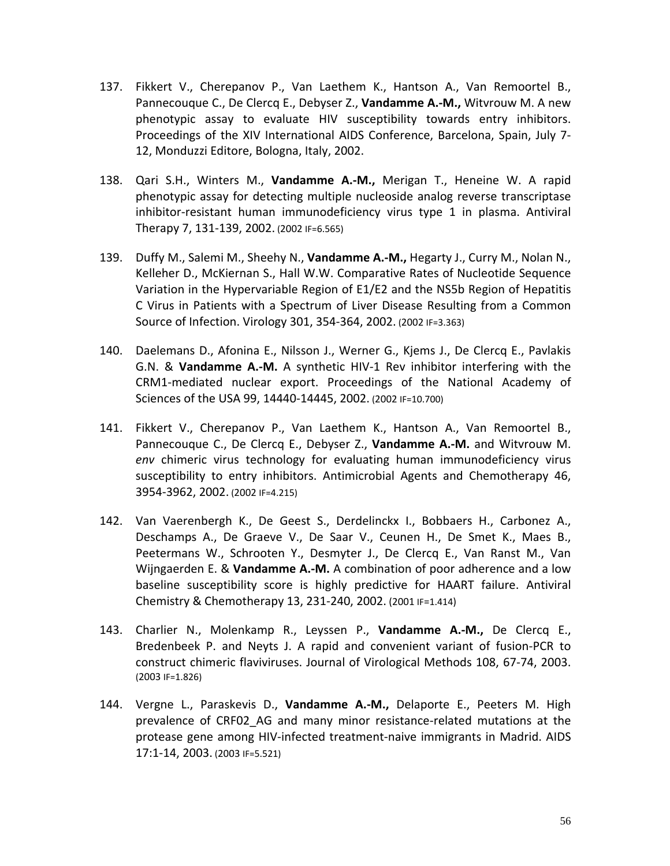- 137. Fikkert V., Cherepanov P., Van Laethem K., Hantson A., Van Remoortel B., Pannecouque C., De Clercq E., Debyser Z., **Vandamme A.-M.,** Witvrouw M. A new phenotypic assay to evaluate HIV susceptibility towards entry inhibitors. Proceedings of the XIV International AIDS Conference, Barcelona, Spain, July 7- 12, Monduzzi Editore, Bologna, Italy, 2002.
- 138. Qari S.H., Winters M., **Vandamme A.-M.,** Merigan T., Heneine W. A rapid phenotypic assay for detecting multiple nucleoside analog reverse transcriptase inhibitor-resistant human immunodeficiency virus type 1 in plasma. Antiviral Therapy 7, 131-139, 2002. (2002 IF=6.565)
- 139. Duffy M., Salemi M., Sheehy N., **Vandamme A.-M.,** Hegarty J., Curry M., Nolan N., Kelleher D., McKiernan S., Hall W.W. Comparative Rates of Nucleotide Sequence Variation in the Hypervariable Region of E1/E2 and the NS5b Region of Hepatitis C Virus in Patients with a Spectrum of Liver Disease Resulting from a Common Source of Infection. Virology 301, 354-364, 2002. (2002 IF=3.363)
- 140. Daelemans D., Afonina E., Nilsson J., Werner G., Kjems J., De Clercq E., Pavlakis G.N. & **Vandamme A.-M.** A synthetic HIV-1 Rev inhibitor interfering with the CRM1-mediated nuclear export. Proceedings of the National Academy of Sciences of the USA 99, 14440-14445, 2002. (2002 IF=10.700)
- 141. Fikkert V., Cherepanov P., Van Laethem K., Hantson A., Van Remoortel B., Pannecouque C., De Clercq E., Debyser Z., **Vandamme A.-M.** and Witvrouw M. *env* chimeric virus technology for evaluating human immunodeficiency virus susceptibility to entry inhibitors. Antimicrobial Agents and Chemotherapy 46, 3954-3962, 2002. (2002 IF=4.215)
- 142. Van Vaerenbergh K., De Geest S., Derdelinckx I., Bobbaers H., Carbonez A., Deschamps A., De Graeve V., De Saar V., Ceunen H., De Smet K., Maes B., Peetermans W., Schrooten Y., Desmyter J., De Clercq E., Van Ranst M., Van Wijngaerden E. & **Vandamme A.-M.** A combination of poor adherence and a low baseline susceptibility score is highly predictive for HAART failure. Antiviral Chemistry & Chemotherapy 13, 231-240, 2002. (2001 IF=1.414)
- 143. Charlier N., Molenkamp R., Leyssen P., **Vandamme A.-M.,** De Clercq E., Bredenbeek P. and Neyts J. A rapid and convenient variant of fusion-PCR to construct chimeric flaviviruses. Journal of Virological Methods 108, 67-74, 2003. (2003 IF=1.826)
- 144. Vergne L., Paraskevis D., **Vandamme A.-M.,** Delaporte E., Peeters M. High prevalence of CRF02\_AG and many minor resistance-related mutations at the protease gene among HIV-infected treatment-naive immigrants in Madrid. AIDS 17:1-14, 2003. (2003 IF=5.521)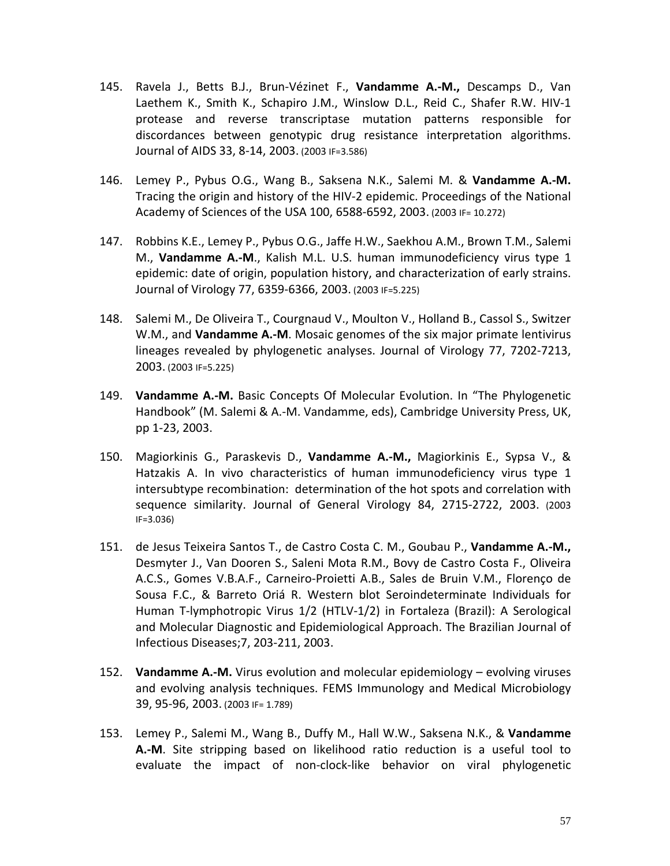- 145. Ravela J., Betts B.J., Brun-Vézinet F., **Vandamme A.-M.,** Descamps D., Van Laethem K., Smith K., Schapiro J.M., Winslow D.L., Reid C., Shafer R.W. HIV-1 protease and reverse transcriptase mutation patterns responsible for discordances between genotypic drug resistance interpretation algorithms. Journal of AIDS 33, 8-14, 2003. (2003 IF=3.586)
- 146. Lemey P., Pybus O.G., Wang B., Saksena N.K., Salemi M. & **Vandamme A.-M.** Tracing the origin and history of the HIV-2 epidemic. Proceedings of the National Academy of Sciences of the USA 100, 6588-6592, 2003. (2003 IF= 10.272)
- 147. Robbins K.E., Lemey P., Pybus O.G., Jaffe H.W., Saekhou A.M., Brown T.M., Salemi M., **Vandamme A.-M**., Kalish M.L. U.S. human immunodeficiency virus type 1 epidemic: date of origin, population history, and characterization of early strains. Journal of Virology 77, 6359-6366, 2003. (2003 IF=5.225)
- 148. Salemi M., De Oliveira T., Courgnaud V., Moulton V., Holland B., Cassol S., Switzer W.M., and **Vandamme A.-M**. Mosaic genomes of the six major primate lentivirus lineages revealed by phylogenetic analyses. Journal of Virology 77, 7202-7213, 2003. (2003 IF=5.225)
- 149. **Vandamme A.-M.** Basic Concepts Of Molecular Evolution. In "The Phylogenetic Handbook" (M. Salemi & A.-M. Vandamme, eds), Cambridge University Press, UK, pp 1-23, 2003.
- 150. Magiorkinis G., Paraskevis D., **Vandamme A.-M.,** Magiorkinis E., Sypsa V., & Hatzakis A. In vivo characteristics of human immunodeficiency virus type 1 intersubtype recombination: determination of the hot spots and correlation with sequence similarity. Journal of General Virology 84, 2715-2722, 2003. (2003 IF=3.036)
- 151. de Jesus Teixeira Santos T., de Castro Costa C. M., Goubau P., **Vandamme A.-M.,** Desmyter J., Van Dooren S., Saleni Mota R.M., Bovy de Castro Costa F., Oliveira A.C.S., Gomes V.B.A.F., Carneiro-Proietti A.B., Sales de Bruin V.M., Florenço de Sousa F.C., & Barreto Oriá R. Western blot Seroindeterminate Individuals for Human T-lymphotropic Virus 1/2 (HTLV-1/2) in Fortaleza (Brazil): A Serological and Molecular Diagnostic and Epidemiological Approach. The Brazilian Journal of Infectious Diseases;7, 203-211, 2003.
- 152. **Vandamme A.-M.** Virus evolution and molecular epidemiology evolving viruses and evolving analysis techniques. FEMS Immunology and Medical Microbiology 39, 95-96, 2003. (2003 IF= 1.789)
- 153. Lemey P., Salemi M., Wang B., Duffy M., Hall W.W., Saksena N.K., & **Vandamme A.-M**. Site stripping based on likelihood ratio reduction is a useful tool to evaluate the impact of non-clock-like behavior on viral phylogenetic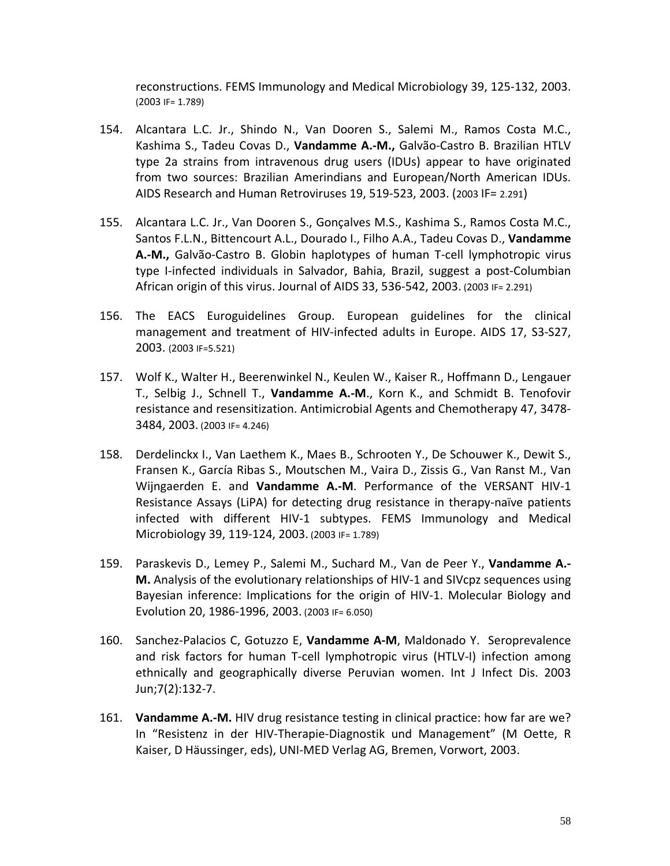reconstructions. FEMS Immunology and Medical Microbiology 39, 125-132, 2003. (2003 IF= 1.789)

- 154. Alcantara L.C. Jr., Shindo N., Van Dooren S., Salemi M., Ramos Costa M.C., Kashima S., Tadeu Covas D., **Vandamme A.-M.,** Galvão-Castro B. Brazilian HTLV type 2a strains from intravenous drug users (IDUs) appear to have originated from two sources: Brazilian Amerindians and European/North American IDUs. AIDS Research and Human Retroviruses 19, 519-523, 2003. (2003 IF= 2.291)
- 155. Alcantara L.C. Jr., Van Dooren S., Gonçalves M.S., Kashima S., Ramos Costa M.C., Santos F.L.N., Bittencourt A.L., Dourado I., Filho A.A., Tadeu Covas D., **Vandamme A.-M.,** Galvão-Castro B. Globin haplotypes of human T-cell lymphotropic virus type I-infected individuals in Salvador, Bahia, Brazil, suggest a post-Columbian African origin of this virus. Journal of AIDS 33, 536-542, 2003. (2003 IF= 2.291)
- 156. The EACS Euroguidelines Group. European guidelines for the clinical management and treatment of HIV-infected adults in Europe. AIDS 17, S3-S27, 2003. (2003 IF=5.521)
- 157. Wolf K., Walter H., Beerenwinkel N., Keulen W., Kaiser R., Hoffmann D., Lengauer T., Selbig J., Schnell T., **Vandamme A.-M**., Korn K., and Schmidt B. Tenofovir resistance and resensitization. Antimicrobial Agents and Chemotherapy 47, 3478- 3484, 2003. (2003 IF= 4.246)
- 158. Derdelinckx I., Van Laethem K., Maes B., Schrooten Y., De Schouwer K., Dewit S., Fransen K., García Ribas S., Moutschen M., Vaira D., Zissis G., Van Ranst M., Van Wijngaerden E. and **Vandamme A.-M**. Performance of the VERSANT HIV-1 Resistance Assays (LiPA) for detecting drug resistance in therapy-naïve patients infected with different HIV-1 subtypes. FEMS Immunology and Medical Microbiology 39, 119-124, 2003. (2003 IF= 1.789)
- 159. Paraskevis D., Lemey P., Salemi M., Suchard M., Van de Peer Y., **Vandamme A.- M.** Analysis of the evolutionary relationships of HIV-1 and SIVcpz sequences using Bayesian inference: Implications for the origin of HIV-1. Molecular Biology and Evolution 20, 1986-1996, 2003. (2003 IF= 6.050)
- 160. Sanchez-Palacios C, Gotuzzo E, **Vandamme A-M**, Maldonado Y. Seroprevalence and risk factors for human T-cell lymphotropic virus (HTLV-I) infection among ethnically and geographically diverse Peruvian women. Int J Infect Dis. 2003 Jun;7(2):132-7.
- 161. **Vandamme A.-M.** HIV drug resistance testing in clinical practice: how far are we? In "Resistenz in der HIV-Therapie-Diagnostik und Management" (M Oette, R Kaiser, D Häussinger, eds), UNI-MED Verlag AG, Bremen, Vorwort, 2003.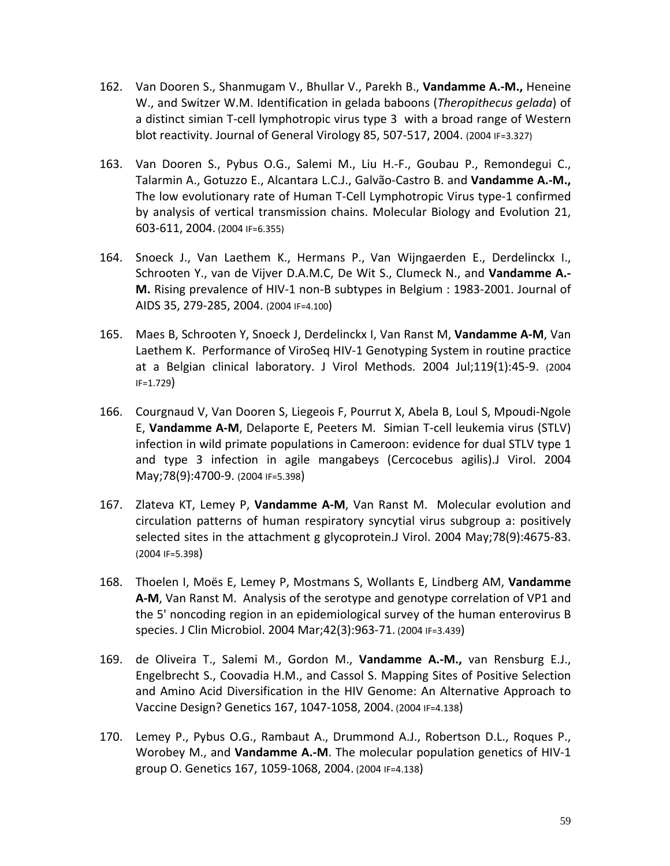- 162. Van Dooren S., Shanmugam V., Bhullar V., Parekh B., **Vandamme A.-M.,** Heneine W., and Switzer W.M. Identification in gelada baboons (*Theropithecus gelada*) of a distinct simian T-cell lymphotropic virus type 3 with a broad range of Western blot reactivity. Journal of General Virology 85, 507-517, 2004. (2004 IF=3.327)
- 163. Van Dooren S., Pybus O.G., Salemi M., Liu H.-F., Goubau P., Remondegui C., Talarmin A., Gotuzzo E., Alcantara L.C.J., Galvão-Castro B. and **Vandamme A.-M.,**  The low evolutionary rate of Human T-Cell Lymphotropic Virus type-1 confirmed by analysis of vertical transmission chains. Molecular Biology and Evolution 21, 603-611, 2004. (2004 IF=6.355)
- 164. Snoeck J., Van Laethem K., Hermans P., Van Wijngaerden E., Derdelinckx I., Schrooten Y., van de Vijver D.A.M.C, De Wit S., Clumeck N., and **Vandamme A.- M.** Rising prevalence of HIV-1 non-B subtypes in Belgium : 1983-2001. Journal of AIDS 35, 279-285, 2004. (2004 IF=4.100)
- 165. Maes B, Schrooten Y, Snoeck J, Derdelinckx I, Van Ranst M, **Vandamme A-M**, Van Laethem K. Performance of ViroSeq HIV-1 Genotyping System in routine practice at a Belgian clinical laboratory. J Virol Methods. 2004 Jul;119(1):45-9. (2004 IF=1.729)
- 166. Courgnaud V, Van Dooren S, Liegeois F, Pourrut X, Abela B, Loul S, Mpoudi-Ngole E, **Vandamme A-M**, Delaporte E, Peeters M. Simian T-cell leukemia virus (STLV) infection in wild primate populations in Cameroon: evidence for dual STLV type 1 and type 3 infection in agile mangabeys (Cercocebus agilis).J Virol. 2004 May;78(9):4700-9. (2004 IF=5.398)
- 167. Zlateva KT, Lemey P, **Vandamme A-M**, Van Ranst M. Molecular evolution and circulation patterns of human respiratory syncytial virus subgroup a: positively selected sites in the attachment g glycoprotein.J Virol. 2004 May;78(9):4675-83. (2004 IF=5.398)
- 168. Thoelen I, Moës E, Lemey P, Mostmans S, Wollants E, Lindberg AM, **Vandamme A-M**, Van Ranst M. Analysis of the serotype and genotype correlation of VP1 and the 5' noncoding region in an epidemiological survey of the human enterovirus B species. J Clin Microbiol. 2004 Mar;42(3):963-71. (2004 IF=3.439)
- 169. de Oliveira T., Salemi M., Gordon M., **Vandamme A.-M.,** van Rensburg E.J., Engelbrecht S., Coovadia H.M., and Cassol S. Mapping Sites of Positive Selection and Amino Acid Diversification in the HIV Genome: An Alternative Approach to Vaccine Design? Genetics 167, 1047-1058, 2004. (2004 IF=4.138)
- 170. Lemey P., Pybus O.G., Rambaut A., Drummond A.J., Robertson D.L., Roques P., Worobey M., and **Vandamme A.-M**. The molecular population genetics of HIV-1 group O. Genetics 167, 1059-1068, 2004. (2004 IF=4.138)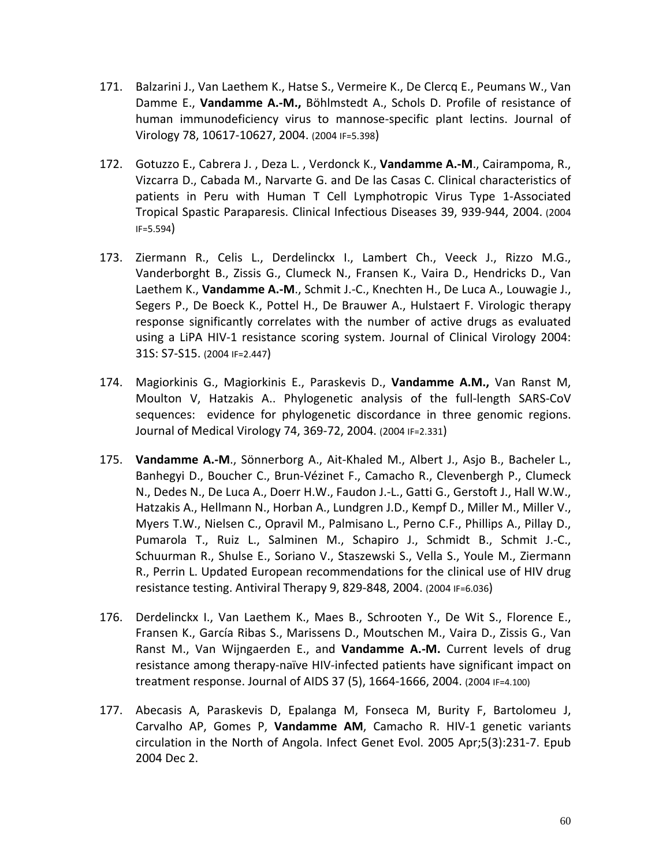- 171. Balzarini J., Van Laethem K., Hatse S., Vermeire K., De Clercq E., Peumans W., Van Damme E., **Vandamme A.-M.,** Böhlmstedt A., Schols D. Profile of resistance of human immunodeficiency virus to mannose-specific plant lectins. Journal of Virology 78, 10617-10627, 2004. (2004 IF=5.398)
- 172. Gotuzzo E., Cabrera J. , Deza L. , Verdonck K., **Vandamme A.-M**., Cairampoma, R., Vizcarra D., Cabada M., Narvarte G. and De las Casas C. Clinical characteristics of patients in Peru with Human T Cell Lymphotropic Virus Type 1-Associated Tropical Spastic Paraparesis. Clinical Infectious Diseases 39, 939-944, 2004. (2004 IF=5.594)
- 173. Ziermann R., Celis L., Derdelinckx I., Lambert Ch., Veeck J., Rizzo M.G., Vanderborght B., Zissis G., Clumeck N., Fransen K., Vaira D., Hendricks D., Van Laethem K., **Vandamme A.-M**., Schmit J.-C., Knechten H., De Luca A., Louwagie J., Segers P., De Boeck K., Pottel H., De Brauwer A., Hulstaert F. Virologic therapy response significantly correlates with the number of active drugs as evaluated using a LiPA HIV-1 resistance scoring system. Journal of Clinical Virology 2004: 31S: S7-S15. (2004 IF=2.447)
- 174. Magiorkinis G., Magiorkinis E., Paraskevis D., **Vandamme A.M.,** Van Ranst M, Moulton V, Hatzakis A.. Phylogenetic analysis of the full-length SARS-CoV sequences: evidence for phylogenetic discordance in three genomic regions. Journal of Medical Virology 74, 369-72, 2004. (2004 IF=2.331)
- 175. **Vandamme A.-M**., Sönnerborg A., Ait-Khaled M., Albert J., Asjo B., Bacheler L., Banhegyi D., Boucher C., Brun-Vézinet F., Camacho R., Clevenbergh P., Clumeck N., Dedes N., De Luca A., Doerr H.W., Faudon J.-L., Gatti G., Gerstoft J., Hall W.W., Hatzakis A., Hellmann N., Horban A., Lundgren J.D., Kempf D., Miller M., Miller V., Myers T.W., Nielsen C., Opravil M., Palmisano L., Perno C.F., Phillips A., Pillay D., Pumarola T., Ruiz L., Salminen M., Schapiro J., Schmidt B., Schmit J.-C., Schuurman R., Shulse E., Soriano V., Staszewski S., Vella S., Youle M., Ziermann R., Perrin L. Updated European recommendations for the clinical use of HIV drug resistance testing. Antiviral Therapy 9, 829-848, 2004. (2004 IF=6.036)
- 176. Derdelinckx I., Van Laethem K., Maes B., Schrooten Y., De Wit S., Florence E., Fransen K., García Ribas S., Marissens D., Moutschen M., Vaira D., Zissis G., Van Ranst M., Van Wijngaerden E., and **Vandamme A.-M.** Current levels of drug resistance among therapy-naïve HIV-infected patients have significant impact on treatment response. Journal of AIDS 37 (5), 1664-1666, 2004. (2004 IF=4.100)
- 177. Abecasis A, Paraskevis D, Epalanga M, Fonseca M, Burity F, Bartolomeu J, Carvalho AP, Gomes P, **Vandamme AM**, Camacho R. HIV-1 genetic variants circulation in the North of Angola. Infect Genet Evol. 2005 Apr;5(3):231-7. Epub 2004 Dec 2.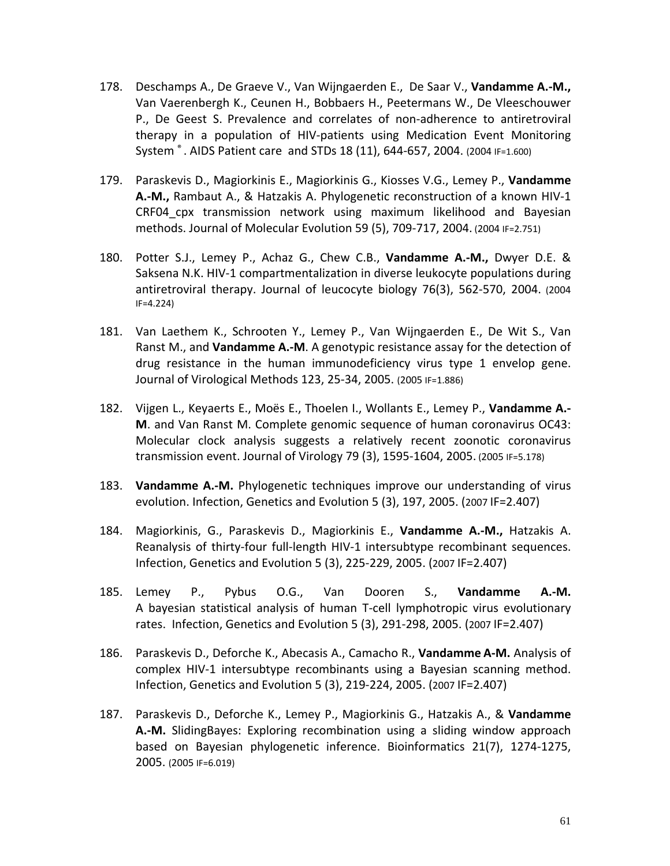- 178. Deschamps A., De Graeve V., Van Wijngaerden E., De Saar V., **Vandamme A.-M.,** Van Vaerenbergh K., Ceunen H., Bobbaers H., Peetermans W., De Vleeschouwer P., De Geest S. Prevalence and correlates of non-adherence to antiretroviral therapy in a population of HIV-patients using Medication Event Monitoring System ® . AIDS Patient care and STDs 18 (11), 644-657, 2004. (2004 IF=1.600)
- 179. Paraskevis D., Magiorkinis E., Magiorkinis G., Kiosses V.G., Lemey P., **Vandamme A.-M.,** Rambaut A., & Hatzakis A. Phylogenetic reconstruction of a known HIV-1 CRF04\_cpx transmission network using maximum likelihood and Bayesian methods. Journal of Molecular Evolution 59 (5), 709-717, 2004. (2004 IF=2.751)
- 180. Potter S.J., Lemey P., Achaz G., Chew C.B., **Vandamme A.-M.,** Dwyer D.E. & Saksena N.K. HIV-1 compartmentalization in diverse leukocyte populations during antiretroviral therapy. Journal of leucocyte biology 76(3), 562-570, 2004. (2004 IF=4.224)
- 181. Van Laethem K., Schrooten Y., Lemey P., Van Wijngaerden E., De Wit S., Van Ranst M., and **Vandamme A.-M**. A genotypic resistance assay for the detection of drug resistance in the human immunodeficiency virus type 1 envelop gene. Journal of Virological Methods 123, 25-34, 2005. (2005 IF=1.886)
- 182. Vijgen L., Keyaerts E., Moës E., Thoelen I., Wollants E., Lemey P., **Vandamme A.- M**. and Van Ranst M. Complete genomic sequence of human coronavirus OC43: Molecular clock analysis suggests a relatively recent zoonotic coronavirus transmission event. Journal of Virology 79 (3), 1595-1604, 2005. (2005 IF=5.178)
- 183. **Vandamme A.-M.** Phylogenetic techniques improve our understanding of virus evolution. Infection, Genetics and Evolution 5 (3), 197, 2005. (2007 IF=2.407)
- 184. Magiorkinis, G., Paraskevis D., Magiorkinis E., **Vandamme A.-M.,** Hatzakis A. Reanalysis of thirty-four full-length HIV-1 intersubtype recombinant sequences. Infection, Genetics and Evolution 5 (3), 225-229, 2005. (2007 IF=2.407)
- 185. Lemey P., Pybus O.G., Van Dooren S., **Vandamme A.-M.** A bayesian statistical analysis of human T-cell lymphotropic virus evolutionary rates. Infection, Genetics and Evolution 5 (3), 291-298, 2005. (2007 IF=2.407)
- 186. Paraskevis D., Deforche K., Abecasis A., Camacho R., **Vandamme A-M.** Analysis of complex HIV-1 intersubtype recombinants using a Bayesian scanning method. Infection, Genetics and Evolution 5 (3), 219-224, 2005. (2007 IF=2.407)
- 187. Paraskevis D., Deforche K., Lemey P., Magiorkinis G., Hatzakis A., & **Vandamme A.-M.** SlidingBayes: Exploring recombination using a sliding window approach based on Bayesian phylogenetic inference. Bioinformatics 21(7), 1274-1275, 2005. (2005 IF=6.019)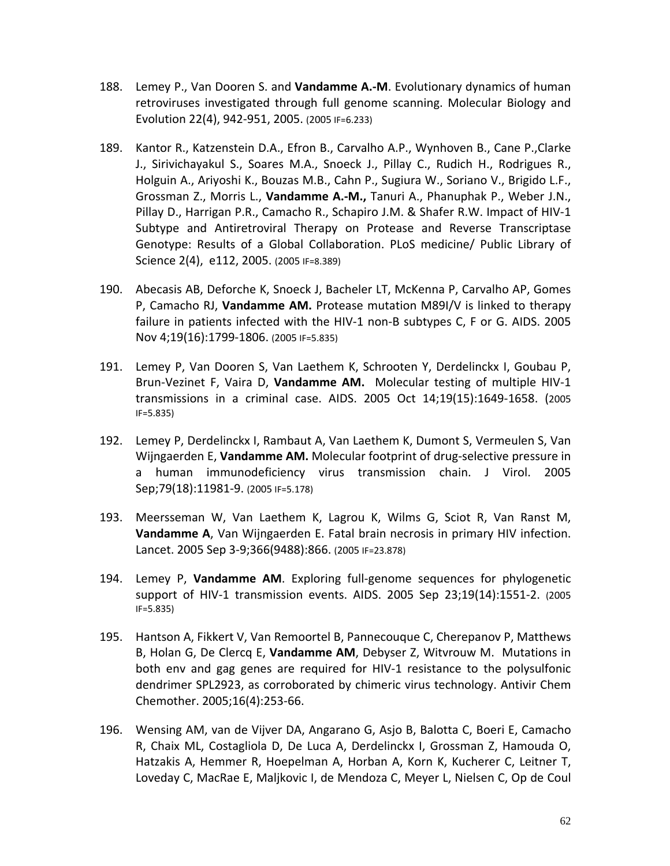- 188. Lemey P., Van Dooren S. and **Vandamme A.-M**. Evolutionary dynamics of human retroviruses investigated through full genome scanning. Molecular Biology and Evolution 22(4), 942-951, 2005. (2005 IF=6.233)
- 189. Kantor R., Katzenstein D.A., Efron B., Carvalho A.P., Wynhoven B., Cane P.,Clarke J., Sirivichayakul S., Soares M.A., Snoeck J., Pillay C., Rudich H., Rodrigues R., Holguin A., Ariyoshi K., Bouzas M.B., Cahn P., Sugiura W., Soriano V., Brigido L.F., Grossman Z., Morris L., **Vandamme A.-M.,** Tanuri A., Phanuphak P., Weber J.N., Pillay D., Harrigan P.R., Camacho R., Schapiro J.M. & Shafer R.W. Impact of HIV-1 Subtype and Antiretroviral Therapy on Protease and Reverse Transcriptase Genotype: Results of a Global Collaboration. PLoS medicine/ Public Library of Science 2(4), e112, 2005. (2005 IF=8.389)
- 190. Abecasis AB, Deforche K, Snoeck J, Bacheler LT, McKenna P, Carvalho AP, Gomes P, Camacho RJ, **Vandamme AM.** Protease mutation M89I/V is linked to therapy failure in patients infected with the HIV-1 non-B subtypes C, F or G. AIDS. 2005 Nov 4;19(16):1799-1806. (2005 IF=5.835)
- 191. Lemey P, Van Dooren S, Van Laethem K, Schrooten Y, Derdelinckx I, Goubau P, Brun-Vezinet F, Vaira D, **Vandamme AM.** Molecular testing of multiple HIV-1 transmissions in a criminal case. AIDS. 2005 Oct 14;19(15):1649-1658. (2005 IF=5.835)
- 192. Lemey P, Derdelinckx I, Rambaut A, Van Laethem K, Dumont S, Vermeulen S, Van Wijngaerden E, **Vandamme AM.** Molecular footprint of drug-selective pressure in a human immunodeficiency virus transmission chain. J Virol. 2005 Sep;79(18):11981-9. (2005 IF=5.178)
- 193. Meersseman W, Van Laethem K, Lagrou K, Wilms G, Sciot R, Van Ranst M, **Vandamme A**, Van Wijngaerden E. Fatal brain necrosis in primary HIV infection. Lancet. 2005 Sep 3-9;366(9488):866. (2005 IF=23.878)
- 194. Lemey P, **Vandamme AM**. Exploring full-genome sequences for phylogenetic support of HIV-1 transmission events. AIDS. 2005 Sep 23;19(14):1551-2. (2005 IF=5.835)
- 195. Hantson A, Fikkert V, Van Remoortel B, Pannecouque C, Cherepanov P, Matthews B, Holan G, De Clercq E, **Vandamme AM**, Debyser Z, Witvrouw M. Mutations in both env and gag genes are required for HIV-1 resistance to the polysulfonic dendrimer SPL2923, as corroborated by chimeric virus technology. Antivir Chem Chemother. 2005;16(4):253-66.
- 196. Wensing AM, van de Vijver DA, Angarano G, Asjo B, Balotta C, Boeri E, Camacho R, Chaix ML, Costagliola D, De Luca A, Derdelinckx I, Grossman Z, Hamouda O, Hatzakis A, Hemmer R, Hoepelman A, Horban A, Korn K, Kucherer C, Leitner T, Loveday C, MacRae E, Maljkovic I, de Mendoza C, Meyer L, Nielsen C, Op de Coul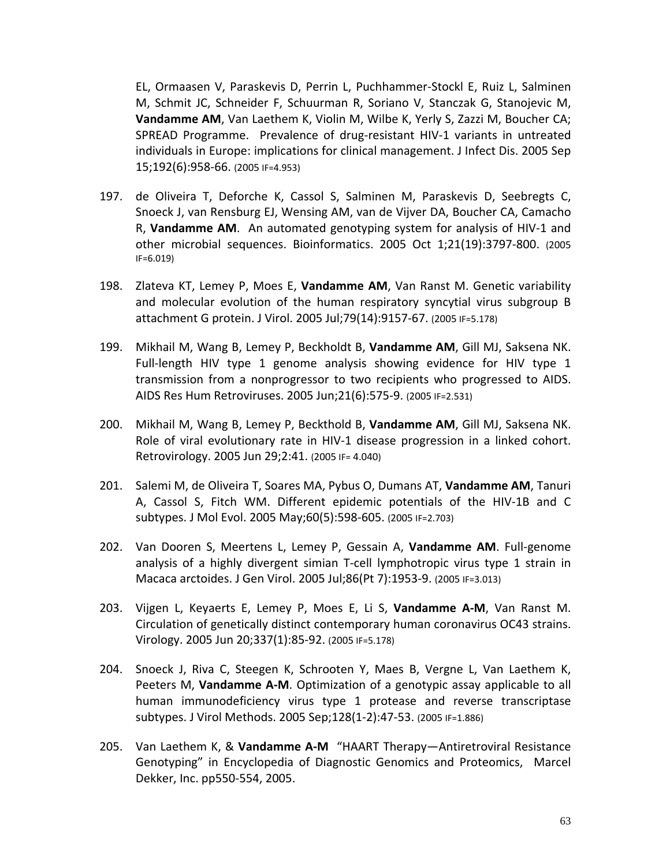EL, Ormaasen V, Paraskevis D, Perrin L, Puchhammer-Stockl E, Ruiz L, Salminen M, Schmit JC, Schneider F, Schuurman R, Soriano V, Stanczak G, Stanojevic M, **Vandamme AM**, Van Laethem K, Violin M, Wilbe K, Yerly S, Zazzi M, Boucher CA; SPREAD Programme. Prevalence of drug-resistant HIV-1 variants in untreated individuals in Europe: implications for clinical management. J Infect Dis. 2005 Sep 15;192(6):958-66. (2005 IF=4.953)

- 197. de Oliveira T, Deforche K, Cassol S, Salminen M, Paraskevis D, Seebregts C, Snoeck J, van Rensburg EJ, Wensing AM, van de Vijver DA, Boucher CA, Camacho R, **Vandamme AM**. An automated genotyping system for analysis of HIV-1 and other microbial sequences. Bioinformatics. 2005 Oct 1;21(19):3797-800. (2005 IF=6.019)
- 198. Zlateva KT, Lemey P, Moes E, **Vandamme AM**, Van Ranst M. Genetic variability and molecular evolution of the human respiratory syncytial virus subgroup B attachment G protein. J Virol. 2005 Jul;79(14):9157-67. (2005 IF=5.178)
- 199. Mikhail M, Wang B, Lemey P, Beckholdt B, **Vandamme AM**, Gill MJ, Saksena NK. Full-length HIV type 1 genome analysis showing evidence for HIV type 1 transmission from a nonprogressor to two recipients who progressed to AIDS. AIDS Res Hum Retroviruses. 2005 Jun;21(6):575-9. (2005 IF=2.531)
- 200. Mikhail M, Wang B, Lemey P, Beckthold B, **Vandamme AM**, Gill MJ, Saksena NK. Role of viral evolutionary rate in HIV-1 disease progression in a linked cohort. Retrovirology. 2005 Jun 29;2:41. (2005 IF= 4.040)
- 201. Salemi M, de Oliveira T, Soares MA, Pybus O, Dumans AT, **Vandamme AM**, Tanuri A, Cassol S, Fitch WM. Different epidemic potentials of the HIV-1B and C subtypes. J Mol Evol. 2005 May;60(5):598-605. (2005 IF=2.703)
- 202. Van Dooren S, Meertens L, Lemey P, Gessain A, **Vandamme AM**. Full-genome analysis of a highly divergent simian T-cell lymphotropic virus type 1 strain in Macaca arctoides. J Gen Virol. 2005 Jul;86(Pt 7):1953-9. (2005 IF=3.013)
- 203. Vijgen L, Keyaerts E, Lemey P, Moes E, Li S, **Vandamme A-M**, Van Ranst M. Circulation of genetically distinct contemporary human coronavirus OC43 strains. Virology. 2005 Jun 20;337(1):85-92. (2005 IF=5.178)
- 204. Snoeck J, Riva C, Steegen K, Schrooten Y, Maes B, Vergne L, Van Laethem K, Peeters M, **Vandamme A-M**. Optimization of a genotypic assay applicable to all human immunodeficiency virus type 1 protease and reverse transcriptase subtypes. J Virol Methods. 2005 Sep;128(1-2):47-53. (2005 IF=1.886)
- 205. Van Laethem K, & **Vandamme A-M** "HAART Therapy—Antiretroviral Resistance Genotyping" in Encyclopedia of Diagnostic Genomics and Proteomics, Marcel Dekker, Inc. pp550-554, 2005.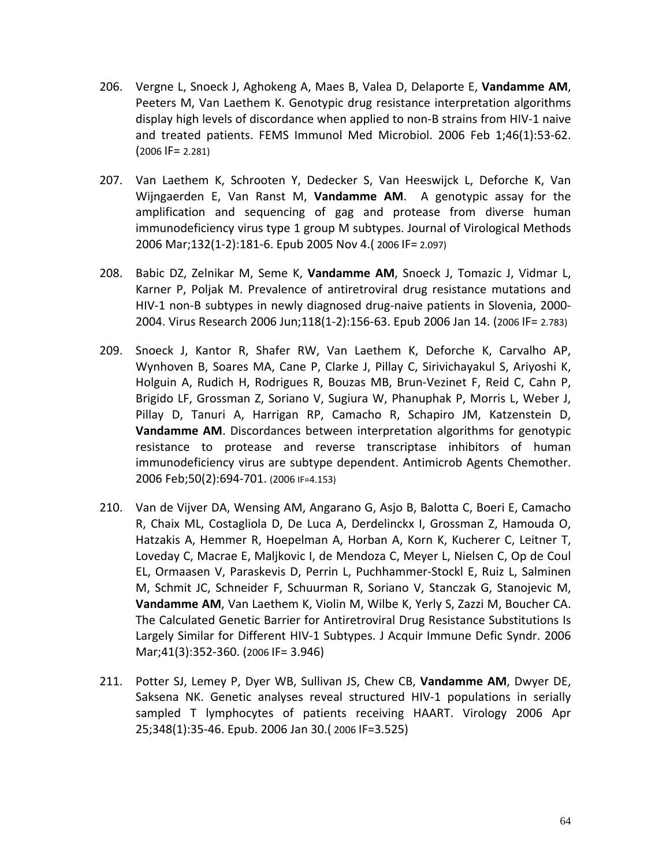- 206. Vergne L, Snoeck J, Aghokeng A, Maes B, Valea D, Delaporte E, **Vandamme AM**, Peeters M, Van Laethem K. Genotypic drug resistance interpretation algorithms display high levels of discordance when applied to non-B strains from HIV-1 naive and treated patients. FEMS Immunol Med Microbiol. 2006 Feb 1;46(1):53-62. (2006 IF= 2.281)
- 207. Van Laethem K, Schrooten Y, Dedecker S, Van Heeswijck L, Deforche K, Van Wijngaerden E, Van Ranst M, **Vandamme AM**. A genotypic assay for the amplification and sequencing of gag and protease from diverse human immunodeficiency virus type 1 group M subtypes. Journal of Virological Methods 2006 Mar;132(1-2):181-6. Epub 2005 Nov 4.( 2006 IF= 2.097)
- 208. Babic DZ, Zelnikar M, Seme K, **Vandamme AM**, Snoeck J, Tomazic J, Vidmar L, Karner P, Poljak M. Prevalence of antiretroviral drug resistance mutations and HIV-1 non-B subtypes in newly diagnosed drug-naive patients in Slovenia, 2000- 2004. Virus Research 2006 Jun;118(1-2):156-63. Epub 2006 Jan 14. (2006 IF= 2.783)
- 209. Snoeck J, Kantor R, Shafer RW, Van Laethem K, Deforche K, Carvalho AP, Wynhoven B, Soares MA, Cane P, Clarke J, Pillay C, Sirivichayakul S, Ariyoshi K, Holguin A, Rudich H, Rodrigues R, Bouzas MB, Brun-Vezinet F, Reid C, Cahn P, Brigido LF, Grossman Z, Soriano V, Sugiura W, Phanuphak P, Morris L, Weber J, Pillay D, Tanuri A, Harrigan RP, Camacho R, Schapiro JM, Katzenstein D, **Vandamme AM**. Discordances between interpretation algorithms for genotypic resistance to protease and reverse transcriptase inhibitors of human immunodeficiency virus are subtype dependent. Antimicrob Agents Chemother. 2006 Feb;50(2):694-701. (2006 IF=4.153)
- 210. Van de Vijver DA, Wensing AM, Angarano G, Asjo B, Balotta C, Boeri E, Camacho R, Chaix ML, Costagliola D, De Luca A, Derdelinckx I, Grossman Z, Hamouda O, Hatzakis A, Hemmer R, Hoepelman A, Horban A, Korn K, Kucherer C, Leitner T, Loveday C, Macrae E, Maljkovic I, de Mendoza C, Meyer L, Nielsen C, Op de Coul EL, Ormaasen V, Paraskevis D, Perrin L, Puchhammer-Stockl E, Ruiz L, Salminen M, Schmit JC, Schneider F, Schuurman R, Soriano V, Stanczak G, Stanojevic M, **Vandamme AM**, Van Laethem K, Violin M, Wilbe K, Yerly S, Zazzi M, Boucher CA. The Calculated Genetic Barrier for Antiretroviral Drug Resistance Substitutions Is Largely Similar for Different HIV-1 Subtypes. J Acquir Immune Defic Syndr. 2006 Mar;41(3):352-360. (2006 IF= 3.946)
- 211. Potter SJ, Lemey P, Dyer WB, Sullivan JS, Chew CB, **Vandamme AM**, Dwyer DE, Saksena NK. Genetic analyses reveal structured HIV-1 populations in serially sampled T lymphocytes of patients receiving HAART. Virology 2006 Apr 25;348(1):35-46. Epub. 2006 Jan 30.( 2006 IF=3.525)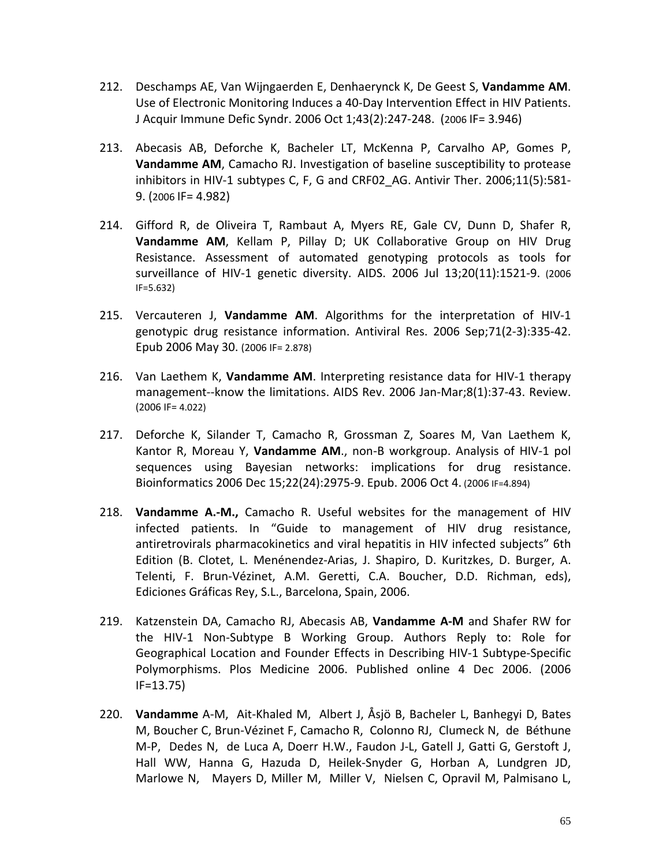- 212. Deschamps AE, Van Wijngaerden E, Denhaerynck K, De Geest S, **Vandamme AM**. Use of Electronic Monitoring Induces a 40-Day Intervention Effect in HIV Patients. J Acquir Immune Defic Syndr. 2006 Oct 1;43(2):247-248. (2006 IF= 3.946)
- 213. Abecasis AB, Deforche K, Bacheler LT, McKenna P, Carvalho AP, Gomes P, **Vandamme AM**, Camacho RJ. Investigation of baseline susceptibility to protease inhibitors in HIV-1 subtypes C, F, G and CRF02 AG. Antivir Ther. 2006;11(5):581-9. (2006 IF= 4.982)
- 214. Gifford R, de Oliveira T, Rambaut A, Myers RE, Gale CV, Dunn D, Shafer R, **Vandamme AM**, Kellam P, Pillay D; UK Collaborative Group on HIV Drug Resistance. Assessment of automated genotyping protocols as tools for surveillance of HIV-1 genetic diversity. AIDS. 2006 Jul 13;20(11):1521-9. (2006 IF=5.632)
- 215. Vercauteren J, **Vandamme AM**. Algorithms for the interpretation of HIV-1 genotypic drug resistance information. Antiviral Res. 2006 Sep;71(2-3):335-42. Epub 2006 May 30. (2006 IF= 2.878)
- 216. Van Laethem K, **Vandamme AM**. Interpreting resistance data for HIV-1 therapy management--know the limitations. AIDS Rev. 2006 Jan-Mar;8(1):37-43. Review. (2006 IF= 4.022)
- 217. Deforche K, Silander T, Camacho R, Grossman Z, Soares M, Van Laethem K, Kantor R, Moreau Y, **Vandamme AM**., non-B workgroup. Analysis of HIV-1 pol sequences using Bayesian networks: implications for drug resistance. Bioinformatics 2006 Dec 15;22(24):2975-9. Epub. 2006 Oct 4. (2006 IF=4.894)
- 218. **Vandamme A.-M.,** Camacho R. Useful websites for the management of HIV infected patients. In "Guide to management of HIV drug resistance, antiretrovirals pharmacokinetics and viral hepatitis in HIV infected subjects" 6th Edition (B. Clotet, L. Menénendez-Arias, J. Shapiro, D. Kuritzkes, D. Burger, A. Telenti, F. Brun-Vézinet, A.M. Geretti, C.A. Boucher, D.D. Richman, eds), Ediciones Gráficas Rey, S.L., Barcelona, Spain, 2006.
- 219. Katzenstein DA, Camacho RJ, Abecasis AB, **Vandamme A-M** and Shafer RW for the HIV-1 Non-Subtype B Working Group. Authors Reply to: Role for Geographical Location and Founder Effects in Describing HIV-1 Subtype-Specific Polymorphisms. Plos Medicine 2006. Published online 4 Dec 2006. (2006 IF=13.75)
- 220. **Vandamme** A-M, Ait-Khaled M, Albert J, Åsjö B, Bacheler L, Banhegyi D, Bates M, Boucher C, Brun-Vézinet F, Camacho R, Colonno RJ, Clumeck N, de Béthune M-P, Dedes N, de Luca A, Doerr H.W., Faudon J-L, Gatell J, Gatti G, Gerstoft J, Hall WW, Hanna G, Hazuda D, Heilek-Snyder G, Horban A, Lundgren JD, Marlowe N, Mayers D, Miller M, Miller V, Nielsen C, Opravil M, Palmisano L,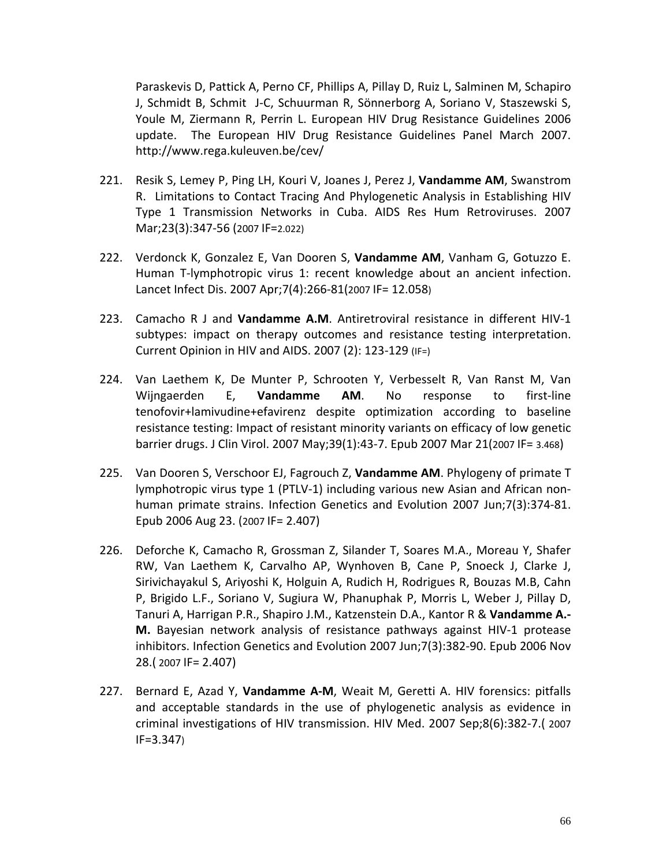Paraskevis D, Pattick A, Perno CF, Phillips A, Pillay D, Ruiz L, Salminen M, Schapiro J, Schmidt B, Schmit J-C, Schuurman R, Sönnerborg A, Soriano V, Staszewski S, Youle M, Ziermann R, Perrin L. European HIV Drug Resistance Guidelines 2006 update. The European HIV Drug Resistance Guidelines Panel March 2007. http://www.rega.kuleuven.be/cev/

- 221. Resik S, Lemey P, Ping LH, Kouri V, Joanes J, Perez J, **Vandamme AM**, Swanstrom R. Limitations to Contact Tracing And Phylogenetic Analysis in Establishing HIV Type 1 Transmission Networks in Cuba. AIDS Res Hum Retroviruses. 2007 Mar;23(3):347-56 (2007 IF=2.022)
- 222. Verdonck K, Gonzalez E, Van Dooren S, **Vandamme AM**, Vanham G, Gotuzzo E. Human T-lymphotropic virus 1: recent knowledge about an ancient infection. Lancet Infect Dis. 2007 Apr;7(4):266-81(2007 IF= 12.058)
- 223. Camacho R J and **Vandamme A.M**. Antiretroviral resistance in different HIV-1 subtypes: impact on therapy outcomes and resistance testing interpretation. Current Opinion in HIV and AIDS. 2007 (2): 123-129 (IF=)
- 224. Van Laethem K, De Munter P, Schrooten Y, Verbesselt R, Van Ranst M, Van Wijngaerden E, **Vandamme AM**. No response to first-line tenofovir+lamivudine+efavirenz despite optimization according to baseline resistance testing: Impact of resistant minority variants on efficacy of low genetic barrier drugs. J Clin Virol. 2007 May;39(1):43-7. Epub 2007 Mar 21(2007 IF= 3.468)
- 225. Van Dooren S, Verschoor EJ, Fagrouch Z, **Vandamme AM**. Phylogeny of primate T lymphotropic virus type 1 (PTLV-1) including various new Asian and African nonhuman primate strains. Infection Genetics and Evolution 2007 Jun;7(3):374-81. Epub 2006 Aug 23. (2007 IF= 2.407)
- 226. Deforche K, Camacho R, Grossman Z, Silander T, Soares M.A., Moreau Y, Shafer RW, Van Laethem K, Carvalho AP, Wynhoven B, Cane P, Snoeck J, Clarke J, Sirivichayakul S, Ariyoshi K, Holguin A, Rudich H, Rodrigues R, Bouzas M.B, Cahn P, Brigido L.F., Soriano V, Sugiura W, Phanuphak P, Morris L, Weber J, Pillay D, Tanuri A, Harrigan P.R., Shapiro J.M., Katzenstein D.A., Kantor R & **Vandamme A.- M.** Bayesian network analysis of resistance pathways against HIV-1 protease inhibitors. Infection Genetics and Evolution 2007 Jun;7(3):382-90. Epub 2006 Nov 28.( 2007 IF= 2.407)
- 227. Bernard E, Azad Y, **Vandamme A-M**, Weait M, Geretti A. HIV forensics: pitfalls and acceptable standards in the use of phylogenetic analysis as evidence in criminal investigations of HIV transmission. HIV Med. 2007 Sep;8(6):382-7.( 2007 IF=3.347)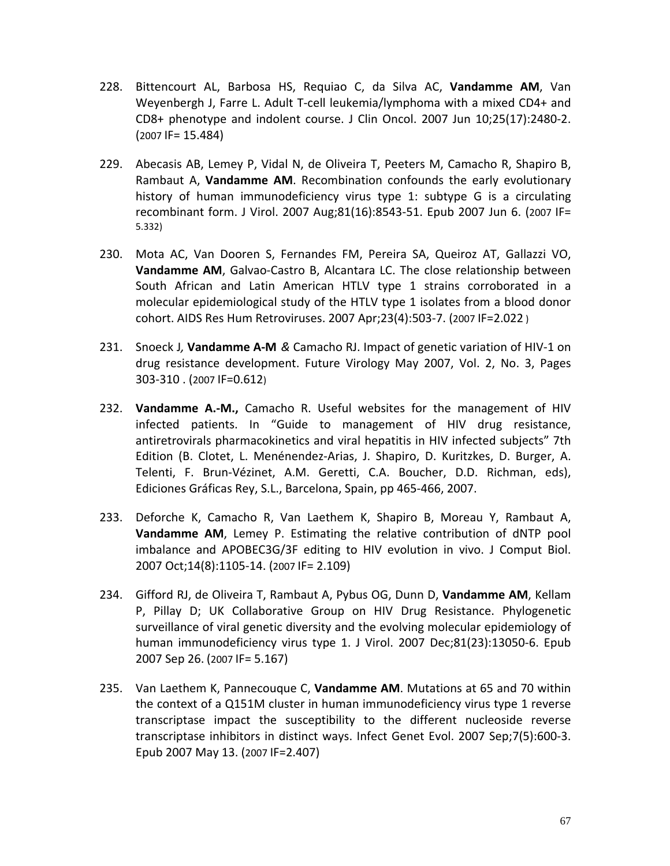- 228. Bittencourt AL, Barbosa HS, Requiao C, da Silva AC, **Vandamme AM**, Van Weyenbergh J, Farre L. Adult T-cell leukemia/lymphoma with a mixed CD4+ and CD8+ phenotype and indolent course. J Clin Oncol. 2007 Jun 10;25(17):2480-2.  $(2007 \text{ IF} = 15.484)$
- 229. Abecasis AB, Lemey P, Vidal N, de Oliveira T, Peeters M, Camacho R, Shapiro B, Rambaut A, **Vandamme AM**. Recombination confounds the early evolutionary history of human immunodeficiency virus type 1: subtype G is a circulating recombinant form. J Virol. 2007 Aug;81(16):8543-51. Epub 2007 Jun 6. (2007 IF= 5.332)
- 230. Mota AC, Van Dooren S, Fernandes FM, Pereira SA, Queiroz AT, Gallazzi VO, **Vandamme AM**, Galvao-Castro B, Alcantara LC. The close relationship between South African and Latin American HTLV type 1 strains corroborated in a molecular epidemiological study of the HTLV type 1 isolates from a blood donor cohort. AIDS Res Hum Retroviruses. 2007 Apr;23(4):503-7. (2007 IF=2.022 )
- 231. Snoeck J*,* **Vandamme A-M** *&* Camacho RJ. Impact of genetic variation of HIV-1 on drug resistance development. [Future Virology](http://www.futuremedicine.com/loi/fvl) May 2007, Vol. 2, No. 3, Pages 303-310 . (2007 IF=0.612)
- 232. **Vandamme A.-M.,** Camacho R. Useful websites for the management of HIV infected patients. In "Guide to management of HIV drug resistance, antiretrovirals pharmacokinetics and viral hepatitis in HIV infected subjects" 7th Edition (B. Clotet, L. Menénendez-Arias, J. Shapiro, D. Kuritzkes, D. Burger, A. Telenti, F. Brun-Vézinet, A.M. Geretti, C.A. Boucher, D.D. Richman, eds), Ediciones Gráficas Rey, S.L., Barcelona, Spain, pp 465-466, 2007.
- 233. Deforche K, Camacho R, Van Laethem K, Shapiro B, Moreau Y, Rambaut A, **Vandamme AM**, Lemey P. Estimating the relative contribution of dNTP pool imbalance and APOBEC3G/3F editing to HIV evolution in vivo. J Comput Biol. 2007 Oct;14(8):1105-14. (2007 IF= 2.109)
- 234. Gifford RJ, de Oliveira T, Rambaut A, Pybus OG, Dunn D, **Vandamme AM**, Kellam P, Pillay D; UK Collaborative Group on HIV Drug Resistance. Phylogenetic surveillance of viral genetic diversity and the evolving molecular epidemiology of human immunodeficiency virus type 1. J Virol. 2007 Dec;81(23):13050-6. Epub 2007 Sep 26. (2007 IF= 5.167)
- 235. Van Laethem K, Pannecouque C, **Vandamme AM**. Mutations at 65 and 70 within the context of a Q151M cluster in human immunodeficiency virus type 1 reverse transcriptase impact the susceptibility to the different nucleoside reverse transcriptase inhibitors in distinct ways. Infect Genet Evol. 2007 Sep;7(5):600-3. Epub 2007 May 13. (2007 IF=2.407)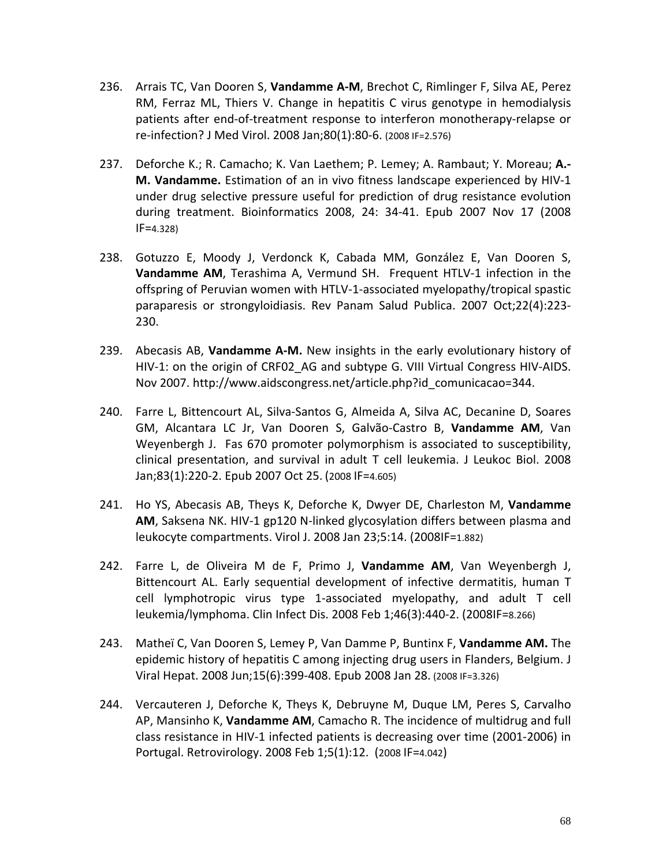- 236. Arrais TC, Van Dooren S, **Vandamme A-M**, Brechot C, Rimlinger F, Silva AE, Perez RM, Ferraz ML, Thiers V. Change in hepatitis C virus genotype in hemodialysis patients after end-of-treatment response to interferon monotherapy-relapse or re-infection? [J Med Virol.](javascript:AL_get(this,%20) 2008 Jan;80(1):80-6. (2008 IF=2.576)
- 237. Deforche K.; R. Camacho; K. Van Laethem; P. Lemey; A. Rambaut; Y. Moreau; **A.- M. Vandamme.** Estimation of an in vivo fitness landscape experienced by HIV-1 under drug selective pressure useful for prediction of drug resistance evolution during treatment. Bioinformatics 2008, 24: 34-41. Epub 2007 Nov 17 (2008 IF=4.328)
- 238. Gotuzzo E, Moody J, Verdonck K, Cabada MM, González E, Van Dooren S, **Vandamme AM**, Terashima A, Vermund SH. Frequent HTLV-1 infection in the offspring of Peruvian women with HTLV-1-associated myelopathy/tropical spastic paraparesis or strongyloidiasis. Rev Panam Salud Publica. 2007 Oct;22(4):223- 230.
- 239. Abecasis AB, **Vandamme A-M.** New insights in the early evolutionary history of HIV-1: on the origin of CRF02\_AG and subtype G. VIII Virtual Congress HIV-AIDS. Nov 2007. http://www.aidscongress.net/article.php?id\_comunicacao=344.
- 240. Farre L, Bittencourt AL, Silva-Santos G, Almeida A, Silva AC, Decanine D, Soares GM, Alcantara LC Jr, Van Dooren S, Galvão-Castro B, **Vandamme AM**, Van Weyenbergh J. Fas 670 promoter polymorphism is associated to susceptibility, clinical presentation, and survival in adult T cell leukemia. J Leukoc Biol. 2008 Jan;83(1):220-2. Epub 2007 Oct 25. (2008 IF=4.605)
- 241. Ho YS, Abecasis AB, Theys K, Deforche K, Dwyer DE, Charleston M, **Vandamme AM**, Saksena NK. HIV-1 gp120 N-linked glycosylation differs between plasma and leukocyte compartments. Virol J. 2008 Jan 23;5:14. (2008IF=1.882)
- 242. Farre L, de Oliveira M de F, Primo J, **Vandamme AM**, Van Weyenbergh J, Bittencourt AL. Early sequential development of infective dermatitis, human T cell lymphotropic virus type 1-associated myelopathy, and adult T cell leukemia/lymphoma. Clin Infect Dis. 2008 Feb 1;46(3):440-2. (2008IF=8.266)
- 243. Matheï C, Van Dooren S, Lemey P, Van Damme P, Buntinx F, **Vandamme AM.** The epidemic history of hepatitis C among injecting drug users in Flanders, Belgium. J Viral Hepat. 2008 Jun;15(6):399-408. Epub 2008 Jan 28. (2008 IF=3.326)
- 244. Vercauteren J, Deforche K, Theys K, Debruyne M, Duque LM, Peres S, Carvalho AP, Mansinho K, **Vandamme AM**, Camacho R. The incidence of multidrug and full class resistance in HIV-1 infected patients is decreasing over time (2001-2006) in Portugal. Retrovirology. 2008 Feb 1;5(1):12. (2008 IF=4.042)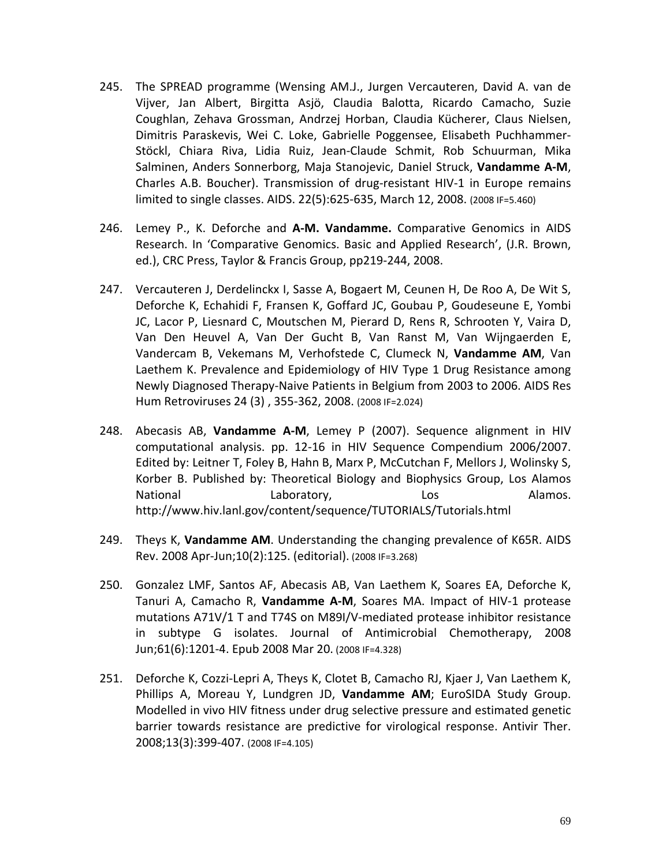- 245. The SPREAD programme (Wensing AM.J., Jurgen Vercauteren, David A. van de Vijver, Jan Albert, Birgitta Asjö, Claudia Balotta, Ricardo Camacho, Suzie Coughlan, Zehava Grossman, Andrzej Horban, Claudia Kücherer, Claus Nielsen, Dimitris Paraskevis, Wei C. Loke, Gabrielle Poggensee, Elisabeth Puchhammer-Stöckl, Chiara Riva, Lidia Ruiz, Jean-Claude Schmit, Rob Schuurman, Mika Salminen, Anders Sonnerborg, Maja Stanojevic, Daniel Struck, **Vandamme A-M**, Charles A.B. Boucher). Transmission of drug-resistant HIV-1 in Europe remains limited to single classes. AIDS. 22(5):625-635, March 12, 2008. (2008 IF=5.460)
- 246. Lemey P., K. Deforche and **A-M. Vandamme.** Comparative Genomics in AIDS Research. In 'Comparative Genomics. Basic and Applied Research', (J.R. Brown, ed.), CRC Press, Taylor & Francis Group, pp219-244, 2008.
- 247. Vercauteren J, Derdelinckx I, Sasse A, Bogaert M, Ceunen H, De Roo A, De Wit S, Deforche K, Echahidi F, Fransen K, Goffard JC, Goubau P, Goudeseune E, Yombi JC, Lacor P, Liesnard C, Moutschen M, Pierard D, Rens R, Schrooten Y, Vaira D, Van Den Heuvel A, Van Der Gucht B, Van Ranst M, Van Wijngaerden E, Vandercam B, Vekemans M, Verhofstede C, Clumeck N, **Vandamme AM**, Van Laethem K. Prevalence and Epidemiology of HIV Type 1 Drug Resistance among Newly Diagnosed Therapy-Naive Patients in Belgium from 2003 to 2006. AIDS Res Hum Retroviruses 24 (3) , 355-362, 2008. (2008 IF=2.024)
- 248. Abecasis AB, **Vandamme A-M**, Lemey P (2007). Sequence alignment in HIV computational analysis. pp. 12-16 in HIV Sequence Compendium 2006/2007. Edited by: Leitner T, Foley B, Hahn B, Marx P, McCutchan F, Mellors J, Wolinsky S, Korber B. Published by: Theoretical Biology and Biophysics Group, Los Alamos National **Laboratory,** Los Los Alamos. http://www.hiv.lanl.gov/content/sequence/TUTORIALS/Tutorials.html
- 249. Theys K, **Vandamme AM**. Understanding the changing prevalence of K65R. AIDS Rev. 2008 Apr-Jun;10(2):125. (editorial). (2008 IF=3.268)
- 250. Gonzalez LMF, Santos AF, Abecasis AB, Van Laethem K, Soares EA, Deforche K, Tanuri A, Camacho R, **Vandamme A-M**, Soares MA. Impact of HIV-1 protease mutations A71V/1 T and T74S on M89I/V-mediated protease inhibitor resistance in subtype G isolates. Journal of Antimicrobial Chemotherapy, 2008 Jun;61(6):1201-4. Epub 2008 Mar 20. (2008 IF=4.328)
- 251. Deforche K, Cozzi-Lepri A, Theys K, Clotet B, Camacho RJ, Kjaer J, Van Laethem K, Phillips A, Moreau Y, Lundgren JD, **Vandamme AM**; EuroSIDA Study Group. Modelled in vivo HIV fitness under drug selective pressure and estimated genetic barrier towards resistance are predictive for virological response. Antivir Ther. 2008;13(3):399-407. (2008 IF=4.105)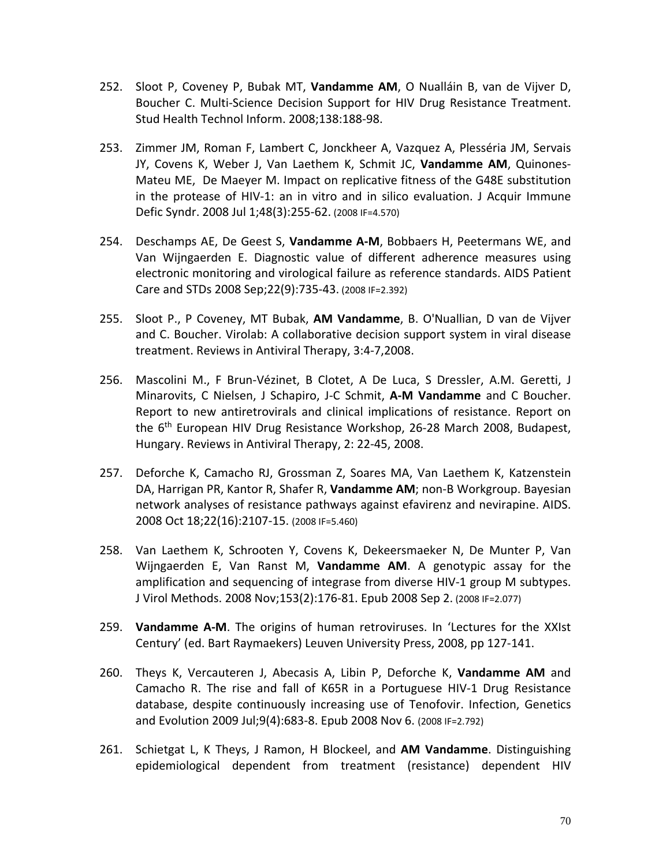- 252. Sloot P, Coveney P, Bubak MT, **Vandamme AM**, O Nualláin B, van de Vijver D, Boucher C. Multi-Science Decision Support for HIV Drug Resistance Treatment. Stud Health Technol Inform. 2008;138:188-98.
- 253. Zimmer JM, Roman F, Lambert C, Jonckheer A, Vazquez A, Plesséria JM, Servais JY, Covens K, Weber J, Van Laethem K, Schmit JC, **Vandamme AM**, Quinones-Mateu ME, De Maeyer M. Impact on replicative fitness of the G48E substitution in the protease of HIV-1: an in vitro and in silico evaluation. J Acquir Immune Defic Syndr. 2008 Jul 1;48(3):255-62. (2008 IF=4.570)
- 254. Deschamps AE, De Geest S, **Vandamme A-M**, Bobbaers H, Peetermans WE, and Van Wijngaerden E. Diagnostic value of different adherence measures using electronic monitoring and virological failure as reference standards. AIDS Patient Care and STDs 2008 Sep;22(9):735-43. (2008 IF=2.392)
- 255. Sloot P., P Coveney, MT Bubak, **AM Vandamme**, B. O'Nuallian, D van de Vijver and C. Boucher. Virolab: A collaborative decision support system in viral disease treatment. Reviews in Antiviral Therapy, 3:4-7,2008.
- 256. Mascolini M., F Brun-Vézinet, B Clotet, A De Luca, S Dressler, A.M. Geretti, J Minarovits, C Nielsen, J Schapiro, J-C Schmit, **A-M Vandamme** and C Boucher. Report to new antiretrovirals and clinical implications of resistance. Report on the 6<sup>th</sup> European HIV Drug Resistance Workshop, 26-28 March 2008, Budapest, Hungary. Reviews in Antiviral Therapy, 2: 22-45, 2008.
- 257. Deforche K, Camacho RJ, Grossman Z, Soares MA, Van Laethem K, Katzenstein DA, Harrigan PR, Kantor R, Shafer R, **Vandamme AM**; non-B Workgroup. Bayesian network analyses of resistance pathways against efavirenz and nevirapine. AIDS. 2008 Oct 18;22(16):2107-15. (2008 IF=5.460)
- 258. Van Laethem K, Schrooten Y, Covens K, Dekeersmaeker N, De Munter P, Van Wijngaerden E, Van Ranst M, **Vandamme AM**. A genotypic assay for the amplification and sequencing of integrase from diverse HIV-1 group M subtypes. J Virol Methods. 2008 Nov;153(2):176-81. Epub 2008 Sep 2. (2008 IF=2.077)
- 259. **Vandamme A-M**. The origins of human retroviruses. In 'Lectures for the XXIst Century' (ed. Bart Raymaekers) Leuven University Press, 2008, pp 127-141.
- 260. Theys K, Vercauteren J, Abecasis A, Libin P, Deforche K, **Vandamme AM** and Camacho R. The rise and fall of K65R in a Portuguese HIV-1 Drug Resistance database, despite continuously increasing use of Tenofovir. Infection, Genetics and Evolution 2009 Jul;9(4):683-8. Epub 2008 Nov 6. (2008 IF=2.792)
- 261. Schietgat L, K Theys, J Ramon, H Blockeel, and **AM Vandamme**. Distinguishing epidemiological dependent from treatment (resistance) dependent HIV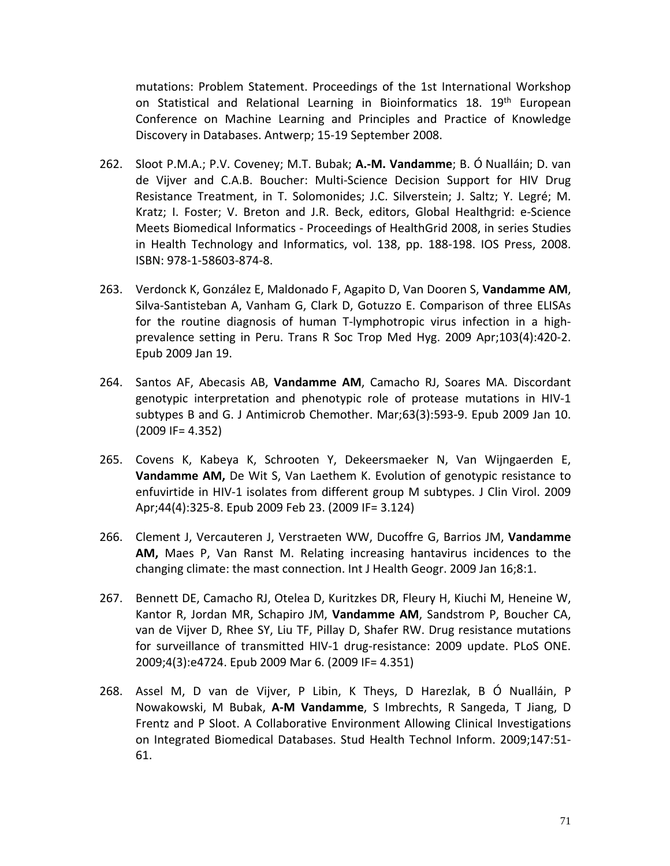mutations: Problem Statement. Proceedings of the 1st International Workshop on Statistical and Relational Learning in Bioinformatics 18. 19<sup>th</sup> European Conference on Machine Learning and Principles and Practice of Knowledge Discovery in Databases. Antwerp; 15-19 September 2008.

- 262. Sloot P.M.A.; P.V. Coveney; M.T. Bubak; **A.-M. Vandamme**; B. Ó Nualláin; D. van de Vijver and C.A.B. Boucher: Multi-Science Decision Support for HIV Drug Resistance Treatment, in T. Solomonides; J.C. Silverstein; J. Saltz; Y. Legré; M. Kratz; I. Foster; V. Breton and J.R. Beck, editors, Global Healthgrid: e-Science Meets Biomedical Informatics - Proceedings of HealthGrid 2008, in series Studies in Health Technology and Informatics, vol. 138, pp. 188-198. IOS Press, 2008. ISBN: 978-1-58603-874-8.
- 263. Verdonck K, González E, Maldonado F, Agapito D, Van Dooren S, **Vandamme AM**, Silva-Santisteban A, Vanham G, Clark D, Gotuzzo E. Comparison of three ELISAs for the routine diagnosis of human T-lymphotropic virus infection in a highprevalence setting in Peru. Trans R Soc Trop Med Hyg. 2009 Apr;103(4):420-2. Epub 2009 Jan 19.
- 264. Santos AF, Abecasis AB, **Vandamme AM**, Camacho RJ, Soares MA. Discordant genotypic interpretation and phenotypic role of protease mutations in HIV-1 subtypes B and G. J Antimicrob Chemother. Mar;63(3):593-9. Epub 2009 Jan 10. (2009 IF= 4.352)
- 265. Covens K, Kabeya K, Schrooten Y, Dekeersmaeker N, Van Wijngaerden E, **Vandamme AM,** De Wit S, Van Laethem K. Evolution of genotypic resistance to enfuvirtide in HIV-1 isolates from different group M subtypes. J Clin Virol. 2009 Apr;44(4):325-8. Epub 2009 Feb 23. (2009 IF= 3.124)
- 266. Clement J, Vercauteren J, Verstraeten WW, Ducoffre G, Barrios JM, **Vandamme AM,** Maes P, Van Ranst M. Relating increasing hantavirus incidences to the changing climate: the mast connection. Int J Health Geogr. 2009 Jan 16;8:1.
- 267. Bennett DE, Camacho RJ, Otelea D, Kuritzkes DR, Fleury H, Kiuchi M, Heneine W, Kantor R, Jordan MR, Schapiro JM, **Vandamme AM**, Sandstrom P, Boucher CA, van de Vijver D, Rhee SY, Liu TF, Pillay D, Shafer RW. Drug resistance mutations for surveillance of transmitted HIV-1 drug-resistance: 2009 update. PLoS ONE. 2009;4(3):e4724. Epub 2009 Mar 6. (2009 IF= 4.351)
- 268. Assel M, D van de Vijver, P Libin, K Theys, D Harezlak, B Ó Nualláin, P Nowakowski, M Bubak, **A-M Vandamme**, S Imbrechts, R Sangeda, T Jiang, D Frentz and P Sloot. A Collaborative Environment Allowing Clinical Investigations on Integrated Biomedical Databases. Stud Health Technol Inform. 2009;147:51- 61.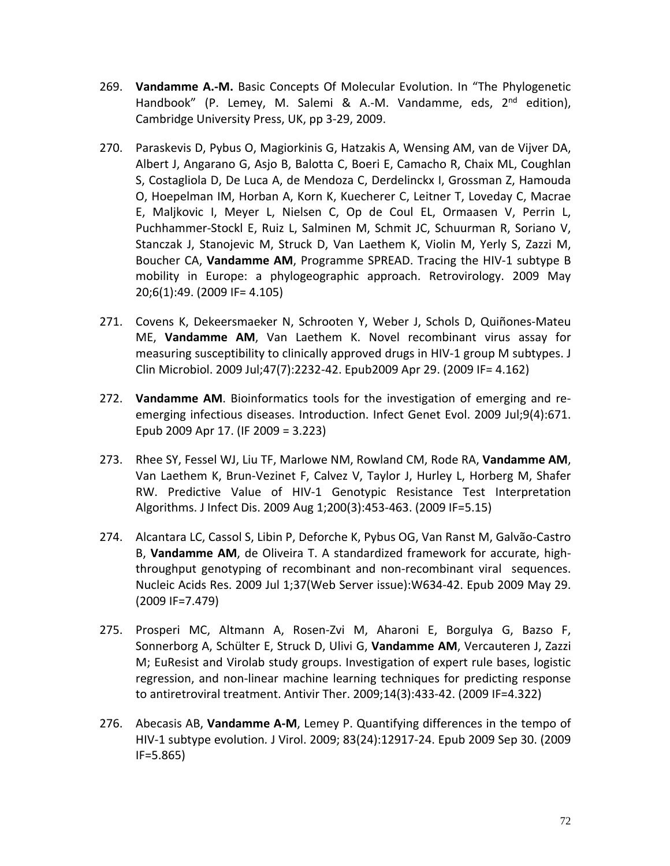- 269. **Vandamme A.-M.** Basic Concepts Of Molecular Evolution. In "The Phylogenetic Handbook" (P. Lemey, M. Salemi & A.-M. Vandamme, eds, 2<sup>nd</sup> edition), Cambridge University Press, UK, pp 3-29, 2009.
- 270. Paraskevis D, Pybus O, Magiorkinis G, Hatzakis A, Wensing AM, van de Vijver DA, Albert J, Angarano G, Asjo B, Balotta C, Boeri E, Camacho R, Chaix ML, Coughlan S, Costagliola D, De Luca A, de Mendoza C, Derdelinckx I, Grossman Z, Hamouda O, Hoepelman IM, Horban A, Korn K, Kuecherer C, Leitner T, Loveday C, Macrae E, Maljkovic I, Meyer L, Nielsen C, Op de Coul EL, Ormaasen V, Perrin L, Puchhammer-Stockl E, Ruiz L, Salminen M, Schmit JC, Schuurman R, Soriano V, Stanczak J, Stanojevic M, Struck D, Van Laethem K, Violin M, Yerly S, Zazzi M, Boucher CA, **Vandamme AM**, Programme SPREAD. Tracing the HIV-1 subtype B mobility in Europe: a phylogeographic approach. Retrovirology. 2009 May 20;6(1):49. (2009 IF= 4.105)
- 271. Covens K, Dekeersmaeker N, Schrooten Y, Weber J, Schols D, Quiñones-Mateu ME, **Vandamme AM**, Van Laethem K. Novel recombinant virus assay for measuring susceptibility to clinically approved drugs in HIV-1 group M subtypes. J Clin Microbiol. 2009 Jul;47(7):2232-42. Epub2009 Apr 29. (2009 IF= 4.162)
- 272. **Vandamme AM**. Bioinformatics tools for the investigation of emerging and reemerging infectious diseases. Introduction. Infect Genet Evol. 2009 Jul;9(4):671. Epub 2009 Apr 17. (IF 2009 = 3.223)
- 273. Rhee SY, Fessel WJ, Liu TF, Marlowe NM, Rowland CM, Rode RA, **Vandamme AM**, Van Laethem K, Brun-Vezinet F, Calvez V, Taylor J, Hurley L, Horberg M, Shafer RW. Predictive Value of HIV-1 Genotypic Resistance Test Interpretation Algorithms. J Infect Dis. 2009 Aug 1;200(3):453-463. (2009 IF=5.15)
- 274. Alcantara LC, Cassol S, Libin P, Deforche K, Pybus OG, Van Ranst M, Galvão-Castro B, **Vandamme AM**, de Oliveira T. A standardized framework for accurate, highthroughput genotyping of recombinant and non-recombinant viral sequences. Nucleic Acids Res. 2009 Jul 1;37(Web Server issue):W634-42. Epub 2009 May 29. (2009 IF=7.479)
- 275. Prosperi MC, Altmann A, Rosen-Zvi M, Aharoni E, Borgulya G, Bazso F, Sonnerborg A, Schülter E, Struck D, Ulivi G, **Vandamme AM**, Vercauteren J, Zazzi M; EuResist and Virolab study groups. Investigation of expert rule bases, logistic regression, and non-linear machine learning techniques for predicting response to antiretroviral treatment. Antivir Ther. 2009;14(3):433-42. (2009 IF=4.322)
- 276. Abecasis AB, **Vandamme A-M**, Lemey P. Quantifying differences in the tempo of HIV-1 subtype evolution*.* J Virol. 2009; 83(24):12917-24. Epub 2009 Sep 30. (2009 IF=5.865)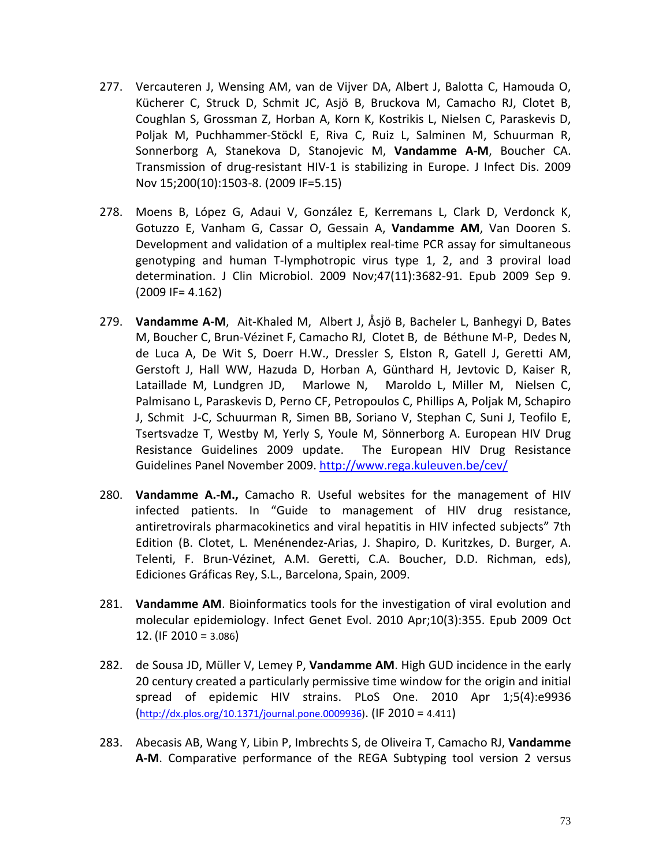- 277. Vercauteren J, Wensing AM, van de Vijver DA, Albert J, Balotta C, Hamouda O, Kücherer C, Struck D, Schmit JC, Asjö B, Bruckova M, Camacho RJ, Clotet B, Coughlan S, Grossman Z, Horban A, Korn K, Kostrikis L, Nielsen C, Paraskevis D, Poljak M, Puchhammer-Stöckl E, Riva C, Ruiz L, Salminen M, Schuurman R, Sonnerborg A, Stanekova D, Stanojevic M, **Vandamme A-M**, Boucher CA. Transmission of drug-resistant HIV-1 is stabilizing in Europe. J Infect Dis. 2009 Nov 15;200(10):1503-8. (2009 IF=5.15)
- 278. Moens B, López G, Adaui V, González E, Kerremans L, Clark D, Verdonck K, Gotuzzo E, Vanham G, Cassar O, Gessain A, **Vandamme AM**, Van Dooren S. Development and validation of a multiplex real-time PCR assay for simultaneous genotyping and human T-lymphotropic virus type 1, 2, and 3 proviral load determination. J Clin Microbiol. 2009 Nov;47(11):3682-91. Epub 2009 Sep 9. (2009 IF= 4.162)
- 279. **Vandamme A-M**, Ait-Khaled M, Albert J, Åsjö B, Bacheler L, Banhegyi D, Bates M, Boucher C, Brun-Vézinet F, Camacho RJ, Clotet B, de Béthune M-P, Dedes N, de Luca A, De Wit S, Doerr H.W., Dressler S, Elston R, Gatell J, Geretti AM, Gerstoft J, Hall WW, Hazuda D, Horban A, Günthard H, Jevtovic D, Kaiser R, Lataillade M, Lundgren JD, Marlowe N, Maroldo L, Miller M, Nielsen C, Palmisano L, Paraskevis D, Perno CF, Petropoulos C, Phillips A, Poljak M, Schapiro J, Schmit J-C, Schuurman R, Simen BB, Soriano V, Stephan C, Suni J, Teofilo E, Tsertsvadze T, Westby M, Yerly S, Youle M, Sönnerborg A. European HIV Drug Resistance Guidelines 2009 update. The European HIV Drug Resistance Guidelines Panel November 2009.<http://www.rega.kuleuven.be/cev/>
- 280. **Vandamme A.-M.,** Camacho R. Useful websites for the management of HIV infected patients. In "Guide to management of HIV drug resistance, antiretrovirals pharmacokinetics and viral hepatitis in HIV infected subjects" 7th Edition (B. Clotet, L. Menénendez-Arias, J. Shapiro, D. Kuritzkes, D. Burger, A. Telenti, F. Brun-Vézinet, A.M. Geretti, C.A. Boucher, D.D. Richman, eds), Ediciones Gráficas Rey, S.L., Barcelona, Spain, 2009.
- 281. **Vandamme AM**. Bioinformatics tools for the investigation of viral evolution and molecular epidemiology. Infect Genet Evol. 2010 Apr;10(3):355. Epub 2009 Oct 12. (IF 2010 = 3.086)
- 282. de Sousa JD, Müller V, Lemey P, **Vandamme AM**. High GUD incidence in the early 20 century created a particularly permissive time window for the origin and initial spread of epidemic HIV strains. PLoS One. 2010 Apr 1;5(4):e9936 [\(http://dx.plos.org/10.1371/journal.pone.0009936\)](http://dx.plos.org/10.1371/journal.pone.0009936). (IF 2010 = 4.411)
- 283. Abecasis AB, Wang Y, Libin P, Imbrechts S, de Oliveira T, Camacho RJ, **Vandamme A-M**. Comparative performance of the REGA Subtyping tool version 2 versus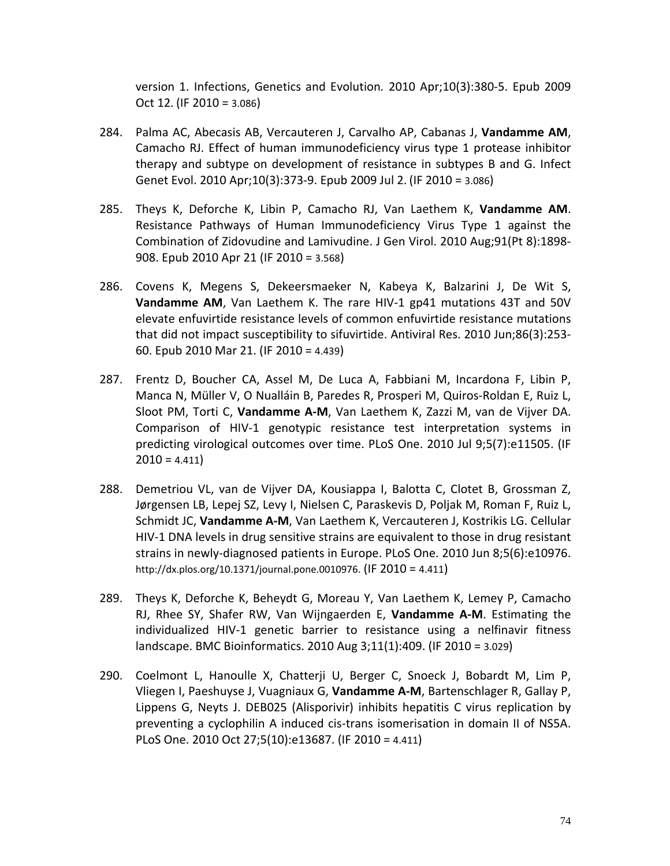version 1. Infections, Genetics and Evolution*.* 2010 Apr;10(3):380-5. Epub 2009 Oct 12. (IF 2010 = 3.086)

- 284. Palma AC, Abecasis AB, Vercauteren J, Carvalho AP, Cabanas J, **Vandamme AM**, Camacho RJ. Effect of human immunodeficiency virus type 1 protease inhibitor therapy and subtype on development of resistance in subtypes B and G. Infect Genet Evol. 2010 Apr;10(3):373-9. Epub 2009 Jul 2. (IF 2010 = 3.086)
- 285. Theys K, Deforche K, Libin P, Camacho RJ, Van Laethem K, **Vandamme AM**. Resistance Pathways of Human Immunodeficiency Virus Type 1 against the Combination of Zidovudine and Lamivudine. J Gen Virol. 2010 Aug;91(Pt 8):1898- 908. Epub 2010 Apr 21 (IF 2010 = 3.568)
- 286. Covens K, Megens S, Dekeersmaeker N, Kabeya K, Balzarini J, De Wit S, **Vandamme AM**, Van Laethem K. The rare HIV-1 gp41 mutations 43T and 50V elevate enfuvirtide resistance levels of common enfuvirtide resistance mutations that did not impact susceptibility to sifuvirtide. Antiviral Res. 2010 Jun;86(3):253- 60. Epub 2010 Mar 21. (IF 2010 = 4.439)
- 287. Frentz D, Boucher CA, Assel M, De Luca A, Fabbiani M, Incardona F, Libin P, Manca N, Müller V, O Nualláin B, Paredes R, Prosperi M, Quiros-Roldan E, Ruiz L, Sloot PM, Torti C, **Vandamme A-M**, Van Laethem K, Zazzi M, van de Vijver DA. Comparison of HIV-1 genotypic resistance test interpretation systems in predicting virological outcomes over time. PLoS One. 2010 Jul 9;5(7):e11505. (IF  $2010 = 4.411$
- 288. Demetriou VL, van de Vijver DA, Kousiappa I, Balotta C, Clotet B, Grossman Z, Jørgensen LB, Lepej SZ, Levy I, Nielsen C, Paraskevis D, Poljak M, Roman F, Ruiz L, Schmidt JC, **Vandamme A-M**, Van Laethem K, Vercauteren J, Kostrikis LG. Cellular HIV-1 DNA levels in drug sensitive strains are equivalent to those in drug resistant strains in newly-diagnosed patients in Europe. PLoS One. 2010 Jun 8;5(6):e10976. http://dx.plos.org/10.1371/journal.pone.0010976. (IF 2010 = 4.411)
- 289. Theys K, Deforche K, Beheydt G, Moreau Y, Van Laethem K, Lemey P, Camacho RJ, Rhee SY, Shafer RW, Van Wijngaerden E, **Vandamme A-M**. Estimating the individualized HIV-1 genetic barrier to resistance using a nelfinavir fitness landscape. BMC Bioinformatics. 2010 Aug 3;11(1):409. (IF 2010 = 3.029)
- 290. Coelmont L, Hanoulle X, Chatterji U, Berger C, Snoeck J, Bobardt M, Lim P, Vliegen I, Paeshuyse J, Vuagniaux G, **Vandamme A-M**, Bartenschlager R, Gallay P, Lippens G, Neyts J. DEB025 (Alisporivir) inhibits hepatitis C virus replication by preventing a cyclophilin A induced cis-trans isomerisation in domain II of NS5A. PLoS One. 2010 Oct 27;5(10):e13687. (IF 2010 = 4.411)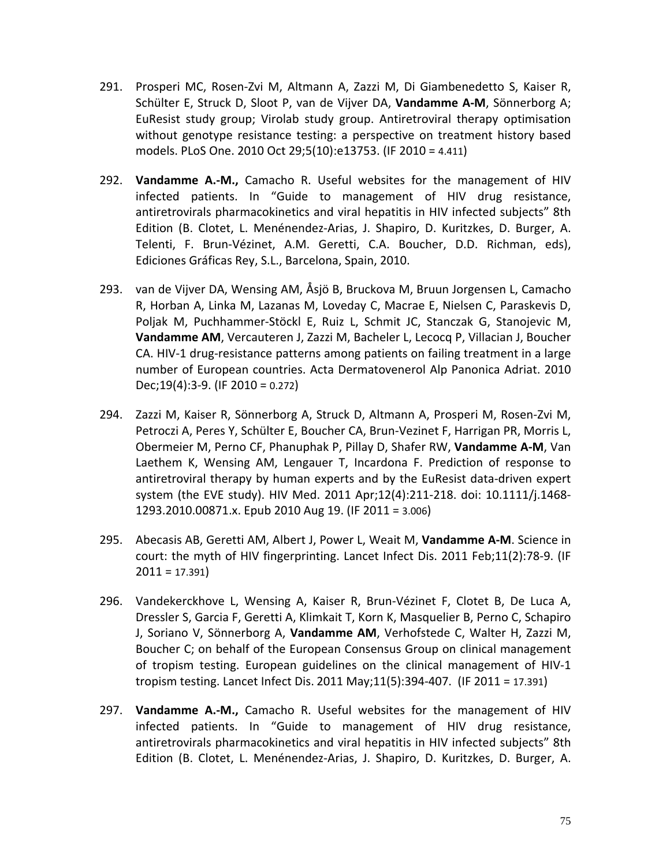- 291. Prosperi MC, Rosen-Zvi M, Altmann A, Zazzi M, Di Giambenedetto S, Kaiser R, Schülter E, Struck D, Sloot P, van de Vijver DA, **Vandamme A-M**, Sönnerborg A; EuResist study group; Virolab study group. Antiretroviral therapy optimisation without genotype resistance testing: a perspective on treatment history based models. PLoS One. 2010 Oct 29;5(10):e13753. (IF 2010 = 4.411)
- 292. **Vandamme A.-M.,** Camacho R. Useful websites for the management of HIV infected patients. In "Guide to management of HIV drug resistance, antiretrovirals pharmacokinetics and viral hepatitis in HIV infected subjects" 8th Edition (B. Clotet, L. Menénendez-Arias, J. Shapiro, D. Kuritzkes, D. Burger, A. Telenti, F. Brun-Vézinet, A.M. Geretti, C.A. Boucher, D.D. Richman, eds), Ediciones Gráficas Rey, S.L., Barcelona, Spain, 2010.
- 293. van de Vijver DA, Wensing AM, Åsjö B, Bruckova M, Bruun Jorgensen L, Camacho R, Horban A, Linka M, Lazanas M, Loveday C, Macrae E, Nielsen C, Paraskevis D, Poljak M, Puchhammer-Stöckl E, Ruiz L, Schmit JC, Stanczak G, Stanojevic M, **Vandamme AM**, Vercauteren J, Zazzi M, Bacheler L, Lecocq P, Villacian J, Boucher CA. HIV-1 drug-resistance patterns among patients on failing treatment in a large number of European countries. Acta Dermatovenerol Alp Panonica Adriat. 2010 Dec;19(4):3-9. (IF 2010 = 0.272)
- 294. Zazzi M, Kaiser R, Sönnerborg A, Struck D, Altmann A, Prosperi M, Rosen-Zvi M, Petroczi A, Peres Y, Schülter E, Boucher CA, Brun-Vezinet F, Harrigan PR, Morris L, Obermeier M, Perno CF, Phanuphak P, Pillay D, Shafer RW, **Vandamme A-M**, Van Laethem K, Wensing AM, Lengauer T, Incardona F. Prediction of response to antiretroviral therapy by human experts and by the EuResist data-driven expert system (the EVE study). HIV Med. 2011 Apr;12(4):211-218. doi: 10.1111/j.1468- 1293.2010.00871.x. Epub 2010 Aug 19. (IF 2011 = 3.006)
- 295. Abecasis AB, Geretti AM, Albert J, Power L, Weait M, **Vandamme A-M**. Science in court: the myth of HIV fingerprinting. Lancet Infect Dis. 2011 Feb;11(2):78-9. (IF  $2011 = 17.391$
- 296. Vandekerckhove L, Wensing A, Kaiser R, Brun-Vézinet F, Clotet B, De Luca A, Dressler S, Garcia F, Geretti A, Klimkait T, Korn K, Masquelier B, Perno C, Schapiro J, Soriano V, Sönnerborg A, **Vandamme AM**, Verhofstede C, Walter H, Zazzi M, Boucher C; on behalf of the European Consensus Group on clinical management of tropism testing. European guidelines on the clinical management of HIV-1 tropism testing. Lancet Infect Dis. 2011 May;11(5):394-407. (IF 2011 = 17.391)
- 297. **Vandamme A.-M.,** Camacho R. Useful websites for the management of HIV infected patients. In "Guide to management of HIV drug resistance, antiretrovirals pharmacokinetics and viral hepatitis in HIV infected subjects" 8th Edition (B. Clotet, L. Menénendez-Arias, J. Shapiro, D. Kuritzkes, D. Burger, A.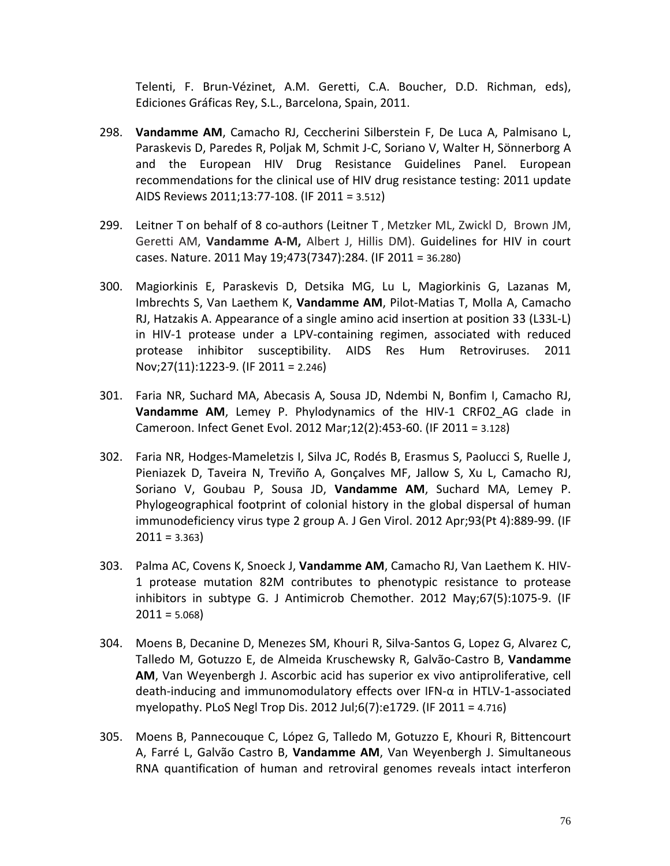Telenti, F. Brun-Vézinet, A.M. Geretti, C.A. Boucher, D.D. Richman, eds), Ediciones Gráficas Rey, S.L., Barcelona, Spain, 2011.

- 298. **Vandamme AM**, Camacho RJ, Ceccherini Silberstein F, De Luca A, Palmisano L, Paraskevis D, Paredes R, Poljak M, Schmit J-C, Soriano V, Walter H, Sönnerborg A and the European HIV Drug Resistance Guidelines Panel. European recommendations for the clinical use of HIV drug resistance testing: 2011 update AIDS Reviews 2011;13:77-108. (IF 2011 = 3.512)
- 299. Leitner T on behalf of 8 co-authors (Leitner T , Metzker ML, Zwickl D, Brown JM, Geretti AM, **Vandamme A-M,** Albert J, Hillis DM). Guidelines for HIV in court cases. Nature. 2011 May 19;473(7347):284. (IF 2011 = 36.280)
- 300. Magiorkinis E, Paraskevis D, Detsika MG, Lu L, Magiorkinis G, Lazanas M, Imbrechts S, Van Laethem K, **Vandamme AM**, Pilot-Matias T, Molla A, Camacho RJ, Hatzakis A. Appearance of a single amino acid insertion at position 33 (L33L-L) in HIV-1 protease under a LPV-containing regimen, associated with reduced protease inhibitor susceptibility. AIDS Res Hum Retroviruses. 2011 Nov;27(11):1223-9. (IF 2011 = 2.246)
- 301. Faria NR, Suchard MA, Abecasis A, Sousa JD, Ndembi N, Bonfim I, Camacho RJ, **Vandamme AM**, Lemey P. Phylodynamics of the HIV-1 CRF02\_AG clade in Cameroon. Infect Genet Evol. 2012 Mar;12(2):453-60. (IF 2011 = 3.128)
- 302. Faria NR, Hodges-Mameletzis I, Silva JC, Rodés B, Erasmus S, Paolucci S, Ruelle J, Pieniazek D, Taveira N, Treviño A, Gonçalves MF, Jallow S, Xu L, Camacho RJ, Soriano V, Goubau P, Sousa JD, **Vandamme AM**, Suchard MA, Lemey P. Phylogeographical footprint of colonial history in the global dispersal of human immunodeficiency virus type 2 group A. J Gen Virol. 2012 Apr;93(Pt 4):889-99. (IF  $2011 = 3.363$
- 303. Palma AC, Covens K, Snoeck J, **Vandamme AM**, Camacho RJ, Van Laethem K. HIV-1 protease mutation 82M contributes to phenotypic resistance to protease inhibitors in subtype G. J Antimicrob Chemother. 2012 May;67(5):1075-9. (IF  $2011 = 5.068$
- 304. Moens B, Decanine D, Menezes SM, Khouri R, Silva-Santos G, Lopez G, Alvarez C, Talledo M, Gotuzzo E, de Almeida Kruschewsky R, Galvão-Castro B, **Vandamme AM**, Van Weyenbergh J. Ascorbic acid has superior ex vivo antiproliferative, cell death-inducing and immunomodulatory effects over IFN-α in HTLV-1-associated myelopathy. PLoS Negl Trop Dis. 2012 Jul;6(7):e1729. (IF 2011 = 4.716)
- 305. Moens B, Pannecouque C, López G, Talledo M, Gotuzzo E, Khouri R, Bittencourt A, Farré L, Galvão Castro B, **Vandamme AM**, Van Weyenbergh J. Simultaneous RNA quantification of human and retroviral genomes reveals intact interferon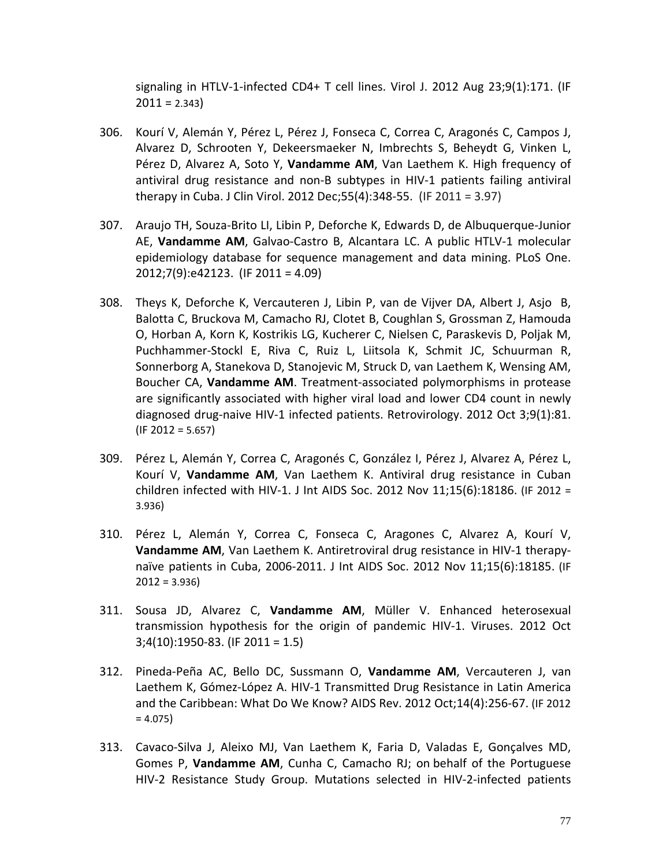signaling in HTLV-1-infected CD4+ T cell lines. Virol J. 2012 Aug 23;9(1):171. (IF  $2011 = 2.343$ 

- 306. Kourí V, Alemán Y, Pérez L, Pérez J, Fonseca C, Correa C, Aragonés C, Campos J, Alvarez D, Schrooten Y, Dekeersmaeker N, Imbrechts S, Beheydt G, Vinken L, Pérez D, Alvarez A, Soto Y, **Vandamme AM**, Van Laethem K. High frequency of antiviral drug resistance and non-B subtypes in HIV-1 patients failing antiviral therapy in Cuba. J Clin Virol. 2012 Dec;55(4):348-55. (IF 2011 = 3.97)
- 307. Araujo TH, Souza-Brito LI, Libin P, Deforche K, Edwards D, de Albuquerque-Junior AE, **Vandamme AM**, Galvao-Castro B, Alcantara LC. A public HTLV-1 molecular epidemiology database for sequence management and data mining. PLoS One. 2012;7(9):e42123. (IF 2011 = 4.09)
- 308. Theys K, Deforche K, Vercauteren J, Libin P, van de Vijver DA, Albert J, Asjo B, Balotta C, Bruckova M, Camacho RJ, Clotet B, Coughlan S, Grossman Z, Hamouda O, Horban A, Korn K, Kostrikis LG, Kucherer C, Nielsen C, Paraskevis D, Poljak M, Puchhammer-Stockl E, Riva C, Ruiz L, Liitsola K, Schmit JC, Schuurman R, Sonnerborg A, Stanekova D, Stanojevic M, Struck D, van Laethem K, Wensing AM, Boucher CA, **Vandamme AM**. Treatment-associated polymorphisms in protease are significantly associated with higher viral load and lower CD4 count in newly diagnosed drug-naive HIV-1 infected patients. Retrovirology. 2012 Oct 3;9(1):81.  $(IF 2012 = 5.657)$
- 309. Pérez L, Alemán Y, Correa C, Aragonés C, González I, Pérez J, Alvarez A, Pérez L, Kourí V, **Vandamme AM**, Van Laethem K. Antiviral drug resistance in Cuban children infected with HIV-1. J Int AIDS Soc. 2012 Nov 11;15(6):18186. (IF 2012 = 3.936)
- 310. Pérez L, Alemán Y, Correa C, Fonseca C, Aragones C, Alvarez A, Kourí V, **Vandamme AM**, Van Laethem K. Antiretroviral drug resistance in HIV-1 therapynaïve patients in Cuba, 2006-2011. J Int AIDS Soc. 2012 Nov 11;15(6):18185. (IF  $2012 = 3.936$
- 311. Sousa JD, Alvarez C, **Vandamme AM**, Müller V. Enhanced heterosexual transmission hypothesis for the origin of pandemic HIV-1. Viruses. 2012 Oct 3;4(10):1950-83. (IF 2011 = 1.5)
- 312. Pineda-Peña AC, Bello DC, Sussmann O, **Vandamme AM**, Vercauteren J, van Laethem K, Gómez-López A. HIV-1 Transmitted Drug Resistance in Latin America and the Caribbean: What Do We Know? AIDS Rev. 2012 Oct;14(4):256-67. (IF 2012  $= 4.075$
- 313. Cavaco-Silva J, Aleixo MJ, Van Laethem K, Faria D, Valadas E, Gonçalves MD, Gomes P, **Vandamme AM**, Cunha C, Camacho RJ; on behalf of the Portuguese HIV-2 Resistance Study Group. Mutations selected in HIV-2-infected patients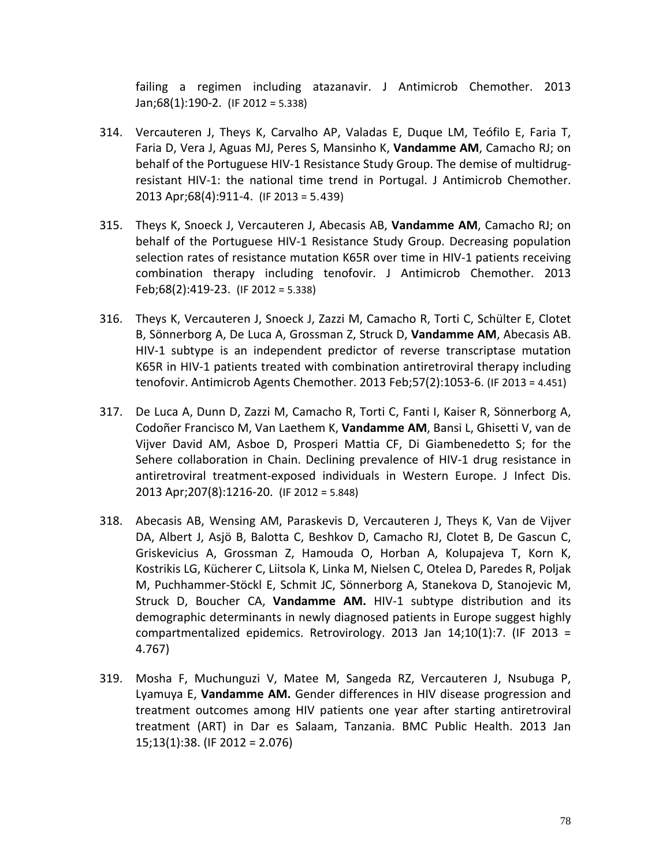failing a regimen including atazanavir. J Antimicrob Chemother. 2013 Jan;68(1):190-2. (IF 2012 = 5.338)

- 314. Vercauteren J, Theys K, Carvalho AP, Valadas E, Duque LM, Teófilo E, Faria T, Faria D, Vera J, Aguas MJ, Peres S, Mansinho K, **Vandamme AM**, Camacho RJ; on behalf of the Portuguese HIV-1 Resistance Study Group. The demise of multidrugresistant HIV-1: the national time trend in Portugal. J Antimicrob Chemother. 2013 Apr;68(4):911-4. (IF 2013 = 5.439)
- 315. Theys K, Snoeck J, Vercauteren J, Abecasis AB, **Vandamme AM**, Camacho RJ; on behalf of the Portuguese HIV-1 Resistance Study Group. Decreasing population selection rates of resistance mutation K65R over time in HIV-1 patients receiving combination therapy including tenofovir. J Antimicrob Chemother. 2013 Feb;68(2):419-23. (IF 2012 = 5.338)
- 316. Theys K, Vercauteren J, Snoeck J, Zazzi M, Camacho R, Torti C, Schülter E, Clotet B, Sönnerborg A, De Luca A, Grossman Z, Struck D, **Vandamme AM**, Abecasis AB. HIV-1 subtype is an independent predictor of reverse transcriptase mutation K65R in HIV-1 patients treated with combination antiretroviral therapy including tenofovir. Antimicrob Agents Chemother. 2013 Feb;57(2):1053-6. (IF 2013 = 4.451)
- 317. De Luca A, Dunn D, Zazzi M, Camacho R, Torti C, Fanti I, Kaiser R, Sönnerborg A, Codoñer Francisco M, Van Laethem K, **Vandamme AM**, Bansi L, Ghisetti V, van de Vijver David AM, Asboe D, Prosperi Mattia CF, Di Giambenedetto S; for the Sehere collaboration in Chain. Declining prevalence of HIV-1 drug resistance in antiretroviral treatment-exposed individuals in Western Europe. J Infect Dis. 2013 Apr;207(8):1216-20. (IF 2012 = 5.848)
- 318. Abecasis AB, Wensing AM, Paraskevis D, Vercauteren J, Theys K, Van de Vijver DA, Albert J, Asjö B, Balotta C, Beshkov D, Camacho RJ, Clotet B, De Gascun C, Griskevicius A, Grossman Z, Hamouda O, Horban A, Kolupajeva T, Korn K, Kostrikis LG, Kücherer C, Liitsola K, Linka M, Nielsen C, Otelea D, Paredes R, Poljak M, Puchhammer-Stöckl E, Schmit JC, Sönnerborg A, Stanekova D, Stanojevic M, Struck D, Boucher CA, **Vandamme AM.** HIV-1 subtype distribution and its demographic determinants in newly diagnosed patients in Europe suggest highly compartmentalized epidemics. Retrovirology. 2013 Jan 14;10(1):7. (IF 2013 = 4.767)
- 319. Mosha F, Muchunguzi V, Matee M, Sangeda RZ, Vercauteren J, Nsubuga P, Lyamuya E, **Vandamme AM.** Gender differences in HIV disease progression and treatment outcomes among HIV patients one year after starting antiretroviral treatment (ART) in Dar es Salaam, Tanzania. BMC Public Health. 2013 Jan 15;13(1):38. (IF 2012 = 2.076)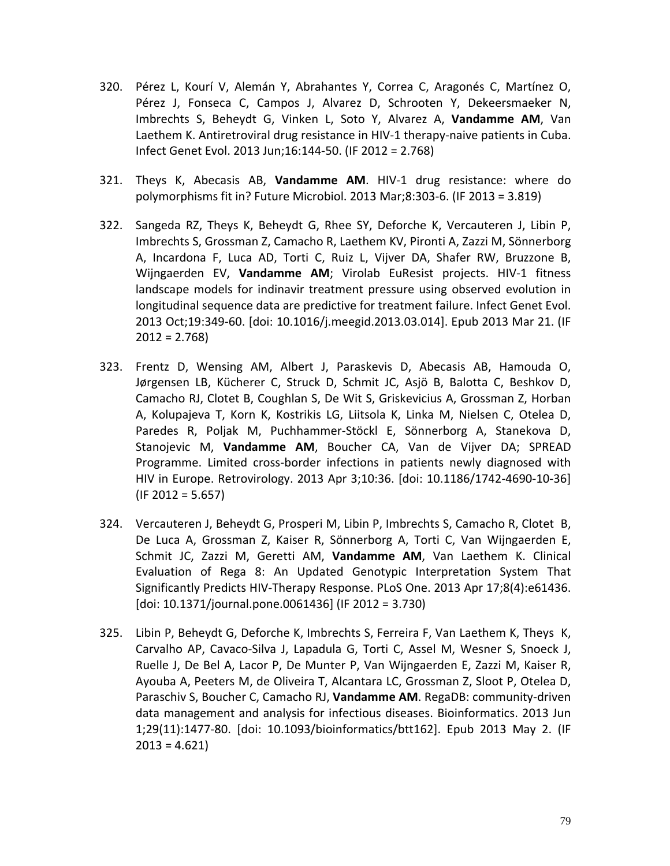- 320. Pérez L, Kourí V, Alemán Y, Abrahantes Y, Correa C, Aragonés C, Martínez O, Pérez J, Fonseca C, Campos J, Alvarez D, Schrooten Y, Dekeersmaeker N, Imbrechts S, Beheydt G, Vinken L, Soto Y, Alvarez A, **Vandamme AM**, Van Laethem K. Antiretroviral drug resistance in HIV-1 therapy-naive patients in Cuba. Infect Genet Evol. 2013 Jun;16:144-50. (IF 2012 = 2.768)
- 321. Theys K, Abecasis AB, **Vandamme AM**. HIV-1 drug resistance: where do polymorphisms fit in? Future Microbiol. 2013 Mar;8:303-6. (IF 2013 = 3.819)
- 322. Sangeda RZ, Theys K, Beheydt G, Rhee SY, Deforche K, Vercauteren J, Libin P, Imbrechts S, Grossman Z, Camacho R, Laethem KV, Pironti A, Zazzi M, Sönnerborg A, Incardona F, Luca AD, Torti C, Ruiz L, Vijver DA, Shafer RW, Bruzzone B, Wijngaerden EV, **Vandamme AM**; Virolab EuResist projects. HIV-1 fitness landscape models for indinavir treatment pressure using observed evolution in longitudinal sequence data are predictive for treatment failure. Infect Genet Evol. 2013 Oct;19:349-60. [doi: 10.1016/j.meegid.2013.03.014]. Epub 2013 Mar 21. (IF  $2012 = 2.768$
- 323. Frentz D, Wensing AM, Albert J, Paraskevis D, Abecasis AB, Hamouda O, Jørgensen LB, Kücherer C, Struck D, Schmit JC, Asjö B, Balotta C, Beshkov D, Camacho RJ, Clotet B, Coughlan S, De Wit S, Griskevicius A, Grossman Z, Horban A, Kolupajeva T, Korn K, Kostrikis LG, Liitsola K, Linka M, Nielsen C, Otelea D, Paredes R, Poljak M, Puchhammer-Stöckl E, Sönnerborg A, Stanekova D, Stanojevic M, **Vandamme AM**, Boucher CA, Van de Vijver DA; SPREAD Programme. Limited cross-border infections in patients newly diagnosed with HIV in Europe. Retrovirology. 2013 Apr 3;10:36. [doi: 10.1186/1742-4690-10-36]  $(IF 2012 = 5.657)$
- 324. Vercauteren J, Beheydt G, Prosperi M, Libin P, Imbrechts S, Camacho R, Clotet B, De Luca A, Grossman Z, Kaiser R, Sönnerborg A, Torti C, Van Wijngaerden E, Schmit JC, Zazzi M, Geretti AM, **Vandamme AM**, Van Laethem K. Clinical Evaluation of Rega 8: An Updated Genotypic Interpretation System That Significantly Predicts HIV-Therapy Response. PLoS One. 2013 Apr 17;8(4):e61436. [doi: 10.1371/journal.pone.0061436] (IF 2012 = 3.730)
- 325. Libin P, Beheydt G, Deforche K, Imbrechts S, Ferreira F, Van Laethem K, Theys K, Carvalho AP, Cavaco-Silva J, Lapadula G, Torti C, Assel M, Wesner S, Snoeck J, Ruelle J, De Bel A, Lacor P, De Munter P, Van Wijngaerden E, Zazzi M, Kaiser R, Ayouba A, Peeters M, de Oliveira T, Alcantara LC, Grossman Z, Sloot P, Otelea D, Paraschiv S, Boucher C, Camacho RJ, **Vandamme AM**. RegaDB: community-driven data management and analysis for infectious diseases. Bioinformatics. 2013 Jun 1;29(11):1477-80. [doi: 10.1093/bioinformatics/btt162]. Epub 2013 May 2. (IF  $2013 = 4.621$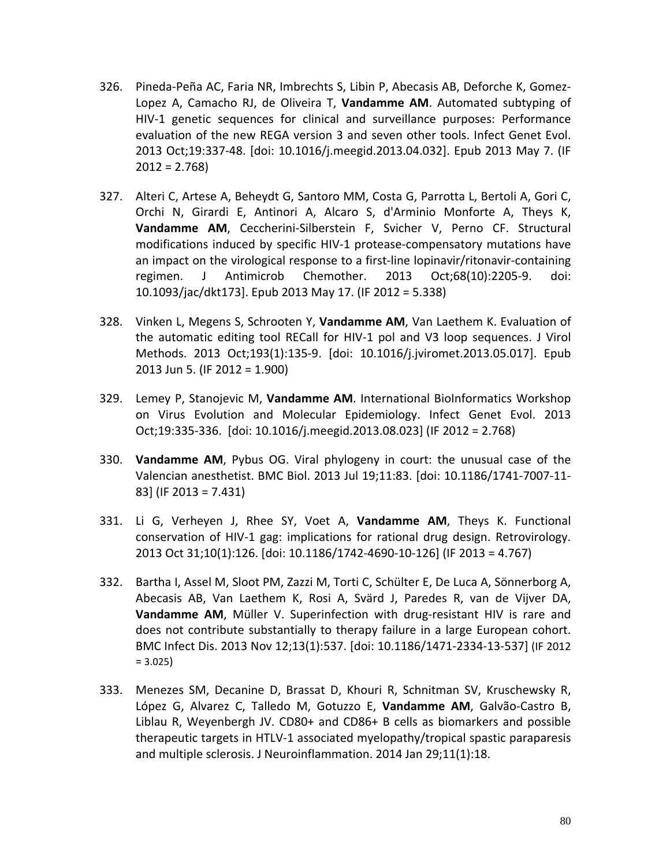- 326. Pineda-Peña AC, Faria NR, Imbrechts S, Libin P, Abecasis AB, Deforche K, Gomez-Lopez A, Camacho RJ, de Oliveira T, **Vandamme AM**. Automated subtyping of HIV-1 genetic sequences for clinical and surveillance purposes: Performance evaluation of the new REGA version 3 and seven other tools. Infect Genet Evol. 2013 Oct;19:337-48. [doi: 10.1016/j.meegid.2013.04.032]. Epub 2013 May 7. (IF  $2012 = 2.768$
- 327. Alteri C, Artese A, Beheydt G, Santoro MM, Costa G, Parrotta L, Bertoli A, Gori C, Orchi N, Girardi E, Antinori A, Alcaro S, d'Arminio Monforte A, Theys K, **Vandamme AM**, Ceccherini-Silberstein F, Svicher V, Perno CF. Structural modifications induced by specific HIV-1 protease-compensatory mutations have an impact on the virological response to a first-line lopinavir/ritonavir-containing regimen. J Antimicrob Chemother. 2013 Oct;68(10):2205-9. doi: 10.1093/jac/dkt173]. Epub 2013 May 17. (IF 2012 = 5.338)
- 328. Vinken L, Megens S, Schrooten Y, **Vandamme AM**, Van Laethem K. Evaluation of the automatic editing tool RECall for HIV-1 pol and V3 loop sequences. J Virol Methods. 2013 Oct;193(1):135-9. [doi: 10.1016/j.jviromet.2013.05.017]. Epub 2013 Jun 5. (IF 2012 = 1.900)
- 329. Lemey P, Stanojevic M, **Vandamme AM**. International BioInformatics Workshop on Virus Evolution and Molecular Epidemiology. Infect Genet Evol. 2013 Oct;19:335-336. [doi: 10.1016/j.meegid.2013.08.023] (IF 2012 = 2.768)
- 330. **Vandamme AM**, Pybus OG. Viral phylogeny in court: the unusual case of the Valencian anesthetist. BMC Biol. 2013 Jul 19;11:83. [doi: 10.1186/1741-7007-11- 83] (IF 2013 = 7.431)
- 331. Li G, Verheyen J, Rhee SY, Voet A, **Vandamme AM**, Theys K. Functional conservation of HIV-1 gag: implications for rational drug design. Retrovirology. 2013 Oct 31;10(1):126. [doi: 10.1186/1742-4690-10-126] (IF 2013 = 4.767)
- 332. Bartha I, Assel M, Sloot PM, Zazzi M, Torti C, Schülter E, De Luca A, Sönnerborg A, Abecasis AB, Van Laethem K, Rosi A, Svärd J, Paredes R, van de Vijver DA, **Vandamme AM**, Müller V. Superinfection with drug-resistant HIV is rare and does not contribute substantially to therapy failure in a large European cohort. BMC Infect Dis. 2013 Nov 12;13(1):537. [doi: 10.1186/1471-2334-13-537] (IF 2012  $= 3.025$
- 333. Menezes SM, Decanine D, Brassat D, Khouri R, Schnitman SV, Kruschewsky R, López G, Alvarez C, Talledo M, Gotuzzo E, **Vandamme AM**, Galvão-Castro B, Liblau R, Weyenbergh JV. CD80+ and CD86+ B cells as biomarkers and possible therapeutic targets in HTLV-1 associated myelopathy/tropical spastic paraparesis and multiple sclerosis. J Neuroinflammation. 2014 Jan 29;11(1):18.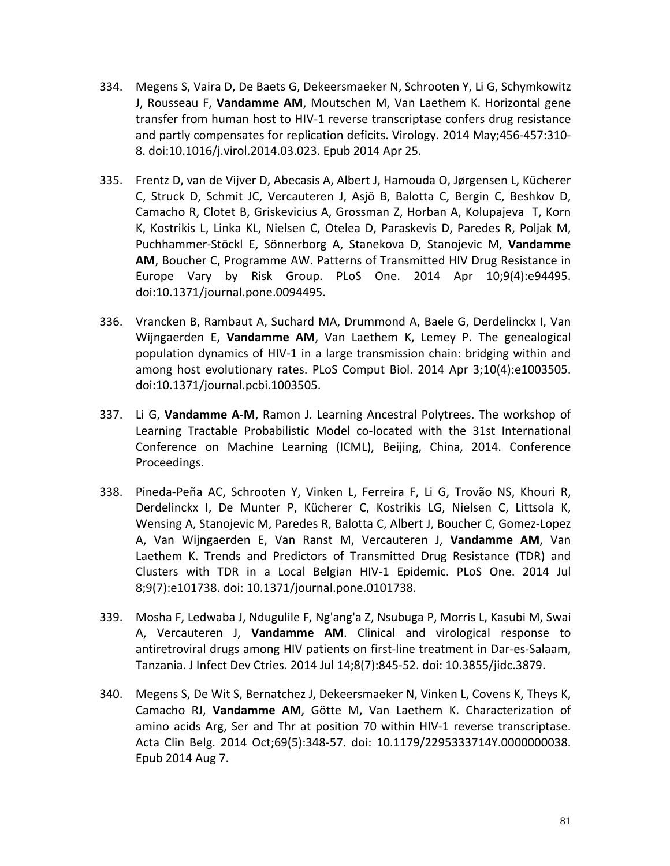- 334. Megens S, Vaira D, De Baets G, Dekeersmaeker N, Schrooten Y, Li G, Schymkowitz J, Rousseau F, **Vandamme AM**, Moutschen M, Van Laethem K. Horizontal gene transfer from human host to HIV-1 reverse transcriptase confers drug resistance and partly compensates for replication deficits. Virology. 2014 May;456-457:310- 8. doi:10.1016/j.virol.2014.03.023. Epub 2014 Apr 25.
- 335. Frentz D, van de Vijver D, Abecasis A, Albert J, Hamouda O, Jørgensen L, Kücherer C, Struck D, Schmit JC, Vercauteren J, Asjö B, Balotta C, Bergin C, Beshkov D, Camacho R, Clotet B, Griskevicius A, Grossman Z, Horban A, Kolupajeva T, Korn K, Kostrikis L, Linka KL, Nielsen C, Otelea D, Paraskevis D, Paredes R, Poljak M, Puchhammer-Stöckl E, Sönnerborg A, Stanekova D, Stanojevic M, **Vandamme AM**, Boucher C, Programme AW. Patterns of Transmitted HIV Drug Resistance in Europe Vary by Risk Group. PLoS One. 2014 Apr 10;9(4):e94495. doi:10.1371/journal.pone.0094495.
- 336. Vrancken B, Rambaut A, Suchard MA, Drummond A, Baele G, Derdelinckx I, Van Wijngaerden E, **Vandamme AM**, Van Laethem K, Lemey P. The genealogical population dynamics of HIV-1 in a large transmission chain: bridging within and among host evolutionary rates. PLoS Comput Biol. 2014 Apr 3;10(4):e1003505. doi:10.1371/journal.pcbi.1003505.
- 337. Li G, **Vandamme A-M**, Ramon J. Learning Ancestral Polytrees. The workshop of Learning Tractable Probabilistic Model co-located with the 31st International Conference on Machine Learning (ICML), Beijing, China, 2014. Conference Proceedings.
- 338. Pineda-Peña AC, Schrooten Y, Vinken L, Ferreira F, Li G, Trovão NS, Khouri R, Derdelinckx I, De Munter P, Kücherer C, Kostrikis LG, Nielsen C, Littsola K, Wensing A, Stanojevic M, Paredes R, Balotta C, Albert J, Boucher C, Gomez-Lopez A, Van Wijngaerden E, Van Ranst M, Vercauteren J, **Vandamme AM**, Van Laethem K. Trends and Predictors of Transmitted Drug Resistance (TDR) and Clusters with TDR in a Local Belgian HIV-1 Epidemic. PLoS One. 2014 Jul 8;9(7):e101738. doi: 10.1371/journal.pone.0101738.
- 339. Mosha F, Ledwaba J, Ndugulile F, Ng'ang'a Z, Nsubuga P, Morris L, Kasubi M, Swai A, Vercauteren J, **Vandamme AM**. Clinical and virological response to antiretroviral drugs among HIV patients on first-line treatment in Dar-es-Salaam, Tanzania. J Infect Dev Ctries. 2014 Jul 14;8(7):845-52. doi: 10.3855/jidc.3879.
- 340. Megens S, De Wit S, Bernatchez J, Dekeersmaeker N, Vinken L, Covens K, Theys K, Camacho RJ, **Vandamme AM**, Götte M, Van Laethem K. Characterization of amino acids Arg, Ser and Thr at position 70 within HIV-1 reverse transcriptase. Acta Clin Belg. 2014 Oct;69(5):348-57. doi: 10.1179/2295333714Y.0000000038. Epub 2014 Aug 7.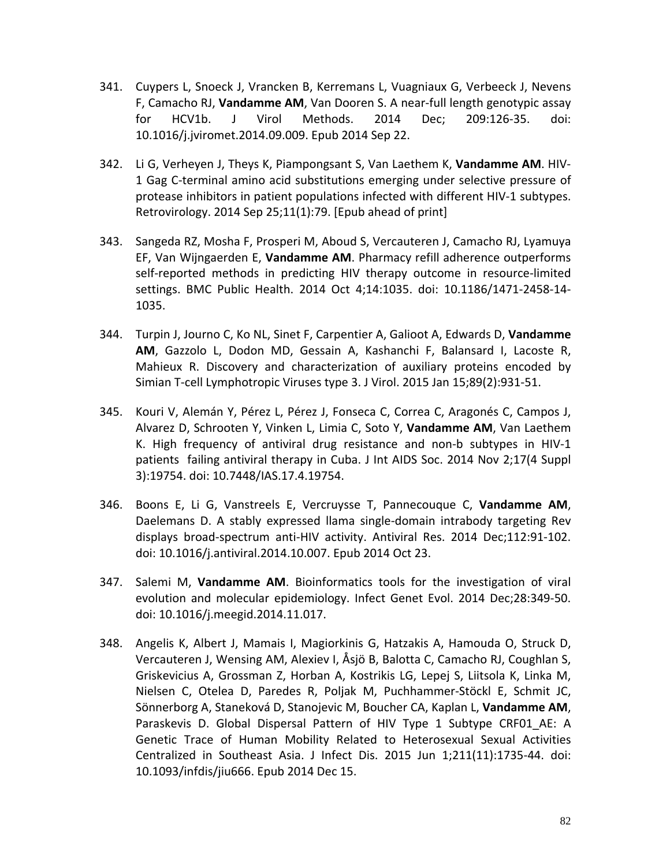- 341. Cuypers L, Snoeck J, Vrancken B, Kerremans L, Vuagniaux G, Verbeeck J, Nevens F, Camacho RJ, **Vandamme AM**, Van Dooren S. A near-full length genotypic assay for HCV1b. J Virol Methods. 2014 Dec; 209:126-35. doi: 10.1016/j.jviromet.2014.09.009. Epub 2014 Sep 22.
- 342. Li G, Verheyen J, Theys K, Piampongsant S, Van Laethem K, **Vandamme AM**. HIV-1 Gag C-terminal amino acid substitutions emerging under selective pressure of protease inhibitors in patient populations infected with different HIV-1 subtypes. Retrovirology. 2014 Sep 25;11(1):79. [Epub ahead of print]
- 343. Sangeda RZ, Mosha F, Prosperi M, Aboud S, Vercauteren J, Camacho RJ, Lyamuya EF, Van Wijngaerden E, **Vandamme AM**. Pharmacy refill adherence outperforms self-reported methods in predicting HIV therapy outcome in resource-limited settings. BMC Public Health. 2014 Oct 4;14:1035. doi: 10.1186/1471-2458-14- 1035.
- 344. Turpin J, Journo C, Ko NL, Sinet F, Carpentier A, Galioot A, Edwards D, **Vandamme AM**, Gazzolo L, Dodon MD, Gessain A, Kashanchi F, Balansard I, Lacoste R, Mahieux R. Discovery and characterization of auxiliary proteins encoded by Simian T-cell Lymphotropic Viruses type 3. J Virol. 2015 Jan 15;89(2):931-51.
- 345. Kouri V, Alemán Y, Pérez L, Pérez J, Fonseca C, Correa C, Aragonés C, Campos J, Alvarez D, Schrooten Y, Vinken L, Limia C, Soto Y, **Vandamme AM**, Van Laethem K. High frequency of antiviral drug resistance and non-b subtypes in HIV-1 patients failing antiviral therapy in Cuba. J Int AIDS Soc. 2014 Nov 2;17(4 Suppl 3):19754. doi: 10.7448/IAS.17.4.19754.
- 346. Boons E, Li G, Vanstreels E, Vercruysse T, Pannecouque C, **Vandamme AM**, Daelemans D. A stably expressed llama single-domain intrabody targeting Rev displays broad-spectrum anti-HIV activity. Antiviral Res. 2014 Dec;112:91-102. doi: 10.1016/j.antiviral.2014.10.007. Epub 2014 Oct 23.
- 347. Salemi M, **Vandamme AM**. Bioinformatics tools for the investigation of viral evolution and molecular epidemiology. Infect Genet Evol. 2014 Dec;28:349-50. doi: 10.1016/j.meegid.2014.11.017.
- 348. Angelis K, Albert J, Mamais I, Magiorkinis G, Hatzakis A, Hamouda O, Struck D, Vercauteren J, Wensing AM, Alexiev I, Åsjö B, Balotta C, Camacho RJ, Coughlan S, Griskevicius A, Grossman Z, Horban A, Kostrikis LG, Lepej S, Liitsola K, Linka M, Nielsen C, Otelea D, Paredes R, Poljak M, Puchhammer-Stöckl E, Schmit JC, Sönnerborg A, Staneková D, Stanojevic M, Boucher CA, Kaplan L, **Vandamme AM**, Paraskevis D. Global Dispersal Pattern of HIV Type 1 Subtype CRF01\_AE: A Genetic Trace of Human Mobility Related to Heterosexual Sexual Activities Centralized in Southeast Asia. J Infect Dis. 2015 Jun 1;211(11):1735-44. doi: 10.1093/infdis/jiu666. Epub 2014 Dec 15.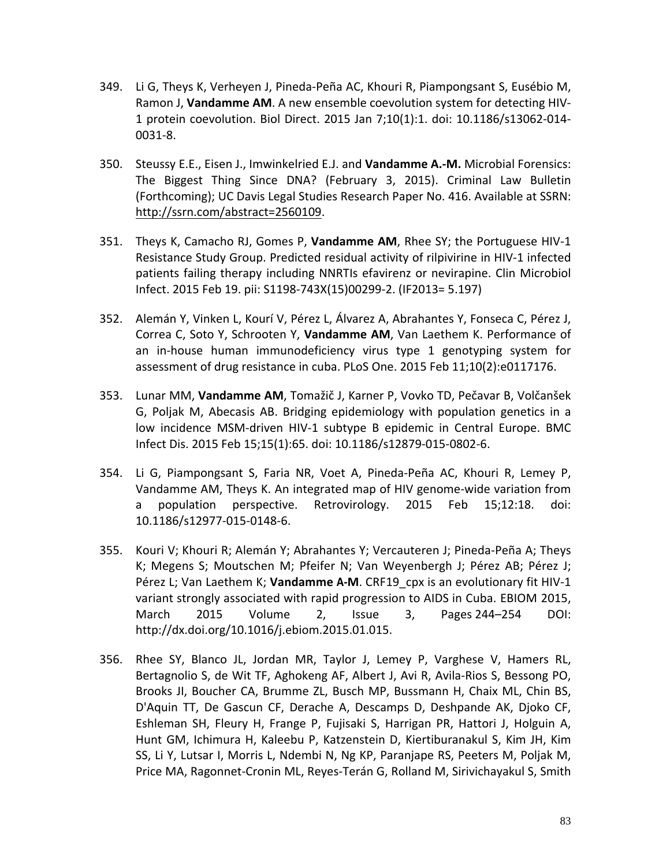- 349. Li G, Theys K, Verheyen J, Pineda-Peña AC, Khouri R, Piampongsant S, Eusébio M, Ramon J, **Vandamme AM**. A new ensemble coevolution system for detecting HIV-1 protein coevolution. Biol Direct. 2015 Jan 7;10(1):1. doi: 10.1186/s13062-014- 0031-8.
- 350. Steussy E.E., Eisen J., Imwinkelried E.J. and **Vandamme A.-M.** Microbial Forensics: The Biggest Thing Since DNA? (February 3, 2015). Criminal Law Bulletin (Forthcoming); UC Davis Legal Studies Research Paper No. 416. Available at SSRN: [http://ssrn.com/abstract=2560109.](http://ssrn.com/abstract=2560109)
- 351. Theys K, Camacho RJ, Gomes P, **Vandamme AM**, Rhee SY; the Portuguese HIV-1 Resistance Study Group. Predicted residual activity of rilpivirine in HIV-1 infected patients failing therapy including NNRTIs efavirenz or nevirapine. Clin Microbiol Infect. 2015 Feb 19. pii: S1198-743X(15)00299-2. (IF2013= 5.197)
- 352. Alemán Y, Vinken L, Kourí V, Pérez L, Álvarez A, Abrahantes Y, Fonseca C, Pérez J, Correa C, Soto Y, Schrooten Y, **Vandamme AM**, Van Laethem K. Performance of an in-house human immunodeficiency virus type 1 genotyping system for assessment of drug resistance in cuba. PLoS One. 2015 Feb 11;10(2):e0117176.
- 353. Lunar MM, **Vandamme AM**, Tomažič J, Karner P, Vovko TD, Pečavar B, Volčanšek G, Poljak M, Abecasis AB. Bridging epidemiology with population genetics in a low incidence MSM-driven HIV-1 subtype B epidemic in Central Europe. BMC Infect Dis. 2015 Feb 15;15(1):65. doi: 10.1186/s12879-015-0802-6.
- 354. Li G, Piampongsant S, Faria NR, Voet A, Pineda-Peña AC, Khouri R, Lemey P, Vandamme AM, Theys K. An integrated map of HIV genome-wide variation from a population perspective. Retrovirology. 2015 Feb 15;12:18. doi: 10.1186/s12977-015-0148-6.
- 355. Kouri V; Khouri R; Alemán Y; Abrahantes Y; Vercauteren J; Pineda-Peña A; Theys K; Megens S; Moutschen M; Pfeifer N; Van Weyenbergh J; Pérez AB; Pérez J; Pérez L; Van Laethem K; **Vandamme A-M**. CRF19\_cpx is an evolutionary fit HIV-1 variant strongly associated with rapid progression to AIDS in Cuba. EBIOM 2015, [March 2015](http://www.ebiomedicine.com/issue/S2352-3964(15)X0005-3) Volume 2, Issue 3, Pages 244–254 DOI: [http://dx.doi.org/10.1016/j.ebiom.2015.01.015.](http://dx.doi.org/10.1016/j.ebiom.2015.01.015)
- 356. Rhee SY, Blanco JL, Jordan MR, Taylor J, Lemey P, Varghese V, Hamers RL, Bertagnolio S, de Wit TF, Aghokeng AF, Albert J, Avi R, Avila-Rios S, Bessong PO, Brooks JI, Boucher CA, Brumme ZL, Busch MP, Bussmann H, Chaix ML, Chin BS, D'Aquin TT, De Gascun CF, Derache A, Descamps D, Deshpande AK, Djoko CF, Eshleman SH, Fleury H, Frange P, Fujisaki S, Harrigan PR, Hattori J, Holguin A, Hunt GM, Ichimura H, Kaleebu P, Katzenstein D, Kiertiburanakul S, Kim JH, Kim SS, Li Y, Lutsar I, Morris L, Ndembi N, Ng KP, Paranjape RS, Peeters M, Poljak M, Price MA, Ragonnet-Cronin ML, Reyes-Terán G, Rolland M, Sirivichayakul S, Smith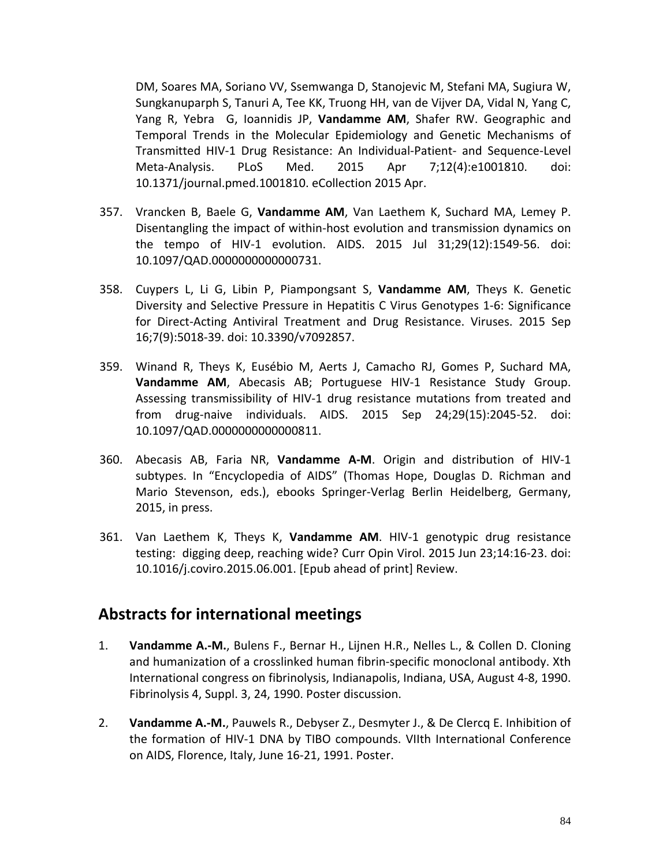DM, Soares MA, Soriano VV, Ssemwanga D, Stanojevic M, Stefani MA, Sugiura W, Sungkanuparph S, Tanuri A, Tee KK, Truong HH, van de Vijver DA, Vidal N, Yang C, Yang R, Yebra G, Ioannidis JP, **Vandamme AM**, Shafer RW. Geographic and Temporal Trends in the Molecular Epidemiology and Genetic Mechanisms of Transmitted HIV-1 Drug Resistance: An Individual-Patient- and Sequence-Level Meta-Analysis. PLoS Med. 2015 Apr 7;12(4):e1001810. doi: 10.1371/journal.pmed.1001810. eCollection 2015 Apr.

- 357. Vrancken B, Baele G, **Vandamme AM**, Van Laethem K, Suchard MA, Lemey P. Disentangling the impact of within-host evolution and transmission dynamics on the tempo of HIV-1 evolution. AIDS. 2015 Jul 31;29(12):1549-56. doi: 10.1097/QAD.0000000000000731.
- 358. Cuypers L, Li G, Libin P, Piampongsant S, **Vandamme AM**, Theys K. Genetic Diversity and Selective Pressure in Hepatitis C Virus Genotypes 1-6: Significance for Direct-Acting Antiviral Treatment and Drug Resistance. Viruses. 2015 Sep 16;7(9):5018-39. doi: 10.3390/v7092857.
- 359. Winand R, Theys K, Eusébio M, Aerts J, Camacho RJ, Gomes P, Suchard MA, **Vandamme AM**, Abecasis AB; Portuguese HIV-1 Resistance Study Group. Assessing transmissibility of HIV-1 drug resistance mutations from treated and from drug-naive individuals. AIDS. 2015 Sep 24;29(15):2045-52. doi: 10.1097/QAD.0000000000000811.
- 360. Abecasis AB, Faria NR, **Vandamme A-M**. Origin and distribution of HIV-1 subtypes. In "Encyclopedia of AIDS" (Thomas Hope, Douglas D. Richman and Mario Stevenson, eds.), ebooks Springer-Verlag Berlin Heidelberg, Germany, 2015, in press.
- 361. Van Laethem K, Theys K, **Vandamme AM**. HIV-1 genotypic drug resistance testing: digging deep, reaching wide? Curr Opin Virol. 2015 Jun 23;14:16-23. doi: 10.1016/j.coviro.2015.06.001. [Epub ahead of print] Review.

## **Abstracts for international meetings**

- 1. **Vandamme A.-M.**, Bulens F., Bernar H., Lijnen H.R., Nelles L., & Collen D. Cloning and humanization of a crosslinked human fibrin-specific monoclonal antibody. Xth International congress on fibrinolysis, Indianapolis, Indiana, USA, August 4-8, 1990. Fibrinolysis 4, Suppl. 3, 24, 1990. Poster discussion.
- 2. **Vandamme A.-M.**, Pauwels R., Debyser Z., Desmyter J., & De Clercq E. Inhibition of the formation of HIV-1 DNA by TIBO compounds. VIIth International Conference on AIDS, Florence, Italy, June 16-21, 1991. Poster.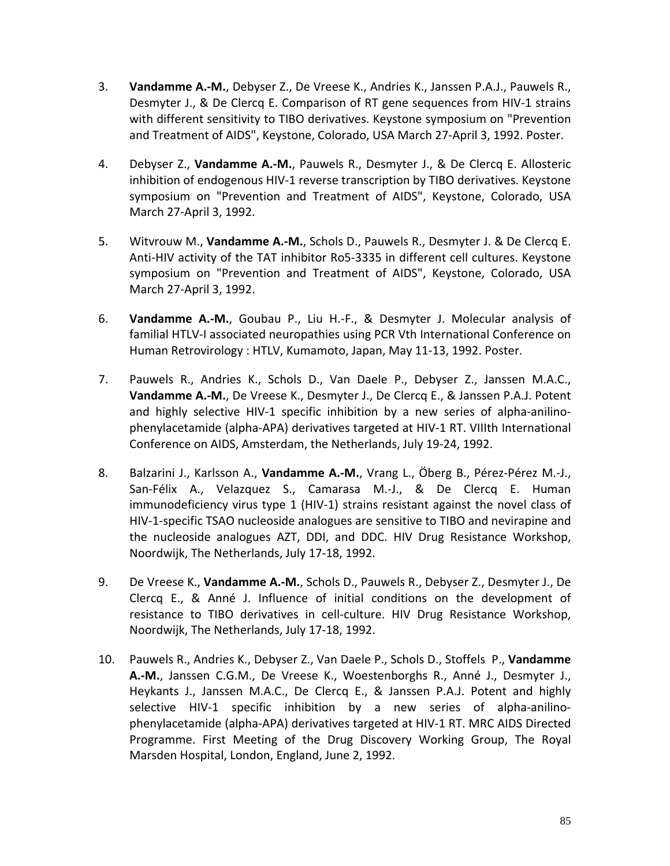- 3. **Vandamme A.-M.**, Debyser Z., De Vreese K., Andries K., Janssen P.A.J., Pauwels R., Desmyter J., & De Clercq E. Comparison of RT gene sequences from HIV-1 strains with different sensitivity to TIBO derivatives. Keystone symposium on "Prevention and Treatment of AIDS", Keystone, Colorado, USA March 27-April 3, 1992. Poster.
- 4. Debyser Z., **Vandamme A.-M.**, Pauwels R., Desmyter J., & De Clercq E. Allosteric inhibition of endogenous HIV-1 reverse transcription by TIBO derivatives. Keystone symposium on "Prevention and Treatment of AIDS", Keystone, Colorado, USA March 27-April 3, 1992.
- 5. Witvrouw M., **Vandamme A.-M.**, Schols D., Pauwels R., Desmyter J. & De Clercq E. Anti-HIV activity of the TAT inhibitor Ro5-3335 in different cell cultures. Keystone symposium on "Prevention and Treatment of AIDS", Keystone, Colorado, USA March 27-April 3, 1992.
- 6. **Vandamme A.-M.**, Goubau P., Liu H.-F., & Desmyter J. Molecular analysis of familial HTLV-I associated neuropathies using PCR Vth International Conference on Human Retrovirology : HTLV, Kumamoto, Japan, May 11-13, 1992. Poster.
- 7. Pauwels R., Andries K., Schols D., Van Daele P., Debyser Z., Janssen M.A.C., **Vandamme A.-M.**, De Vreese K., Desmyter J., De Clercq E., & Janssen P.A.J. Potent and highly selective HIV-1 specific inhibition by a new series of alpha-anilinophenylacetamide (alpha-APA) derivatives targeted at HIV-1 RT. VIIIth International Conference on AIDS, Amsterdam, the Netherlands, July 19-24, 1992.
- 8. Balzarini J., Karlsson A., **Vandamme A.-M.**, Vrang L., Öberg B., Pérez-Pérez M.-J., San-Félix A., Velazquez S., Camarasa M.-J., & De Clercq E. Human immunodeficiency virus type 1 (HIV-1) strains resistant against the novel class of HIV-1-specific TSAO nucleoside analogues are sensitive to TIBO and nevirapine and the nucleoside analogues AZT, DDI, and DDC. HIV Drug Resistance Workshop, Noordwijk, The Netherlands, July 17-18, 1992.
- 9. De Vreese K., **Vandamme A.-M.**, Schols D., Pauwels R., Debyser Z., Desmyter J., De Clercq E., & Anné J. Influence of initial conditions on the development of resistance to TIBO derivatives in cell-culture. HIV Drug Resistance Workshop, Noordwijk, The Netherlands, July 17-18, 1992.
- 10. Pauwels R., Andries K., Debyser Z., Van Daele P., Schols D., Stoffels P., **Vandamme A.-M.**, Janssen C.G.M., De Vreese K., Woestenborghs R., Anné J., Desmyter J., Heykants J., Janssen M.A.C., De Clercq E., & Janssen P.A.J. Potent and highly selective HIV-1 specific inhibition by a new series of alpha-anilinophenylacetamide (alpha-APA) derivatives targeted at HIV-1 RT. MRC AIDS Directed Programme. First Meeting of the Drug Discovery Working Group, The Royal Marsden Hospital, London, England, June 2, 1992.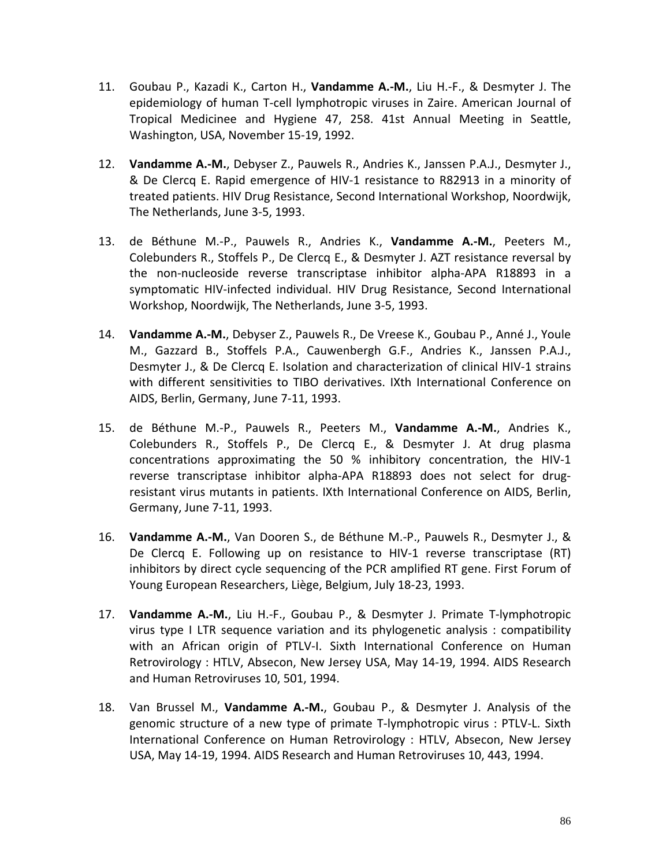- 11. Goubau P., Kazadi K., Carton H., **Vandamme A.-M.**, Liu H.-F., & Desmyter J. The epidemiology of human T-cell lymphotropic viruses in Zaire. American Journal of Tropical Medicinee and Hygiene 47, 258. 41st Annual Meeting in Seattle, Washington, USA, November 15-19, 1992.
- 12. **Vandamme A.-M.**, Debyser Z., Pauwels R., Andries K., Janssen P.A.J., Desmyter J., & De Clercq E. Rapid emergence of HIV-1 resistance to R82913 in a minority of treated patients. HIV Drug Resistance, Second International Workshop, Noordwijk, The Netherlands, June 3-5, 1993.
- 13. de Béthune M.-P., Pauwels R., Andries K., **Vandamme A.-M.**, Peeters M., Colebunders R., Stoffels P., De Clercq E., & Desmyter J. AZT resistance reversal by the non-nucleoside reverse transcriptase inhibitor alpha-APA R18893 in a symptomatic HIV-infected individual. HIV Drug Resistance, Second International Workshop, Noordwijk, The Netherlands, June 3-5, 1993.
- 14. **Vandamme A.-M.**, Debyser Z., Pauwels R., De Vreese K., Goubau P., Anné J., Youle M., Gazzard B., Stoffels P.A., Cauwenbergh G.F., Andries K., Janssen P.A.J., Desmyter J., & De Clercq E. Isolation and characterization of clinical HIV-1 strains with different sensitivities to TIBO derivatives. IXth International Conference on AIDS, Berlin, Germany, June 7-11, 1993.
- 15. de Béthune M.-P., Pauwels R., Peeters M., **Vandamme A.-M.**, Andries K., Colebunders R., Stoffels P., De Clercq E., & Desmyter J. At drug plasma concentrations approximating the 50 % inhibitory concentration, the HIV-1 reverse transcriptase inhibitor alpha-APA R18893 does not select for drugresistant virus mutants in patients. IXth International Conference on AIDS, Berlin, Germany, June 7-11, 1993.
- 16. **Vandamme A.-M.**, Van Dooren S., de Béthune M.-P., Pauwels R., Desmyter J., & De Clercq E. Following up on resistance to HIV-1 reverse transcriptase (RT) inhibitors by direct cycle sequencing of the PCR amplified RT gene. First Forum of Young European Researchers, Liège, Belgium, July 18-23, 1993.
- 17. **Vandamme A.-M.**, Liu H.-F., Goubau P., & Desmyter J. Primate T-lymphotropic virus type I LTR sequence variation and its phylogenetic analysis : compatibility with an African origin of PTLV-I. Sixth International Conference on Human Retrovirology : HTLV, Absecon, New Jersey USA, May 14-19, 1994. AIDS Research and Human Retroviruses 10, 501, 1994.
- 18. Van Brussel M., **Vandamme A.-M.**, Goubau P., & Desmyter J. Analysis of the genomic structure of a new type of primate T-lymphotropic virus : PTLV-L. Sixth International Conference on Human Retrovirology : HTLV, Absecon, New Jersey USA, May 14-19, 1994. AIDS Research and Human Retroviruses 10, 443, 1994.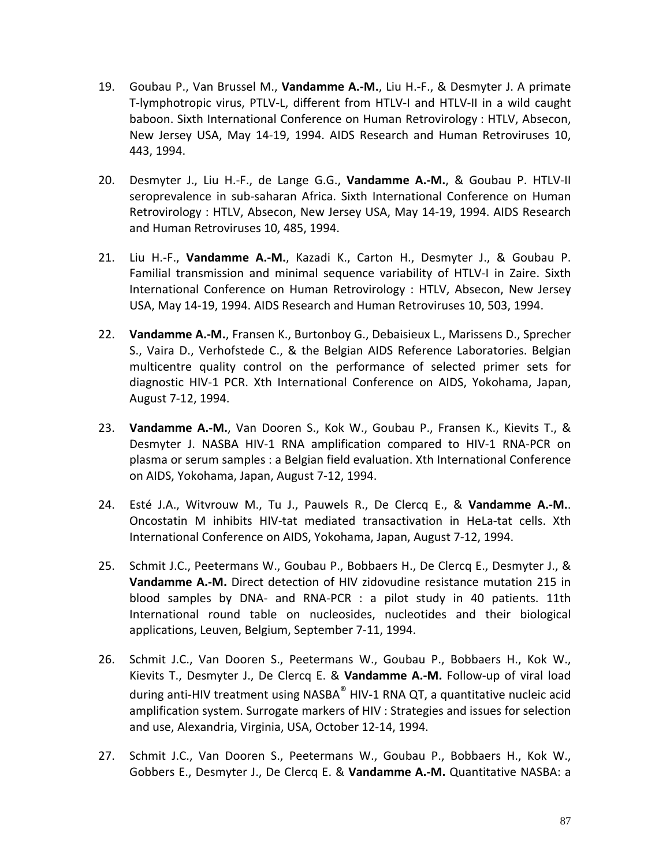- 19. Goubau P., Van Brussel M., **Vandamme A.-M.**, Liu H.-F., & Desmyter J. A primate T-lymphotropic virus, PTLV-L, different from HTLV-I and HTLV-II in a wild caught baboon. Sixth International Conference on Human Retrovirology : HTLV, Absecon, New Jersey USA, May 14-19, 1994. AIDS Research and Human Retroviruses 10, 443, 1994.
- 20. Desmyter J., Liu H.-F., de Lange G.G., **Vandamme A.-M.**, & Goubau P. HTLV-II seroprevalence in sub-saharan Africa. Sixth International Conference on Human Retrovirology : HTLV, Absecon, New Jersey USA, May 14-19, 1994. AIDS Research and Human Retroviruses 10, 485, 1994.
- 21. Liu H.-F., **Vandamme A.-M.**, Kazadi K., Carton H., Desmyter J., & Goubau P. Familial transmission and minimal sequence variability of HTLV-I in Zaire. Sixth International Conference on Human Retrovirology : HTLV, Absecon, New Jersey USA, May 14-19, 1994. AIDS Research and Human Retroviruses 10, 503, 1994.
- 22. **Vandamme A.-M.**, Fransen K., Burtonboy G., Debaisieux L., Marissens D., Sprecher S., Vaira D., Verhofstede C., & the Belgian AIDS Reference Laboratories. Belgian multicentre quality control on the performance of selected primer sets for diagnostic HIV-1 PCR. Xth International Conference on AIDS, Yokohama, Japan, August 7-12, 1994.
- 23. **Vandamme A.-M.**, Van Dooren S., Kok W., Goubau P., Fransen K., Kievits T., & Desmyter J. NASBA HIV-1 RNA amplification compared to HIV-1 RNA-PCR on plasma or serum samples : a Belgian field evaluation. Xth International Conference on AIDS, Yokohama, Japan, August 7-12, 1994.
- 24. Esté J.A., Witvrouw M., Tu J., Pauwels R., De Clercq E., & **Vandamme A.-M.**. Oncostatin M inhibits HIV-tat mediated transactivation in HeLa-tat cells. Xth International Conference on AIDS, Yokohama, Japan, August 7-12, 1994.
- 25. Schmit J.C., Peetermans W., Goubau P., Bobbaers H., De Clercq E., Desmyter J., & **Vandamme A.-M.** Direct detection of HIV zidovudine resistance mutation 215 in blood samples by DNA- and RNA-PCR : a pilot study in 40 patients. 11th International round table on nucleosides, nucleotides and their biological applications, Leuven, Belgium, September 7-11, 1994.
- 26. Schmit J.C., Van Dooren S., Peetermans W., Goubau P., Bobbaers H., Kok W., Kievits T., Desmyter J., De Clercq E. & **Vandamme A.-M.** Follow-up of viral load during anti-HIV treatment using NASBA® HIV-1 RNA QT, a quantitative nucleic acid amplification system. Surrogate markers of HIV : Strategies and issues for selection and use, Alexandria, Virginia, USA, October 12-14, 1994.
- 27. Schmit J.C., Van Dooren S., Peetermans W., Goubau P., Bobbaers H., Kok W., Gobbers E., Desmyter J., De Clercq E. & **Vandamme A.-M.** Quantitative NASBA: a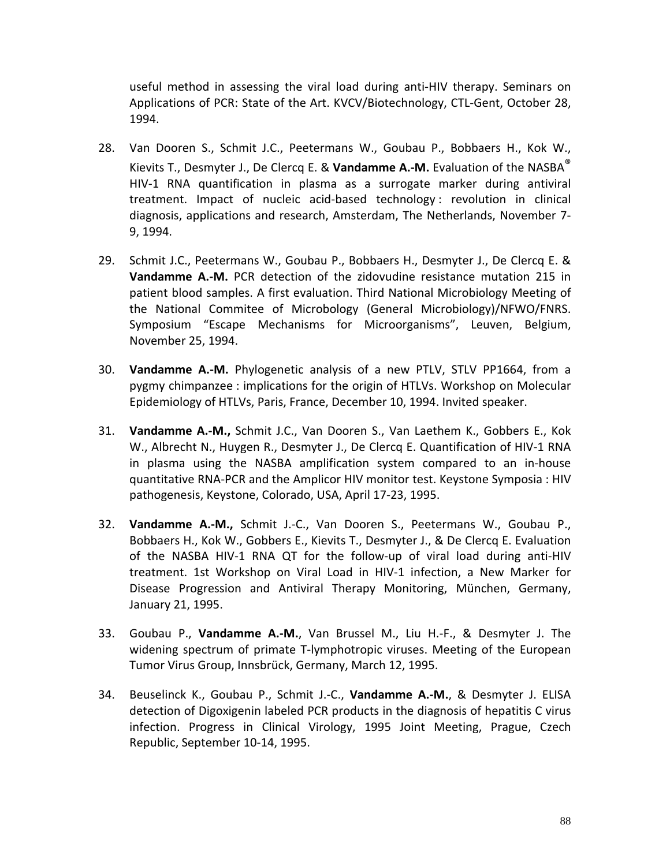useful method in assessing the viral load during anti-HIV therapy. Seminars on Applications of PCR: State of the Art. KVCV/Biotechnology, CTL-Gent, October 28, 1994.

- 28. Van Dooren S., Schmit J.C., Peetermans W., Goubau P., Bobbaers H., Kok W., Kievits T., Desmyter J., De Clercq E. & **Vandamme A.-M.** Evaluation of the NASBA® HIV-1 RNA quantification in plasma as a surrogate marker during antiviral treatment. Impact of nucleic acid-based technology : revolution in clinical diagnosis, applications and research, Amsterdam, The Netherlands, November 7- 9, 1994.
- 29. Schmit J.C., Peetermans W., Goubau P., Bobbaers H., Desmyter J., De Clercq E. & **Vandamme A.-M.** PCR detection of the zidovudine resistance mutation 215 in patient blood samples. A first evaluation. Third National Microbiology Meeting of the National Commitee of Microbology (General Microbiology)/NFWO/FNRS. Symposium "Escape Mechanisms for Microorganisms", Leuven, Belgium, November 25, 1994.
- 30. **Vandamme A.-M.** Phylogenetic analysis of a new PTLV, STLV PP1664, from a pygmy chimpanzee : implications for the origin of HTLVs. Workshop on Molecular Epidemiology of HTLVs, Paris, France, December 10, 1994. Invited speaker.
- 31. **Vandamme A.-M.,** Schmit J.C., Van Dooren S., Van Laethem K., Gobbers E., Kok W., Albrecht N., Huygen R., Desmyter J., De Clercq E. Quantification of HIV-1 RNA in plasma using the NASBA amplification system compared to an in-house quantitative RNA-PCR and the Amplicor HIV monitor test. Keystone Symposia : HIV pathogenesis, Keystone, Colorado, USA, April 17-23, 1995.
- 32. **Vandamme A.-M.,** Schmit J.-C., Van Dooren S., Peetermans W., Goubau P., Bobbaers H., Kok W., Gobbers E., Kievits T., Desmyter J., & De Clercq E. Evaluation of the NASBA HIV-1 RNA QT for the follow-up of viral load during anti-HIV treatment. 1st Workshop on Viral Load in HIV-1 infection, a New Marker for Disease Progression and Antiviral Therapy Monitoring, München, Germany, January 21, 1995.
- 33. Goubau P., **Vandamme A.-M.**, Van Brussel M., Liu H.-F., & Desmyter J. The widening spectrum of primate T-lymphotropic viruses. Meeting of the European Tumor Virus Group, Innsbrück, Germany, March 12, 1995.
- 34. Beuselinck K., Goubau P., Schmit J.-C., **Vandamme A.-M.**, & Desmyter J. ELISA detection of Digoxigenin labeled PCR products in the diagnosis of hepatitis C virus infection. Progress in Clinical Virology, 1995 Joint Meeting, Prague, Czech Republic, September 10-14, 1995.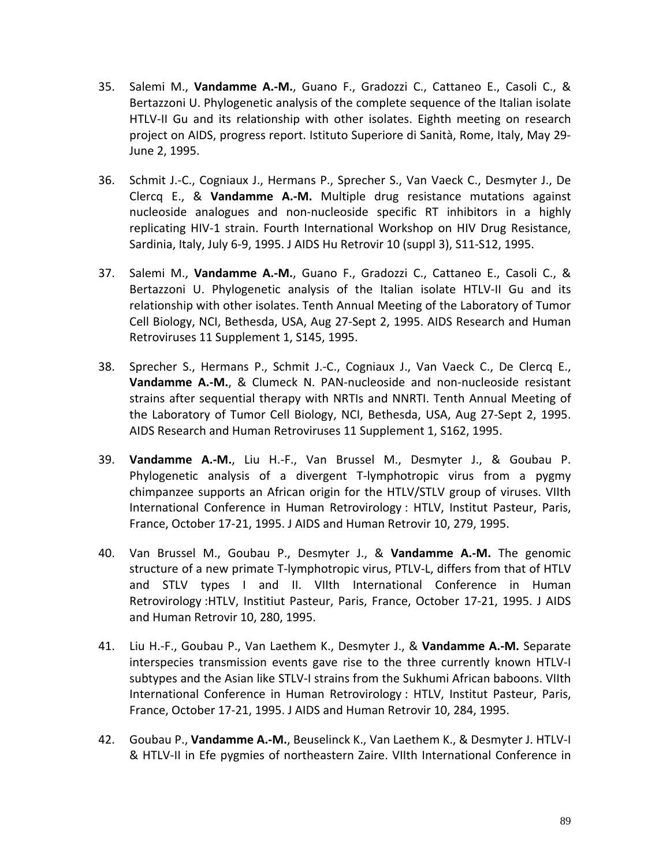- 35. Salemi M., **Vandamme A.-M.**, Guano F., Gradozzi C., Cattaneo E., Casoli C., & Bertazzoni U. Phylogenetic analysis of the complete sequence of the Italian isolate HTLV-II Gu and its relationship with other isolates. Eighth meeting on research project on AIDS, progress report. Istituto Superiore di Sanità, Rome, Italy, May 29- June 2, 1995.
- 36. Schmit J.-C., Cogniaux J., Hermans P., Sprecher S., Van Vaeck C., Desmyter J., De Clercq E., & **Vandamme A.-M.** Multiple drug resistance mutations against nucleoside analogues and non-nucleoside specific RT inhibitors in a highly replicating HIV-1 strain. Fourth International Workshop on HIV Drug Resistance, Sardinia, Italy, July 6-9, 1995. J AIDS Hu Retrovir 10 (suppl 3), S11-S12, 1995.
- 37. Salemi M., **Vandamme A.-M.**, Guano F., Gradozzi C., Cattaneo E., Casoli C., & Bertazzoni U. Phylogenetic analysis of the Italian isolate HTLV-II Gu and its relationship with other isolates. Tenth Annual Meeting of the Laboratory of Tumor Cell Biology, NCI, Bethesda, USA, Aug 27-Sept 2, 1995. AIDS Research and Human Retroviruses 11 Supplement 1, S145, 1995.
- 38. Sprecher S., Hermans P., Schmit J.-C., Cogniaux J., Van Vaeck C., De Clercq E., **Vandamme A.-M.**, & Clumeck N. PAN-nucleoside and non-nucleoside resistant strains after sequential therapy with NRTIs and NNRTI. Tenth Annual Meeting of the Laboratory of Tumor Cell Biology, NCI, Bethesda, USA, Aug 27-Sept 2, 1995. AIDS Research and Human Retroviruses 11 Supplement 1, S162, 1995.
- 39. **Vandamme A.-M.**, Liu H.-F., Van Brussel M., Desmyter J., & Goubau P. Phylogenetic analysis of a divergent T-lymphotropic virus from a pygmy chimpanzee supports an African origin for the HTLV/STLV group of viruses. VIIth International Conference in Human Retrovirology : HTLV, Institut Pasteur, Paris, France, October 17-21, 1995. J AIDS and Human Retrovir 10, 279, 1995.
- 40. Van Brussel M., Goubau P., Desmyter J., & **Vandamme A.-M.** The genomic structure of a new primate T-lymphotropic virus, PTLV-L, differs from that of HTLV and STLV types I and II. VIIth International Conference in Human Retrovirology :HTLV, Institiut Pasteur, Paris, France, October 17-21, 1995. J AIDS and Human Retrovir 10, 280, 1995.
- 41. Liu H.-F., Goubau P., Van Laethem K., Desmyter J., & **Vandamme A.-M.** Separate interspecies transmission events gave rise to the three currently known HTLV-I subtypes and the Asian like STLV-I strains from the Sukhumi African baboons. VIIth International Conference in Human Retrovirology : HTLV, Institut Pasteur, Paris, France, October 17-21, 1995. J AIDS and Human Retrovir 10, 284, 1995.
- 42. Goubau P., **Vandamme A.-M.**, Beuselinck K., Van Laethem K., & Desmyter J. HTLV-I & HTLV-II in Efe pygmies of northeastern Zaire. VIIth International Conference in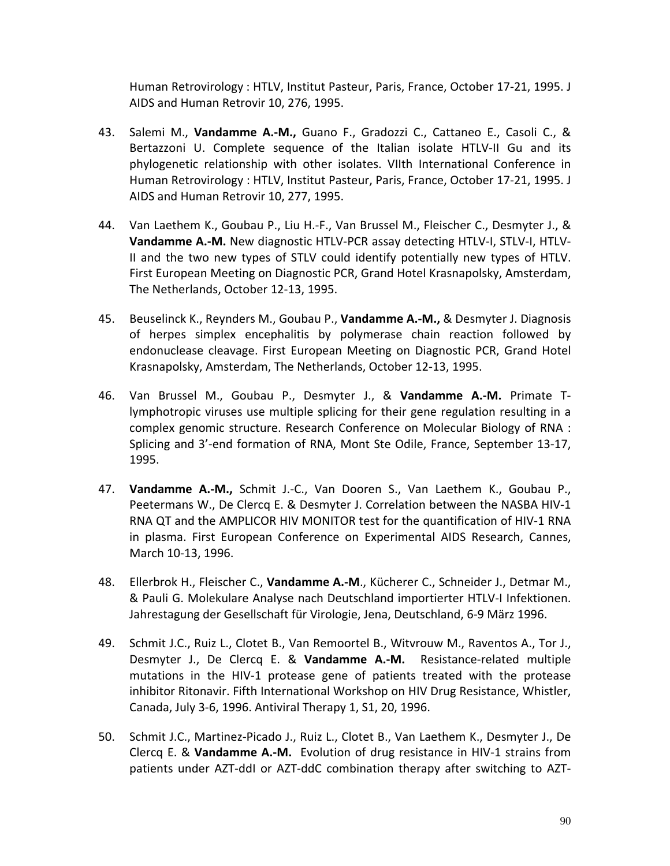Human Retrovirology : HTLV, Institut Pasteur, Paris, France, October 17-21, 1995. J AIDS and Human Retrovir 10, 276, 1995.

- 43. Salemi M., **Vandamme A.-M.,** Guano F., Gradozzi C., Cattaneo E., Casoli C., & Bertazzoni U. Complete sequence of the Italian isolate HTLV-II Gu and its phylogenetic relationship with other isolates. VIIth International Conference in Human Retrovirology : HTLV, Institut Pasteur, Paris, France, October 17-21, 1995. J AIDS and Human Retrovir 10, 277, 1995.
- 44. Van Laethem K., Goubau P., Liu H.-F., Van Brussel M., Fleischer C., Desmyter J., & **Vandamme A.-M.** New diagnostic HTLV-PCR assay detecting HTLV-I, STLV-I, HTLV-II and the two new types of STLV could identify potentially new types of HTLV. First European Meeting on Diagnostic PCR, Grand Hotel Krasnapolsky, Amsterdam, The Netherlands, October 12-13, 1995.
- 45. Beuselinck K., Reynders M., Goubau P., **Vandamme A.-M.,** & Desmyter J. Diagnosis of herpes simplex encephalitis by polymerase chain reaction followed by endonuclease cleavage. First European Meeting on Diagnostic PCR, Grand Hotel Krasnapolsky, Amsterdam, The Netherlands, October 12-13, 1995.
- 46. Van Brussel M., Goubau P., Desmyter J., & **Vandamme A.-M.** Primate Tlymphotropic viruses use multiple splicing for their gene regulation resulting in a complex genomic structure. Research Conference on Molecular Biology of RNA : Splicing and 3'-end formation of RNA, Mont Ste Odile, France, September 13-17, 1995.
- 47. **Vandamme A.-M.,** Schmit J.-C., Van Dooren S., Van Laethem K., Goubau P., Peetermans W., De Clercq E. & Desmyter J. Correlation between the NASBA HIV-1 RNA QT and the AMPLICOR HIV MONITOR test for the quantification of HIV-1 RNA in plasma. First European Conference on Experimental AIDS Research, Cannes, March 10-13, 1996.
- 48. Ellerbrok H., Fleischer C., **Vandamme A.-M**., Kücherer C., Schneider J., Detmar M., & Pauli G. Molekulare Analyse nach Deutschland importierter HTLV-I Infektionen. Jahrestagung der Gesellschaft für Virologie, Jena, Deutschland, 6-9 März 1996.
- 49. Schmit J.C., Ruiz L., Clotet B., Van Remoortel B., Witvrouw M., Raventos A., Tor J., Desmyter J., De Clercq E. & **Vandamme A.-M.** Resistance-related multiple mutations in the HIV-1 protease gene of patients treated with the protease inhibitor Ritonavir. Fifth International Workshop on HIV Drug Resistance, Whistler, Canada, July 3-6, 1996. Antiviral Therapy 1, S1, 20, 1996.
- 50. Schmit J.C., Martinez-Picado J., Ruiz L., Clotet B., Van Laethem K., Desmyter J., De Clercq E. & **Vandamme A.-M.** Evolution of drug resistance in HIV-1 strains from patients under AZT-ddI or AZT-ddC combination therapy after switching to AZT-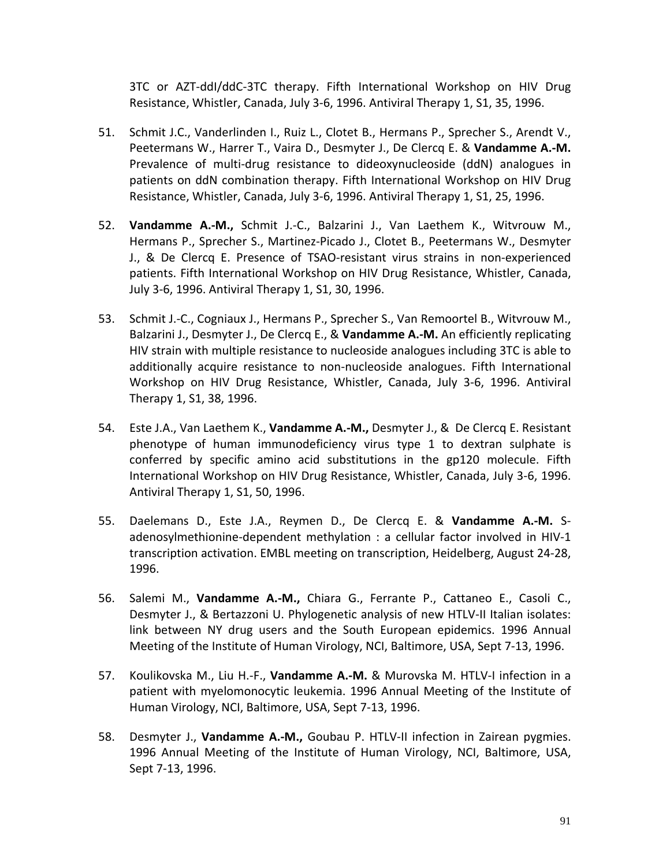3TC or AZT-ddI/ddC-3TC therapy. Fifth International Workshop on HIV Drug Resistance, Whistler, Canada, July 3-6, 1996. Antiviral Therapy 1, S1, 35, 1996.

- 51. Schmit J.C., Vanderlinden I., Ruiz L., Clotet B., Hermans P., Sprecher S., Arendt V., Peetermans W., Harrer T., Vaira D., Desmyter J., De Clercq E. & **Vandamme A.-M.** Prevalence of multi-drug resistance to dideoxynucleoside (ddN) analogues in patients on ddN combination therapy. Fifth International Workshop on HIV Drug Resistance, Whistler, Canada, July 3-6, 1996. Antiviral Therapy 1, S1, 25, 1996.
- 52. **Vandamme A.-M.,** Schmit J.-C., Balzarini J., Van Laethem K., Witvrouw M., Hermans P., Sprecher S., Martinez-Picado J., Clotet B., Peetermans W., Desmyter J., & De Clercq E. Presence of TSAO-resistant virus strains in non-experienced patients. Fifth International Workshop on HIV Drug Resistance, Whistler, Canada, July 3-6, 1996. Antiviral Therapy 1, S1, 30, 1996.
- 53. Schmit J.-C., Cogniaux J., Hermans P., Sprecher S., Van Remoortel B., Witvrouw M., Balzarini J., Desmyter J., De Clercq E., & **Vandamme A.-M.** An efficiently replicating HIV strain with multiple resistance to nucleoside analogues including 3TC is able to additionally acquire resistance to non-nucleoside analogues. Fifth International Workshop on HIV Drug Resistance, Whistler, Canada, July 3-6, 1996. Antiviral Therapy 1, S1, 38, 1996.
- 54. Este J.A., Van Laethem K., **Vandamme A.-M.,** Desmyter J., & De Clercq E. Resistant phenotype of human immunodeficiency virus type 1 to dextran sulphate is conferred by specific amino acid substitutions in the gp120 molecule. Fifth International Workshop on HIV Drug Resistance, Whistler, Canada, July 3-6, 1996. Antiviral Therapy 1, S1, 50, 1996.
- 55. Daelemans D., Este J.A., Reymen D., De Clercq E. & **Vandamme A.-M.** Sadenosylmethionine-dependent methylation : a cellular factor involved in HIV-1 transcription activation. EMBL meeting on transcription, Heidelberg, August 24-28, 1996.
- 56. Salemi M., **Vandamme A.-M.,** Chiara G., Ferrante P., Cattaneo E., Casoli C., Desmyter J., & Bertazzoni U. Phylogenetic analysis of new HTLV-II Italian isolates: link between NY drug users and the South European epidemics. 1996 Annual Meeting of the Institute of Human Virology, NCI, Baltimore, USA, Sept 7-13, 1996.
- 57. Koulikovska M., Liu H.-F., **Vandamme A.-M.** & Murovska M. HTLV-I infection in a patient with myelomonocytic leukemia. 1996 Annual Meeting of the Institute of Human Virology, NCI, Baltimore, USA, Sept 7-13, 1996.
- 58. Desmyter J., **Vandamme A.-M.,** Goubau P. HTLV-II infection in Zairean pygmies. 1996 Annual Meeting of the Institute of Human Virology, NCI, Baltimore, USA, Sept 7-13, 1996.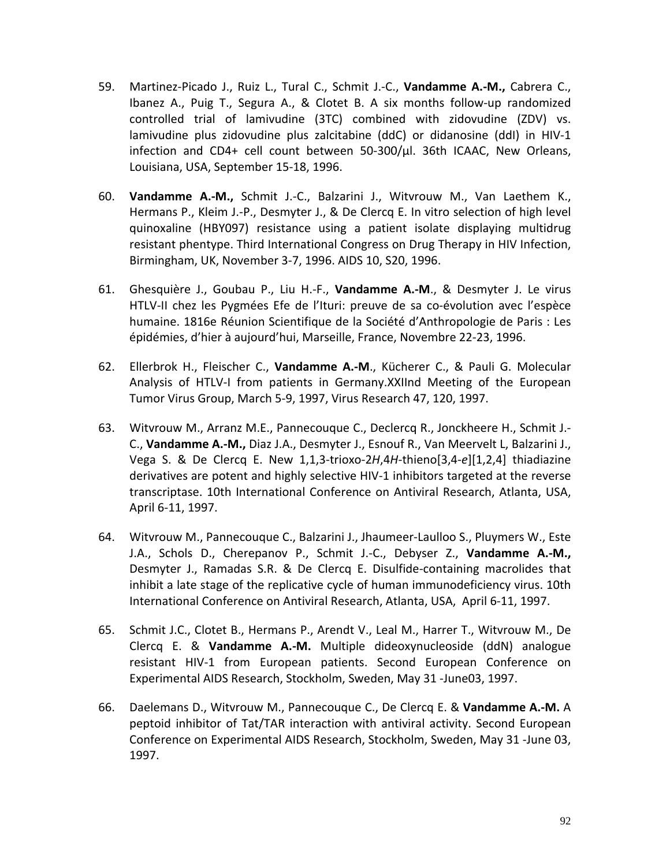- 59. Martinez-Picado J., Ruiz L., Tural C., Schmit J.-C., **Vandamme A.-M.,** Cabrera C., Ibanez A., Puig T., Segura A., & Clotet B. A six months follow-up randomized controlled trial of lamivudine (3TC) combined with zidovudine (ZDV) vs. lamivudine plus zidovudine plus zalcitabine (ddC) or didanosine (ddI) in HIV-1 infection and CD4+ cell count between 50-300/µl. 36th ICAAC, New Orleans, Louisiana, USA, September 15-18, 1996.
- 60. **Vandamme A.-M.,** Schmit J.-C., Balzarini J., Witvrouw M., Van Laethem K., Hermans P., Kleim J.-P., Desmyter J., & De Clercq E. In vitro selection of high level quinoxaline (HBY097) resistance using a patient isolate displaying multidrug resistant phentype. Third International Congress on Drug Therapy in HIV Infection, Birmingham, UK, November 3-7, 1996. AIDS 10, S20, 1996.
- 61. Ghesquière J., Goubau P., Liu H.-F., **Vandamme A.-M**., & Desmyter J. Le virus HTLV-II chez les Pygmées Efe de l'Ituri: preuve de sa co-évolution avec l'espèce humaine. 1816e Réunion Scientifique de la Société d'Anthropologie de Paris : Les épidémies, d'hier à aujourd'hui, Marseille, France, Novembre 22-23, 1996.
- 62. Ellerbrok H., Fleischer C., **Vandamme A.-M**., Kücherer C., & Pauli G. Molecular Analysis of HTLV-I from patients in Germany.XXIInd Meeting of the European Tumor Virus Group, March 5-9, 1997, Virus Research 47, 120, 1997.
- 63. Witvrouw M., Arranz M.E., Pannecouque C., Declercq R., Jonckheere H., Schmit J.- C., **Vandamme A.-M.,** Diaz J.A., Desmyter J., Esnouf R., Van Meervelt L, Balzarini J., Vega S. & De Clercq E. New 1,1,3-trioxo-2*H*,4*H*-thieno[3,4-*e*][1,2,4] thiadiazine derivatives are potent and highly selective HIV-1 inhibitors targeted at the reverse transcriptase. 10th International Conference on Antiviral Research, Atlanta, USA, April 6-11, 1997.
- 64. Witvrouw M., Pannecouque C., Balzarini J., Jhaumeer-Laulloo S., Pluymers W., Este J.A., Schols D., Cherepanov P., Schmit J.-C., Debyser Z., **Vandamme A.-M.,** Desmyter J., Ramadas S.R. & De Clercq E. Disulfide-containing macrolides that inhibit a late stage of the replicative cycle of human immunodeficiency virus. 10th International Conference on Antiviral Research, Atlanta, USA, April 6-11, 1997.
- 65. Schmit J.C., Clotet B., Hermans P., Arendt V., Leal M., Harrer T., Witvrouw M., De Clercq E. & **Vandamme A.-M.** Multiple dideoxynucleoside (ddN) analogue resistant HIV-1 from European patients. Second European Conference on Experimental AIDS Research, Stockholm, Sweden, May 31 -June03, 1997.
- 66. Daelemans D., Witvrouw M., Pannecouque C., De Clercq E. & **Vandamme A.-M.** A peptoid inhibitor of Tat/TAR interaction with antiviral activity. Second European Conference on Experimental AIDS Research, Stockholm, Sweden, May 31 -June 03, 1997.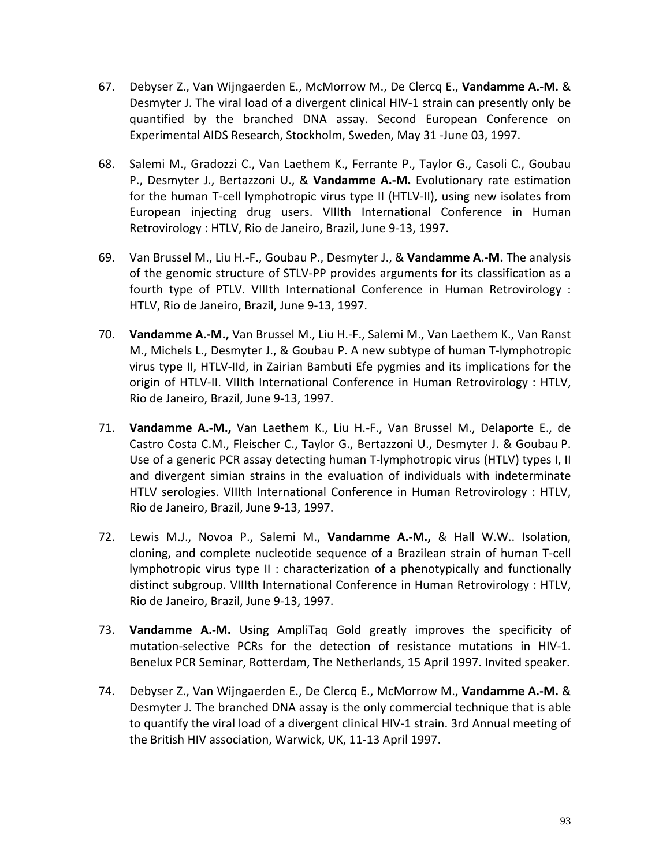- 67. Debyser Z., Van Wijngaerden E., McMorrow M., De Clercq E., **Vandamme A.-M.** & Desmyter J. The viral load of a divergent clinical HIV-1 strain can presently only be quantified by the branched DNA assay. Second European Conference on Experimental AIDS Research, Stockholm, Sweden, May 31 -June 03, 1997.
- 68. Salemi M., Gradozzi C., Van Laethem K., Ferrante P., Taylor G., Casoli C., Goubau P., Desmyter J., Bertazzoni U., & **Vandamme A.-M.** Evolutionary rate estimation for the human T-cell lymphotropic virus type II (HTLV-II), using new isolates from European injecting drug users. VIIIth International Conference in Human Retrovirology : HTLV, Rio de Janeiro, Brazil, June 9-13, 1997.
- 69. Van Brussel M., Liu H.-F., Goubau P., Desmyter J., & **Vandamme A.-M.** The analysis of the genomic structure of STLV-PP provides arguments for its classification as a fourth type of PTLV. VIIIth International Conference in Human Retrovirology : HTLV, Rio de Janeiro, Brazil, June 9-13, 1997.
- 70. **Vandamme A.-M.,** Van Brussel M., Liu H.-F., Salemi M., Van Laethem K., Van Ranst M., Michels L., Desmyter J., & Goubau P. A new subtype of human T-lymphotropic virus type II, HTLV-IId, in Zairian Bambuti Efe pygmies and its implications for the origin of HTLV-II. VIIIth International Conference in Human Retrovirology : HTLV, Rio de Janeiro, Brazil, June 9-13, 1997.
- 71. **Vandamme A.-M.,** Van Laethem K., Liu H.-F., Van Brussel M., Delaporte E., de Castro Costa C.M., Fleischer C., Taylor G., Bertazzoni U., Desmyter J. & Goubau P. Use of a generic PCR assay detecting human T-lymphotropic virus (HTLV) types I, II and divergent simian strains in the evaluation of individuals with indeterminate HTLV serologies. VIIIth International Conference in Human Retrovirology : HTLV, Rio de Janeiro, Brazil, June 9-13, 1997.
- 72. Lewis M.J., Novoa P., Salemi M., **Vandamme A.-M.,** & Hall W.W.. Isolation, cloning, and complete nucleotide sequence of a Brazilean strain of human T-cell lymphotropic virus type II : characterization of a phenotypically and functionally distinct subgroup. VIIIth International Conference in Human Retrovirology : HTLV, Rio de Janeiro, Brazil, June 9-13, 1997.
- 73. **Vandamme A.-M.** Using AmpliTaq Gold greatly improves the specificity of mutation-selective PCRs for the detection of resistance mutations in HIV-1. Benelux PCR Seminar, Rotterdam, The Netherlands, 15 April 1997. Invited speaker.
- 74. Debyser Z., Van Wijngaerden E., De Clercq E., McMorrow M., **Vandamme A.-M.** & Desmyter J. The branched DNA assay is the only commercial technique that is able to quantify the viral load of a divergent clinical HIV-1 strain. 3rd Annual meeting of the British HIV association, Warwick, UK, 11-13 April 1997.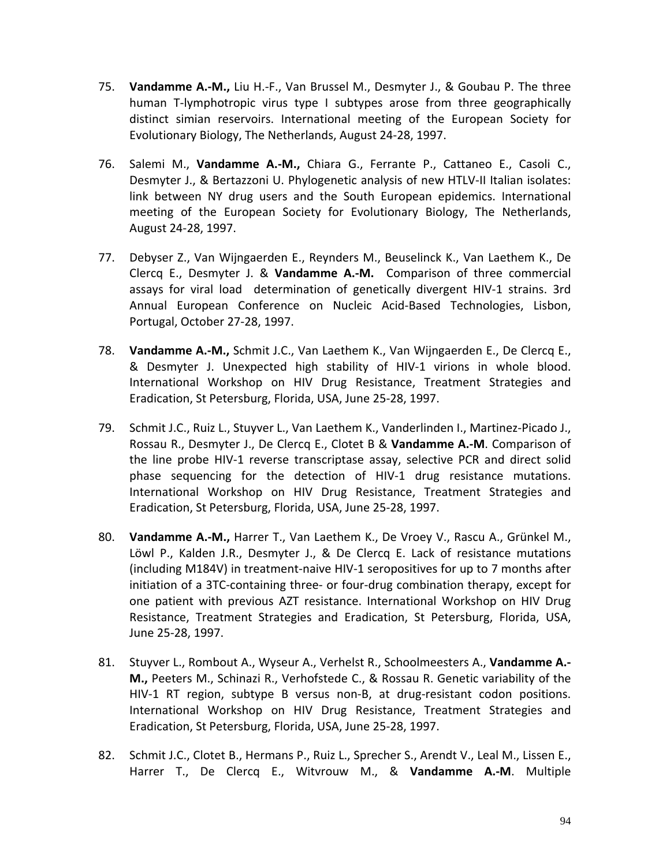- 75. **Vandamme A.-M.,** Liu H.-F., Van Brussel M., Desmyter J., & Goubau P. The three human T-lymphotropic virus type I subtypes arose from three geographically distinct simian reservoirs. International meeting of the European Society for Evolutionary Biology, The Netherlands, August 24-28, 1997.
- 76. Salemi M., **Vandamme A.-M.,** Chiara G., Ferrante P., Cattaneo E., Casoli C., Desmyter J., & Bertazzoni U. Phylogenetic analysis of new HTLV-II Italian isolates: link between NY drug users and the South European epidemics. International meeting of the European Society for Evolutionary Biology, The Netherlands, August 24-28, 1997.
- 77. Debyser Z., Van Wijngaerden E., Reynders M., Beuselinck K., Van Laethem K., De Clercq E., Desmyter J. & **Vandamme A.-M.** Comparison of three commercial assays for viral load determination of genetically divergent HIV-1 strains. 3rd Annual European Conference on Nucleic Acid-Based Technologies, Lisbon, Portugal, October 27-28, 1997.
- 78. **Vandamme A.-M.,** Schmit J.C., Van Laethem K., Van Wijngaerden E., De Clercq E., & Desmyter J. Unexpected high stability of HIV-1 virions in whole blood. International Workshop on HIV Drug Resistance, Treatment Strategies and Eradication, St Petersburg, Florida, USA, June 25-28, 1997.
- 79. Schmit J.C., Ruiz L., Stuyver L., Van Laethem K., Vanderlinden I., Martinez-Picado J., Rossau R., Desmyter J., De Clercq E., Clotet B & **Vandamme A.-M**. Comparison of the line probe HIV-1 reverse transcriptase assay, selective PCR and direct solid phase sequencing for the detection of HIV-1 drug resistance mutations. International Workshop on HIV Drug Resistance, Treatment Strategies and Eradication, St Petersburg, Florida, USA, June 25-28, 1997.
- 80. **Vandamme A.-M.,** Harrer T., Van Laethem K., De Vroey V., Rascu A., Grünkel M., Löwl P., Kalden J.R., Desmyter J., & De Clercq E. Lack of resistance mutations (including M184V) in treatment-naive HIV-1 seropositives for up to 7 months after initiation of a 3TC-containing three- or four-drug combination therapy, except for one patient with previous AZT resistance. International Workshop on HIV Drug Resistance, Treatment Strategies and Eradication, St Petersburg, Florida, USA, June 25-28, 1997.
- 81. Stuyver L., Rombout A., Wyseur A., Verhelst R., Schoolmeesters A., **Vandamme A.- M.,** Peeters M., Schinazi R., Verhofstede C., & Rossau R. Genetic variability of the HIV-1 RT region, subtype B versus non-B, at drug-resistant codon positions. International Workshop on HIV Drug Resistance, Treatment Strategies and Eradication, St Petersburg, Florida, USA, June 25-28, 1997.
- 82. Schmit J.C., Clotet B., Hermans P., Ruiz L., Sprecher S., Arendt V., Leal M., Lissen E., Harrer T., De Clercq E., Witvrouw M., & **Vandamme A.-M**. Multiple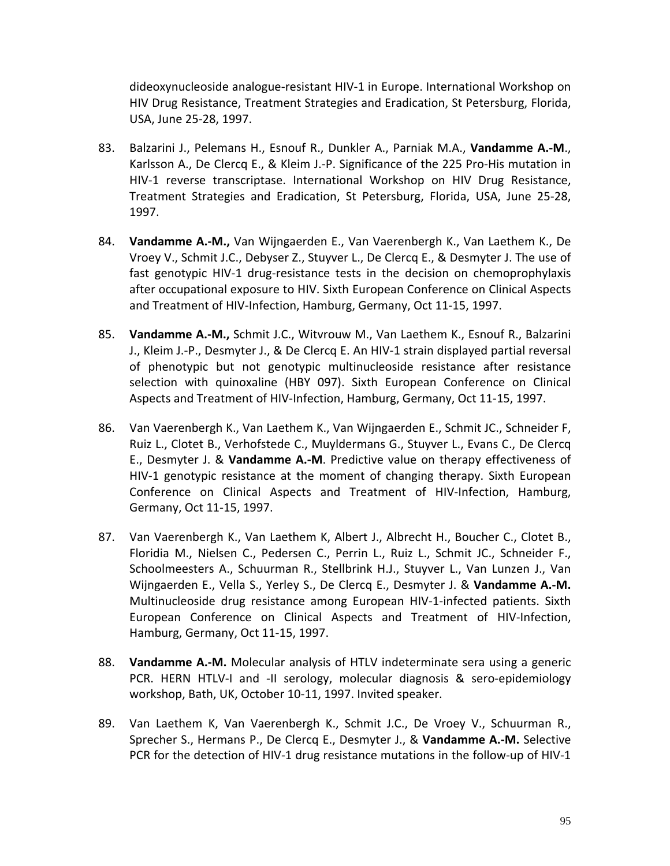dideoxynucleoside analogue-resistant HIV-1 in Europe. International Workshop on HIV Drug Resistance, Treatment Strategies and Eradication, St Petersburg, Florida, USA, June 25-28, 1997.

- 83. Balzarini J., Pelemans H., Esnouf R., Dunkler A., Parniak M.A., **Vandamme A.-M**., Karlsson A., De Clercq E., & Kleim J.-P. Significance of the 225 Pro-His mutation in HIV-1 reverse transcriptase. International Workshop on HIV Drug Resistance, Treatment Strategies and Eradication, St Petersburg, Florida, USA, June 25-28, 1997.
- 84. **Vandamme A.-M.,** Van Wijngaerden E., Van Vaerenbergh K., Van Laethem K., De Vroey V., Schmit J.C., Debyser Z., Stuyver L., De Clercq E., & Desmyter J. The use of fast genotypic HIV-1 drug-resistance tests in the decision on chemoprophylaxis after occupational exposure to HIV. Sixth European Conference on Clinical Aspects and Treatment of HIV-Infection, Hamburg, Germany, Oct 11-15, 1997.
- 85. **Vandamme A.-M.,** Schmit J.C., Witvrouw M., Van Laethem K., Esnouf R., Balzarini J., Kleim J.-P., Desmyter J., & De Clercq E. An HIV-1 strain displayed partial reversal of phenotypic but not genotypic multinucleoside resistance after resistance selection with quinoxaline (HBY 097). Sixth European Conference on Clinical Aspects and Treatment of HIV-Infection, Hamburg, Germany, Oct 11-15, 1997.
- 86. Van Vaerenbergh K., Van Laethem K., Van Wijngaerden E., Schmit JC., Schneider F, Ruiz L., Clotet B., Verhofstede C., Muyldermans G., Stuyver L., Evans C., De Clercq E., Desmyter J. & **Vandamme A.-M**. Predictive value on therapy effectiveness of HIV-1 genotypic resistance at the moment of changing therapy. Sixth European Conference on Clinical Aspects and Treatment of HIV-Infection, Hamburg, Germany, Oct 11-15, 1997.
- 87. Van Vaerenbergh K., Van Laethem K, Albert J., Albrecht H., Boucher C., Clotet B., Floridia M., Nielsen C., Pedersen C., Perrin L., Ruiz L., Schmit JC., Schneider F., Schoolmeesters A., Schuurman R., Stellbrink H.J., Stuyver L., Van Lunzen J., Van Wijngaerden E., Vella S., Yerley S., De Clercq E., Desmyter J. & **Vandamme A.-M.** Multinucleoside drug resistance among European HIV-1-infected patients. Sixth European Conference on Clinical Aspects and Treatment of HIV-Infection, Hamburg, Germany, Oct 11-15, 1997.
- 88. **Vandamme A.-M.** Molecular analysis of HTLV indeterminate sera using a generic PCR. HERN HTLV-I and -II serology, molecular diagnosis & sero-epidemiology workshop, Bath, UK, October 10-11, 1997. Invited speaker.
- 89. Van Laethem K, Van Vaerenbergh K., Schmit J.C., De Vroey V., Schuurman R., Sprecher S., Hermans P., De Clercq E., Desmyter J., & **Vandamme A.-M.** Selective PCR for the detection of HIV-1 drug resistance mutations in the follow-up of HIV-1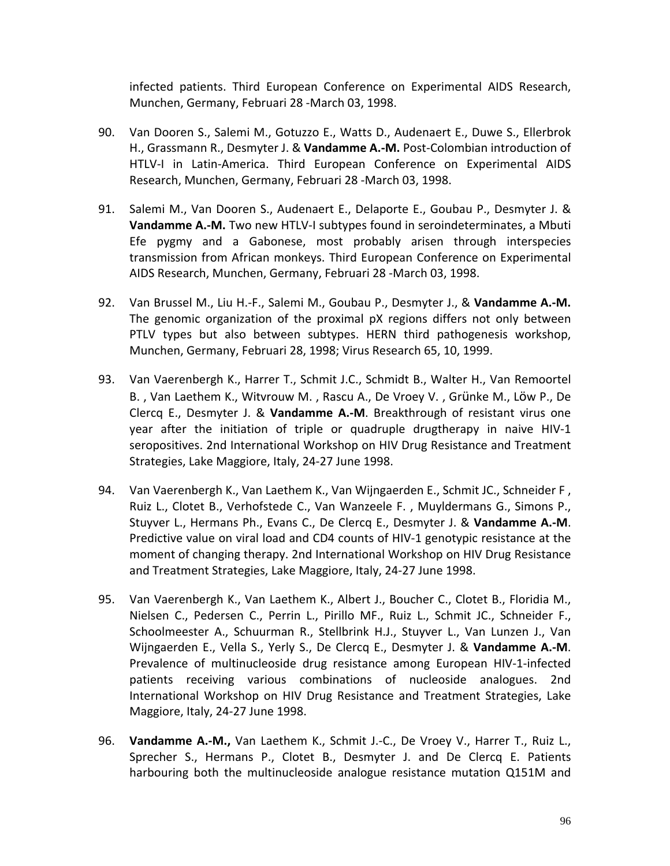infected patients. Third European Conference on Experimental AIDS Research, Munchen, Germany, Februari 28 -March 03, 1998.

- 90. Van Dooren S., Salemi M., Gotuzzo E., Watts D., Audenaert E., Duwe S., Ellerbrok H., Grassmann R., Desmyter J. & **Vandamme A.-M.** Post-Colombian introduction of HTLV-I in Latin-America. Third European Conference on Experimental AIDS Research, Munchen, Germany, Februari 28 -March 03, 1998.
- 91. Salemi M., Van Dooren S., Audenaert E., Delaporte E., Goubau P., Desmyter J. & **Vandamme A.-M.** Two new HTLV-I subtypes found in seroindeterminates, a Mbuti Efe pygmy and a Gabonese, most probably arisen through interspecies transmission from African monkeys. Third European Conference on Experimental AIDS Research, Munchen, Germany, Februari 28 -March 03, 1998.
- 92. Van Brussel M., Liu H.-F., Salemi M., Goubau P., Desmyter J., & **Vandamme A.-M.**  The genomic organization of the proximal pX regions differs not only between PTLV types but also between subtypes. HERN third pathogenesis workshop, Munchen, Germany, Februari 28, 1998; Virus Research 65, 10, 1999.
- 93. Van Vaerenbergh K., Harrer T., Schmit J.C., Schmidt B., Walter H., Van Remoortel B. , Van Laethem K., Witvrouw M. , Rascu A., De Vroey V. , Grünke M., Löw P., De Clercq E., Desmyter J. & **Vandamme A.-M**. Breakthrough of resistant virus one year after the initiation of triple or quadruple drugtherapy in naive HIV-1 seropositives. 2nd International Workshop on HIV Drug Resistance and Treatment Strategies, Lake Maggiore, Italy, 24-27 June 1998.
- 94. Van Vaerenbergh K., Van Laethem K., Van Wijngaerden E., Schmit JC., Schneider F , Ruiz L., Clotet B., Verhofstede C., Van Wanzeele F. , Muyldermans G., Simons P., Stuyver L., Hermans Ph., Evans C., De Clercq E., Desmyter J. & **Vandamme A.-M**. Predictive value on viral load and CD4 counts of HIV-1 genotypic resistance at the moment of changing therapy. 2nd International Workshop on HIV Drug Resistance and Treatment Strategies, Lake Maggiore, Italy, 24-27 June 1998.
- 95. Van Vaerenbergh K., Van Laethem K., Albert J., Boucher C., Clotet B., Floridia M., Nielsen C., Pedersen C., Perrin L., Pirillo MF., Ruiz L., Schmit JC., Schneider F., Schoolmeester A., Schuurman R., Stellbrink H.J., Stuyver L., Van Lunzen J., Van Wijngaerden E., Vella S., Yerly S., De Clercq E., Desmyter J. & **Vandamme A.-M**. Prevalence of multinucleoside drug resistance among European HIV-1-infected patients receiving various combinations of nucleoside analogues. 2nd International Workshop on HIV Drug Resistance and Treatment Strategies, Lake Maggiore, Italy, 24-27 June 1998.
- 96. **Vandamme A.-M.,** Van Laethem K., Schmit J.-C., De Vroey V., Harrer T., Ruiz L., Sprecher S., Hermans P., Clotet B., Desmyter J. and De Clercq E. Patients harbouring both the multinucleoside analogue resistance mutation Q151M and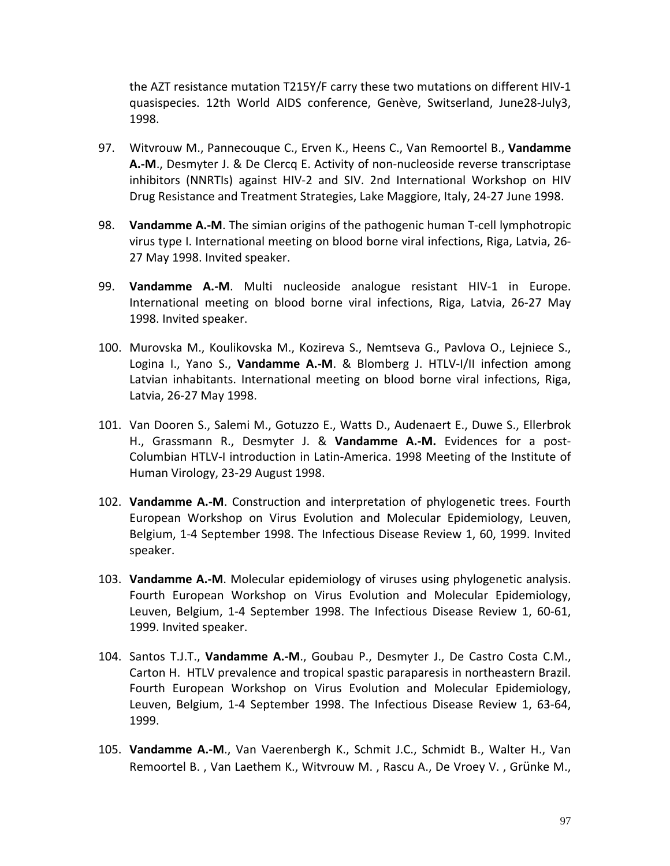the AZT resistance mutation T215Y/F carry these two mutations on different HIV-1 quasispecies. 12th World AIDS conference, Genève, Switserland, June28-July3, 1998.

- 97. Witvrouw M., Pannecouque C., Erven K., Heens C., Van Remoortel B., **Vandamme A.-M**., Desmyter J. & De Clercq E. Activity of non-nucleoside reverse transcriptase inhibitors (NNRTIs) against HIV-2 and SIV. 2nd International Workshop on HIV Drug Resistance and Treatment Strategies, Lake Maggiore, Italy, 24-27 June 1998.
- 98. **Vandamme A.-M**. The simian origins of the pathogenic human T-cell lymphotropic virus type I. International meeting on blood borne viral infections, Riga, Latvia, 26- 27 May 1998. Invited speaker.
- 99. **Vandamme A.-M**. Multi nucleoside analogue resistant HIV-1 in Europe. International meeting on blood borne viral infections, Riga, Latvia, 26-27 May 1998. Invited speaker.
- 100. Murovska M., Koulikovska M., Kozireva S., Nemtseva G., Pavlova O., Lejniece S., Logina I., Yano S., **Vandamme A.-M**. & Blomberg J. HTLV-I/II infection among Latvian inhabitants. International meeting on blood borne viral infections, Riga, Latvia, 26-27 May 1998.
- 101. Van Dooren S., Salemi M., Gotuzzo E., Watts D., Audenaert E., Duwe S., Ellerbrok H., Grassmann R., Desmyter J. & **Vandamme A.-M.** Evidences for a post-Columbian HTLV-I introduction in Latin-America. 1998 Meeting of the Institute of Human Virology, 23-29 August 1998.
- 102. **Vandamme A.-M**. Construction and interpretation of phylogenetic trees. Fourth European Workshop on Virus Evolution and Molecular Epidemiology, Leuven, Belgium, 1-4 September 1998. The Infectious Disease Review 1, 60, 1999. Invited speaker.
- 103. **Vandamme A.-M**. Molecular epidemiology of viruses using phylogenetic analysis. Fourth European Workshop on Virus Evolution and Molecular Epidemiology, Leuven, Belgium, 1-4 September 1998. The Infectious Disease Review 1, 60-61, 1999. Invited speaker.
- 104. Santos T.J.T., **Vandamme A.-M**., Goubau P., Desmyter J., De Castro Costa C.M., Carton H. HTLV prevalence and tropical spastic paraparesis in northeastern Brazil. Fourth European Workshop on Virus Evolution and Molecular Epidemiology, Leuven, Belgium, 1-4 September 1998. The Infectious Disease Review 1, 63-64, 1999.
- 105. **Vandamme A.-M**., Van Vaerenbergh K., Schmit J.C., Schmidt B., Walter H., Van Remoortel B. , Van Laethem K., Witvrouw M. , Rascu A., De Vroey V. , Grünke M.,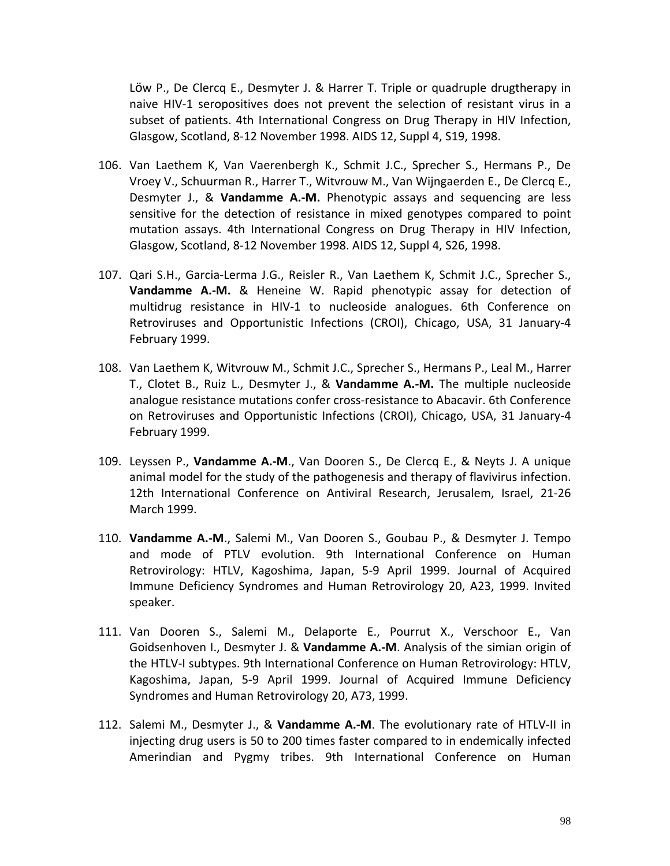Löw P., De Clercq E., Desmyter J. & Harrer T. Triple or quadruple drugtherapy in naive HIV-1 seropositives does not prevent the selection of resistant virus in a subset of patients. 4th International Congress on Drug Therapy in HIV Infection, Glasgow, Scotland, 8-12 November 1998. AIDS 12, Suppl 4, S19, 1998.

- 106. Van Laethem K, Van Vaerenbergh K., Schmit J.C., Sprecher S., Hermans P., De Vroey V., Schuurman R., Harrer T., Witvrouw M., Van Wijngaerden E., De Clercq E., Desmyter J., & **Vandamme A.-M.** Phenotypic assays and sequencing are less sensitive for the detection of resistance in mixed genotypes compared to point mutation assays. 4th International Congress on Drug Therapy in HIV Infection, Glasgow, Scotland, 8-12 November 1998. AIDS 12, Suppl 4, S26, 1998.
- 107. Qari S.H., Garcia-Lerma J.G., Reisler R., Van Laethem K, Schmit J.C., Sprecher S., **Vandamme A.-M.** & Heneine W. Rapid phenotypic assay for detection of multidrug resistance in HIV-1 to nucleoside analogues. 6th Conference on Retroviruses and Opportunistic Infections (CROI), Chicago, USA, 31 January-4 February 1999.
- 108. Van Laethem K, Witvrouw M., Schmit J.C., Sprecher S., Hermans P., Leal M., Harrer T., Clotet B., Ruiz L., Desmyter J., & **Vandamme A.-M.** The multiple nucleoside analogue resistance mutations confer cross-resistance to Abacavir. 6th Conference on Retroviruses and Opportunistic Infections (CROI), Chicago, USA, 31 January-4 February 1999.
- 109. Leyssen P., **Vandamme A.-M**., Van Dooren S., De Clercq E., & Neyts J. A unique animal model for the study of the pathogenesis and therapy of flavivirus infection. 12th International Conference on Antiviral Research, Jerusalem, Israel, 21-26 March 1999.
- 110. **Vandamme A.-M**., Salemi M., Van Dooren S., Goubau P., & Desmyter J. Tempo and mode of PTLV evolution. 9th International Conference on Human Retrovirology: HTLV, Kagoshima, Japan, 5-9 April 1999. Journal of Acquired Immune Deficiency Syndromes and Human Retrovirology 20, A23, 1999. Invited speaker.
- 111. Van Dooren S., Salemi M., Delaporte E., Pourrut X., Verschoor E., Van Goidsenhoven I., Desmyter J. & **Vandamme A.-M**. Analysis of the simian origin of the HTLV-I subtypes. 9th International Conference on Human Retrovirology: HTLV, Kagoshima, Japan, 5-9 April 1999. Journal of Acquired Immune Deficiency Syndromes and Human Retrovirology 20, A73, 1999.
- 112. Salemi M., Desmyter J., & **Vandamme A.-M**. The evolutionary rate of HTLV-II in injecting drug users is 50 to 200 times faster compared to in endemically infected Amerindian and Pygmy tribes. 9th International Conference on Human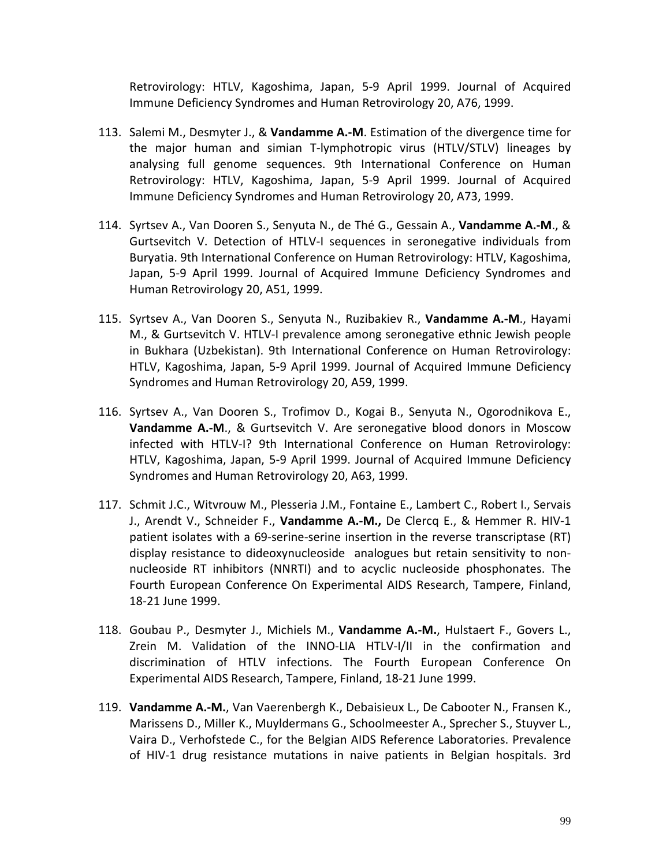Retrovirology: HTLV, Kagoshima, Japan, 5-9 April 1999. Journal of Acquired Immune Deficiency Syndromes and Human Retrovirology 20, A76, 1999.

- 113. Salemi M., Desmyter J., & **Vandamme A.-M**. Estimation of the divergence time for the major human and simian T-lymphotropic virus (HTLV/STLV) lineages by analysing full genome sequences. 9th International Conference on Human Retrovirology: HTLV, Kagoshima, Japan, 5-9 April 1999. Journal of Acquired Immune Deficiency Syndromes and Human Retrovirology 20, A73, 1999.
- 114. Syrtsev A., Van Dooren S., Senyuta N., de Thé G., Gessain A., **Vandamme A.-M**., & Gurtsevitch V. Detection of HTLV-I sequences in seronegative individuals from Buryatia. 9th International Conference on Human Retrovirology: HTLV, Kagoshima, Japan, 5-9 April 1999. Journal of Acquired Immune Deficiency Syndromes and Human Retrovirology 20, A51, 1999.
- 115. Syrtsev A., Van Dooren S., Senyuta N., Ruzibakiev R., **Vandamme A.-M**., Hayami M., & Gurtsevitch V. HTLV-I prevalence among seronegative ethnic Jewish people in Bukhara (Uzbekistan). 9th International Conference on Human Retrovirology: HTLV, Kagoshima, Japan, 5-9 April 1999. Journal of Acquired Immune Deficiency Syndromes and Human Retrovirology 20, A59, 1999.
- 116. Syrtsev A., Van Dooren S., Trofimov D., Kogai B., Senyuta N., Ogorodnikova E., **Vandamme A.-M**., & Gurtsevitch V. Are seronegative blood donors in Moscow infected with HTLV-I? 9th International Conference on Human Retrovirology: HTLV, Kagoshima, Japan, 5-9 April 1999. Journal of Acquired Immune Deficiency Syndromes and Human Retrovirology 20, A63, 1999.
- 117. Schmit J.C., Witvrouw M., Plesseria J.M., Fontaine E., Lambert C., Robert I., Servais J., Arendt V., Schneider F., **Vandamme A.-M.,** De Clercq E., & Hemmer R. HIV-1 patient isolates with a 69-serine-serine insertion in the reverse transcriptase (RT) display resistance to dideoxynucleoside analogues but retain sensitivity to nonnucleoside RT inhibitors (NNRTI) and to acyclic nucleoside phosphonates. The Fourth European Conference On Experimental AIDS Research, Tampere, Finland, 18-21 June 1999.
- 118. Goubau P., Desmyter J., Michiels M., **Vandamme A.-M.**, Hulstaert F., Govers L., Zrein M. Validation of the INNO-LIA HTLV-I/II in the confirmation and discrimination of HTLV infections. The Fourth European Conference On Experimental AIDS Research, Tampere, Finland, 18-21 June 1999.
- 119. **Vandamme A.-M.**, Van Vaerenbergh K., Debaisieux L., De Cabooter N., Fransen K., Marissens D., Miller K., Muyldermans G., Schoolmeester A., Sprecher S., Stuyver L., Vaira D., Verhofstede C., for the Belgian AIDS Reference Laboratories. Prevalence of HIV-1 drug resistance mutations in naive patients in Belgian hospitals. 3rd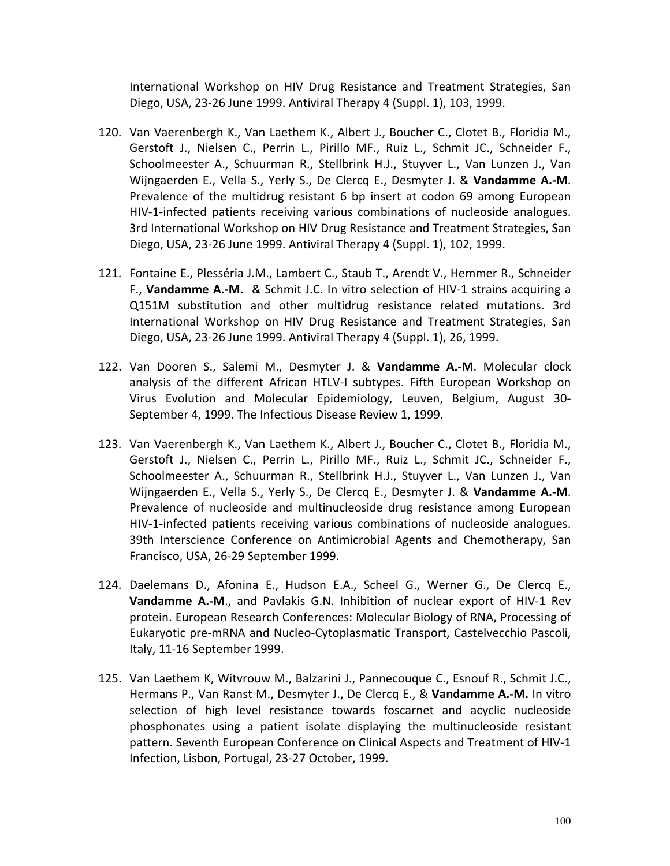International Workshop on HIV Drug Resistance and Treatment Strategies, San Diego, USA, 23-26 June 1999. Antiviral Therapy 4 (Suppl. 1), 103, 1999.

- 120. Van Vaerenbergh K., Van Laethem K., Albert J., Boucher C., Clotet B., Floridia M., Gerstoft J., Nielsen C., Perrin L., Pirillo MF., Ruiz L., Schmit JC., Schneider F., Schoolmeester A., Schuurman R., Stellbrink H.J., Stuyver L., Van Lunzen J., Van Wijngaerden E., Vella S., Yerly S., De Clercq E., Desmyter J. & **Vandamme A.-M**. Prevalence of the multidrug resistant 6 bp insert at codon 69 among European HIV-1-infected patients receiving various combinations of nucleoside analogues. 3rd International Workshop on HIV Drug Resistance and Treatment Strategies, San Diego, USA, 23-26 June 1999. Antiviral Therapy 4 (Suppl. 1), 102, 1999.
- 121. Fontaine E., Plesséria J.M., Lambert C., Staub T., Arendt V., Hemmer R., Schneider F., **Vandamme A.-M.** & Schmit J.C. In vitro selection of HIV-1 strains acquiring a Q151M substitution and other multidrug resistance related mutations. 3rd International Workshop on HIV Drug Resistance and Treatment Strategies, San Diego, USA, 23-26 June 1999. Antiviral Therapy 4 (Suppl. 1), 26, 1999.
- 122. Van Dooren S., Salemi M., Desmyter J. & **Vandamme A.-M**. Molecular clock analysis of the different African HTLV-I subtypes. Fifth European Workshop on Virus Evolution and Molecular Epidemiology, Leuven, Belgium, August 30- September 4, 1999. The Infectious Disease Review 1, 1999.
- 123. Van Vaerenbergh K., Van Laethem K., Albert J., Boucher C., Clotet B., Floridia M., Gerstoft J., Nielsen C., Perrin L., Pirillo MF., Ruiz L., Schmit JC., Schneider F., Schoolmeester A., Schuurman R., Stellbrink H.J., Stuyver L., Van Lunzen J., Van Wijngaerden E., Vella S., Yerly S., De Clercq E., Desmyter J. & **Vandamme A.-M**. Prevalence of nucleoside and multinucleoside drug resistance among European HIV-1-infected patients receiving various combinations of nucleoside analogues. 39th Interscience Conference on Antimicrobial Agents and Chemotherapy, San Francisco, USA, 26-29 September 1999.
- 124. Daelemans D., Afonina E., Hudson E.A., Scheel G., Werner G., De Clercq E., **Vandamme A.-M**., and Pavlakis G.N. Inhibition of nuclear export of HIV-1 Rev protein. European Research Conferences: Molecular Biology of RNA, Processing of Eukaryotic pre-mRNA and Nucleo-Cytoplasmatic Transport, Castelvecchio Pascoli, Italy, 11-16 September 1999.
- 125. Van Laethem K, Witvrouw M., Balzarini J., Pannecouque C., Esnouf R., Schmit J.C., Hermans P., Van Ranst M., Desmyter J., De Clercq E., & **Vandamme A.-M.** In vitro selection of high level resistance towards foscarnet and acyclic nucleoside phosphonates using a patient isolate displaying the multinucleoside resistant pattern. Seventh European Conference on Clinical Aspects and Treatment of HIV-1 Infection, Lisbon, Portugal, 23-27 October, 1999.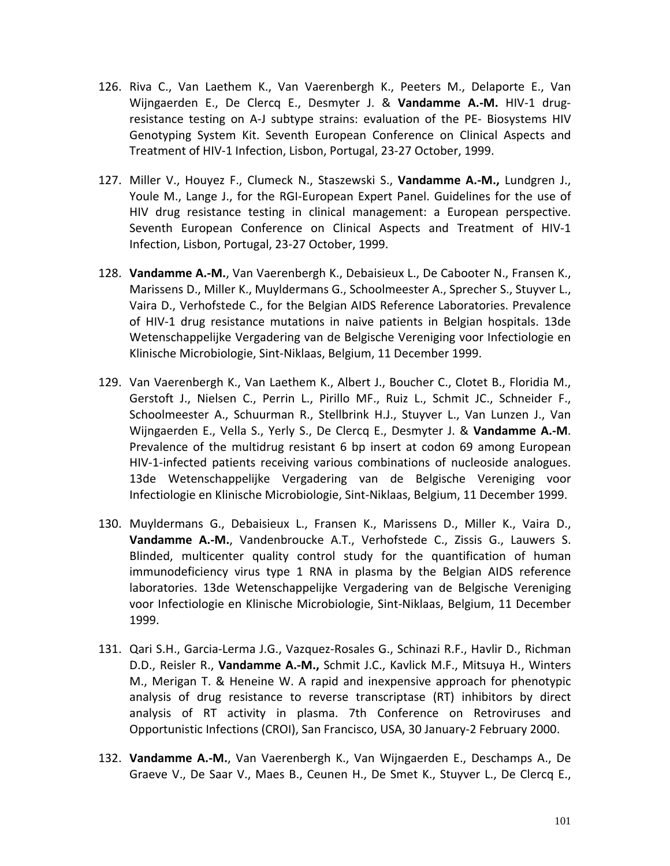- 126. Riva C., Van Laethem K., Van Vaerenbergh K., Peeters M., Delaporte E., Van Wijngaerden E., De Clercq E., Desmyter J. & **Vandamme A.-M.** HIV-1 drugresistance testing on A-J subtype strains: evaluation of the PE- Biosystems HIV Genotyping System Kit. Seventh European Conference on Clinical Aspects and Treatment of HIV-1 Infection, Lisbon, Portugal, 23-27 October, 1999.
- 127. Miller V., Houyez F., Clumeck N., Staszewski S., **Vandamme A.-M.,** Lundgren J., Youle M., Lange J., for the RGI-European Expert Panel. Guidelines for the use of HIV drug resistance testing in clinical management: a European perspective. Seventh European Conference on Clinical Aspects and Treatment of HIV-1 Infection, Lisbon, Portugal, 23-27 October, 1999.
- 128. **Vandamme A.-M.**, Van Vaerenbergh K., Debaisieux L., De Cabooter N., Fransen K., Marissens D., Miller K., Muyldermans G., Schoolmeester A., Sprecher S., Stuyver L., Vaira D., Verhofstede C., for the Belgian AIDS Reference Laboratories. Prevalence of HIV-1 drug resistance mutations in naive patients in Belgian hospitals. 13de Wetenschappelijke Vergadering van de Belgische Vereniging voor Infectiologie en Klinische Microbiologie, Sint-Niklaas, Belgium, 11 December 1999.
- 129. Van Vaerenbergh K., Van Laethem K., Albert J., Boucher C., Clotet B., Floridia M., Gerstoft J., Nielsen C., Perrin L., Pirillo MF., Ruiz L., Schmit JC., Schneider F., Schoolmeester A., Schuurman R., Stellbrink H.J., Stuyver L., Van Lunzen J., Van Wijngaerden E., Vella S., Yerly S., De Clercq E., Desmyter J. & **Vandamme A.-M**. Prevalence of the multidrug resistant 6 bp insert at codon 69 among European HIV-1-infected patients receiving various combinations of nucleoside analogues. 13de Wetenschappelijke Vergadering van de Belgische Vereniging voor Infectiologie en Klinische Microbiologie, Sint-Niklaas, Belgium, 11 December 1999.
- 130. Muyldermans G., Debaisieux L., Fransen K., Marissens D., Miller K., Vaira D., **Vandamme A.-M.**, Vandenbroucke A.T., Verhofstede C., Zissis G., Lauwers S. Blinded, multicenter quality control study for the quantification of human immunodeficiency virus type 1 RNA in plasma by the Belgian AIDS reference laboratories. 13de Wetenschappelijke Vergadering van de Belgische Vereniging voor Infectiologie en Klinische Microbiologie, Sint-Niklaas, Belgium, 11 December 1999.
- 131. Qari S.H., Garcia-Lerma J.G., Vazquez-Rosales G., Schinazi R.F., Havlir D., Richman D.D., Reisler R., **Vandamme A.-M.,** Schmit J.C., Kavlick M.F., Mitsuya H., Winters M., Merigan T. & Heneine W. A rapid and inexpensive approach for phenotypic analysis of drug resistance to reverse transcriptase (RT) inhibitors by direct analysis of RT activity in plasma. 7th Conference on Retroviruses and Opportunistic Infections (CROI), San Francisco, USA, 30 January-2 February 2000.
- 132. **Vandamme A.-M.**, Van Vaerenbergh K., Van Wijngaerden E., Deschamps A., De Graeve V., De Saar V., Maes B., Ceunen H., De Smet K., Stuyver L., De Clercq E.,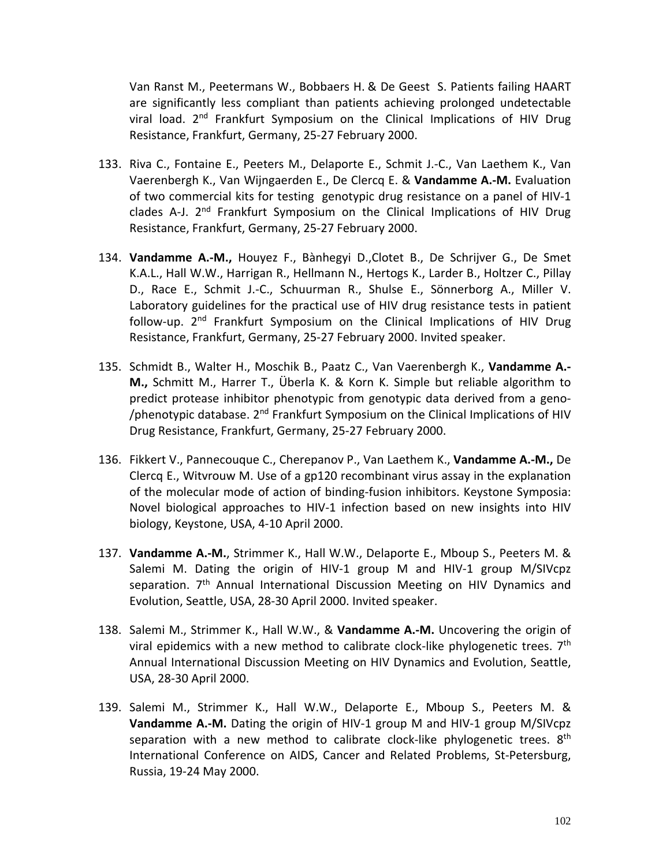Van Ranst M., Peetermans W., Bobbaers H. & De Geest S. Patients failing HAART are significantly less compliant than patients achieving prolonged undetectable viral load. 2<sup>nd</sup> Frankfurt Symposium on the Clinical Implications of HIV Drug Resistance, Frankfurt, Germany, 25-27 February 2000.

- 133. Riva C., Fontaine E., Peeters M., Delaporte E., Schmit J.-C., Van Laethem K., Van Vaerenbergh K., Van Wijngaerden E., De Clercq E. & **Vandamme A.-M.** Evaluation of two commercial kits for testing genotypic drug resistance on a panel of HIV-1 clades A-J. 2<sup>nd</sup> Frankfurt Symposium on the Clinical Implications of HIV Drug Resistance, Frankfurt, Germany, 25-27 February 2000.
- 134. **Vandamme A.-M.,** Houyez F., Bànhegyi D.,Clotet B., De Schrijver G., De Smet K.A.L., Hall W.W., Harrigan R., Hellmann N., Hertogs K., Larder B., Holtzer C., Pillay D., Race E., Schmit J.-C., Schuurman R., Shulse E., Sönnerborg A., Miller V. Laboratory guidelines for the practical use of HIV drug resistance tests in patient follow-up. 2<sup>nd</sup> Frankfurt Symposium on the Clinical Implications of HIV Drug Resistance, Frankfurt, Germany, 25-27 February 2000. Invited speaker.
- 135. Schmidt B., Walter H., Moschik B., Paatz C., Van Vaerenbergh K., **Vandamme A.- M.,** Schmitt M., Harrer T., Überla K. & Korn K. Simple but reliable algorithm to predict protease inhibitor phenotypic from genotypic data derived from a geno- /phenotypic database. 2nd Frankfurt Symposium on the Clinical Implications of HIV Drug Resistance, Frankfurt, Germany, 25-27 February 2000.
- 136. Fikkert V., Pannecouque C., Cherepanov P., Van Laethem K., **Vandamme A.-M.,** De Clercq E., Witvrouw M. Use of a gp120 recombinant virus assay in the explanation of the molecular mode of action of binding-fusion inhibitors. Keystone Symposia: Novel biological approaches to HIV-1 infection based on new insights into HIV biology, Keystone, USA, 4-10 April 2000.
- 137. **Vandamme A.-M.**, Strimmer K., Hall W.W., Delaporte E., Mboup S., Peeters M. & Salemi M. Dating the origin of HIV-1 group M and HIV-1 group M/SIVcpz separation. 7<sup>th</sup> Annual International Discussion Meeting on HIV Dynamics and Evolution, Seattle, USA, 28-30 April 2000. Invited speaker.
- 138. Salemi M., Strimmer K., Hall W.W., & **Vandamme A.-M.** Uncovering the origin of viral epidemics with a new method to calibrate clock-like phylogenetic trees.  $7<sup>th</sup>$ Annual International Discussion Meeting on HIV Dynamics and Evolution, Seattle, USA, 28-30 April 2000.
- 139. Salemi M., Strimmer K., Hall W.W., Delaporte E., Mboup S., Peeters M. & **Vandamme A.-M.** Dating the origin of HIV-1 group M and HIV-1 group M/SIVcpz separation with a new method to calibrate clock-like phylogenetic trees.  $8<sup>th</sup>$ International Conference on AIDS, Cancer and Related Problems, St-Petersburg, Russia, 19-24 May 2000.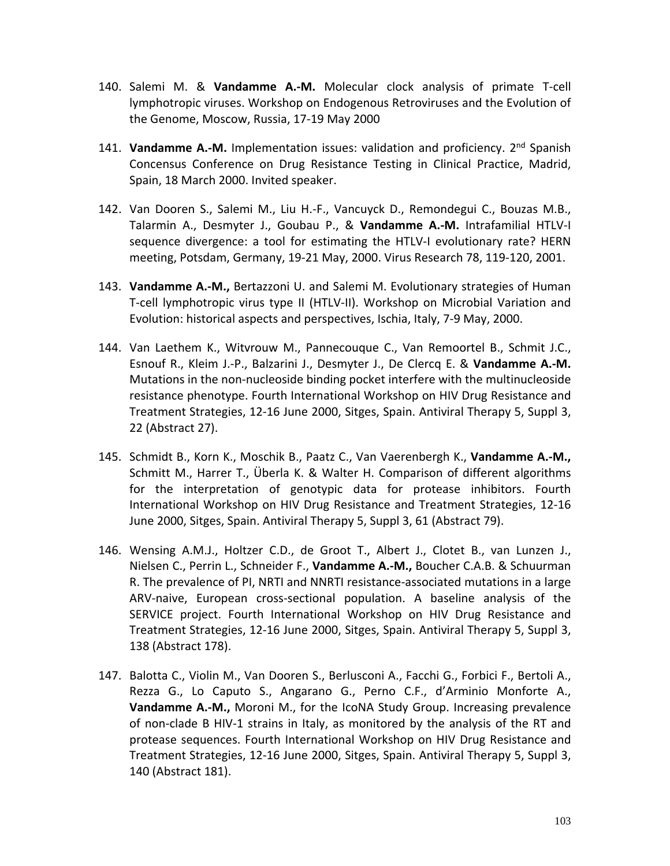- 140. Salemi M. & **Vandamme A.-M.** Molecular clock analysis of primate T-cell lymphotropic viruses. Workshop on Endogenous Retroviruses and the Evolution of the Genome, Moscow, Russia, 17-19 May 2000
- 141. **Vandamme A.-M.** Implementation issues: validation and proficiency. 2nd Spanish Concensus Conference on Drug Resistance Testing in Clinical Practice, Madrid, Spain, 18 March 2000. Invited speaker.
- 142. Van Dooren S., Salemi M., Liu H.-F., Vancuyck D., Remondegui C., Bouzas M.B., Talarmin A., Desmyter J., Goubau P., & **Vandamme A.-M.** Intrafamilial HTLV-I sequence divergence: a tool for estimating the HTLV-I evolutionary rate? HERN meeting, Potsdam, Germany, 19-21 May, 2000. Virus Research 78, 119-120, 2001.
- 143. **Vandamme A.-M.,** Bertazzoni U. and Salemi M. Evolutionary strategies of Human T-cell lymphotropic virus type II (HTLV-II). Workshop on Microbial Variation and Evolution: historical aspects and perspectives, Ischia, Italy, 7-9 May, 2000.
- 144. Van Laethem K., Witvrouw M., Pannecouque C., Van Remoortel B., Schmit J.C., Esnouf R., Kleim J.-P., Balzarini J., Desmyter J., De Clercq E. & **Vandamme A.-M.** Mutations in the non-nucleoside binding pocket interfere with the multinucleoside resistance phenotype. Fourth International Workshop on HIV Drug Resistance and Treatment Strategies, 12-16 June 2000, Sitges, Spain. Antiviral Therapy 5, Suppl 3, 22 (Abstract 27).
- 145. Schmidt B., Korn K., Moschik B., Paatz C., Van Vaerenbergh K., **Vandamme A.-M.,** Schmitt M., Harrer T., Überla K. & Walter H. Comparison of different algorithms for the interpretation of genotypic data for protease inhibitors. Fourth International Workshop on HIV Drug Resistance and Treatment Strategies, 12-16 June 2000, Sitges, Spain. Antiviral Therapy 5, Suppl 3, 61 (Abstract 79).
- 146. Wensing A.M.J., Holtzer C.D., de Groot T., Albert J., Clotet B., van Lunzen J., Nielsen C., Perrin L., Schneider F., **Vandamme A.-M.,** Boucher C.A.B. & Schuurman R. The prevalence of PI, NRTI and NNRTI resistance-associated mutations in a large ARV-naive, European cross-sectional population. A baseline analysis of the SERVICE project. Fourth International Workshop on HIV Drug Resistance and Treatment Strategies, 12-16 June 2000, Sitges, Spain. Antiviral Therapy 5, Suppl 3, 138 (Abstract 178).
- 147. Balotta C., Violin M., Van Dooren S., Berlusconi A., Facchi G., Forbici F., Bertoli A., Rezza G., Lo Caputo S., Angarano G., Perno C.F., d'Arminio Monforte A., **Vandamme A.-M.,** Moroni M., for the IcoNA Study Group. Increasing prevalence of non-clade B HIV-1 strains in Italy, as monitored by the analysis of the RT and protease sequences. Fourth International Workshop on HIV Drug Resistance and Treatment Strategies, 12-16 June 2000, Sitges, Spain. Antiviral Therapy 5, Suppl 3, 140 (Abstract 181).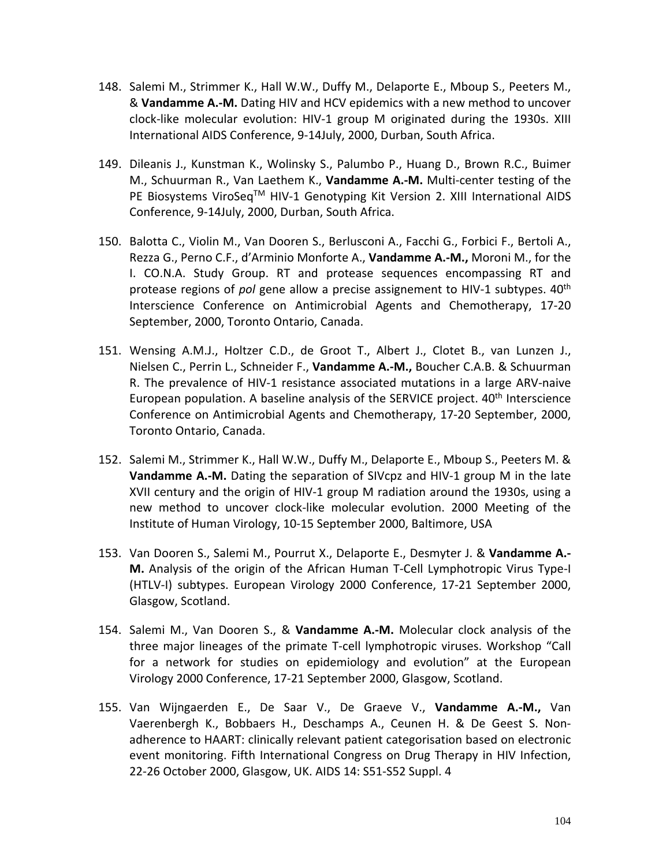- 148. Salemi M., Strimmer K., Hall W.W., Duffy M., Delaporte E., Mboup S., Peeters M., & **Vandamme A.-M.** Dating HIV and HCV epidemics with a new method to uncover clock-like molecular evolution: HIV-1 group M originated during the 1930s. XIII International AIDS Conference, 9-14July, 2000, Durban, South Africa.
- 149. Dileanis J., Kunstman K., Wolinsky S., Palumbo P., Huang D., Brown R.C., Buimer M., Schuurman R., Van Laethem K., **Vandamme A.-M.** Multi-center testing of the PE Biosystems ViroSeq™ HIV-1 Genotyping Kit Version 2. XIII International AIDS Conference, 9-14July, 2000, Durban, South Africa.
- 150. Balotta C., Violin M., Van Dooren S., Berlusconi A., Facchi G., Forbici F., Bertoli A., Rezza G., Perno C.F., d'Arminio Monforte A., **Vandamme A.-M.,** Moroni M., for the I. CO.N.A. Study Group. RT and protease sequences encompassing RT and protease regions of *pol* gene allow a precise assignement to HIV-1 subtypes. 40th Interscience Conference on Antimicrobial Agents and Chemotherapy, 17-20 September, 2000, Toronto Ontario, Canada.
- 151. Wensing A.M.J., Holtzer C.D., de Groot T., Albert J., Clotet B., van Lunzen J., Nielsen C., Perrin L., Schneider F., **Vandamme A.-M.,** Boucher C.A.B. & Schuurman R. The prevalence of HIV-1 resistance associated mutations in a large ARV-naive European population. A baseline analysis of the SERVICE project.  $40<sup>th</sup>$  Interscience Conference on Antimicrobial Agents and Chemotherapy, 17-20 September, 2000, Toronto Ontario, Canada.
- 152. Salemi M., Strimmer K., Hall W.W., Duffy M., Delaporte E., Mboup S., Peeters M. & **Vandamme A.-M.** Dating the separation of SIVcpz and HIV-1 group M in the late XVII century and the origin of HIV-1 group M radiation around the 1930s, using a new method to uncover clock-like molecular evolution. 2000 Meeting of the Institute of Human Virology, 10-15 September 2000, Baltimore, USA
- 153. Van Dooren S., Salemi M., Pourrut X., Delaporte E., Desmyter J. & **Vandamme A.- M.** Analysis of the origin of the African Human T-Cell Lymphotropic Virus Type-I (HTLV-I) subtypes. European Virology 2000 Conference, 17-21 September 2000, Glasgow, Scotland.
- 154. Salemi M., Van Dooren S., & **Vandamme A.-M.** Molecular clock analysis of the three major lineages of the primate T-cell lymphotropic viruses. Workshop "Call for a network for studies on epidemiology and evolution" at the European Virology 2000 Conference, 17-21 September 2000, Glasgow, Scotland.
- 155. Van Wijngaerden E., De Saar V., De Graeve V., **Vandamme A.-M.,** Van Vaerenbergh K., Bobbaers H., Deschamps A., Ceunen H. & De Geest S. Nonadherence to HAART: clinically relevant patient categorisation based on electronic event monitoring. Fifth International Congress on Drug Therapy in HIV Infection, 22-26 October 2000, Glasgow, UK. AIDS 14: S51-S52 Suppl. 4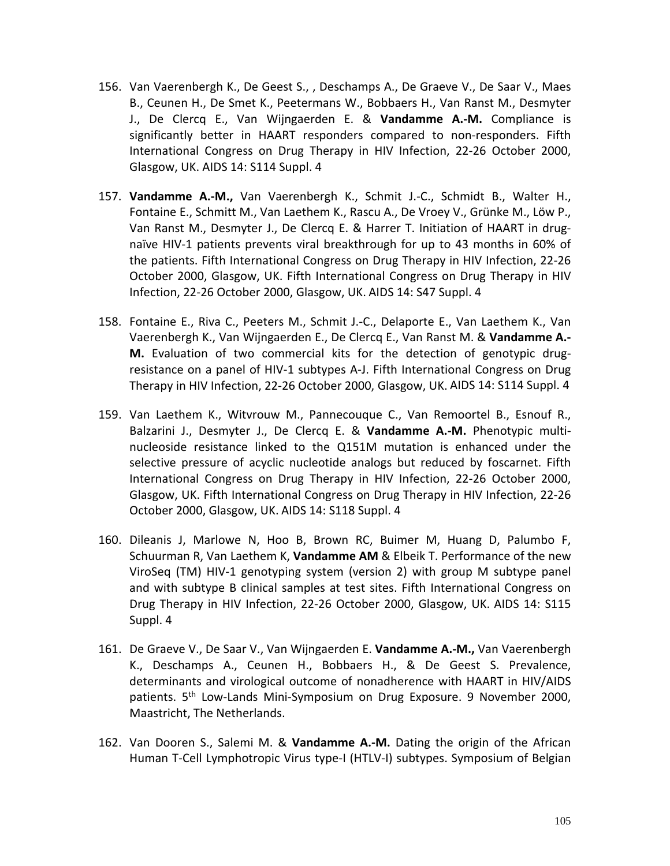- 156. Van Vaerenbergh K., De Geest S., , Deschamps A., De Graeve V., De Saar V., Maes B., Ceunen H., De Smet K., Peetermans W., Bobbaers H., Van Ranst M., Desmyter J., De Clercq E., Van Wijngaerden E. & **Vandamme A.-M.** Compliance is significantly better in HAART responders compared to non-responders. Fifth International Congress on Drug Therapy in HIV Infection, 22-26 October 2000, Glasgow, UK. AIDS 14: S114 Suppl. 4
- 157. **Vandamme A.-M.,** Van Vaerenbergh K., Schmit J.-C., Schmidt B., Walter H., Fontaine E., Schmitt M., Van Laethem K., Rascu A., De Vroey V., Grünke M., Löw P., Van Ranst M., Desmyter J., De Clercq E. & Harrer T. Initiation of HAART in drugnaïve HIV-1 patients prevents viral breakthrough for up to 43 months in 60% of the patients. Fifth International Congress on Drug Therapy in HIV Infection, 22-26 October 2000, Glasgow, UK. Fifth International Congress on Drug Therapy in HIV Infection, 22-26 October 2000, Glasgow, UK. AIDS 14: S47 Suppl. 4
- 158. Fontaine E., Riva C., Peeters M., Schmit J.-C., Delaporte E., Van Laethem K., Van Vaerenbergh K., Van Wijngaerden E., De Clercq E., Van Ranst M. & **Vandamme A.- M.** Evaluation of two commercial kits for the detection of genotypic drugresistance on a panel of HIV-1 subtypes A-J. Fifth International Congress on Drug Therapy in HIV Infection, 22-26 October 2000, Glasgow, UK. AIDS 14: S114 Suppl. 4
- 159. Van Laethem K., Witvrouw M., Pannecouque C., Van Remoortel B., Esnouf R., Balzarini J., Desmyter J., De Clercq E. & **Vandamme A.-M.** Phenotypic multinucleoside resistance linked to the Q151M mutation is enhanced under the selective pressure of acyclic nucleotide analogs but reduced by foscarnet. Fifth International Congress on Drug Therapy in HIV Infection, 22-26 October 2000, Glasgow, UK. Fifth International Congress on Drug Therapy in HIV Infection, 22-26 October 2000, Glasgow, UK. AIDS 14: S118 Suppl. 4
- 160. Dileanis J, Marlowe N, Hoo B, Brown RC, Buimer M, Huang D, Palumbo F, Schuurman R, Van Laethem K, **Vandamme AM** & Elbeik T. Performance of the new ViroSeq (TM) HIV-1 genotyping system (version 2) with group M subtype panel and with subtype B clinical samples at test sites. Fifth International Congress on Drug Therapy in HIV Infection, 22-26 October 2000, Glasgow, UK. AIDS 14: S115 Suppl. 4
- 161. De Graeve V., De Saar V., Van Wijngaerden E. **Vandamme A.-M.,** Van Vaerenbergh K., Deschamps A., Ceunen H., Bobbaers H., & De Geest S. Prevalence, determinants and virological outcome of nonadherence with HAART in HIV/AIDS patients. 5<sup>th</sup> Low-Lands Mini-Symposium on Drug Exposure. 9 November 2000, Maastricht, The Netherlands.
- 162. Van Dooren S., Salemi M. & **Vandamme A.-M.** Dating the origin of the African Human T-Cell Lymphotropic Virus type-I (HTLV-I) subtypes. Symposium of Belgian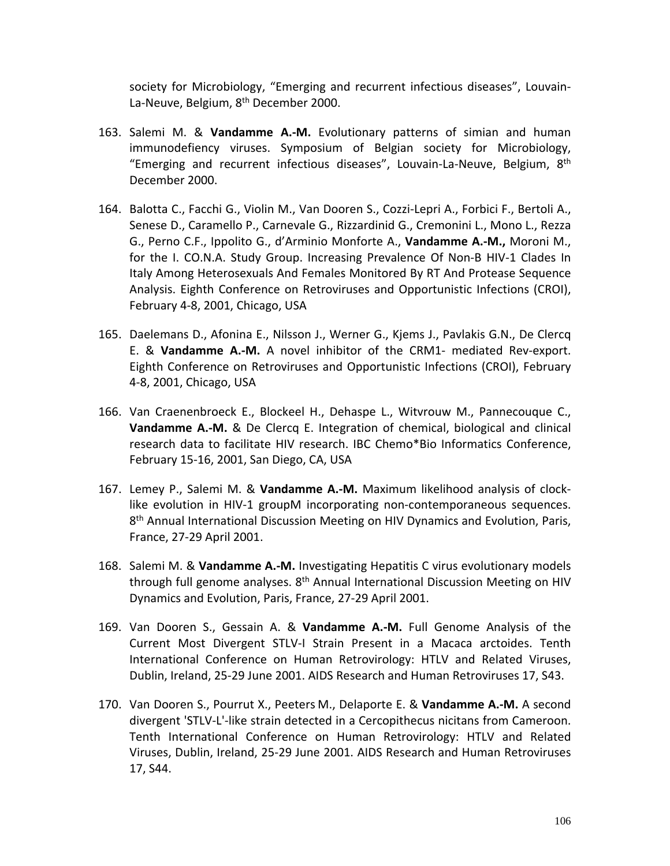society for Microbiology, "Emerging and recurrent infectious diseases", Louvain-La-Neuve, Belgium, 8<sup>th</sup> December 2000.

- 163. Salemi M. & **Vandamme A.-M.** Evolutionary patterns of simian and human immunodefiency viruses. Symposium of Belgian society for Microbiology, "Emerging and recurrent infectious diseases", Louvain-La-Neuve, Belgium,  $8<sup>th</sup>$ December 2000.
- 164. Balotta C., Facchi G., Violin M., Van Dooren S., Cozzi-Lepri A., Forbici F., Bertoli A., Senese D., Caramello P., Carnevale G., Rizzardinid G., Cremonini L., Mono L., Rezza G., Perno C.F., Ippolito G., d'Arminio Monforte A., **Vandamme A.-M.,** Moroni M., for the I. CO.N.A. Study Group. Increasing Prevalence Of Non-B HIV-1 Clades In Italy Among Heterosexuals And Females Monitored By RT And Protease Sequence Analysis. Eighth Conference on Retroviruses and Opportunistic Infections (CROI), February 4-8, 2001, Chicago, USA
- 165. Daelemans D., Afonina E., Nilsson J., Werner G., Kjems J., Pavlakis G.N., De Clercq E. & **Vandamme A.-M.** A novel inhibitor of the CRM1- mediated Rev-export. Eighth Conference on Retroviruses and Opportunistic Infections (CROI), February 4-8, 2001, Chicago, USA
- 166. Van Craenenbroeck E., Blockeel H., Dehaspe L., Witvrouw M., Pannecouque C., **Vandamme A.-M.** & De Clercq E. Integration of chemical, biological and clinical research data to facilitate HIV research. IBC Chemo\*Bio Informatics Conference, February 15-16, 2001, San Diego, CA, USA
- 167. Lemey P., Salemi M. & **Vandamme A.-M.** Maximum likelihood analysis of clocklike evolution in HIV-1 groupM incorporating non-contemporaneous sequences.  $8<sup>th</sup>$  Annual International Discussion Meeting on HIV Dynamics and Evolution, Paris, France, 27-29 April 2001.
- 168. Salemi M. & **Vandamme A.-M.** Investigating Hepatitis C virus evolutionary models through full genome analyses. 8<sup>th</sup> Annual International Discussion Meeting on HIV Dynamics and Evolution, Paris, France, 27-29 April 2001.
- 169. Van Dooren S., Gessain A. & **Vandamme A.-M.** Full Genome Analysis of the Current Most Divergent STLV-I Strain Present in a Macaca arctoides. Tenth International Conference on Human Retrovirology: HTLV and Related Viruses, Dublin, Ireland, 25-29 June 2001. AIDS Research and Human Retroviruses 17, S43.
- 170. Van Dooren S., Pourrut X., Peeters M., Delaporte E. & **Vandamme A.-M.** A second divergent 'STLV-L'-like strain detected in a Cercopithecus nicitans from Cameroon. Tenth International Conference on Human Retrovirology: HTLV and Related Viruses, Dublin, Ireland, 25-29 June 2001. AIDS Research and Human Retroviruses 17, S44.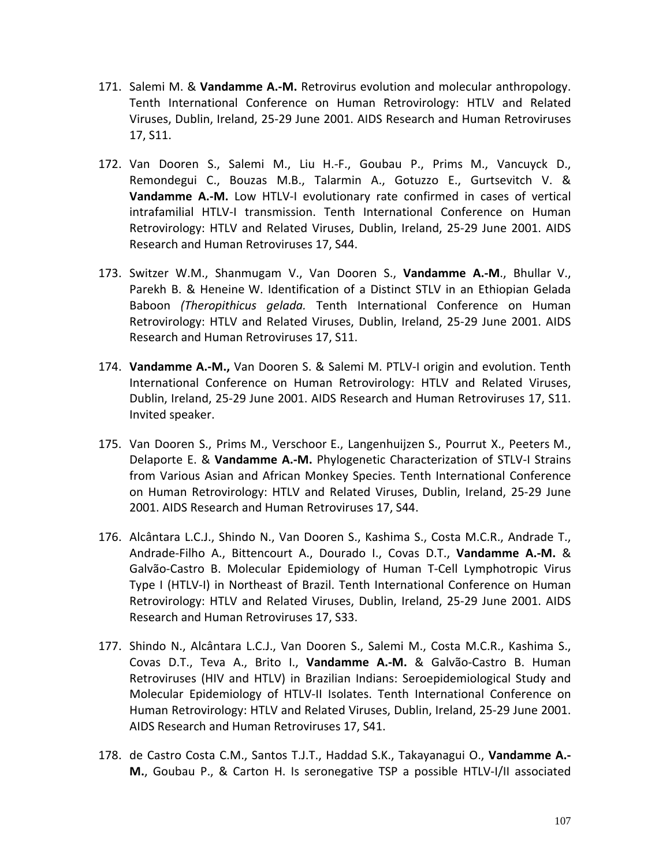- 171. Salemi M. & **Vandamme A.-M.** Retrovirus evolution and molecular anthropology. Tenth International Conference on Human Retrovirology: HTLV and Related Viruses, Dublin, Ireland, 25-29 June 2001. AIDS Research and Human Retroviruses 17, S11.
- 172. Van Dooren S., Salemi M., Liu H.-F., Goubau P., Prims M., Vancuyck D., Remondegui C., Bouzas M.B., Talarmin A., Gotuzzo E., Gurtsevitch V. & **Vandamme A.-M.** Low HTLV-I evolutionary rate confirmed in cases of vertical intrafamilial HTLV-I transmission. Tenth International Conference on Human Retrovirology: HTLV and Related Viruses, Dublin, Ireland, 25-29 June 2001. AIDS Research and Human Retroviruses 17, S44.
- 173. Switzer W.M., Shanmugam V., Van Dooren S., **Vandamme A.-M**., Bhullar V., Parekh B. & Heneine W. Identification of a Distinct STLV in an Ethiopian Gelada Baboon *(Theropithicus gelada.* Tenth International Conference on Human Retrovirology: HTLV and Related Viruses, Dublin, Ireland, 25-29 June 2001. AIDS Research and Human Retroviruses 17, S11.
- 174. **Vandamme A.-M.,** Van Dooren S. & Salemi M. PTLV-I origin and evolution. Tenth International Conference on Human Retrovirology: HTLV and Related Viruses, Dublin, Ireland, 25-29 June 2001. AIDS Research and Human Retroviruses 17, S11. Invited speaker.
- 175. Van Dooren S., Prims M., Verschoor E., Langenhuijzen S., Pourrut X., Peeters M., Delaporte E. & **Vandamme A.-M.** Phylogenetic Characterization of STLV-I Strains from Various Asian and African Monkey Species. Tenth International Conference on Human Retrovirology: HTLV and Related Viruses, Dublin, Ireland, 25-29 June 2001. AIDS Research and Human Retroviruses 17, S44.
- 176. Alcântara L.C.J., Shindo N., Van Dooren S., Kashima S., Costa M.C.R., Andrade T., Andrade-Filho A., Bittencourt A., Dourado I., Covas D.T., **Vandamme A.-M.** & Galvão-Castro B. Molecular Epidemiology of Human T-Cell Lymphotropic Virus Type I (HTLV-I) in Northeast of Brazil. Tenth International Conference on Human Retrovirology: HTLV and Related Viruses, Dublin, Ireland, 25-29 June 2001. AIDS Research and Human Retroviruses 17, S33.
- 177. Shindo N., Alcântara L.C.J., Van Dooren S., Salemi M., Costa M.C.R., Kashima S., Covas D.T., Teva A., Brito I., **Vandamme A.-M.** & Galvão-Castro B. Human Retroviruses (HIV and HTLV) in Brazilian Indians: Seroepidemiological Study and Molecular Epidemiology of HTLV-II Isolates. Tenth International Conference on Human Retrovirology: HTLV and Related Viruses, Dublin, Ireland, 25-29 June 2001. AIDS Research and Human Retroviruses 17, S41.
- 178. de Castro Costa C.M., Santos T.J.T., Haddad S.K., Takayanagui O., **Vandamme A.- M.**, Goubau P., & Carton H. Is seronegative TSP a possible HTLV-I/II associated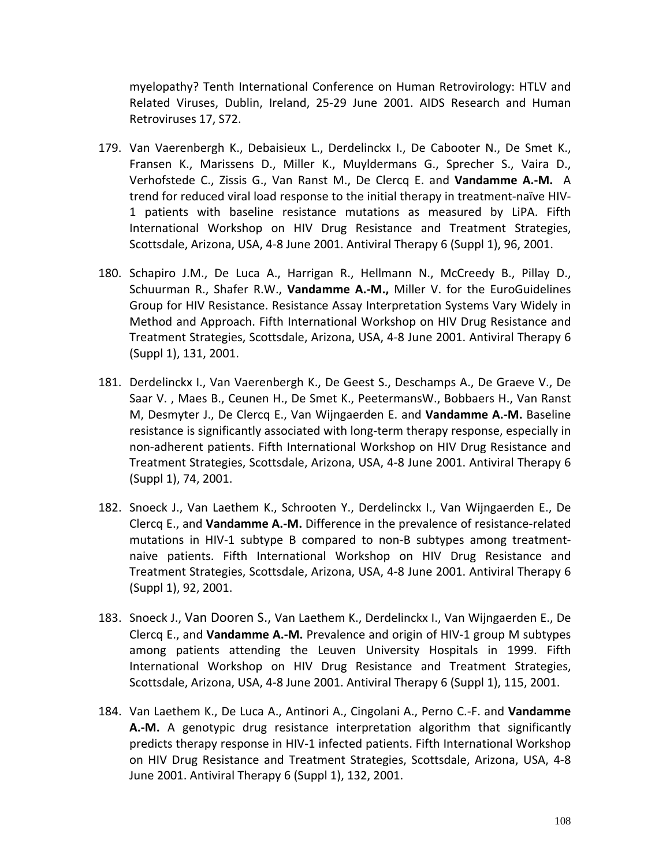myelopathy? Tenth International Conference on Human Retrovirology: HTLV and Related Viruses, Dublin, Ireland, 25-29 June 2001. AIDS Research and Human Retroviruses 17, S72.

- 179. Van Vaerenbergh K., Debaisieux L., Derdelinckx I., De Cabooter N., De Smet K., Fransen K., Marissens D., Miller K., Muyldermans G., Sprecher S., Vaira D., Verhofstede C., Zissis G., Van Ranst M., De Clercq E. and **Vandamme A.-M.** A trend for reduced viral load response to the initial therapy in treatment-naïve HIV-1 patients with baseline resistance mutations as measured by LiPA. Fifth International Workshop on HIV Drug Resistance and Treatment Strategies, Scottsdale, Arizona, USA, 4-8 June 2001. Antiviral Therapy 6 (Suppl 1), 96, 2001.
- 180. Schapiro J.M., De Luca A., Harrigan R., Hellmann N., McCreedy B., Pillay D., Schuurman R., Shafer R.W., **Vandamme A.-M.,** Miller V. for the EuroGuidelines Group for HIV Resistance. Resistance Assay Interpretation Systems Vary Widely in Method and Approach. Fifth International Workshop on HIV Drug Resistance and Treatment Strategies, Scottsdale, Arizona, USA, 4-8 June 2001. Antiviral Therapy 6 (Suppl 1), 131, 2001.
- 181. Derdelinckx I., Van Vaerenbergh K., De Geest S., Deschamps A., De Graeve V., De Saar V. , Maes B., Ceunen H., De Smet K., PeetermansW., Bobbaers H., Van Ranst M, Desmyter J., De Clercq E., Van Wijngaerden E. and **Vandamme A.-M.** Baseline resistance is significantly associated with long-term therapy response, especially in non-adherent patients. Fifth International Workshop on HIV Drug Resistance and Treatment Strategies, Scottsdale, Arizona, USA, 4-8 June 2001. Antiviral Therapy 6 (Suppl 1), 74, 2001.
- 182. Snoeck J., Van Laethem K., Schrooten Y., Derdelinckx I., Van Wijngaerden E., De Clercq E., and **Vandamme A.-M.** Difference in the prevalence of resistance-related mutations in HIV-1 subtype B compared to non-B subtypes among treatmentnaive patients. Fifth International Workshop on HIV Drug Resistance and Treatment Strategies, Scottsdale, Arizona, USA, 4-8 June 2001. Antiviral Therapy 6 (Suppl 1), 92, 2001.
- 183. Snoeck J., Van Dooren S., Van Laethem K., Derdelinckx I., Van Wijngaerden E., De Clercq E., and **Vandamme A.-M.** Prevalence and origin of HIV-1 group M subtypes among patients attending the Leuven University Hospitals in 1999. Fifth International Workshop on HIV Drug Resistance and Treatment Strategies, Scottsdale, Arizona, USA, 4-8 June 2001. Antiviral Therapy 6 (Suppl 1), 115, 2001.
- 184. Van Laethem K., De Luca A., Antinori A., Cingolani A., Perno C.-F. and **Vandamme A.-M.** A genotypic drug resistance interpretation algorithm that significantly predicts therapy response in HIV-1 infected patients. Fifth International Workshop on HIV Drug Resistance and Treatment Strategies, Scottsdale, Arizona, USA, 4-8 June 2001. Antiviral Therapy 6 (Suppl 1), 132, 2001.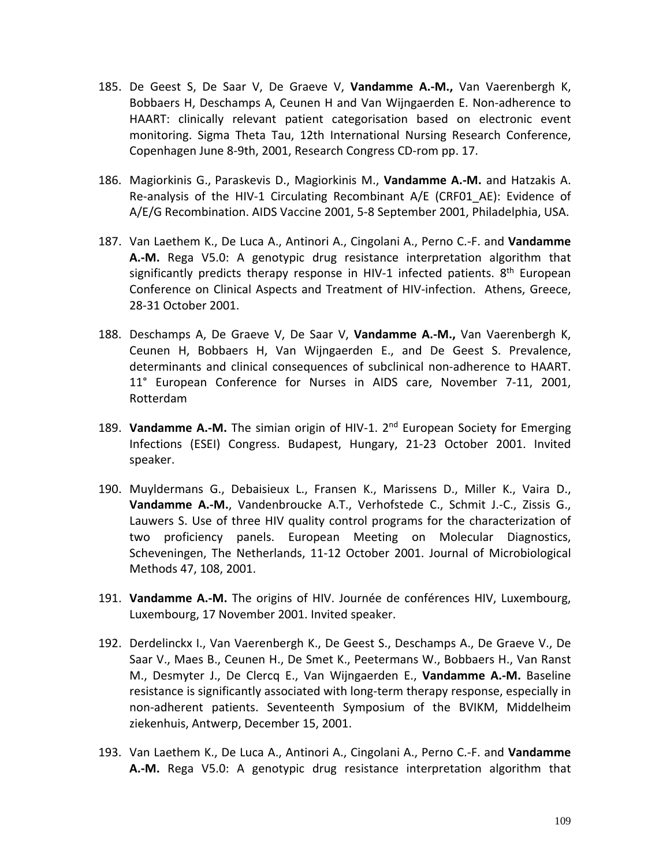- 185. De Geest S, De Saar V, De Graeve V, **Vandamme A.-M.,** Van Vaerenbergh K, Bobbaers H, Deschamps A, Ceunen H and Van Wijngaerden E. Non-adherence to HAART: clinically relevant patient categorisation based on electronic event monitoring. Sigma Theta Tau, 12th International Nursing Research Conference, Copenhagen June 8-9th, 2001, Research Congress CD-rom pp. 17.
- 186. Magiorkinis G., Paraskevis D., Magiorkinis M., **Vandamme A.-M.** and Hatzakis A. Re-analysis of the HIV-1 Circulating Recombinant A/E (CRF01\_AE): Evidence of A/E/G Recombination. AIDS Vaccine 2001, 5-8 September 2001, Philadelphia, USA.
- 187. Van Laethem K., De Luca A., Antinori A., Cingolani A., Perno C.-F. and **Vandamme A.-M.** Rega V5.0: A genotypic drug resistance interpretation algorithm that significantly predicts therapy response in HIV-1 infected patients. 8<sup>th</sup> European Conference on Clinical Aspects and Treatment of HIV-infection. Athens, Greece, 28-31 October 2001.
- 188. Deschamps A, De Graeve V, De Saar V, **Vandamme A.-M.,** Van Vaerenbergh K, Ceunen H, Bobbaers H, Van Wijngaerden E., and De Geest S. Prevalence, determinants and clinical consequences of subclinical non-adherence to HAART. 11° European Conference for Nurses in AIDS care, November 7-11, 2001, Rotterdam
- 189. **Vandamme A.-M.** The simian origin of HIV-1. 2nd European Society for Emerging Infections (ESEI) Congress. Budapest, Hungary, 21-23 October 2001. Invited speaker.
- 190. Muyldermans G., Debaisieux L., Fransen K., Marissens D., Miller K., Vaira D., **Vandamme A.-M.**, Vandenbroucke A.T., Verhofstede C., Schmit J.-C., Zissis G., Lauwers S. Use of three HIV quality control programs for the characterization of two proficiency panels. European Meeting on Molecular Diagnostics, Scheveningen, The Netherlands, 11-12 October 2001. Journal of Microbiological Methods 47, 108, 2001.
- 191. **Vandamme A.-M.** The origins of HIV. Journée de conférences HIV, Luxembourg, Luxembourg, 17 November 2001. Invited speaker.
- 192. Derdelinckx I., Van Vaerenbergh K., De Geest S., Deschamps A., De Graeve V., De Saar V., Maes B., Ceunen H., De Smet K., Peetermans W., Bobbaers H., Van Ranst M., Desmyter J., De Clercq E., Van Wijngaerden E., **Vandamme A.-M.** Baseline resistance is significantly associated with long-term therapy response, especially in non-adherent patients. Seventeenth Symposium of the BVIKM, Middelheim ziekenhuis, Antwerp, December 15, 2001.
- 193. Van Laethem K., De Luca A., Antinori A., Cingolani A., Perno C.-F. and **Vandamme A.-M.** Rega V5.0: A genotypic drug resistance interpretation algorithm that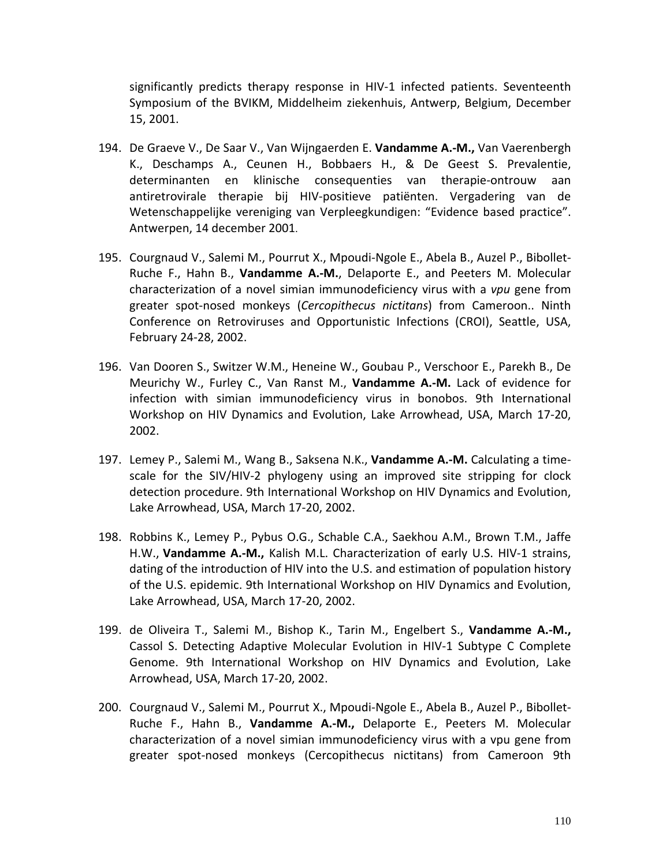significantly predicts therapy response in HIV-1 infected patients. Seventeenth Symposium of the BVIKM, Middelheim ziekenhuis, Antwerp, Belgium, December 15, 2001.

- 194. De Graeve V., De Saar V., Van Wijngaerden E. **Vandamme A.-M.,** Van Vaerenbergh K., Deschamps A., Ceunen H., Bobbaers H., & De Geest S. Prevalentie, determinanten en klinische consequenties van therapie-ontrouw aan antiretrovirale therapie bij HIV-positieve patiënten. Vergadering van de Wetenschappelijke vereniging van Verpleegkundigen: "Evidence based practice". Antwerpen, 14 december 2001.
- 195. Courgnaud V., Salemi M., Pourrut X., Mpoudi-Ngole E., Abela B., Auzel P., Bibollet-Ruche F., Hahn B., **Vandamme A.-M.**, Delaporte E., and Peeters M. Molecular characterization of a novel simian immunodeficiency virus with a *vpu* gene from greater spot-nosed monkeys (*Cercopithecus nictitans*) from Cameroon.. Ninth Conference on Retroviruses and Opportunistic Infections (CROI), Seattle, USA, February 24-28, 2002.
- 196. Van Dooren S., Switzer W.M., Heneine W., Goubau P., Verschoor E., Parekh B., De Meurichy W., Furley C., Van Ranst M., **Vandamme A.-M.** Lack of evidence for infection with simian immunodeficiency virus in bonobos. 9th International Workshop on HIV Dynamics and Evolution, Lake Arrowhead, USA, March 17-20, 2002.
- 197. Lemey P., Salemi M., Wang B., Saksena N.K., **Vandamme A.-M.** Calculating a timescale for the SIV/HIV-2 phylogeny using an improved site stripping for clock detection procedure. 9th International Workshop on HIV Dynamics and Evolution, Lake Arrowhead, USA, March 17-20, 2002.
- 198. Robbins K., Lemey P., Pybus O.G., Schable C.A., Saekhou A.M., Brown T.M., Jaffe H.W., **Vandamme A.-M.,** Kalish M.L. Characterization of early U.S. HIV-1 strains, dating of the introduction of HIV into the U.S. and estimation of population history of the U.S. epidemic. 9th International Workshop on HIV Dynamics and Evolution, Lake Arrowhead, USA, March 17-20, 2002.
- 199. de Oliveira T., Salemi M., Bishop K., Tarin M., Engelbert S., **Vandamme A.-M.,** Cassol S. Detecting Adaptive Molecular Evolution in HIV-1 Subtype C Complete Genome. 9th International Workshop on HIV Dynamics and Evolution, Lake Arrowhead, USA, March 17-20, 2002.
- 200. Courgnaud V., Salemi M., Pourrut X., Mpoudi-Ngole E., Abela B., Auzel P., Bibollet-Ruche F., Hahn B., **Vandamme A.-M.,** Delaporte E., Peeters M. Molecular characterization of a novel simian immunodeficiency virus with a vpu gene from greater spot-nosed monkeys (Cercopithecus nictitans) from Cameroon 9th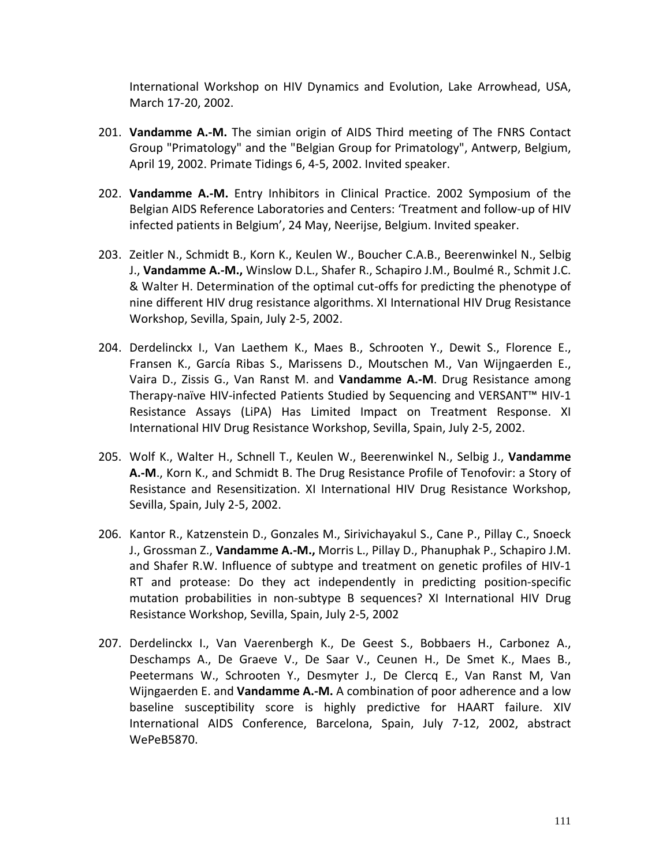International Workshop on HIV Dynamics and Evolution, Lake Arrowhead, USA, March 17-20, 2002.

- 201. **Vandamme A.-M.** The simian origin of AIDS Third meeting of The FNRS Contact Group "Primatology" and the "Belgian Group for Primatology", Antwerp, Belgium, April 19, 2002. Primate Tidings 6, 4-5, 2002. Invited speaker.
- 202. **Vandamme A.-M.** Entry Inhibitors in Clinical Practice. 2002 Symposium of the Belgian AIDS Reference Laboratories and Centers: 'Treatment and follow-up of HIV infected patients in Belgium', 24 May, Neerijse, Belgium. Invited speaker.
- 203. Zeitler N., Schmidt B., Korn K., Keulen W., Boucher C.A.B., Beerenwinkel N., Selbig J., **Vandamme A.-M.,** Winslow D.L., Shafer R., Schapiro J.M., Boulmé R., Schmit J.C. & Walter H. Determination of the optimal cut-offs for predicting the phenotype of nine different HIV drug resistance algorithms. XI International HIV Drug Resistance Workshop, Sevilla, Spain, July 2-5, 2002.
- 204. Derdelinckx I., Van Laethem K., Maes B., Schrooten Y., Dewit S., Florence E., Fransen K., García Ribas S., Marissens D., Moutschen M., Van Wijngaerden E., Vaira D., Zissis G., Van Ranst M. and **Vandamme A.-M**. Drug Resistance among Therapy-naïve HIV-infected Patients Studied by Sequencing and VERSANT™ HIV-1 Resistance Assays (LiPA) Has Limited Impact on Treatment Response. XI International HIV Drug Resistance Workshop, Sevilla, Spain, July 2-5, 2002.
- 205. Wolf K., Walter H., Schnell T., Keulen W., Beerenwinkel N., Selbig J., **Vandamme A.-M**., Korn K., and Schmidt B. The Drug Resistance Profile of Tenofovir: a Story of Resistance and Resensitization. XI International HIV Drug Resistance Workshop, Sevilla, Spain, July 2-5, 2002.
- 206. Kantor R., Katzenstein D., Gonzales M., Sirivichayakul S., Cane P., Pillay C., Snoeck J., Grossman Z., **Vandamme A.-M.,** Morris L., Pillay D., Phanuphak P., Schapiro J.M. and Shafer R.W. Influence of subtype and treatment on genetic profiles of HIV-1 RT and protease: Do they act independently in predicting position-specific mutation probabilities in non-subtype B sequences? XI International HIV Drug Resistance Workshop, Sevilla, Spain, July 2-5, 2002
- 207. Derdelinckx I., Van Vaerenbergh K., De Geest S., Bobbaers H., Carbonez A., Deschamps A., De Graeve V., De Saar V., Ceunen H., De Smet K., Maes B., Peetermans W., Schrooten Y., Desmyter J., De Clercq E., Van Ranst M, Van Wijngaerden E. and **Vandamme A.-M.** A combination of poor adherence and a low baseline susceptibility score is highly predictive for HAART failure. XIV International AIDS Conference, Barcelona, Spain, July 7-12, 2002, abstract WePeB5870.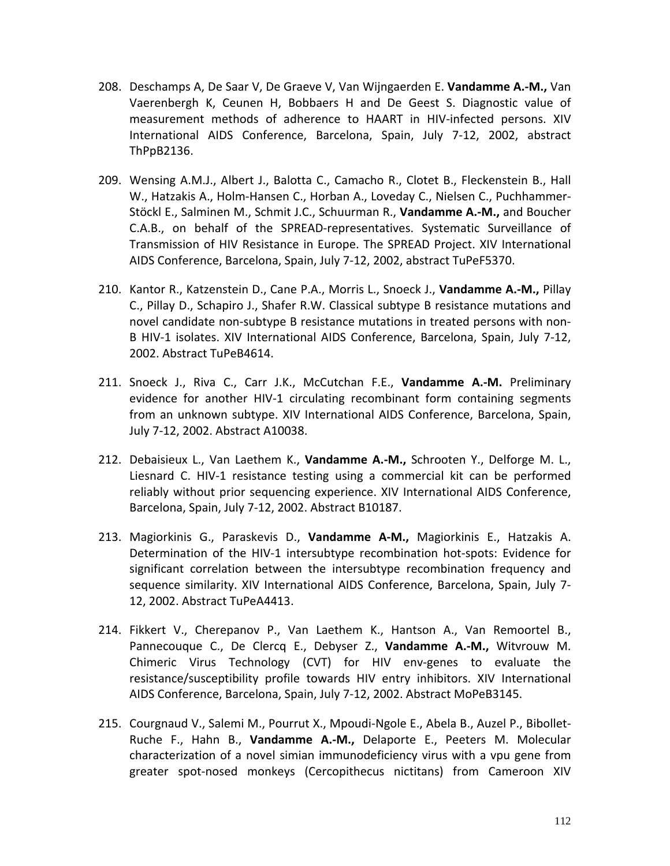- 208. Deschamps A, De Saar V, De Graeve V, Van Wijngaerden E. **Vandamme A.-M.,** Van Vaerenbergh K, Ceunen H, Bobbaers H and De Geest S. Diagnostic value of measurement methods of adherence to HAART in HIV-infected persons. XIV International AIDS Conference, Barcelona, Spain, July 7-12, 2002, abstract ThPpB2136.
- 209. Wensing A.M.J., Albert J., Balotta C., Camacho R., Clotet B., Fleckenstein B., Hall W., Hatzakis A., Holm-Hansen C., Horban A., Loveday C., Nielsen C., Puchhammer-Stöckl E., Salminen M., Schmit J.C., Schuurman R., **Vandamme A.-M.,** and Boucher C.A.B., on behalf of the SPREAD-representatives. Systematic Surveillance of Transmission of HIV Resistance in Europe. The SPREAD Project. XIV International AIDS Conference, Barcelona, Spain, July 7-12, 2002, abstract TuPeF5370.
- 210. Kantor R., Katzenstein D., Cane P.A., Morris L., Snoeck J., **Vandamme A.-M.,** Pillay C., Pillay D., Schapiro J., Shafer R.W. Classical subtype B resistance mutations and novel candidate non-subtype B resistance mutations in treated persons with non-B HIV-1 isolates. XIV International AIDS Conference, Barcelona, Spain, July 7-12, 2002. Abstract TuPeB4614.
- 211. Snoeck J., Riva C., Carr J.K., McCutchan F.E., **Vandamme A.-M.** Preliminary evidence for another HIV-1 circulating recombinant form containing segments from an unknown subtype. XIV International AIDS Conference, Barcelona, Spain, July 7-12, 2002. Abstract A10038.
- 212. Debaisieux L., Van Laethem K., **Vandamme A.-M.,** Schrooten Y., Delforge M. L., Liesnard C. HIV-1 resistance testing using a commercial kit can be performed reliably without prior sequencing experience. XIV International AIDS Conference, Barcelona, Spain, July 7-12, 2002. Abstract B10187.
- 213. Magiorkinis G., Paraskevis D., **Vandamme A-M.,** Magiorkinis E., Hatzakis A. Determination of the HIV-1 intersubtype recombination hot-spots: Evidence for significant correlation between the intersubtype recombination frequency and sequence similarity. XIV International AIDS Conference, Barcelona, Spain, July 7- 12, 2002. Abstract TuPeA4413.
- 214. Fikkert V., Cherepanov P., Van Laethem K., Hantson A., Van Remoortel B., Pannecouque C., De Clercq E., Debyser Z., **Vandamme A.-M.,** Witvrouw M. Chimeric Virus Technology (CVT) for HIV env-genes to evaluate the resistance/susceptibility profile towards HIV entry inhibitors. XIV International AIDS Conference, Barcelona, Spain, July 7-12, 2002. Abstract MoPeB3145.
- 215. Courgnaud V., Salemi M., Pourrut X., Mpoudi-Ngole E., Abela B., Auzel P., Bibollet-Ruche F., Hahn B., **Vandamme A.-M.,** Delaporte E., Peeters M. Molecular characterization of a novel simian immunodeficiency virus with a vpu gene from greater spot-nosed monkeys (Cercopithecus nictitans) from Cameroon XIV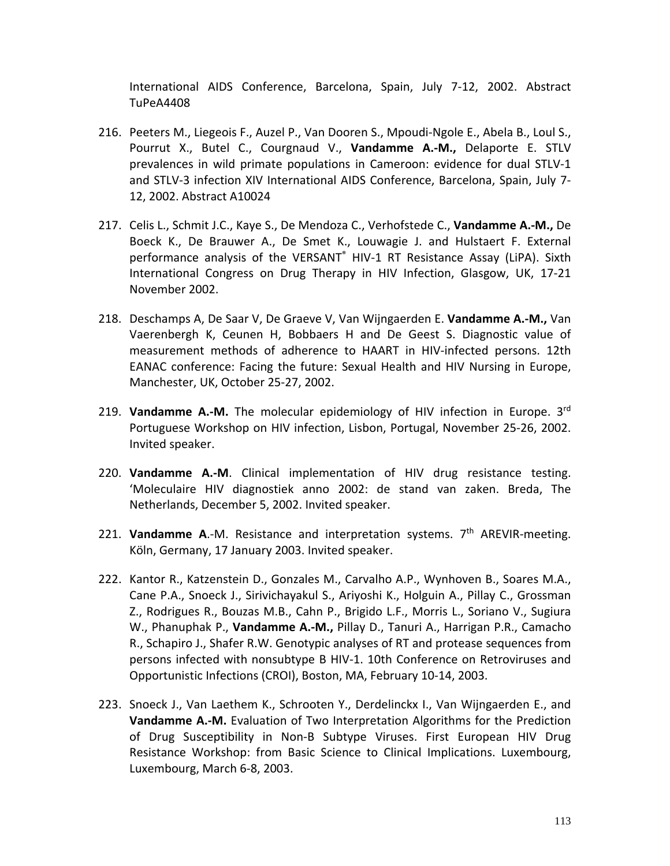International AIDS Conference, Barcelona, Spain, July 7-12, 2002. Abstract TuPeA4408

- 216. Peeters M., Liegeois F., Auzel P., Van Dooren S., Mpoudi-Ngole E., Abela B., Loul S., Pourrut X., Butel C., Courgnaud V., **Vandamme A.-M.,** Delaporte E. STLV prevalences in wild primate populations in Cameroon: evidence for dual STLV-1 and STLV-3 infection XIV International AIDS Conference, Barcelona, Spain, July 7- 12, 2002. Abstract A10024
- 217. Celis L., Schmit J.C., Kaye S., De Mendoza C., Verhofstede C., **Vandamme A.-M.,** De Boeck K., De Brauwer A., De Smet K., Louwagie J. and Hulstaert F. External performance analysis of the VERSANT® HIV-1 RT Resistance Assay (LiPA). Sixth International Congress on Drug Therapy in HIV Infection, Glasgow, UK, 17-21 November 2002.
- 218. Deschamps A, De Saar V, De Graeve V, Van Wijngaerden E. **Vandamme A.-M.,** Van Vaerenbergh K, Ceunen H, Bobbaers H and De Geest S. Diagnostic value of measurement methods of adherence to HAART in HIV-infected persons. 12th EANAC conference: Facing the future: Sexual Health and HIV Nursing in Europe, Manchester, UK, October 25-27, 2002.
- 219. **Vandamme A.-M.** The molecular epidemiology of HIV infection in Europe. 3rd Portuguese Workshop on HIV infection, Lisbon, Portugal, November 25-26, 2002. Invited speaker.
- 220. **Vandamme A.-M**. Clinical implementation of HIV drug resistance testing. 'Moleculaire HIV diagnostiek anno 2002: de stand van zaken. Breda, The Netherlands, December 5, 2002. Invited speaker.
- 221. **Vandamme A**.-M. Resistance and interpretation systems. 7th AREVIR-meeting. Köln, Germany, 17 January 2003. Invited speaker.
- 222. Kantor R., Katzenstein D., Gonzales M., Carvalho A.P., Wynhoven B., Soares M.A., Cane P.A., Snoeck J., Sirivichayakul S., Ariyoshi K., Holguin A., Pillay C., Grossman Z., Rodrigues R., Bouzas M.B., Cahn P., Brigido L.F., Morris L., Soriano V., Sugiura W., Phanuphak P., **Vandamme A.-M.,** Pillay D., Tanuri A., Harrigan P.R., Camacho R., Schapiro J., Shafer R.W. Genotypic analyses of RT and protease sequences from persons infected with nonsubtype B HIV-1. 10th Conference on Retroviruses and Opportunistic Infections (CROI), Boston, MA, February 10-14, 2003.
- 223. Snoeck J., Van Laethem K., Schrooten Y., Derdelinckx I., Van Wijngaerden E., and **Vandamme A.-M.** Evaluation of Two Interpretation Algorithms for the Prediction of Drug Susceptibility in Non-B Subtype Viruses. First European HIV Drug Resistance Workshop: from Basic Science to Clinical Implications. Luxembourg, Luxembourg, March 6-8, 2003.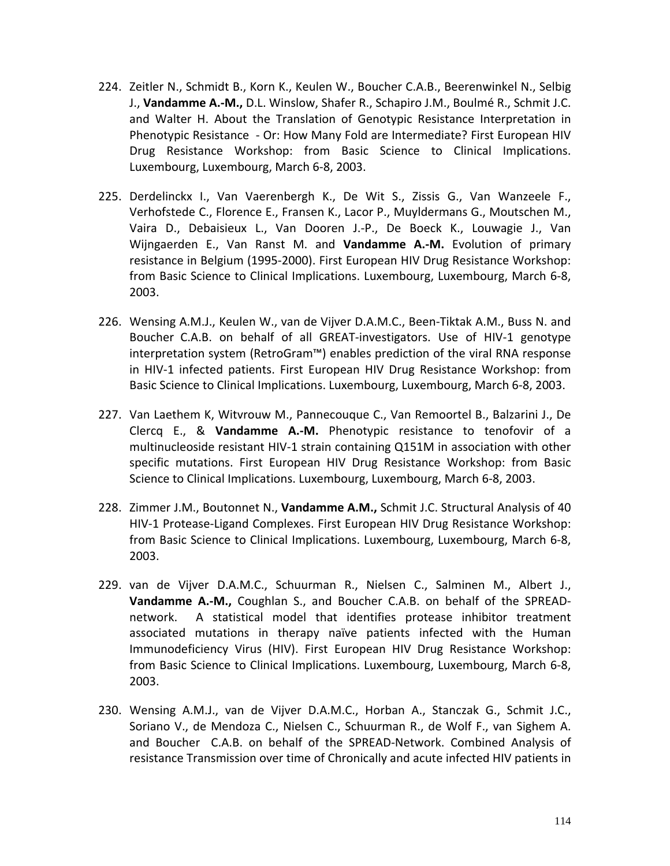- 224. Zeitler N., Schmidt B., Korn K., Keulen W., Boucher C.A.B., Beerenwinkel N., Selbig J., **Vandamme A.-M.,** D.L. Winslow, Shafer R., Schapiro J.M., Boulmé R., Schmit J.C. and Walter H. About the Translation of Genotypic Resistance Interpretation in Phenotypic Resistance - Or: How Many Fold are Intermediate? First European HIV Drug Resistance Workshop: from Basic Science to Clinical Implications. Luxembourg, Luxembourg, March 6-8, 2003.
- 225. Derdelinckx I., Van Vaerenbergh K., De Wit S., Zissis G., Van Wanzeele F., Verhofstede C., Florence E., Fransen K., Lacor P., Muyldermans G., Moutschen M., Vaira D., Debaisieux L., Van Dooren J.-P., De Boeck K., Louwagie J., Van Wijngaerden E., Van Ranst M. and **Vandamme A.-M.** Evolution of primary resistance in Belgium (1995-2000). First European HIV Drug Resistance Workshop: from Basic Science to Clinical Implications. Luxembourg, Luxembourg, March 6-8, 2003.
- 226. Wensing A.M.J., Keulen W., van de Vijver D.A.M.C., Been-Tiktak A.M., Buss N. and Boucher C.A.B. on behalf of all GREAT-investigators. Use of HIV-1 genotype interpretation system (RetroGram™) enables prediction of the viral RNA response in HIV-1 infected patients. First European HIV Drug Resistance Workshop: from Basic Science to Clinical Implications. Luxembourg, Luxembourg, March 6-8, 2003.
- 227. Van Laethem K, Witvrouw M., Pannecouque C., Van Remoortel B., Balzarini J., De Clercq E., & **Vandamme A.-M.** Phenotypic resistance to tenofovir of a multinucleoside resistant HIV-1 strain containing Q151M in association with other specific mutations. First European HIV Drug Resistance Workshop: from Basic Science to Clinical Implications. Luxembourg, Luxembourg, March 6-8, 2003.
- 228. Zimmer J.M., Boutonnet N., **Vandamme A.M.,** Schmit J.C. Structural Analysis of 40 HIV-1 Protease-Ligand Complexes. First European HIV Drug Resistance Workshop: from Basic Science to Clinical Implications. Luxembourg, Luxembourg, March 6-8, 2003.
- 229. van de Vijver D.A.M.C., Schuurman R., Nielsen C., Salminen M., Albert J., **Vandamme A.-M.,** Coughlan S., and Boucher C.A.B. on behalf of the SPREADnetwork. A statistical model that identifies protease inhibitor treatment associated mutations in therapy naïve patients infected with the Human Immunodeficiency Virus (HIV). First European HIV Drug Resistance Workshop: from Basic Science to Clinical Implications. Luxembourg, Luxembourg, March 6-8, 2003.
- 230. Wensing A.M.J., van de Vijver D.A.M.C., Horban A., Stanczak G., Schmit J.C., Soriano V., de Mendoza C., Nielsen C., Schuurman R., de Wolf F., van Sighem A. and Boucher C.A.B. on behalf of the SPREAD-Network. Combined Analysis of resistance Transmission over time of Chronically and acute infected HIV patients in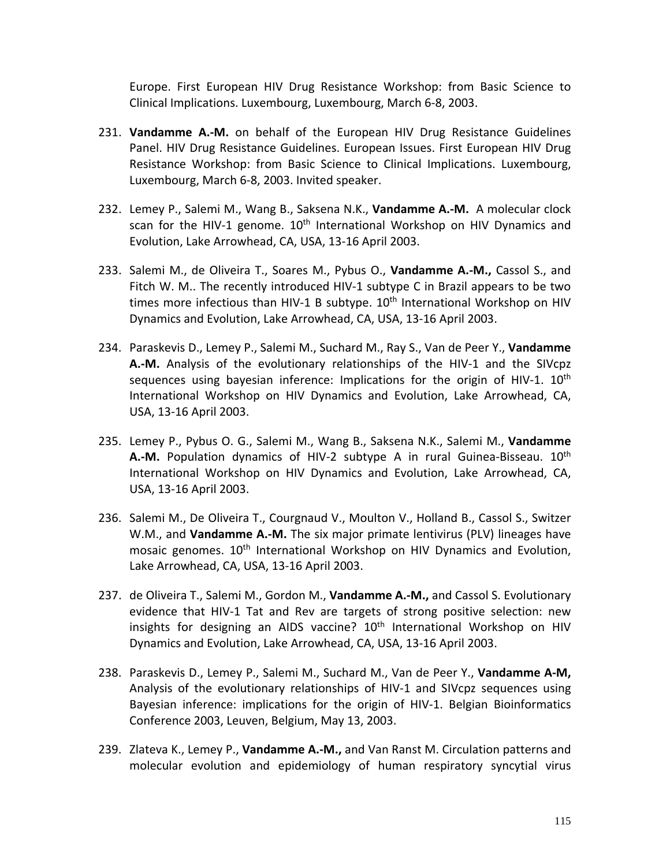Europe. First European HIV Drug Resistance Workshop: from Basic Science to Clinical Implications. Luxembourg, Luxembourg, March 6-8, 2003.

- 231. **Vandamme A.-M.** on behalf of the European HIV Drug Resistance Guidelines Panel. HIV Drug Resistance Guidelines. European Issues. First European HIV Drug Resistance Workshop: from Basic Science to Clinical Implications. Luxembourg, Luxembourg, March 6-8, 2003. Invited speaker.
- 232. Lemey P., Salemi M., Wang B., Saksena N.K., **Vandamme A.-M.** A molecular clock scan for the HIV-1 genome.  $10<sup>th</sup>$  International Workshop on HIV Dynamics and Evolution, Lake Arrowhead, CA, USA, 13-16 April 2003.
- 233. Salemi M., de Oliveira T., Soares M., Pybus O., **Vandamme A.-M.,** Cassol S., and Fitch W. M.. The recently introduced HIV-1 subtype C in Brazil appears to be two times more infectious than HIV-1 B subtype.  $10<sup>th</sup>$  International Workshop on HIV Dynamics and Evolution, Lake Arrowhead, CA, USA, 13-16 April 2003.
- 234. Paraskevis D., Lemey P., Salemi M., Suchard M., Ray S., Van de Peer Y., **Vandamme A.-M.** Analysis of the evolutionary relationships of the HIV-1 and the SIVcpz sequences using bayesian inference: Implications for the origin of HIV-1.  $10<sup>th</sup>$ International Workshop on HIV Dynamics and Evolution, Lake Arrowhead, CA, USA, 13-16 April 2003.
- 235. Lemey P., Pybus O. G., Salemi M., Wang B., Saksena N.K., Salemi M., **Vandamme A.-M.** Population dynamics of HIV-2 subtype A in rural Guinea-Bisseau. 10<sup>th</sup> International Workshop on HIV Dynamics and Evolution, Lake Arrowhead, CA, USA, 13-16 April 2003.
- 236. Salemi M., De Oliveira T., Courgnaud V., Moulton V., Holland B., Cassol S., Switzer W.M., and **Vandamme A.-M.** The six major primate lentivirus (PLV) lineages have mosaic genomes. 10<sup>th</sup> International Workshop on HIV Dynamics and Evolution, Lake Arrowhead, CA, USA, 13-16 April 2003.
- 237. de Oliveira T., Salemi M., Gordon M., **Vandamme A.-M.,** and Cassol S. Evolutionary evidence that HIV-1 Tat and Rev are targets of strong positive selection: new insights for designing an AIDS vaccine?  $10<sup>th</sup>$  International Workshop on HIV Dynamics and Evolution, Lake Arrowhead, CA, USA, 13-16 April 2003.
- 238. Paraskevis D., Lemey P., Salemi M., Suchard M., Van de Peer Y., **Vandamme A-M,**  Analysis of the evolutionary relationships of HIV-1 and SIVcpz sequences using Bayesian inference: implications for the origin of HIV-1. Belgian Bioinformatics Conference 2003, Leuven, Belgium, May 13, 2003.
- 239. Zlateva K., Lemey P., **Vandamme A.-M.,** and Van Ranst M. Circulation patterns and molecular evolution and epidemiology of human respiratory syncytial virus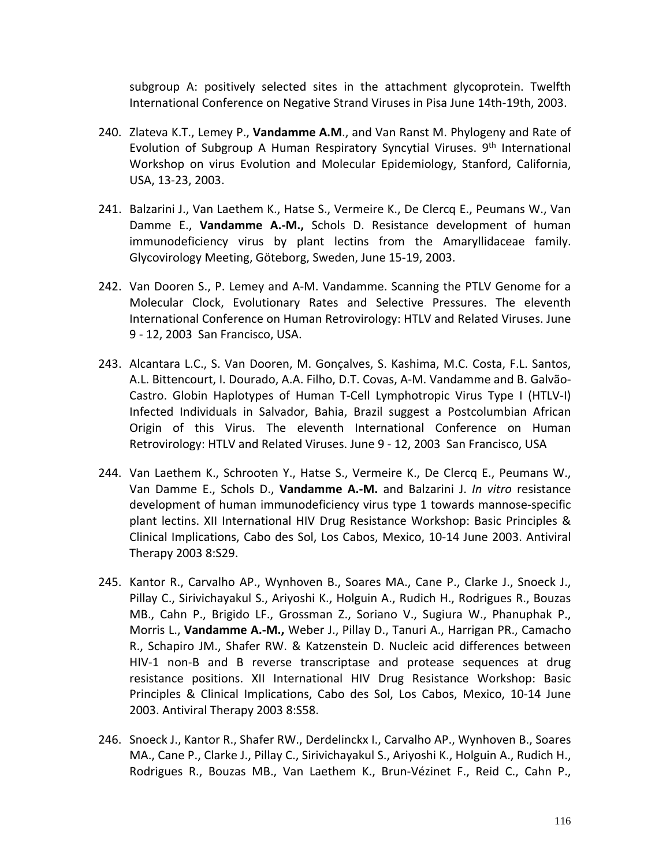subgroup A: positively selected sites in the attachment glycoprotein. Twelfth International Conference on Negative Strand Viruses in Pisa June 14th-19th, 2003.

- 240. Zlateva K.T., Lemey P., **Vandamme A.M**., and Van Ranst M. Phylogeny and Rate of Evolution of Subgroup A Human Respiratory Syncytial Viruses. 9<sup>th</sup> International Workshop on virus Evolution and Molecular Epidemiology, Stanford, California, USA, 13-23, 2003.
- 241. Balzarini J., Van Laethem K., Hatse S., Vermeire K., De Clercq E., Peumans W., Van Damme E., **Vandamme A.-M.,** Schols D. Resistance development of human immunodeficiency virus by plant lectins from the Amaryllidaceae family. Glycovirology Meeting, Göteborg, Sweden, June 15-19, 2003.
- 242. Van Dooren S., P. Lemey and A-M. Vandamme. Scanning the PTLV Genome for a Molecular Clock, Evolutionary Rates and Selective Pressures. The eleventh International Conference on Human Retrovirology: HTLV and Related Viruses. June 9 - 12, 2003 San Francisco, USA.
- 243. Alcantara L.C., S. Van Dooren, M. Gonçalves, S. Kashima, M.C. Costa, F.L. Santos, A.L. Bittencourt, I. Dourado, A.A. Filho, D.T. Covas, A-M. Vandamme and B. Galvão-Castro. Globin Haplotypes of Human T-Cell Lymphotropic Virus Type I (HTLV-I) Infected Individuals in Salvador, Bahia, Brazil suggest a Postcolumbian African Origin of this Virus. The eleventh International Conference on Human Retrovirology: HTLV and Related Viruses. June 9 - 12, 2003 San Francisco, USA
- 244. Van Laethem K., Schrooten Y., Hatse S., Vermeire K., De Clercq E., Peumans W., Van Damme E., Schols D., **Vandamme A.-M.** and Balzarini J. *In vitro* resistance development of human immunodeficiency virus type 1 towards mannose-specific plant lectins. XII International HIV Drug Resistance Workshop: Basic Principles & Clinical Implications, Cabo des Sol, Los Cabos, Mexico, 10-14 June 2003. Antiviral Therapy 2003 8:S29.
- 245. Kantor R., Carvalho AP., Wynhoven B., Soares MA., Cane P., Clarke J., Snoeck J., Pillay C., Sirivichayakul S., Ariyoshi K., Holguin A., Rudich H., Rodrigues R., Bouzas MB., Cahn P., Brigido LF., Grossman Z., Soriano V., Sugiura W., Phanuphak P., Morris L., **Vandamme A.-M.,** Weber J., Pillay D., Tanuri A., Harrigan PR., Camacho R., Schapiro JM., Shafer RW. & Katzenstein D. Nucleic acid differences between HIV-1 non-B and B reverse transcriptase and protease sequences at drug resistance positions. XII International HIV Drug Resistance Workshop: Basic Principles & Clinical Implications, Cabo des Sol, Los Cabos, Mexico, 10-14 June 2003. Antiviral Therapy 2003 8:S58.
- 246. Snoeck J., Kantor R., Shafer RW., Derdelinckx I., Carvalho AP., Wynhoven B., Soares MA., Cane P., Clarke J., Pillay C., Sirivichayakul S., Ariyoshi K., Holguin A., Rudich H., Rodrigues R., Bouzas MB., Van Laethem K., Brun-Vézinet F., Reid C., Cahn P.,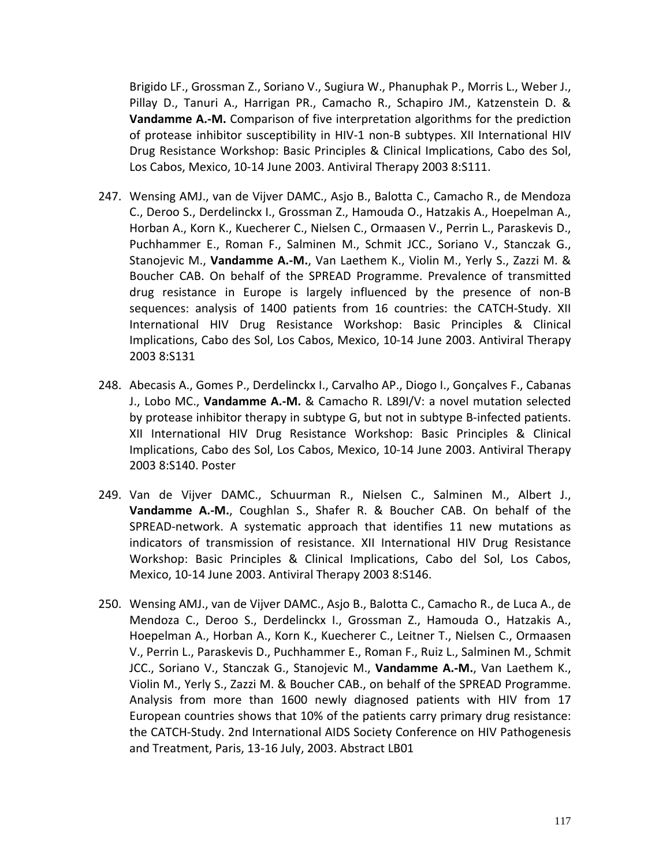Brigido LF., Grossman Z., Soriano V., Sugiura W., Phanuphak P., Morris L., Weber J., Pillay D., Tanuri A., Harrigan PR., Camacho R., Schapiro JM., Katzenstein D. & **Vandamme A.-M.** Comparison of five interpretation algorithms for the prediction of protease inhibitor susceptibility in HIV-1 non-B subtypes. XII International HIV Drug Resistance Workshop: Basic Principles & Clinical Implications, Cabo des Sol, Los Cabos, Mexico, 10-14 June 2003. Antiviral Therapy 2003 8:S111.

- 247. Wensing AMJ., van de Vijver DAMC., Asjo B., Balotta C., Camacho R., de Mendoza C., Deroo S., Derdelinckx I., Grossman Z., Hamouda O., Hatzakis A., Hoepelman A., Horban A., Korn K., Kuecherer C., Nielsen C., Ormaasen V., Perrin L., Paraskevis D., Puchhammer E., Roman F., Salminen M., Schmit JCC., Soriano V., Stanczak G., Stanojevic M., **Vandamme A.-M.**, Van Laethem K., Violin M., Yerly S., Zazzi M. & Boucher CAB. On behalf of the SPREAD Programme. Prevalence of transmitted drug resistance in Europe is largely influenced by the presence of non-B sequences: analysis of 1400 patients from 16 countries: the CATCH-Study. XII International HIV Drug Resistance Workshop: Basic Principles & Clinical Implications, Cabo des Sol, Los Cabos, Mexico, 10-14 June 2003. Antiviral Therapy 2003 8:S131
- 248. Abecasis A., Gomes P., Derdelinckx I., Carvalho AP., Diogo I., Gonçalves F., Cabanas J., Lobo MC., **Vandamme A.-M.** & Camacho R. L89I/V: a novel mutation selected by protease inhibitor therapy in subtype G, but not in subtype B-infected patients. XII International HIV Drug Resistance Workshop: Basic Principles & Clinical Implications, Cabo des Sol, Los Cabos, Mexico, 10-14 June 2003. Antiviral Therapy 2003 8:S140. Poster
- 249. Van de Vijver DAMC., Schuurman R., Nielsen C., Salminen M., Albert J., **Vandamme A.-M.**, Coughlan S., Shafer R. & Boucher CAB. On behalf of the SPREAD-network. A systematic approach that identifies 11 new mutations as indicators of transmission of resistance. XII International HIV Drug Resistance Workshop: Basic Principles & Clinical Implications, Cabo del Sol, Los Cabos, Mexico, 10-14 June 2003. Antiviral Therapy 2003 8:S146.
- 250. Wensing AMJ., van de Vijver DAMC., Asjo B., Balotta C., Camacho R., de Luca A., de Mendoza C., Deroo S., Derdelinckx I., Grossman Z., Hamouda O., Hatzakis A., Hoepelman A., Horban A., Korn K., Kuecherer C., Leitner T., Nielsen C., Ormaasen V., Perrin L., Paraskevis D., Puchhammer E., Roman F., Ruiz L., Salminen M., Schmit JCC., Soriano V., Stanczak G., Stanojevic M., **Vandamme A.-M.**, Van Laethem K., Violin M., Yerly S., Zazzi M. & Boucher CAB., on behalf of the SPREAD Programme. Analysis from more than 1600 newly diagnosed patients with HIV from 17 European countries shows that 10% of the patients carry primary drug resistance: the CATCH-Study. 2nd International AIDS Society Conference on HIV Pathogenesis and Treatment, Paris, 13-16 July, 2003. Abstract LB01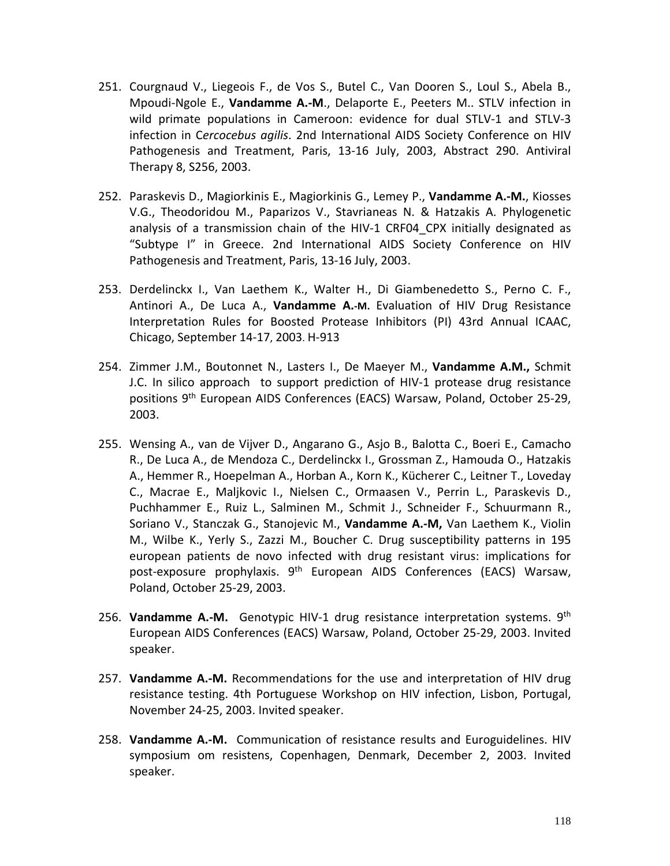- 251. Courgnaud V., Liegeois F., de Vos S., Butel C., Van Dooren S., Loul S., Abela B., Mpoudi-Ngole E., **Vandamme A.-M**., Delaporte E., Peeters M.. STLV infection in wild primate populations in Cameroon: evidence for dual STLV-1 and STLV-3 infection in C*ercocebus agilis*. 2nd International AIDS Society Conference on HIV Pathogenesis and Treatment, Paris, 13-16 July, 2003, Abstract 290. Antiviral Therapy 8, S256, 2003.
- 252. Paraskevis D., Magiorkinis E., Magiorkinis G., Lemey P., **Vandamme A.-M.**, Kiosses V.G., Theodoridou M., Paparizos V., Stavrianeas N. & Hatzakis A. Phylogenetic analysis of a transmission chain of the HIV-1 CRF04 CPX initially designated as "Subtype I" in Greece. 2nd International AIDS Society Conference on HIV Pathogenesis and Treatment, Paris, 13-16 July, 2003.
- 253. Derdelinckx I., Van Laethem K., Walter H., Di Giambenedetto S., Perno C. F., Antinori A., De Luca A., **Vandamme A.-M.** Evaluation of HIV Drug Resistance Interpretation Rules for Boosted Protease Inhibitors (PI) 43rd Annual ICAAC, Chicago, September 14-17, 2003. H-913
- 254. Zimmer J.M., Boutonnet N., Lasters I., De Maeyer M., **Vandamme A.M.,** Schmit J.C. In silico approach to support prediction of HIV-1 protease drug resistance positions 9th European AIDS Conferences (EACS) Warsaw, Poland, October 25-29, 2003.
- 255. Wensing A., van de Vijver D., Angarano G., Asjo B., Balotta C., Boeri E., Camacho R., De Luca A., de Mendoza C., Derdelinckx I., Grossman Z., Hamouda O., Hatzakis A., Hemmer R., Hoepelman A., Horban A., Korn K., Kücherer C., Leitner T., Loveday C., Macrae E., Maljkovic I., Nielsen C., Ormaasen V., Perrin L., Paraskevis D., Puchhammer E., Ruiz L., Salminen M., Schmit J., Schneider F., Schuurmann R., Soriano V., Stanczak G., Stanojevic M., **Vandamme A.-M,** Van Laethem K., Violin M., Wilbe K., Yerly S., Zazzi M., Boucher C. Drug susceptibility patterns in 195 european patients de novo infected with drug resistant virus: implications for post-exposure prophylaxis. 9<sup>th</sup> European AIDS Conferences (EACS) Warsaw, Poland, October 25-29, 2003.
- 256. **Vandamme A.-M.** Genotypic HIV-1 drug resistance interpretation systems. 9th European AIDS Conferences (EACS) Warsaw, Poland, October 25-29, 2003. Invited speaker.
- 257. **Vandamme A.-M.** Recommendations for the use and interpretation of HIV drug resistance testing. 4th Portuguese Workshop on HIV infection, Lisbon, Portugal, November 24-25, 2003. Invited speaker.
- 258. **Vandamme A.-M.** Communication of resistance results and Euroguidelines. HIV symposium om resistens, Copenhagen, Denmark, December 2, 2003. Invited speaker.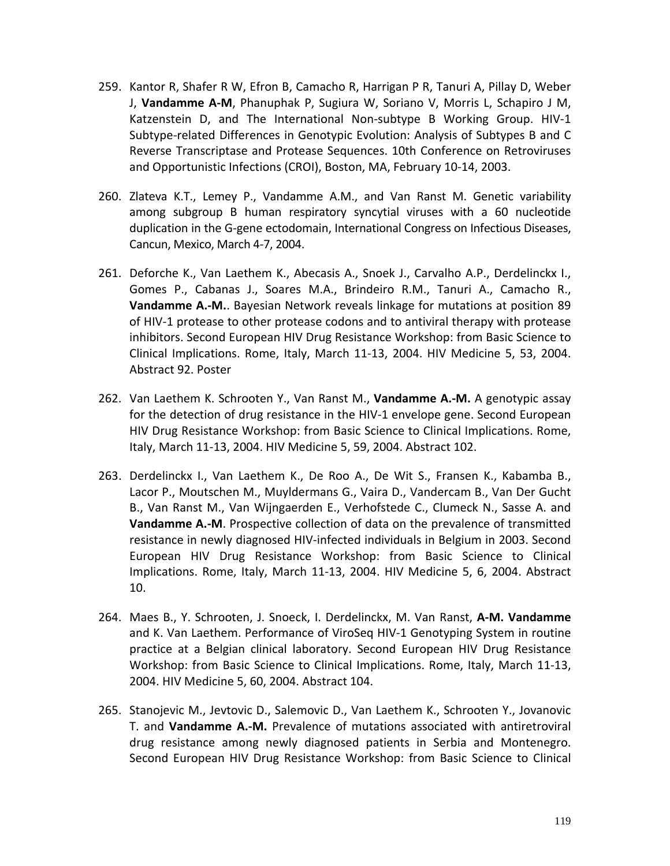- 259. Kantor R, Shafer R W, Efron B, Camacho R, Harrigan P R, Tanuri A, Pillay D, Weber J, **Vandamme A-M**, Phanuphak P, Sugiura W, Soriano V, Morris L, Schapiro J M, Katzenstein D, and The International Non-subtype B Working Group. HIV-1 Subtype-related Differences in Genotypic Evolution: Analysis of Subtypes B and C Reverse Transcriptase and Protease Sequences. 10th Conference on Retroviruses and Opportunistic Infections (CROI), Boston, MA, February 10-14, 2003.
- 260. Zlateva K.T., Lemey P., Vandamme A.M., and Van Ranst M. Genetic variability among subgroup B human respiratory syncytial viruses with a 60 nucleotide duplication in the G-gene ectodomain, International Congress on Infectious Diseases, Cancun, Mexico, March 4-7, 2004.
- 261. Deforche K., Van Laethem K., Abecasis A., Snoek J., Carvalho A.P., Derdelinckx I., Gomes P., Cabanas J., Soares M.A., Brindeiro R.M., Tanuri A., Camacho R., **Vandamme A.-M.**. Bayesian Network reveals linkage for mutations at position 89 of HIV-1 protease to other protease codons and to antiviral therapy with protease inhibitors. Second European HIV Drug Resistance Workshop: from Basic Science to Clinical Implications. Rome, Italy, March 11-13, 2004. HIV Medicine 5, 53, 2004. Abstract 92. Poster
- 262. Van Laethem K. Schrooten Y., Van Ranst M., **Vandamme A.-M.** A genotypic assay for the detection of drug resistance in the HIV-1 envelope gene. Second European HIV Drug Resistance Workshop: from Basic Science to Clinical Implications. Rome, Italy, March 11-13, 2004. HIV Medicine 5, 59, 2004. Abstract 102.
- 263. Derdelinckx I., Van Laethem K., De Roo A., De Wit S., Fransen K., Kabamba B., Lacor P., Moutschen M., Muyldermans G., Vaira D., Vandercam B., Van Der Gucht B., Van Ranst M., Van Wijngaerden E., Verhofstede C., Clumeck N., Sasse A. and **Vandamme A.-M**. Prospective collection of data on the prevalence of transmitted resistance in newly diagnosed HIV-infected individuals in Belgium in 2003. Second European HIV Drug Resistance Workshop: from Basic Science to Clinical Implications. Rome, Italy, March 11-13, 2004. HIV Medicine 5, 6, 2004. Abstract 10.
- 264. Maes B., Y. Schrooten, J. Snoeck, I. Derdelinckx, M. Van Ranst, **A-M. Vandamme** and K. Van Laethem. Performance of ViroSeq HIV-1 Genotyping System in routine practice at a Belgian clinical laboratory. Second European HIV Drug Resistance Workshop: from Basic Science to Clinical Implications. Rome, Italy, March 11-13, 2004. HIV Medicine 5, 60, 2004. Abstract 104.
- 265. Stanojevic M., Jevtovic D., Salemovic D., Van Laethem K., Schrooten Y., Jovanovic T. and **Vandamme A.-M.** Prevalence of mutations associated with antiretroviral drug resistance among newly diagnosed patients in Serbia and Montenegro. Second European HIV Drug Resistance Workshop: from Basic Science to Clinical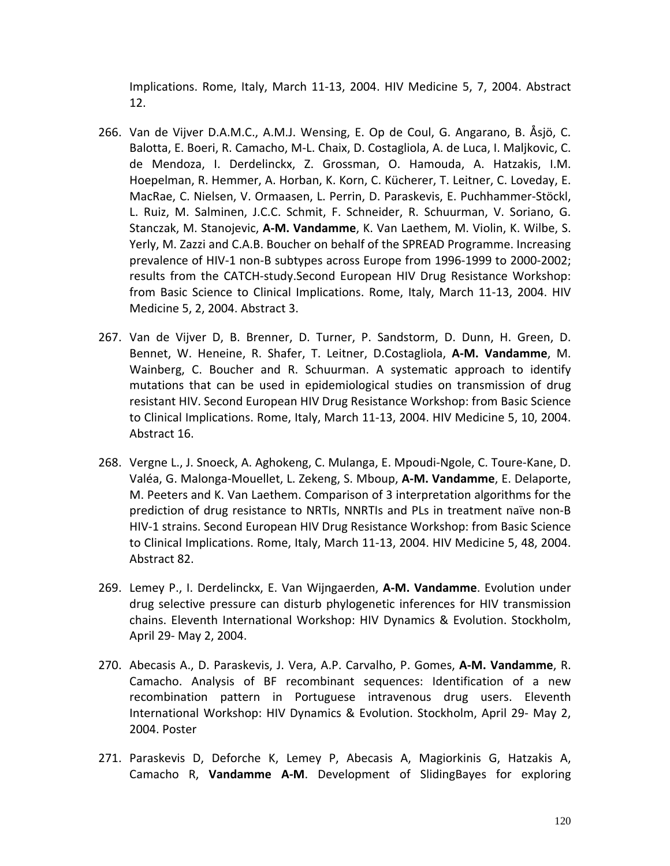Implications. Rome, Italy, March 11-13, 2004. HIV Medicine 5, 7, 2004. Abstract 12.

- 266. Van de Vijver D.A.M.C., A.M.J. Wensing, E. Op de Coul, G. Angarano, B. Åsjö, C. Balotta, E. Boeri, R. Camacho, M-L. Chaix, D. Costagliola, A. de Luca, I. Maljkovic, C. de Mendoza, I. Derdelinckx, Z. Grossman, O. Hamouda, A. Hatzakis, I.M. Hoepelman, R. Hemmer, A. Horban, K. Korn, C. Kücherer, T. Leitner, C. Loveday, E. MacRae, C. Nielsen, V. Ormaasen, L. Perrin, D. Paraskevis, E. Puchhammer-Stöckl, L. Ruiz, M. Salminen, J.C.C. Schmit, F. Schneider, R. Schuurman, V. Soriano, G. Stanczak, M. Stanojevic, **A-M. Vandamme**, K. Van Laethem, M. Violin, K. Wilbe, S. Yerly, M. Zazzi and C.A.B. Boucher on behalf of the SPREAD Programme. Increasing prevalence of HIV-1 non-B subtypes across Europe from 1996-1999 to 2000-2002; results from the CATCH-study.Second European HIV Drug Resistance Workshop: from Basic Science to Clinical Implications. Rome, Italy, March 11-13, 2004. HIV Medicine 5, 2, 2004. Abstract 3.
- 267. Van de Vijver D, B. Brenner, D. Turner, P. Sandstorm, D. Dunn, H. Green, D. Bennet, W. Heneine, R. Shafer, T. Leitner, D.Costagliola, **A-M. Vandamme**, M. Wainberg, C. Boucher and R. Schuurman. A systematic approach to identify mutations that can be used in epidemiological studies on transmission of drug resistant HIV. Second European HIV Drug Resistance Workshop: from Basic Science to Clinical Implications. Rome, Italy, March 11-13, 2004. HIV Medicine 5, 10, 2004. Abstract 16.
- 268. Vergne L., J. Snoeck, A. Aghokeng, C. Mulanga, E. Mpoudi-Ngole, C. Toure-Kane, D. Valéa, G. Malonga-Mouellet, L. Zekeng, S. Mboup, **A-M. Vandamme**, E. Delaporte, M. Peeters and K. Van Laethem. Comparison of 3 interpretation algorithms for the prediction of drug resistance to NRTIs, NNRTIs and PLs in treatment naïve non-B HIV-1 strains. Second European HIV Drug Resistance Workshop: from Basic Science to Clinical Implications. Rome, Italy, March 11-13, 2004. HIV Medicine 5, 48, 2004. Abstract 82.
- 269. Lemey P., I. Derdelinckx, E. Van Wijngaerden, **A-M. Vandamme**. Evolution under drug selective pressure can disturb phylogenetic inferences for HIV transmission chains. Eleventh International Workshop: HIV Dynamics & Evolution. Stockholm, April 29- May 2, 2004.
- 270. Abecasis A., D. Paraskevis, J. Vera, A.P. Carvalho, P. Gomes, **A-M. Vandamme**, R. Camacho. Analysis of BF recombinant sequences: Identification of a new recombination pattern in Portuguese intravenous drug users. Eleventh International Workshop: HIV Dynamics & Evolution. Stockholm, April 29- May 2, 2004. Poster
- 271. Paraskevis D, Deforche K, Lemey P, Abecasis A, Magiorkinis G, Hatzakis A, Camacho R, **Vandamme A-M**. Development of SlidingBayes for exploring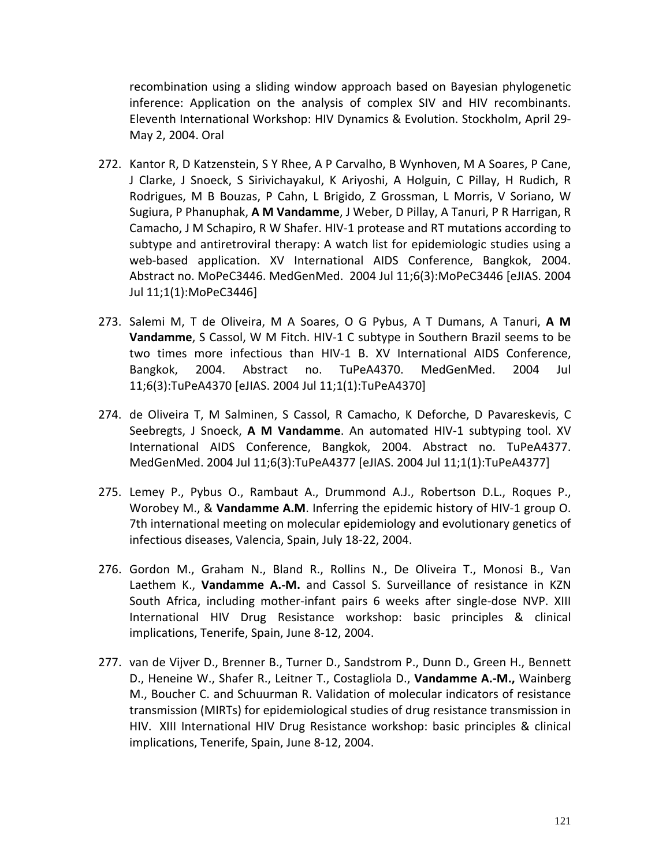recombination using a sliding window approach based on Bayesian phylogenetic inference: Application on the analysis of complex SIV and HIV recombinants. Eleventh International Workshop: HIV Dynamics & Evolution. Stockholm, April 29- May 2, 2004. Oral

- 272. Kantor R, D Katzenstein, S Y Rhee, A P Carvalho, B Wynhoven, M A Soares, P Cane, J Clarke, J Snoeck, S Sirivichayakul, K Ariyoshi, A Holguin, C Pillay, H Rudich, R Rodrigues, M B Bouzas, P Cahn, L Brigido, Z Grossman, L Morris, V Soriano, W Sugiura, P Phanuphak, **A M Vandamme**, J Weber, D Pillay, A Tanuri, P R Harrigan, R Camacho, J M Schapiro, R W Shafer. HIV-1 protease and RT mutations according to subtype and antiretroviral therapy: A watch list for epidemiologic studies using a web-based application. XV International AIDS Conference, Bangkok, 2004. Abstract no. MoPeC3446. MedGenMed. 2004 Jul 11;6(3):MoPeC3446 [eJIAS. 2004 Jul 11;1(1):MoPeC3446]
- 273. Salemi M, T de Oliveira, M A Soares, O G Pybus, A T Dumans, A Tanuri, **A M Vandamme**, S Cassol, W M Fitch. HIV-1 C subtype in Southern Brazil seems to be two times more infectious than HIV-1 B. XV International AIDS Conference, Bangkok, 2004. Abstract no. TuPeA4370. MedGenMed. 2004 Jul 11;6(3):TuPeA4370 [eJIAS. 2004 Jul 11;1(1):TuPeA4370]
- 274. de Oliveira T, M Salminen, S Cassol, R Camacho, K Deforche, D Pavareskevis, C Seebregts, J Snoeck, **A M Vandamme**. An automated HIV-1 subtyping tool. XV International AIDS Conference, Bangkok, 2004. Abstract no. TuPeA4377. MedGenMed. 2004 Jul 11;6(3):TuPeA4377 [eJIAS. 2004 Jul 11;1(1):TuPeA4377]
- 275. Lemey P., Pybus O., Rambaut A., Drummond A.J., Robertson D.L., Roques P., Worobey M., & **Vandamme A.M**. Inferring the epidemic history of HIV-1 group O. 7th international meeting on molecular epidemiology and evolutionary genetics of infectious diseases, Valencia, Spain, July 18-22, 2004.
- 276. Gordon M., Graham N., Bland R., Rollins N., De Oliveira T., Monosi B., Van Laethem K., **Vandamme A.-M.** and Cassol S. Surveillance of resistance in KZN South Africa, including mother-infant pairs 6 weeks after single-dose NVP. XIII International HIV Drug Resistance workshop: basic principles & clinical implications, Tenerife, Spain, June 8-12, 2004.
- 277. van de Vijver D., Brenner B., Turner D., Sandstrom P., Dunn D., Green H., Bennett D., Heneine W., Shafer R., Leitner T., Costagliola D., **Vandamme A.-M.,** Wainberg M., Boucher C. and Schuurman R. Validation of molecular indicators of resistance transmission (MIRTs) for epidemiological studies of drug resistance transmission in HIV. XIII International HIV Drug Resistance workshop: basic principles & clinical implications, Tenerife, Spain, June 8-12, 2004.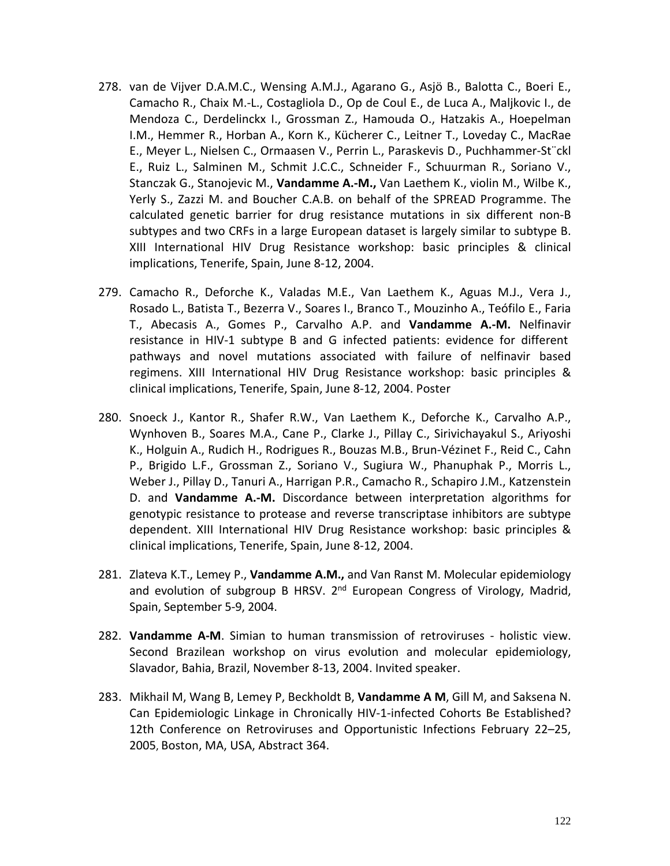- 278. van de Vijver D.A.M.C., Wensing A.M.J., Agarano G., Asjö B., Balotta C., Boeri E., Camacho R., Chaix M.-L., Costagliola D., Op de Coul E., de Luca A., Maljkovic I., de Mendoza C., Derdelinckx I., Grossman Z., Hamouda O., Hatzakis A., Hoepelman I.M., Hemmer R., Horban A., Korn K., Kücherer C., Leitner T., Loveday C., MacRae E., Meyer L., Nielsen C., Ormaasen V., Perrin L., Paraskevis D., Puchhammer-St¨ckl E., Ruiz L., Salminen M., Schmit J.C.C., Schneider F., Schuurman R., Soriano V., Stanczak G., Stanojevic M., **Vandamme A.-M.,** Van Laethem K., violin M., Wilbe K., Yerly S., Zazzi M. and Boucher C.A.B. on behalf of the SPREAD Programme. The calculated genetic barrier for drug resistance mutations in six different non-B subtypes and two CRFs in a large European dataset is largely similar to subtype B. XIII International HIV Drug Resistance workshop: basic principles & clinical implications, Tenerife, Spain, June 8-12, 2004.
- 279. Camacho R., Deforche K., Valadas M.E., Van Laethem K., Aguas M.J., Vera J., Rosado L., Batista T., Bezerra V., Soares I., Branco T., Mouzinho A., Teófilo E., Faria T., Abecasis A., Gomes P., Carvalho A.P. and **Vandamme A.-M.** Nelfinavir resistance in HIV-1 subtype B and G infected patients: evidence for different pathways and novel mutations associated with failure of nelfinavir based regimens. XIII International HIV Drug Resistance workshop: basic principles & clinical implications, Tenerife, Spain, June 8-12, 2004. Poster
- 280. Snoeck J., Kantor R., Shafer R.W., Van Laethem K., Deforche K., Carvalho A.P., Wynhoven B., Soares M.A., Cane P., Clarke J., Pillay C., Sirivichayakul S., Ariyoshi K., Holguin A., Rudich H., Rodrigues R., Bouzas M.B., Brun-Vézinet F., Reid C., Cahn P., Brigido L.F., Grossman Z., Soriano V., Sugiura W., Phanuphak P., Morris L., Weber J., Pillay D., Tanuri A., Harrigan P.R., Camacho R., Schapiro J.M., Katzenstein D. and **Vandamme A.-M.** Discordance between interpretation algorithms for genotypic resistance to protease and reverse transcriptase inhibitors are subtype dependent. XIII International HIV Drug Resistance workshop: basic principles & clinical implications, Tenerife, Spain, June 8-12, 2004.
- 281. Zlateva K.T., Lemey P., **Vandamme A.M.,** and Van Ranst M. Molecular epidemiology and evolution of subgroup B HRSV.  $2^{nd}$  European Congress of Virology, Madrid, Spain, September 5-9, 2004.
- 282. **Vandamme A-M**. Simian to human transmission of retroviruses holistic view. Second Brazilean workshop on virus evolution and molecular epidemiology, Slavador, Bahia, Brazil, November 8-13, 2004. Invited speaker.
- 283. Mikhail M, Wang B, Lemey P, Beckholdt B, **Vandamme A M**, Gill M, and Saksena N. [Can Epidemiologic Linkage in Chronically HIV-1-infected Cohorts Be Established?](http://www.retroconference.org/2005/cd/Abstracts/24814.htm) 12th Conference on Retroviruses and Opportunistic Infections February 22–25, 2005, Boston, MA, USA, Abstract 364.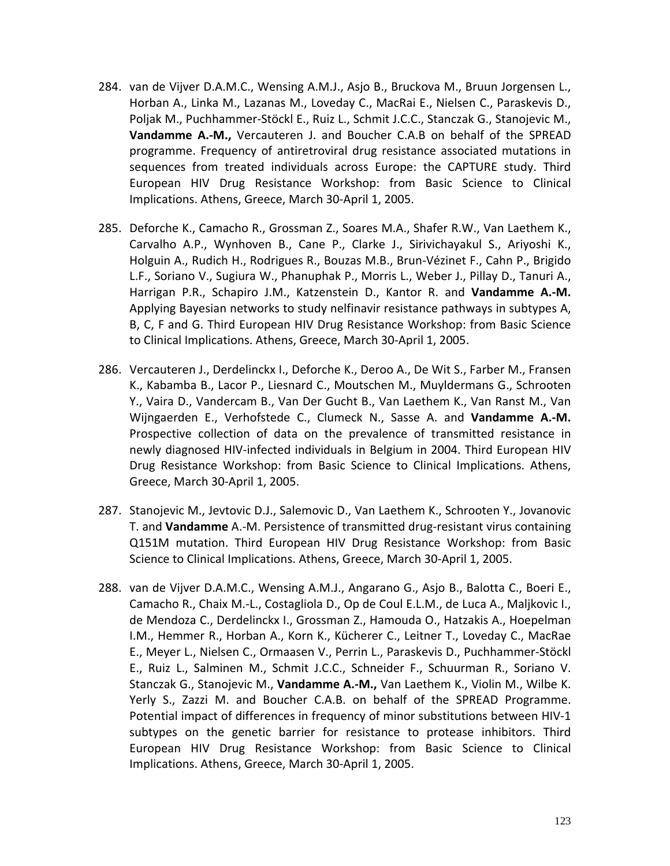- 284. van de Vijver D.A.M.C., Wensing A.M.J., Asjo B., Bruckova M., Bruun Jorgensen L., Horban A., Linka M., Lazanas M., Loveday C., MacRai E., Nielsen C., Paraskevis D., Poljak M., Puchhammer-Stöckl E., Ruiz L., Schmit J.C.C., Stanczak G., Stanojevic M., **Vandamme A.-M.,** Vercauteren J. and Boucher C.A.B on behalf of the SPREAD programme. Frequency of antiretroviral drug resistance associated mutations in sequences from treated individuals across Europe: the CAPTURE study. Third European HIV Drug Resistance Workshop: from Basic Science to Clinical Implications. Athens, Greece, March 30-April 1, 2005.
- 285. Deforche K., Camacho R., Grossman Z., Soares M.A., Shafer R.W., Van Laethem K., Carvalho A.P., Wynhoven B., Cane P., Clarke J., Sirivichayakul S., Ariyoshi K., Holguin A., Rudich H., Rodrigues R., Bouzas M.B., Brun-Vézinet F., Cahn P., Brigido L.F., Soriano V., Sugiura W., Phanuphak P., Morris L., Weber J., Pillay D., Tanuri A., Harrigan P.R., Schapiro J.M., Katzenstein D., Kantor R. and **Vandamme A.-M.** Applying Bayesian networks to study nelfinavir resistance pathways in subtypes A, B, C, F and G. Third European HIV Drug Resistance Workshop: from Basic Science to Clinical Implications. Athens, Greece, March 30-April 1, 2005.
- 286. Vercauteren J., Derdelinckx I., Deforche K., Deroo A., De Wit S., Farber M., Fransen K., Kabamba B., Lacor P., Liesnard C., Moutschen M., Muyldermans G., Schrooten Y., Vaira D., Vandercam B., Van Der Gucht B., Van Laethem K., Van Ranst M., Van Wijngaerden E., Verhofstede C., Clumeck N., Sasse A. and **Vandamme A.-M.** Prospective collection of data on the prevalence of transmitted resistance in newly diagnosed HIV-infected individuals in Belgium in 2004. Third European HIV Drug Resistance Workshop: from Basic Science to Clinical Implications. Athens, Greece, March 30-April 1, 2005.
- 287. Stanojevic M., Jevtovic D.J., Salemovic D., Van Laethem K., Schrooten Y., Jovanovic T. and **Vandamme** A.-M. Persistence of transmitted drug-resistant virus containing Q151M mutation. Third European HIV Drug Resistance Workshop: from Basic Science to Clinical Implications. Athens, Greece, March 30-April 1, 2005.
- 288. van de Vijver D.A.M.C., Wensing A.M.J., Angarano G., Asjo B., Balotta C., Boeri E., Camacho R., Chaix M.-L., Costagliola D., Op de Coul E.L.M., de Luca A., Maljkovic I., de Mendoza C., Derdelinckx I., Grossman Z., Hamouda O., Hatzakis A., Hoepelman I.M., Hemmer R., Horban A., Korn K., Kücherer C., Leitner T., Loveday C., MacRae E., Meyer L., Nielsen C., Ormaasen V., Perrin L., Paraskevis D., Puchhammer-Stöckl E., Ruiz L., Salminen M., Schmit J.C.C., Schneider F., Schuurman R., Soriano V. Stanczak G., Stanojevic M., **Vandamme A.-M.,** Van Laethem K., Violin M., Wilbe K. Yerly S., Zazzi M. and Boucher C.A.B. on behalf of the SPREAD Programme. Potential impact of differences in frequency of minor substitutions between HIV-1 subtypes on the genetic barrier for resistance to protease inhibitors. Third European HIV Drug Resistance Workshop: from Basic Science to Clinical Implications. Athens, Greece, March 30-April 1, 2005.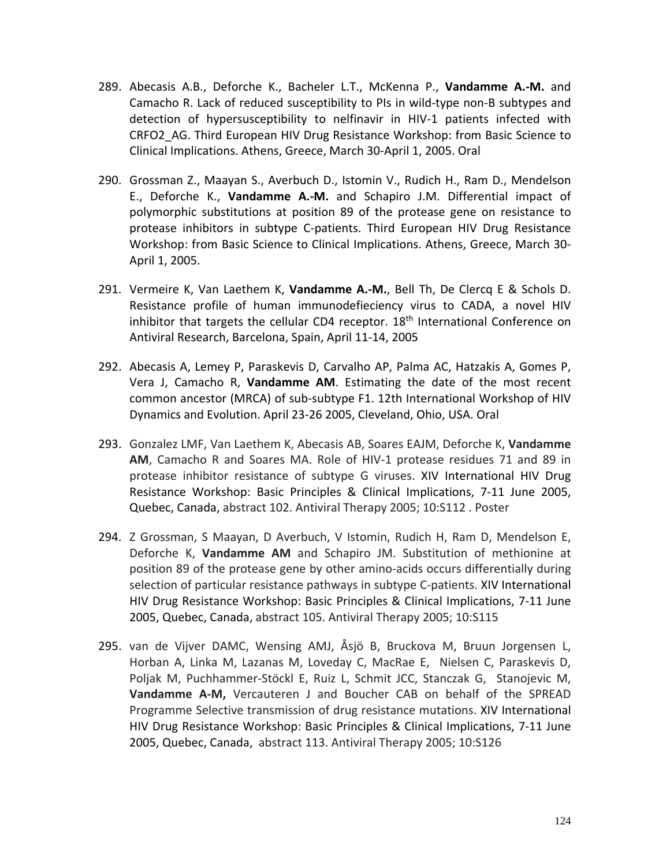- 289. Abecasis A.B., Deforche K., Bacheler L.T., McKenna P., **Vandamme A.-M.** and Camacho R. Lack of reduced susceptibility to PIs in wild-type non-B subtypes and detection of hypersusceptibility to nelfinavir in HIV-1 patients infected with CRFO2\_AG. Third European HIV Drug Resistance Workshop: from Basic Science to Clinical Implications. Athens, Greece, March 30-April 1, 2005. Oral
- 290. Grossman Z., Maayan S., Averbuch D., Istomin V., Rudich H., Ram D., Mendelson E., Deforche K., **Vandamme A.-M.** and Schapiro J.M. Differential impact of polymorphic substitutions at position 89 of the protease gene on resistance to protease inhibitors in subtype C-patients. Third European HIV Drug Resistance Workshop: from Basic Science to Clinical Implications. Athens, Greece, March 30- April 1, 2005.
- 291. Vermeire K, Van Laethem K, **Vandamme A.-M.**, Bell Th, De Clercq E & Schols D. Resistance profile of human immunodefieciency virus to CADA, a novel HIV inhibitor that targets the cellular CD4 receptor. 18<sup>th</sup> International Conference on Antiviral Research, Barcelona, Spain, April 11-14, 2005
- 292. Abecasis A, Lemey P, Paraskevis D, Carvalho AP, Palma AC, Hatzakis A, Gomes P, Vera J, Camacho R, **Vandamme AM**. Estimating the date of the most recent common ancestor (MRCA) of sub-subtype F1. 12th International Workshop of HIV Dynamics and Evolution. April 23-26 2005, Cleveland, Ohio, USA. Oral
- 293. Gonzalez LMF, Van Laethem K, Abecasis AB, Soares EAJM, Deforche K, **Vandamme AM**, Camacho R and Soares MA. Role of HIV-1 protease residues 71 and 89 in protease inhibitor resistance of subtype G viruses. XIV International HIV Drug Resistance Workshop: Basic Principles & Clinical Implications, 7-11 June 2005, Quebec, Canada, abstract 102. Antiviral Therapy 2005; 10:S112 . Poster
- 294. Z Grossman, S Maayan, D Averbuch, V Istomin, Rudich H, Ram D, Mendelson E, Deforche K, **Vandamme AM** and Schapiro JM. Substitution of methionine at position 89 of the protease gene by other amino-acids occurs differentially during selection of particular resistance pathways in subtype C-patients. XIV International HIV Drug Resistance Workshop: Basic Principles & Clinical Implications, 7-11 June 2005, Quebec, Canada, abstract 105. Antiviral Therapy 2005; 10:S115
- 295. van de Vijver DAMC, Wensing AMJ, Åsjö B, Bruckova M, Bruun Jorgensen L, Horban A, Linka M, Lazanas M, Loveday C, MacRae E, Nielsen C, Paraskevis D, Poljak M, Puchhammer-Stöckl E, Ruiz L, Schmit JCC, Stanczak G, Stanojevic M, **Vandamme A-M,** Vercauteren J and Boucher CAB on behalf of the SPREAD Programme Selective transmission of drug resistance mutations. XIV International HIV Drug Resistance Workshop: Basic Principles & Clinical Implications, 7-11 June 2005, Quebec, Canada, abstract 113. Antiviral Therapy 2005; 10:S126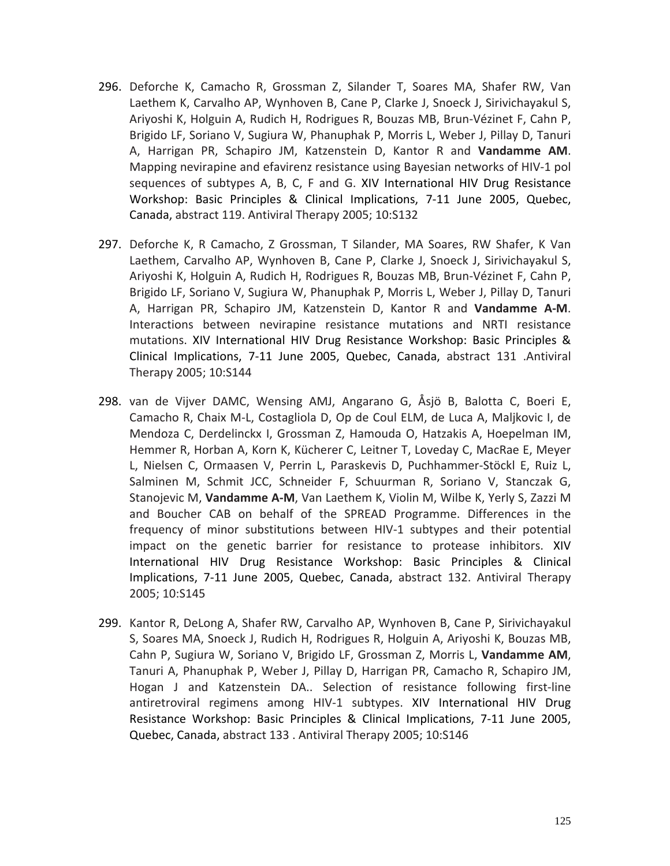- 296. Deforche K, Camacho R, Grossman Z, Silander T, Soares MA, Shafer RW, Van Laethem K, Carvalho AP, Wynhoven B, Cane P, Clarke J, Snoeck J, Sirivichayakul S, Ariyoshi K, Holguin A, Rudich H, Rodrigues R, Bouzas MB, Brun-Vézinet F, Cahn P, Brigido LF, Soriano V, Sugiura W, Phanuphak P, Morris L, Weber J, Pillay D, Tanuri A, Harrigan PR, Schapiro JM, Katzenstein D, Kantor R and **Vandamme AM**. Mapping nevirapine and efavirenz resistance using Bayesian networks of HIV-1 pol sequences of subtypes A, B, C, F and G. XIV International HIV Drug Resistance Workshop: Basic Principles & Clinical Implications, 7-11 June 2005, Quebec, Canada, abstract 119. Antiviral Therapy 2005; 10:S132
- 297. Deforche K, R Camacho, Z Grossman, T Silander, MA Soares, RW Shafer, K Van Laethem, Carvalho AP, Wynhoven B, Cane P, Clarke J, Snoeck J, Sirivichayakul S, Ariyoshi K, Holguin A, Rudich H, Rodrigues R, Bouzas MB, Brun-Vézinet F, Cahn P, Brigido LF, Soriano V, Sugiura W, Phanuphak P, Morris L, Weber J, Pillay D, Tanuri A, Harrigan PR, Schapiro JM, Katzenstein D, Kantor R and **Vandamme A-M**. Interactions between nevirapine resistance mutations and NRTI resistance mutations. XIV International HIV Drug Resistance Workshop: Basic Principles & Clinical Implications, 7-11 June 2005, Quebec, Canada, abstract 131 .Antiviral Therapy 2005; 10:S144
- 298. van de Vijver DAMC, Wensing AMJ, Angarano G, Åsjö B, Balotta C, Boeri E, Camacho R, Chaix M-L, Costagliola D, Op de Coul ELM, de Luca A, Maljkovic I, de Mendoza C, Derdelinckx I, Grossman Z, Hamouda O, Hatzakis A, Hoepelman IM, Hemmer R, Horban A, Korn K, Kücherer C, Leitner T, Loveday C, MacRae E, Meyer L, Nielsen C, Ormaasen V, Perrin L, Paraskevis D, Puchhammer-Stöckl E, Ruiz L, Salminen M, Schmit JCC, Schneider F, Schuurman R, Soriano V, Stanczak G, Stanojevic M, **Vandamme A-M**, Van Laethem K, Violin M, Wilbe K, Yerly S, Zazzi M and Boucher CAB on behalf of the SPREAD Programme. Differences in the frequency of minor substitutions between HIV-1 subtypes and their potential impact on the genetic barrier for resistance to protease inhibitors. XIV International HIV Drug Resistance Workshop: Basic Principles & Clinical Implications, 7-11 June 2005, Quebec, Canada, abstract 132. Antiviral Therapy 2005; 10:S145
- 299. Kantor R, DeLong A, Shafer RW, Carvalho AP, Wynhoven B, Cane P, Sirivichayakul S, Soares MA, Snoeck J, Rudich H, Rodrigues R, Holguin A, Ariyoshi K, Bouzas MB, Cahn P, Sugiura W, Soriano V, Brigido LF, Grossman Z, Morris L, **Vandamme AM**, Tanuri A, Phanuphak P, Weber J, Pillay D, Harrigan PR, Camacho R, Schapiro JM, Hogan J and Katzenstein DA.. Selection of resistance following first-line antiretroviral regimens among HIV-1 subtypes. XIV International HIV Drug Resistance Workshop: Basic Principles & Clinical Implications, 7-11 June 2005, Quebec, Canada, abstract 133 . Antiviral Therapy 2005; 10:S146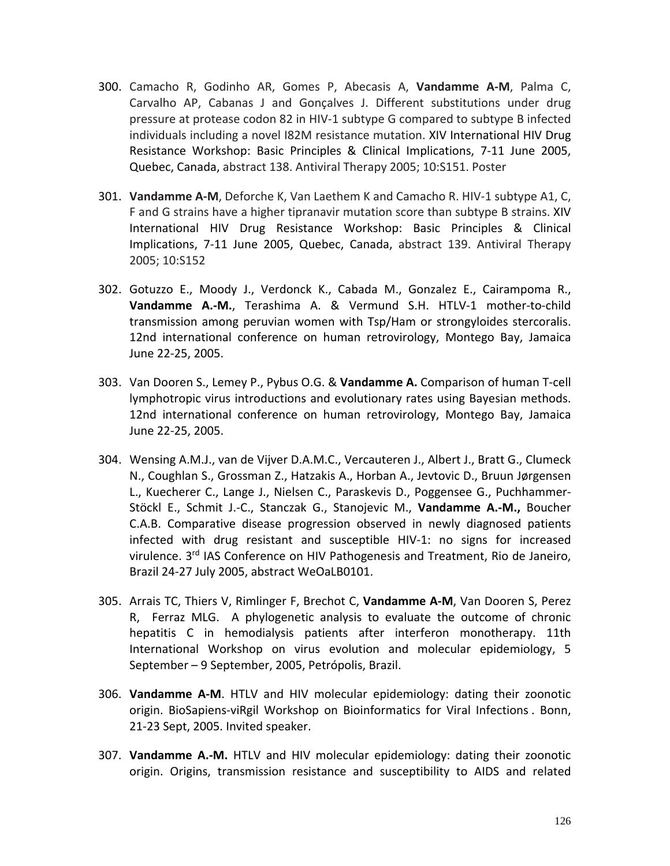- 300. Camacho R, Godinho AR, Gomes P, Abecasis A, **Vandamme A-M**, Palma C, Carvalho AP, Cabanas J and Gonçalves J. Different substitutions under drug pressure at protease codon 82 in HIV-1 subtype G compared to subtype B infected individuals including a novel I82M resistance mutation. XIV International HIV Drug Resistance Workshop: Basic Principles & Clinical Implications, 7-11 June 2005, Quebec, Canada, abstract 138. Antiviral Therapy 2005; 10:S151. Poster
- 301. **Vandamme A-M**, Deforche K, Van Laethem K and Camacho R. HIV-1 subtype A1, C, F and G strains have a higher tipranavir mutation score than subtype B strains. XIV International HIV Drug Resistance Workshop: Basic Principles & Clinical Implications, 7-11 June 2005, Quebec, Canada, abstract 139. Antiviral Therapy 2005; 10:S152
- 302. Gotuzzo E., Moody J., Verdonck K., Cabada M., Gonzalez E., Cairampoma R., **Vandamme A.-M.**, Terashima A. & Vermund S.H. HTLV-1 mother-to-child transmission among peruvian women with Tsp/Ham or strongyloides stercoralis. 12nd international conference on human retrovirology, Montego Bay, Jamaica June 22-25, 2005.
- 303. Van Dooren S., Lemey P., Pybus O.G. & **Vandamme A.** Comparison of human T-cell lymphotropic virus introductions and evolutionary rates using Bayesian methods. 12nd international conference on human retrovirology, Montego Bay, Jamaica June 22-25, 2005.
- 304. Wensing A.M.J., van de Vijver D.A.M.C., Vercauteren J., Albert J., Bratt G., Clumeck N., Coughlan S., Grossman Z., Hatzakis A., Horban A., Jevtovic D., Bruun Jørgensen L., Kuecherer C., Lange J., Nielsen C., Paraskevis D., Poggensee G., Puchhammer-Stöckl E., Schmit J.-C., Stanczak G., Stanojevic M., **Vandamme A.-M.,** Boucher C.A.B. Comparative disease progression observed in newly diagnosed patients infected with drug resistant and susceptible HIV-1: no signs for increased virulence.  $3<sup>rd</sup>$  IAS Conference on HIV Pathogenesis and Treatment, Rio de Janeiro, Brazil 24-27 July 2005, abstract WeOaLB0101.
- 305. Arrais TC, Thiers V, Rimlinger F, Brechot C, **Vandamme A-M**, Van Dooren S, Perez R, Ferraz MLG. A phylogenetic analysis to evaluate the outcome of chronic hepatitis C in hemodialysis patients after interferon monotherapy. 11th International Workshop on virus evolution and molecular epidemiology, 5 September – 9 September, 2005, Petrópolis, Brazil.
- 306. **Vandamme A-M**. HTLV and HIV molecular epidemiology: dating their zoonotic origin. BioSapiens-viRgil Workshop on Bioinformatics for Viral Infections . Bonn, 21-23 Sept, 2005. Invited speaker.
- 307. **Vandamme A.-M.** HTLV and HIV molecular epidemiology: dating their zoonotic origin. Origins, transmission resistance and susceptibility to AIDS and related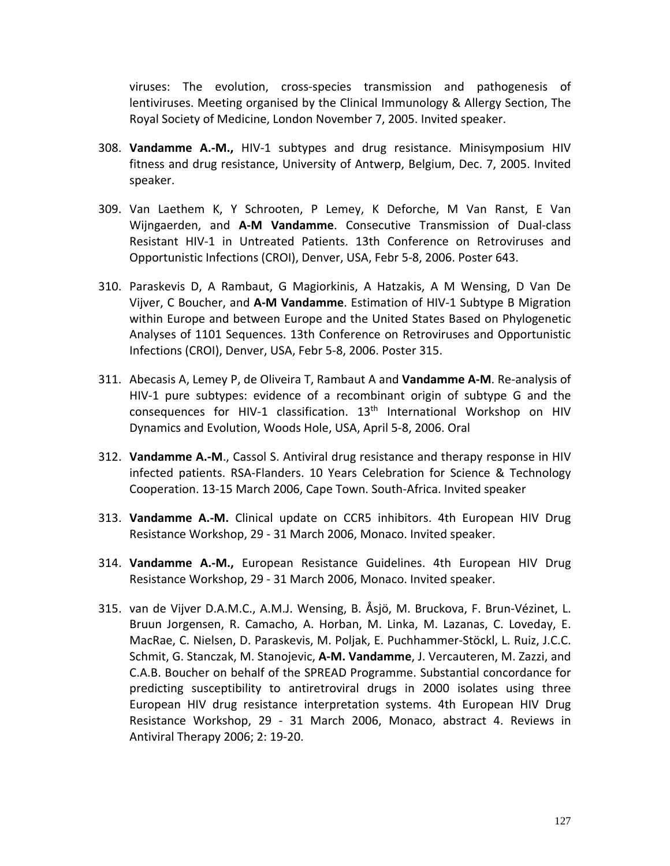viruses: The evolution, cross-species transmission and pathogenesis of lentiviruses. Meeting organised by the Clinical Immunology & Allergy Section, The Royal Society of Medicine, London November 7, 2005. Invited speaker.

- 308. **Vandamme A.-M.,** HIV-1 subtypes and drug resistance. Minisymposium HIV fitness and drug resistance, University of Antwerp, Belgium, Dec. 7, 2005. Invited speaker.
- 309. Van Laethem K, Y Schrooten, P Lemey, K Deforche, M Van Ranst, E Van Wijngaerden, and **A-M Vandamme**. [Consecutive Transmission of Dual-class](http://www.retroconference.org/2006/Abstracts/26217.HTM)  [Resistant HIV-1 in Untreated Patients.](http://www.retroconference.org/2006/Abstracts/26217.HTM) 13th Conference on Retroviruses and Opportunistic Infections (CROI), Denver, USA, Febr 5-8, 2006. Poster 643.
- 310. Paraskevis D, A Rambaut, G Magiorkinis, A Hatzakis, A M Wensing, D Van De Vijver, C Boucher, and **A-M Vandamme**. [Estimation of HIV-1 Subtype B Migration](http://www.retroconference.org/2006/Abstracts/27451.HTM)  [within Europe and between Europe and the United States Based on Phylogenetic](http://www.retroconference.org/2006/Abstracts/27451.HTM)  [Analyses of 1101 Sequences.](http://www.retroconference.org/2006/Abstracts/27451.HTM) 13th Conference on Retroviruses and Opportunistic Infections (CROI), Denver, USA, Febr 5-8, 2006. Poster 315.
- 311. Abecasis A, Lemey P, de Oliveira T, Rambaut A and **Vandamme A-M**. Re-analysis of HIV-1 pure subtypes: evidence of a recombinant origin of subtype G and the consequences for HIV-1 classification.  $13<sup>th</sup>$  International Workshop on HIV Dynamics and Evolution, Woods Hole, USA, April 5-8, 2006. Oral
- 312. **Vandamme A.-M**., Cassol S. Antiviral drug resistance and therapy response in HIV infected patients. RSA-Flanders. 10 Years Celebration for Science & Technology Cooperation. 13-15 March 2006, Cape Town. South-Africa. Invited speaker
- 313. **Vandamme A.-M.** Clinical update on CCR5 inhibitors. 4th European HIV Drug Resistance Workshop, 29 - 31 March 2006, Monaco. Invited speaker.
- 314. **Vandamme A.-M.,** European Resistance Guidelines. 4th European HIV Drug Resistance Workshop, 29 - 31 March 2006, Monaco. Invited speaker.
- 315. van de Vijver D.A.M.C., A.M.J. Wensing, B. Åsjö, M. Bruckova, F. Brun-Vézinet, L. Bruun Jorgensen, R. Camacho, A. Horban, M. Linka, M. Lazanas, C. Loveday, E. MacRae, C. Nielsen, D. Paraskevis, M. Poljak, E. Puchhammer-Stöckl, L. Ruiz, J.C.C. Schmit, G. Stanczak, M. Stanojevic, **A-M. Vandamme**, J. Vercauteren, M. Zazzi, and C.A.B. Boucher on behalf of the SPREAD Programme. Substantial concordance for predicting susceptibility to antiretroviral drugs in 2000 isolates using three European HIV drug resistance interpretation systems. 4th European HIV Drug Resistance Workshop, 29 - 31 March 2006, Monaco, abstract 4. Reviews in Antiviral Therapy 2006; 2: 19-20.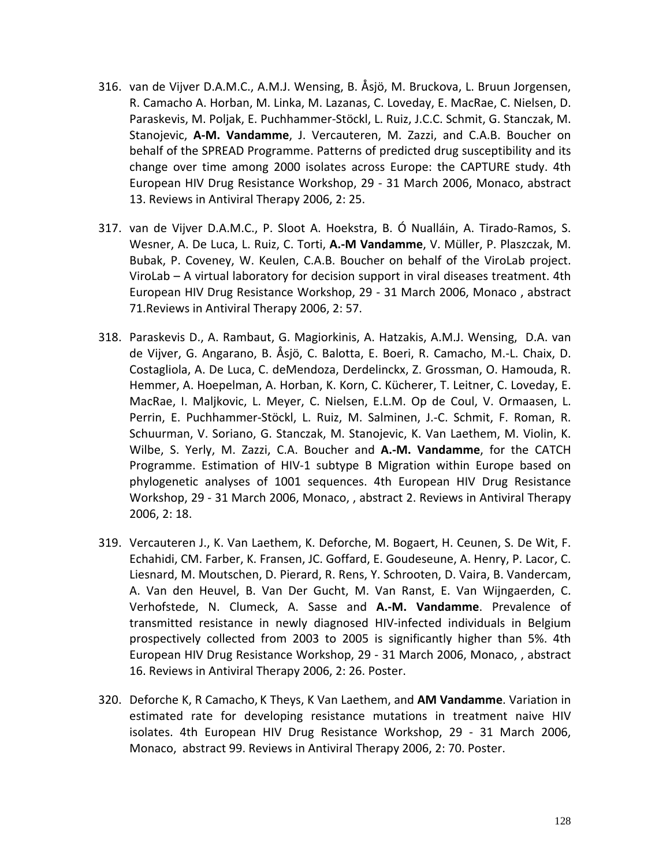- 316. van de Vijver D.A.M.C., A.M.J. Wensing, B. Åsjö, M. Bruckova, L. Bruun Jorgensen, R. Camacho A. Horban, M. Linka, M. Lazanas, C. Loveday, E. MacRae, C. Nielsen, D. Paraskevis, M. Poljak, E. Puchhammer-Stöckl, L. Ruiz, J.C.C. Schmit, G. Stanczak, M. Stanojevic, **A-M. Vandamme**, J. Vercauteren, M. Zazzi, and C.A.B. Boucher on behalf of the SPREAD Programme. Patterns of predicted drug susceptibility and its change over time among 2000 isolates across Europe: the CAPTURE study. 4th European HIV Drug Resistance Workshop, 29 - 31 March 2006, Monaco, abstract 13. Reviews in Antiviral Therapy 2006, 2: 25.
- 317. van de Vijver D.A.M.C., P. Sloot A. Hoekstra, B. Ó Nualláin, A. Tirado-Ramos, S. Wesner, A. De Luca, L. Ruiz, C. Torti, **A.-M Vandamme**, V. Müller, P. Plaszczak, M. Bubak, P. Coveney, W. Keulen, C.A.B. Boucher on behalf of the ViroLab project. ViroLab – A virtual laboratory for decision support in viral diseases treatment. 4th European HIV Drug Resistance Workshop, 29 - 31 March 2006, Monaco , abstract 71.Reviews in Antiviral Therapy 2006, 2: 57.
- 318. Paraskevis D., A. Rambaut, G. Magiorkinis, A. Hatzakis, A.M.J. Wensing, D.A. van de Vijver, G. Angarano, B. Åsjö, C. Balotta, E. Boeri, R. Camacho, M.-L. Chaix, D. Costagliola, A. De Luca, C. deMendoza, Derdelinckx, Z. Grossman, O. Hamouda, R. Hemmer, A. Hoepelman, A. Horban, K. Korn, C. Kücherer, T. Leitner, C. Loveday, E. MacRae, I. Maljkovic, L. Meyer, C. Nielsen, E.L.M. Op de Coul, V. Ormaasen, L. Perrin, E. Puchhammer-Stöckl, L. Ruiz, M. Salminen, J.-C. Schmit, F. Roman, R. Schuurman, V. Soriano, G. Stanczak, M. Stanojevic, K. Van Laethem, M. Violin, K. Wilbe, S. Yerly, M. Zazzi, C.A. Boucher and **A.-M. Vandamme**, for the CATCH Programme. Estimation of HIV-1 subtype B Migration within Europe based on phylogenetic analyses of 1001 sequences. 4th European HIV Drug Resistance Workshop, 29 - 31 March 2006, Monaco, , abstract 2. Reviews in Antiviral Therapy 2006, 2: 18.
- 319. Vercauteren J., K. Van Laethem, K. Deforche, M. Bogaert, H. Ceunen, S. De Wit, F. Echahidi, CM. Farber, K. Fransen, JC. Goffard, E. Goudeseune, A. Henry, P. Lacor, C. Liesnard, M. Moutschen, D. Pierard, R. Rens, Y. Schrooten, D. Vaira, B. Vandercam, A. Van den Heuvel, B. Van Der Gucht, M. Van Ranst, E. Van Wijngaerden, C. Verhofstede, N. Clumeck, A. Sasse and **A.-M. Vandamme**. Prevalence of transmitted resistance in newly diagnosed HIV-infected individuals in Belgium prospectively collected from 2003 to 2005 is significantly higher than 5%. 4th European HIV Drug Resistance Workshop, 29 - 31 March 2006, Monaco, , abstract 16. Reviews in Antiviral Therapy 2006, 2: 26. Poster.
- 320. Deforche K, R Camacho, K Theys, K Van Laethem, and **AM Vandamme**. Variation in estimated rate for developing resistance mutations in treatment naive HIV isolates. 4th European HIV Drug Resistance Workshop, 29 - 31 March 2006, Monaco, abstract 99. Reviews in Antiviral Therapy 2006, 2: 70. Poster.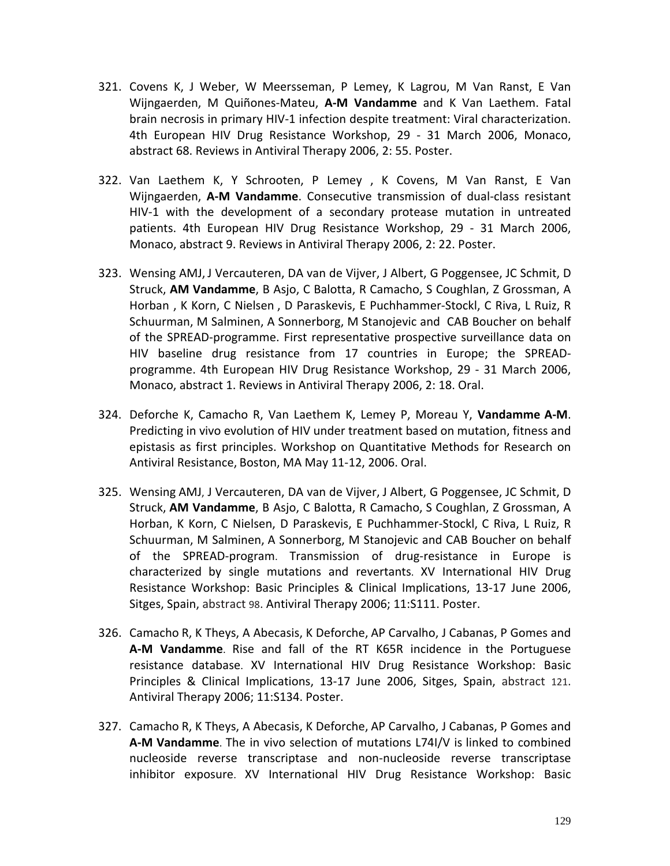- 321. Covens K, J Weber, W Meersseman, P Lemey, K Lagrou, M Van Ranst, E Van Wijngaerden, M Quiñones-Mateu, **A-M Vandamme** and K Van Laethem. Fatal brain necrosis in primary HIV-1 infection despite treatment: Viral characterization. 4th European HIV Drug Resistance Workshop, 29 - 31 March 2006, Monaco, abstract 68. Reviews in Antiviral Therapy 2006, 2: 55. Poster.
- 322. Van Laethem K, Y Schrooten, P Lemey , K Covens, M Van Ranst, E Van Wijngaerden, **A-M Vandamme**. Consecutive transmission of dual-class resistant HIV-1 with the development of a secondary protease mutation in untreated patients. 4th European HIV Drug Resistance Workshop, 29 - 31 March 2006, Monaco, abstract 9. Reviews in Antiviral Therapy 2006, 2: 22. Poster.
- 323. Wensing AMJ, J Vercauteren, DA van de Vijver, J Albert, G Poggensee, JC Schmit, D Struck, **AM Vandamme**, B Asjo, C Balotta, R Camacho, S Coughlan, Z Grossman, A Horban , K Korn, C Nielsen , D Paraskevis, E Puchhammer-Stockl, C Riva, L Ruiz, R Schuurman, M Salminen, A Sonnerborg, M Stanojevic and CAB Boucher on behalf of the SPREAD-programme. First representative prospective surveillance data on HIV baseline drug resistance from 17 countries in Europe; the SPREADprogramme. 4th European HIV Drug Resistance Workshop, 29 - 31 March 2006, Monaco, abstract 1. Reviews in Antiviral Therapy 2006, 2: 18. Oral.
- 324. Deforche K, Camacho R, Van Laethem K, Lemey P, Moreau Y, **Vandamme A-M**. Predicting in vivo evolution of HIV under treatment based on mutation, fitness and epistasis as first principles. Workshop on Quantitative Methods for Research on Antiviral Resistance, Boston, MA May 11-12, 2006. Oral.
- 325. Wensing AMJ, J Vercauteren, DA van de Vijver, J Albert, G Poggensee, JC Schmit, D Struck, **AM Vandamme**, B Asjo, C Balotta, R Camacho, S Coughlan, Z Grossman, A Horban, K Korn, C Nielsen, D Paraskevis, E Puchhammer-Stockl, C Riva, L Ruiz, R Schuurman, M Salminen, A Sonnerborg, M Stanojevic and CAB Boucher on behalf of the SPREAD-program. Transmission of drug-resistance in Europe is characterized by single mutations and revertants. XV International HIV Drug Resistance Workshop: Basic Principles & Clinical Implications, 13-17 June 2006, Sitges, Spain, abstract 98. Antiviral Therapy 2006; 11:S111. Poster.
- 326. Camacho R, K Theys, A Abecasis, K Deforche, AP Carvalho, J Cabanas, P Gomes and **A-M Vandamme**. Rise and fall of the RT K65R incidence in the Portuguese resistance database. XV International HIV Drug Resistance Workshop: Basic Principles & Clinical Implications, 13-17 June 2006, Sitges, Spain, abstract 121. Antiviral Therapy 2006; 11:S134. Poster.
- 327. Camacho R, K Theys, A Abecasis, K Deforche, AP Carvalho, J Cabanas, P Gomes and **A-M Vandamme**. The in vivo selection of mutations L74I/V is linked to combined nucleoside reverse transcriptase and non-nucleoside reverse transcriptase inhibitor exposure. XV International HIV Drug Resistance Workshop: Basic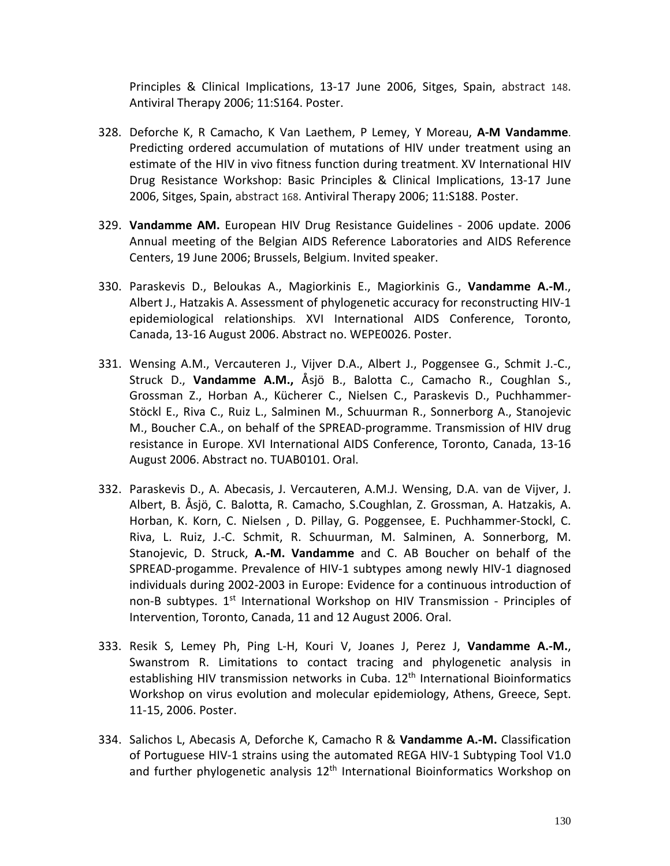Principles & Clinical Implications, 13-17 June 2006, Sitges, Spain, abstract 148. Antiviral Therapy 2006; 11:S164. Poster.

- 328. Deforche K, R Camacho, K Van Laethem, P Lemey, Y Moreau, **A-M Vandamme**. Predicting ordered accumulation of mutations of HIV under treatment using an estimate of the HIV in vivo fitness function during treatment. XV International HIV Drug Resistance Workshop: Basic Principles & Clinical Implications, 13-17 June 2006, Sitges, Spain, abstract 168. Antiviral Therapy 2006; 11:S188. Poster.
- 329. **Vandamme AM.** European HIV Drug Resistance Guidelines 2006 update. 2006 Annual meeting of the Belgian AIDS Reference Laboratories and AIDS Reference Centers, 19 June 2006; Brussels, Belgium. Invited speaker.
- 330. Paraskevis D., Beloukas A., Magiorkinis E., Magiorkinis G., **Vandamme A.-M**., Albert J., Hatzakis A. [Assessment of phylogenetic accuracy for reconstructing HIV-1](http://www.iasociety.org/abstract/show.asp?abstract_id=2186721)  [epidemiological relationships.](http://www.iasociety.org/abstract/show.asp?abstract_id=2186721) XVI International AIDS Conference, Toronto, Canada, 13-16 August 2006. Abstract no. WEPE0026. Poster.
- 331. Wensing A.M., Vercauteren J., Vijver D.A., Albert J., Poggensee G., Schmit J.-C., Struck D., **Vandamme A.M.,** Åsjö B., Balotta C., Camacho R., Coughlan S., Grossman Z., Horban A., Kücherer C., Nielsen C., Paraskevis D., Puchhammer-Stöckl E., Riva C., Ruiz L., Salminen M., Schuurman R., Sonnerborg A., Stanojevic M., Boucher C.A., on behalf of the SPREAD-programme. [Transmission of HIV drug](http://www.iasociety.org/abstract/show.asp?abstract_id=2188640)  [resistance in Europe.](http://www.iasociety.org/abstract/show.asp?abstract_id=2188640) XVI International AIDS Conference, Toronto, Canada, 13-16 August 2006. Abstract no. TUAB0101. Oral.
- 332. Paraskevis D., A. Abecasis, J. Vercauteren, A.M.J. Wensing, D.A. van de Vijver, J. Albert, B. Åsjö, C. Balotta, R. Camacho, S.Coughlan, Z. Grossman, A. Hatzakis, A. Horban, K. Korn, C. Nielsen , D. Pillay, G. Poggensee, E. Puchhammer-Stockl, C. Riva, L. Ruiz, J.-C. Schmit, R. Schuurman, M. Salminen, A. Sonnerborg, M. Stanojevic, D. Struck, **A.-M. Vandamme** and C. AB Boucher on behalf of the SPREAD-progamme. Prevalence of HIV-1 subtypes among newly HIV-1 diagnosed individuals during 2002-2003 in Europe: Evidence for a continuous introduction of non-B subtypes. 1<sup>st</sup> International Workshop on HIV Transmission - Principles of Intervention, Toronto, Canada, 11 and 12 August 2006. Oral.
- 333. Resik S, Lemey Ph, Ping L-H, Kouri V, Joanes J, Perez J, **Vandamme A.-M.**, Swanstrom R. Limitations to contact tracing and phylogenetic analysis in establishing HIV transmission networks in Cuba. 12<sup>th</sup> International Bioinformatics Workshop on virus evolution and molecular epidemiology, Athens, Greece, Sept. 11-15, 2006. Poster.
- 334. Salichos L, Abecasis A, Deforche K, Camacho R & **Vandamme A.-M.** Classification of Portuguese HIV-1 strains using the automated REGA HIV-1 Subtyping Tool V1.0 and further phylogenetic analysis  $12<sup>th</sup>$  International Bioinformatics Workshop on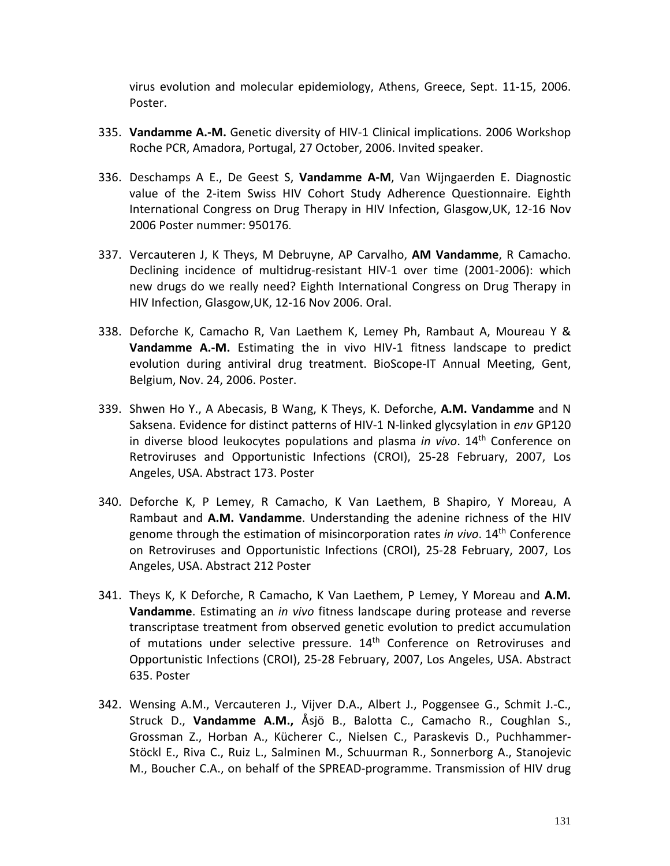virus evolution and molecular epidemiology, Athens, Greece, Sept. 11-15, 2006. Poster.

- 335. **Vandamme A.-M.** Genetic diversity of HIV-1 Clinical implications. 2006 Workshop Roche PCR, Amadora, Portugal, 27 October, 2006. Invited speaker.
- 336. Deschamps A E., De Geest S, **Vandamme A-M**, Van Wijngaerden E. Diagnostic value of the 2-item Swiss HIV Cohort Study Adherence Questionnaire. Eighth International Congress on Drug Therapy in HIV Infection, Glasgow,UK, 12-16 Nov 2006 Poster nummer: 950176.
- 337. Vercauteren J, K Theys, M Debruyne, AP Carvalho, **AM Vandamme**, R Camacho. Declining incidence of multidrug-resistant HIV-1 over time (2001-2006): which new drugs do we really need? Eighth International Congress on Drug Therapy in HIV Infection, Glasgow,UK, 12-16 Nov 2006. Oral.
- 338. Deforche K, Camacho R, Van Laethem K, Lemey Ph, Rambaut A, Moureau Y & **Vandamme A.-M.** Estimating the in vivo HIV-1 fitness landscape to predict evolution during antiviral drug treatment. BioScope-IT Annual Meeting, Gent, Belgium, Nov. 24, 2006. Poster.
- 339. Shwen Ho Y., A Abecasis, B Wang, K Theys, K. Deforche, **A.M. Vandamme** and N Saksena. Evidence for distinct patterns of HIV-1 N-linked glycsylation in *env* GP120 in diverse blood leukocytes populations and plasma *in vivo*. 14th Conference on Retroviruses and Opportunistic Infections (CROI), 25-28 February, 2007, Los Angeles, USA. Abstract 173. Poster
- 340. Deforche K, P Lemey, R Camacho, K Van Laethem, B Shapiro, Y Moreau, A Rambaut and **A.M. Vandamme**. Understanding the adenine richness of the HIV genome through the estimation of misincorporation rates *in vivo*. 14th Conference on Retroviruses and Opportunistic Infections (CROI), 25-28 February, 2007, Los Angeles, USA. Abstract 212 Poster
- 341. Theys K, K Deforche, R Camacho, K Van Laethem, P Lemey, Y Moreau and **A.M. Vandamme**. Estimating an *in vivo* fitness landscape during protease and reverse transcriptase treatment from observed genetic evolution to predict accumulation of mutations under selective pressure. 14<sup>th</sup> Conference on Retroviruses and Opportunistic Infections (CROI), 25-28 February, 2007, Los Angeles, USA. Abstract 635. Poster
- 342. Wensing A.M., Vercauteren J., Vijver D.A., Albert J., Poggensee G., Schmit J.-C., Struck D., **Vandamme A.M.,** Åsjö B., Balotta C., Camacho R., Coughlan S., Grossman Z., Horban A., Kücherer C., Nielsen C., Paraskevis D., Puchhammer-Stöckl E., Riva C., Ruiz L., Salminen M., Schuurman R., Sonnerborg A., Stanojevic M., Boucher C.A., on behalf of the SPREAD-programme. [Transmission of HIV drug](http://www.iasociety.org/abstract/show.asp?abstract_id=2188640)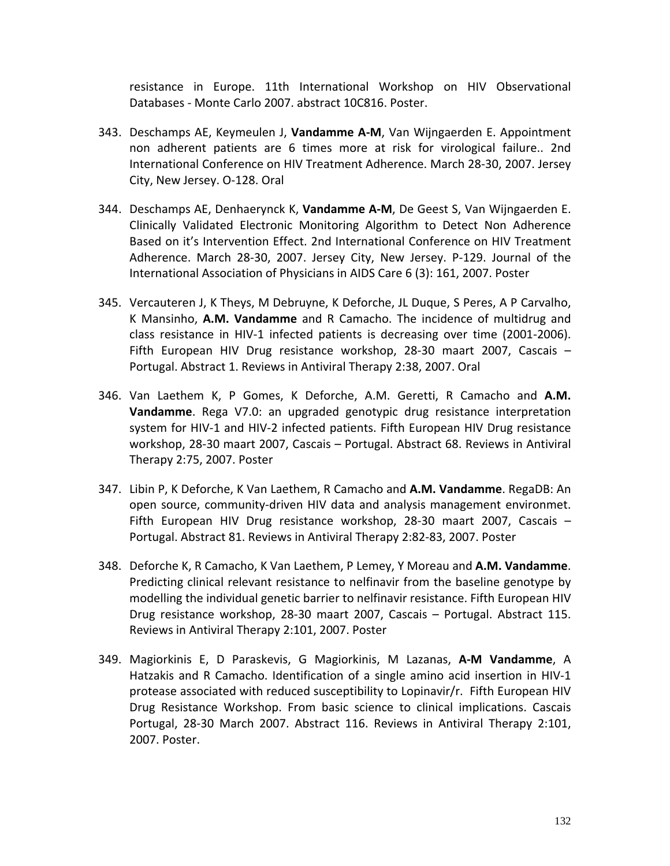[resistance in Europe.](http://www.iasociety.org/abstract/show.asp?abstract_id=2188640) 11th International Workshop on HIV Observational Databases - Monte Carlo 2007. abstract 10C816. Poster.

- 343. Deschamps AE, Keymeulen J, **Vandamme A-M**, Van Wijngaerden E. Appointment non adherent patients are 6 times more at risk for virological failure.. 2nd International Conference on HIV Treatment Adherence. March 28-30, 2007. Jersey City, New Jersey. O-128. Oral
- 344. Deschamps AE, Denhaerynck K, **Vandamme A-M**, De Geest S, Van Wijngaerden E. Clinically Validated Electronic Monitoring Algorithm to Detect Non Adherence Based on it's Intervention Effect. 2nd International Conference on HIV Treatment Adherence. March 28-30, 2007. Jersey City, New Jersey. P-129. Journal of the International Association of Physicians in AIDS Care 6 (3): 161, 2007. Poster
- 345. Vercauteren J, K Theys, M Debruyne, K Deforche, JL Duque, S Peres, A P Carvalho, K Mansinho, **A.M. Vandamme** and R Camacho. The incidence of multidrug and class resistance in HIV-1 infected patients is decreasing over time (2001-2006). Fifth European HIV Drug resistance workshop, 28-30 maart 2007, Cascais – Portugal. Abstract 1. Reviews in Antiviral Therapy 2:38, 2007. Oral
- 346. Van Laethem K, P Gomes, K Deforche, A.M. Geretti, R Camacho and **A.M. Vandamme**. Rega V7.0: an upgraded genotypic drug resistance interpretation system for HIV-1 and HIV-2 infected patients. Fifth European HIV Drug resistance workshop, 28-30 maart 2007, Cascais – Portugal. Abstract 68. Reviews in Antiviral Therapy 2:75, 2007. Poster
- 347. Libin P, K Deforche, K Van Laethem, R Camacho and **A.M. Vandamme**. RegaDB: An open source, community-driven HIV data and analysis management environmet. Fifth European HIV Drug resistance workshop, 28-30 maart 2007, Cascais – Portugal. Abstract 81. Reviews in Antiviral Therapy 2:82-83, 2007. Poster
- 348. Deforche K, R Camacho, K Van Laethem, P Lemey, Y Moreau and **A.M. Vandamme**. Predicting clinical relevant resistance to nelfinavir from the baseline genotype by modelling the individual genetic barrier to nelfinavir resistance. Fifth European HIV Drug resistance workshop, 28-30 maart 2007, Cascais – Portugal. Abstract 115. Reviews in Antiviral Therapy 2:101, 2007. Poster
- 349. Magiorkinis E, D Paraskevis, G Magiorkinis, M Lazanas, **A-M Vandamme**, A Hatzakis and R Camacho. Identification of a single amino acid insertion in HIV-1 protease associated with reduced susceptibility to Lopinavir/r. Fifth European HIV Drug Resistance Workshop. From basic science to clinical implications. Cascais Portugal, 28-30 March 2007. Abstract 116. Reviews in Antiviral Therapy 2:101, 2007. Poster.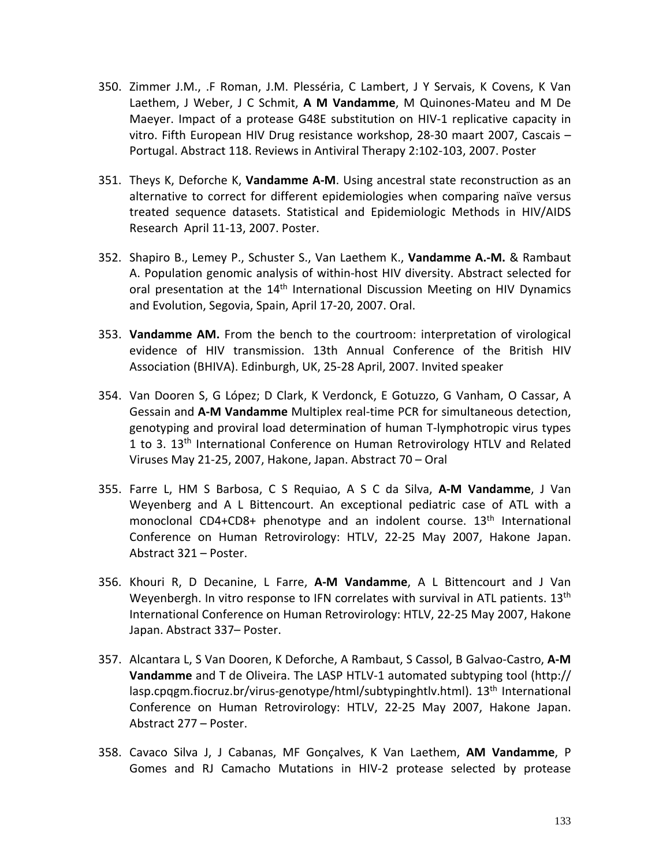- 350. Zimmer J.M., .F Roman, J.M. Plesséria, C Lambert, J Y Servais, K Covens, K Van Laethem, J Weber, J C Schmit, **A M Vandamme**, M Quinones-Mateu and M De Maeyer. Impact of a protease G48E substitution on HIV-1 replicative capacity in vitro. Fifth European HIV Drug resistance workshop, 28-30 maart 2007, Cascais – Portugal. Abstract 118. Reviews in Antiviral Therapy 2:102-103, 2007. Poster
- 351. Theys K, Deforche K, **Vandamme A-M**. Using ancestral state reconstruction as an alternative to correct for different epidemiologies when comparing naïve versus treated sequence datasets. Statistical and Epidemiologic Methods in HIV/AIDS Research April 11-13, 2007. Poster.
- 352. Shapiro B., Lemey P., Schuster S., Van Laethem K., **Vandamme A.-M.** & Rambaut A. Population genomic analysis of within-host HIV diversity. Abstract selected for oral presentation at the 14<sup>th</sup> International Discussion Meeting on HIV Dynamics and Evolution, Segovia, Spain, April 17-20, 2007. Oral.
- 353. **Vandamme AM.** From the bench to the courtroom: interpretation of virological evidence of HIV transmission. 13th Annual Conference of the British HIV Association (BHIVA). Edinburgh, UK, 25-28 April, 2007. Invited speaker
- 354. Van Dooren S, G López; D Clark, K Verdonck, E Gotuzzo, G Vanham, O Cassar, A Gessain and **A-M Vandamme** Multiplex real-time PCR for simultaneous detection, genotyping and proviral load determination of human T-lymphotropic virus types 1 to 3. 13<sup>th</sup> International Conference on Human Retrovirology HTLV and Related Viruses May 21-25, 2007, Hakone, Japan. Abstract 70 – Oral
- 355. Farre L, HM S Barbosa, C S Requiao, A S C da Silva, **A-M Vandamme**, J Van Weyenberg and A L Bittencourt. An exceptional pediatric case of ATL with a monoclonal CD4+CD8+ phenotype and an indolent course.  $13<sup>th</sup>$  International Conference on Human Retrovirology: HTLV, 22-25 May 2007, Hakone Japan. Abstract 321 – Poster.
- 356. Khouri R, D Decanine, L Farre, **A-M Vandamme**, A L Bittencourt and J Van Weyenbergh. In vitro response to IFN correlates with survival in ATL patients.  $13<sup>th</sup>$ International Conference on Human Retrovirology: HTLV, 22-25 May 2007, Hakone Japan. Abstract 337– Poster.
- 357. Alcantara L, S Van Dooren, K Deforche, A Rambaut, S Cassol, B Galvao-Castro, **A-M Vandamme** and T de Oliveira. The LASP HTLV-1 automated subtyping tool (http:// lasp.cpqgm.fiocruz.br/virus-genotype/html/subtypinghtlv.html). 13<sup>th</sup> International Conference on Human Retrovirology: HTLV, 22-25 May 2007, Hakone Japan. Abstract 277 – Poster.
- 358. Cavaco Silva J, J Cabanas, MF Gonçalves, K Van Laethem, **AM Vandamme**, P Gomes and RJ Camacho Mutations in HIV-2 protease selected by protease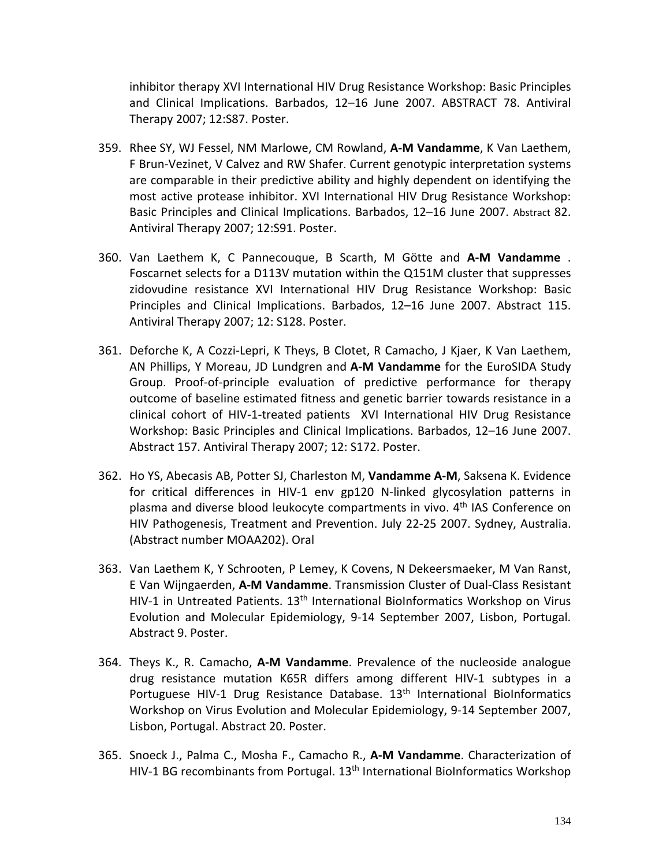inhibitor therapy XVI International HIV Drug Resistance Workshop: Basic Principles and Clinical Implications. Barbados, 12–16 June 2007. ABSTRACT 78. Antiviral Therapy 2007; 12:S87. Poster.

- 359. Rhee SY, WJ Fessel, NM Marlowe, CM Rowland, **A-M Vandamme**, K Van Laethem, F Brun-Vezinet, V Calvez and RW Shafer. Current genotypic interpretation systems are comparable in their predictive ability and highly dependent on identifying the most active protease inhibitor. XVI International HIV Drug Resistance Workshop: Basic Principles and Clinical Implications. Barbados, 12–16 June 2007. Abstract 82. Antiviral Therapy 2007; 12:S91. Poster.
- 360. Van Laethem K, C Pannecouque, B Scarth, M Götte and **A-M Vandamme** . Foscarnet selects for a D113V mutation within the Q151M cluster that suppresses zidovudine resistance XVI International HIV Drug Resistance Workshop: Basic Principles and Clinical Implications. Barbados, 12–16 June 2007. Abstract 115. Antiviral Therapy 2007; 12: S128. Poster.
- 361. Deforche K, A Cozzi-Lepri, K Theys, B Clotet, R Camacho, J Kjaer, K Van Laethem, AN Phillips, Y Moreau, JD Lundgren and **A-M Vandamme** for the EuroSIDA Study Group. Proof-of-principle evaluation of predictive performance for therapy outcome of baseline estimated fitness and genetic barrier towards resistance in a clinical cohort of HIV-1-treated patients XVI International HIV Drug Resistance Workshop: Basic Principles and Clinical Implications. Barbados, 12–16 June 2007. Abstract 157. Antiviral Therapy 2007; 12: S172. Poster.
- 362. Ho YS, Abecasis AB, Potter SJ, Charleston M, **Vandamme A-M**, Saksena K. Evidence for critical differences in HIV-1 env gp120 N-linked glycosylation patterns in plasma and diverse blood leukocyte compartments in vivo. 4th IAS Conference on HIV Pathogenesis, Treatment and Prevention. July 22-25 2007. Sydney, Australia. (Abstract number MOAA202). Oral
- 363. Van Laethem K, Y Schrooten, P Lemey, K Covens, N Dekeersmaeker, M Van Ranst, E Van Wijngaerden, **A-M Vandamme**. Transmission Cluster of Dual-Class Resistant HIV-1 in Untreated Patients. 13<sup>th</sup> International BioInformatics Workshop on Virus Evolution and Molecular Epidemiology, 9-14 September 2007, Lisbon, Portugal. Abstract 9. Poster.
- 364. Theys K., R. Camacho, **A-M Vandamme**. Prevalence of the nucleoside analogue drug resistance mutation K65R differs among different HIV-1 subtypes in a Portuguese HIV-1 Drug Resistance Database. 13<sup>th</sup> International BioInformatics Workshop on Virus Evolution and Molecular Epidemiology, 9-14 September 2007, Lisbon, Portugal. Abstract 20. Poster.
- 365. Snoeck J., Palma C., Mosha F., Camacho R., **A-M Vandamme**. Characterization of HIV-1 BG recombinants from Portugal. 13<sup>th</sup> International BioInformatics Workshop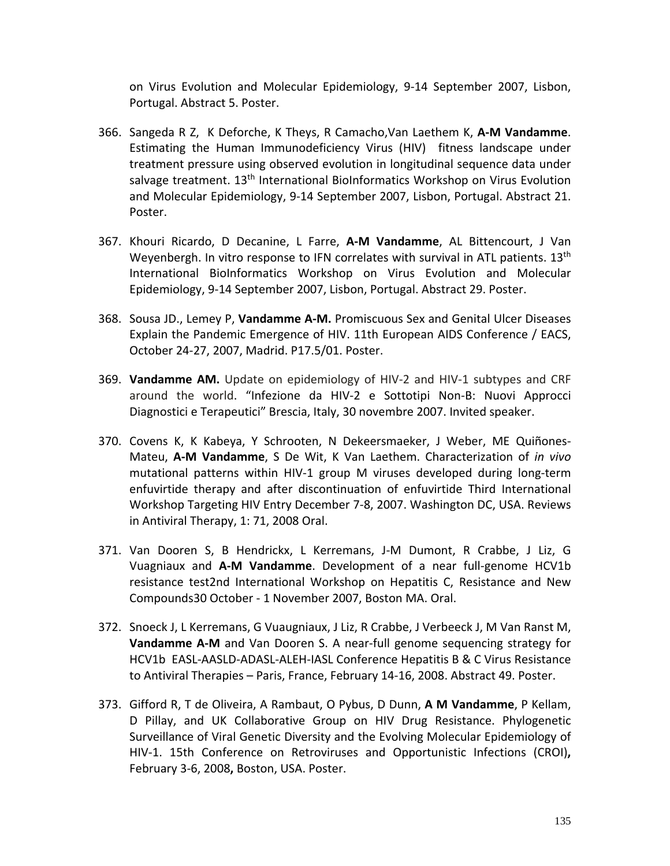on Virus Evolution and Molecular Epidemiology, 9-14 September 2007, Lisbon, Portugal. Abstract 5. Poster.

- 366. Sangeda R Z, K Deforche, K Theys, R Camacho,Van Laethem K, **A-M Vandamme**. Estimating the Human Immunodeficiency Virus (HIV) fitness landscape under treatment pressure using observed evolution in longitudinal sequence data under salvage treatment. 13<sup>th</sup> International BioInformatics Workshop on Virus Evolution and Molecular Epidemiology, 9-14 September 2007, Lisbon, Portugal. Abstract 21. Poster.
- 367. Khouri Ricardo, D Decanine, L Farre, **A-M Vandamme**, AL Bittencourt, J Van Weyenbergh. In vitro response to IFN correlates with survival in ATL patients.  $13<sup>th</sup>$ International BioInformatics Workshop on Virus Evolution and Molecular Epidemiology, 9-14 September 2007, Lisbon, Portugal. Abstract 29. Poster.
- 368. Sousa JD., Lemey P, **Vandamme A-M.** Promiscuous Sex and Genital Ulcer Diseases Explain the Pandemic Emergence of HIV. 11th European AIDS Conference / EACS, October 24-27, 2007, Madrid. P17.5/01. Poster.
- 369. **Vandamme AM.** Update on epidemiology of HIV-2 and HIV-1 subtypes and CRF around the world. "Infezione da HIV-2 e Sottotipi Non-B: Nuovi Approcci Diagnostici e Terapeutici" Brescia, Italy, 30 novembre 2007. Invited speaker.
- 370. Covens K, K Kabeya, Y Schrooten, N Dekeersmaeker, J Weber, ME Quiñones-Mateu, **A-M Vandamme**, S De Wit, K Van Laethem. Characterization of *in vivo* mutational patterns within HIV-1 group M viruses developed during long-term enfuvirtide therapy and after discontinuation of enfuvirtide Third International Workshop Targeting HIV Entry December 7-8, 2007. Washington DC, USA. Reviews in Antiviral Therapy, 1: 71, 2008 Oral.
- 371. Van Dooren S, B Hendrickx, L Kerremans, J-M Dumont, R Crabbe, J Liz, G Vuagniaux and **A-M Vandamme**. Development of a near full-genome HCV1b resistance test2nd International Workshop on Hepatitis C, Resistance and New Compounds30 October - 1 November 2007, Boston MA. Oral.
- 372. Snoeck J, L Kerremans, G Vuaugniaux, J Liz, R Crabbe, J Verbeeck J, M Van Ranst M, **Vandamme A-M** and Van Dooren S. A near-full genome sequencing strategy for HCV1b EASL-AASLD-ADASL-ALEH-IASL Conference Hepatitis B & C Virus Resistance to Antiviral Therapies – Paris, France, February 14-16, 2008. Abstract 49. Poster.
- 373. Gifford R, T de Oliveira, A Rambaut, O Pybus, D Dunn, **A M Vandamme**, P Kellam, D Pillay, and UK Collaborative Group on HIV Drug Resistance. Phylogenetic Surveillance of Viral Genetic Diversity and the Evolving Molecular Epidemiology of HIV-1. 15th Conference on Retroviruses and Opportunistic Infections (CROI)**,**  February 3-6, 2008**,** Boston, USA. Poster.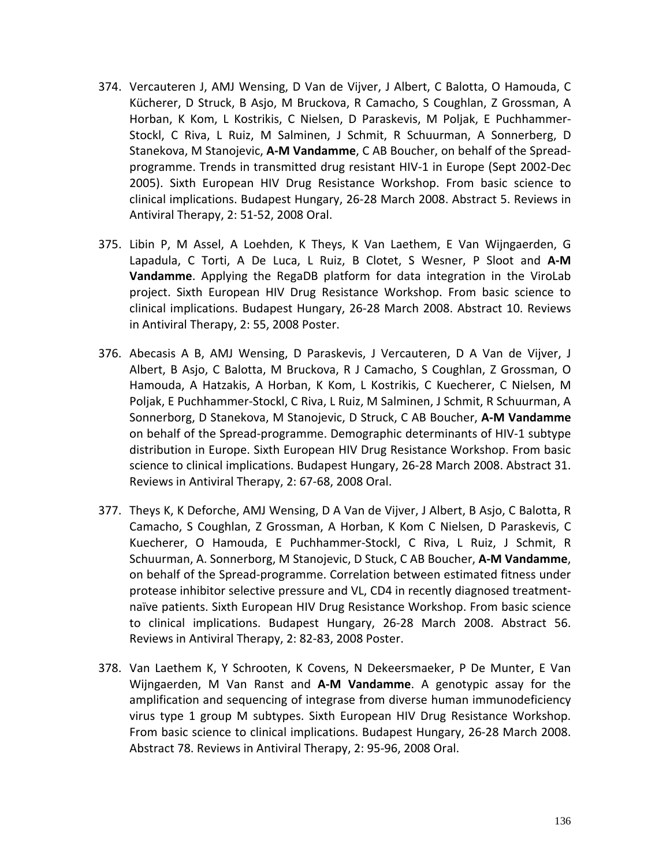- 374. Vercauteren J, AMJ Wensing, D Van de Vijver, J Albert, C Balotta, O Hamouda, C Kücherer, D Struck, B Asjo, M Bruckova, R Camacho, S Coughlan, Z Grossman, A Horban, K Kom, L Kostrikis, C Nielsen, D Paraskevis, M Poljak, E Puchhammer-Stockl, C Riva, L Ruiz, M Salminen, J Schmit, R Schuurman, A Sonnerberg, D Stanekova, M Stanojevic, **A-M Vandamme**, C AB Boucher, on behalf of the Spreadprogramme. Trends in transmitted drug resistant HIV-1 in Europe (Sept 2002-Dec 2005). Sixth European HIV Drug Resistance Workshop. From basic science to clinical implications. Budapest Hungary, 26-28 March 2008. Abstract 5. Reviews in Antiviral Therapy, 2: 51-52, 2008 Oral.
- 375. Libin P, M Assel, A Loehden, K Theys, K Van Laethem, E Van Wijngaerden, G Lapadula, C Torti, A De Luca, L Ruiz, B Clotet, S Wesner, P Sloot and **A-M Vandamme**. Applying the RegaDB platform for data integration in the ViroLab project. Sixth European HIV Drug Resistance Workshop. From basic science to clinical implications. Budapest Hungary, 26-28 March 2008. Abstract 10. Reviews in Antiviral Therapy, 2: 55, 2008 Poster.
- 376. Abecasis A B, AMJ Wensing, D Paraskevis, J Vercauteren, D A Van de Vijver, J Albert, B Asjo, C Balotta, M Bruckova, R J Camacho, S Coughlan, Z Grossman, O Hamouda, A Hatzakis, A Horban, K Kom, L Kostrikis, C Kuecherer, C Nielsen, M Poljak, E Puchhammer-Stockl, C Riva, L Ruiz, M Salminen, J Schmit, R Schuurman, A Sonnerborg, D Stanekova, M Stanojevic, D Struck, C AB Boucher, **A-M Vandamme** on behalf of the Spread-programme. Demographic determinants of HIV-1 subtype distribution in Europe. Sixth European HIV Drug Resistance Workshop. From basic science to clinical implications. Budapest Hungary, 26-28 March 2008. Abstract 31. Reviews in Antiviral Therapy, 2: 67-68, 2008 Oral.
- 377. Theys K, K Deforche, AMJ Wensing, D A Van de Vijver, J Albert, B Asjo, C Balotta, R Camacho, S Coughlan, Z Grossman, A Horban, K Kom C Nielsen, D Paraskevis, C Kuecherer, O Hamouda, E Puchhammer-Stockl, C Riva, L Ruiz, J Schmit, R Schuurman, A. Sonnerborg, M Stanojevic, D Stuck, C AB Boucher, **A-M Vandamme**, on behalf of the Spread-programme. Correlation between estimated fitness under protease inhibitor selective pressure and VL, CD4 in recently diagnosed treatmentnaïve patients. Sixth European HIV Drug Resistance Workshop. From basic science to clinical implications. Budapest Hungary, 26-28 March 2008. Abstract 56. Reviews in Antiviral Therapy, 2: 82-83, 2008 Poster.
- 378. Van Laethem K, Y Schrooten, K Covens, N Dekeersmaeker, P De Munter, E Van Wijngaerden, M Van Ranst and **A-M Vandamme**. A genotypic assay for the amplification and sequencing of integrase from diverse human immunodeficiency virus type 1 group M subtypes. Sixth European HIV Drug Resistance Workshop. From basic science to clinical implications. Budapest Hungary, 26-28 March 2008. Abstract 78. Reviews in Antiviral Therapy, 2: 95-96, 2008 Oral.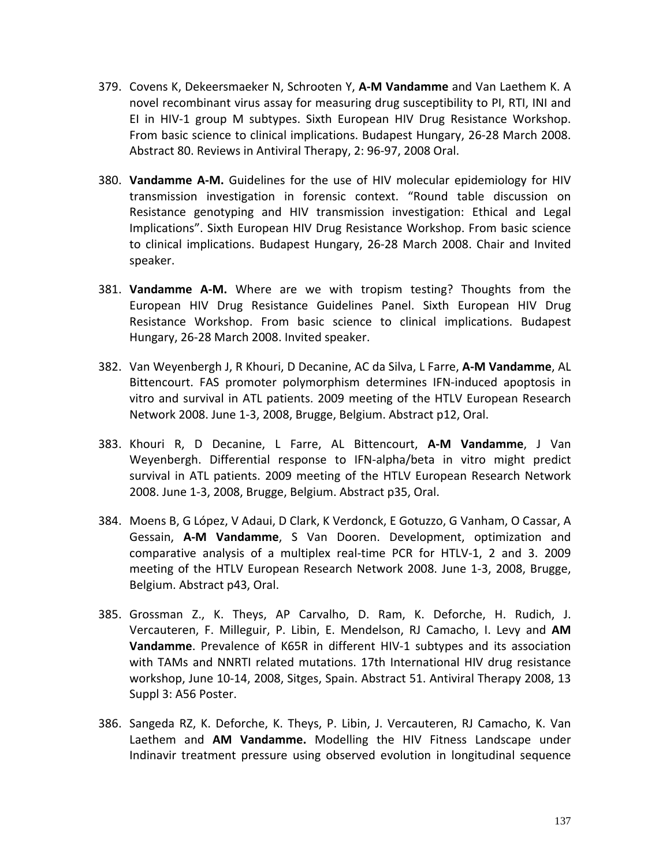- 379. Covens K, Dekeersmaeker N, Schrooten Y, **A-M Vandamme** and Van Laethem K. A novel recombinant virus assay for measuring drug susceptibility to PI, RTI, INI and EI in HIV-1 group M subtypes. Sixth European HIV Drug Resistance Workshop. From basic science to clinical implications. Budapest Hungary, 26-28 March 2008. Abstract 80. Reviews in Antiviral Therapy, 2: 96-97, 2008 Oral.
- 380. **Vandamme A-M.** Guidelines for the use of HIV molecular epidemiology for HIV transmission investigation in forensic context. "Round table discussion on Resistance genotyping and HIV transmission investigation: Ethical and Legal Implications". Sixth European HIV Drug Resistance Workshop. From basic science to clinical implications. Budapest Hungary, 26-28 March 2008. Chair and Invited speaker.
- 381. **Vandamme A-M.** Where are we with tropism testing? Thoughts from the European HIV Drug Resistance Guidelines Panel. Sixth European HIV Drug Resistance Workshop. From basic science to clinical implications. Budapest Hungary, 26-28 March 2008. Invited speaker.
- 382. Van Weyenbergh J, R Khouri, D Decanine, AC da Silva, L Farre, **A-M Vandamme**, AL Bittencourt. FAS promoter polymorphism determines IFN-induced apoptosis in vitro and survival in ATL patients. 2009 meeting of the HTLV European Research Network 2008. June 1-3, 2008, Brugge, Belgium. Abstract p12, Oral.
- 383. Khouri R, D Decanine, L Farre, AL Bittencourt, **A-M Vandamme**, J Van Weyenbergh. Differential response to IFN-alpha/beta in vitro might predict survival in ATL patients. 2009 meeting of the HTLV European Research Network 2008. June 1-3, 2008, Brugge, Belgium. Abstract p35, Oral.
- 384. Moens B, G López, V Adaui, D Clark, K Verdonck, E Gotuzzo, G Vanham, O Cassar, A Gessain, **A-M Vandamme**, S Van Dooren. Development, optimization and comparative analysis of a multiplex real-time PCR for HTLV-1, 2 and 3. 2009 meeting of the HTLV European Research Network 2008. June 1-3, 2008, Brugge, Belgium. Abstract p43, Oral.
- 385. Grossman Z., K. Theys, AP Carvalho, D. Ram, K. Deforche, H. Rudich, J. Vercauteren, F. Milleguir, P. Libin, E. Mendelson, RJ Camacho, I. Levy and **AM Vandamme**. Prevalence of K65R in different HIV-1 subtypes and its association with TAMs and NNRTI related mutations. 17th International HIV drug resistance workshop, June 10-14, 2008, Sitges, Spain. Abstract 51. Antiviral Therapy 2008, 13 Suppl 3: A56 Poster.
- 386. Sangeda RZ, K. Deforche, K. Theys, P. Libin, J. Vercauteren, RJ Camacho, K. Van Laethem and **AM Vandamme.** Modelling the HIV Fitness Landscape under Indinavir treatment pressure using observed evolution in longitudinal sequence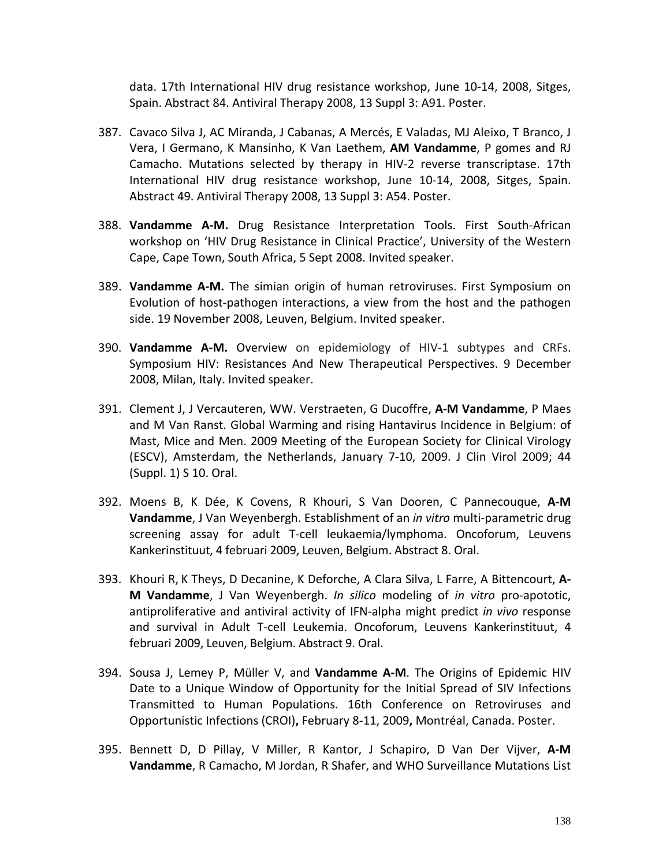data. 17th International HIV drug resistance workshop, June 10-14, 2008, Sitges, Spain. Abstract 84. Antiviral Therapy 2008, 13 Suppl 3: A91. Poster.

- 387. Cavaco Silva J, AC Miranda, J Cabanas, A Mercés, E Valadas, MJ Aleixo, T Branco, J Vera, I Germano, K Mansinho, K Van Laethem, **AM Vandamme**, P gomes and RJ Camacho. Mutations selected by therapy in HIV-2 reverse transcriptase. 17th International HIV drug resistance workshop, June 10-14, 2008, Sitges, Spain. Abstract 49. Antiviral Therapy 2008, 13 Suppl 3: A54. Poster.
- 388. **Vandamme A-M.** Drug Resistance Interpretation Tools. First South-African workshop on 'HIV Drug Resistance in Clinical Practice', University of the Western Cape, Cape Town, South Africa, 5 Sept 2008. Invited speaker.
- 389. **Vandamme A-M.** The simian origin of human retroviruses. First Symposium on Evolution of host-pathogen interactions, a view from the host and the pathogen side. 19 November 2008, Leuven, Belgium. Invited speaker.
- 390. **Vandamme A-M.** Overview on epidemiology of HIV-1 subtypes and CRFs. Symposium HIV: Resistances And New Therapeutical Perspectives. 9 December 2008, Milan, Italy. Invited speaker.
- 391. Clement J, J Vercauteren, WW. Verstraeten, G Ducoffre, **A-M Vandamme**, P Maes and M Van Ranst. Global Warming and rising Hantavirus Incidence in Belgium: of Mast, Mice and Men. 2009 Meeting of the European Society for Clinical Virology (ESCV), Amsterdam, the Netherlands, January 7-10, 2009. J Clin Virol 2009; 44 (Suppl. 1) S 10. Oral.
- 392. Moens B, K Dée, K Covens, R Khouri, S Van Dooren, C Pannecouque, **A-M Vandamme**, J Van Weyenbergh. Establishment of an *in vitro* multi-parametric drug screening assay for adult T-cell leukaemia/lymphoma. Oncoforum, Leuvens Kankerinstituut, 4 februari 2009, Leuven, Belgium. Abstract 8. Oral.
- 393. Khouri R, K Theys, D Decanine, K Deforche, A Clara Silva, L Farre, A Bittencourt, **A-M Vandamme**, J Van Weyenbergh. *In silico* modeling of *in vitro* pro-apototic, antiproliferative and antiviral activity of IFN-alpha might predict *in vivo* response and survival in Adult T-cell Leukemia. Oncoforum, Leuvens Kankerinstituut, 4 februari 2009, Leuven, Belgium. Abstract 9. Oral.
- 394. Sousa J, Lemey P, Müller V, and **Vandamme A-M**. [The Origins of Epidemic HIV](http://www.retroconference.org/2009/Abstracts/34111.htm)  [Date to a Unique Window of Opportunity for the Initial Spread of SIV Infections](http://www.retroconference.org/2009/Abstracts/34111.htm)  [Transmitted to Human Populations.](http://www.retroconference.org/2009/Abstracts/34111.htm) 16th Conference on Retroviruses and Opportunistic Infections (CROI)**,** February 8-11, 2009**,** Montréal, Canada. Poster.
- 395. Bennett D, D Pillay, V Miller, R Kantor, J Schapiro, D Van Der Vijver, **A-M Vandamme**, R Camacho, M Jordan, R Shafer, and WHO Surveillance Mutations List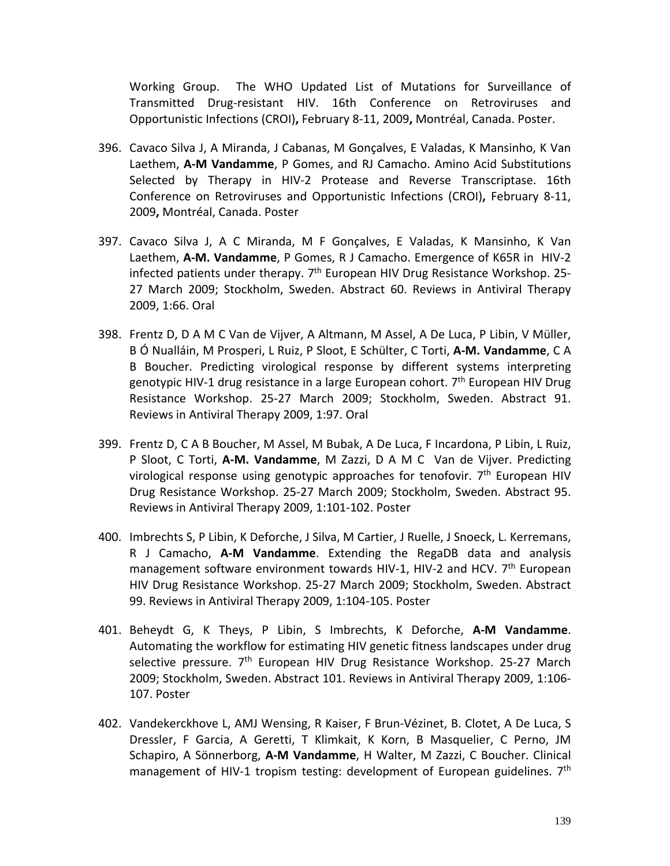Working Group. [The WHO Updated List of Mutations for Surveillance of](http://www.retroconference.org/2009/Abstracts/36361.htm)  [Transmitted Drug-resistant HIV.](http://www.retroconference.org/2009/Abstracts/36361.htm) 16th Conference on Retroviruses and Opportunistic Infections (CROI)**,** February 8-11, 2009**,** Montréal, Canada. Poster.

- 396. Cavaco Silva J, A Miranda, J Cabanas, M Gonçalves, E Valadas, K Mansinho, K Van Laethem, **A-M Vandamme**, P Gomes, and RJ Camacho. Amino Acid Substitutions Selected by Therapy in HIV-2 Protease and Reverse Transcriptase. 16th Conference on Retroviruses and Opportunistic Infections (CROI)**,** February 8-11, 2009**,** Montréal, Canada. Poster
- 397. Cavaco Silva J, A C Miranda, M F Gonçalves, E Valadas, K Mansinho, K Van Laethem, **A-M. Vandamme**, P Gomes, R J Camacho. Emergence of K65R in HIV-2 infected patients under therapy.  $7<sup>th</sup>$  European HIV Drug Resistance Workshop. 25-27 March 2009; Stockholm, Sweden. Abstract 60. Reviews in Antiviral Therapy 2009, 1:66. Oral
- 398. Frentz D, D A M C Van de Vijver, A Altmann, M Assel, A De Luca, P Libin, V Müller, B Ó Nualláin, M Prosperi, L Ruiz, P Sloot, E Schülter, C Torti, **A-M. Vandamme**, C A B Boucher. Predicting virological response by different systems interpreting genotypic HIV-1 drug resistance in a large European cohort. 7<sup>th</sup> European HIV Drug Resistance Workshop. 25-27 March 2009; Stockholm, Sweden. Abstract 91. Reviews in Antiviral Therapy 2009, 1:97. Oral
- 399. Frentz D, C A B Boucher, M Assel, M Bubak, A De Luca, F Incardona, P Libin, L Ruiz, P Sloot, C Torti, **A-M. Vandamme**, M Zazzi, D A M C Van de Vijver. Predicting virological response using genotypic approaches for tenofovir. 7<sup>th</sup> European HIV Drug Resistance Workshop. 25-27 March 2009; Stockholm, Sweden. Abstract 95. Reviews in Antiviral Therapy 2009, 1:101-102. Poster
- 400. Imbrechts S, P Libin, K Deforche, J Silva, M Cartier, J Ruelle, J Snoeck, L. Kerremans, R J Camacho, **A-M Vandamme**. Extending the RegaDB data and analysis management software environment towards HIV-1, HIV-2 and HCV. 7<sup>th</sup> European HIV Drug Resistance Workshop. 25-27 March 2009; Stockholm, Sweden. Abstract 99. Reviews in Antiviral Therapy 2009, 1:104-105. Poster
- 401. Beheydt G, K Theys, P Libin, S Imbrechts, K Deforche, **A-M Vandamme**. Automating the workflow for estimating HIV genetic fitness landscapes under drug selective pressure. 7<sup>th</sup> European HIV Drug Resistance Workshop. 25-27 March 2009; Stockholm, Sweden. Abstract 101. Reviews in Antiviral Therapy 2009, 1:106- 107. Poster
- 402. Vandekerckhove L, AMJ Wensing, R Kaiser, F Brun-Vézinet, B. Clotet, A De Luca, S Dressler, F Garcia, A Geretti, T Klimkait, K Korn, B Masquelier, C Perno, JM Schapiro, A Sönnerborg, **A-M Vandamme**, H Walter, M Zazzi, C Boucher. Clinical management of HIV-1 tropism testing: development of European guidelines. 7<sup>th</sup>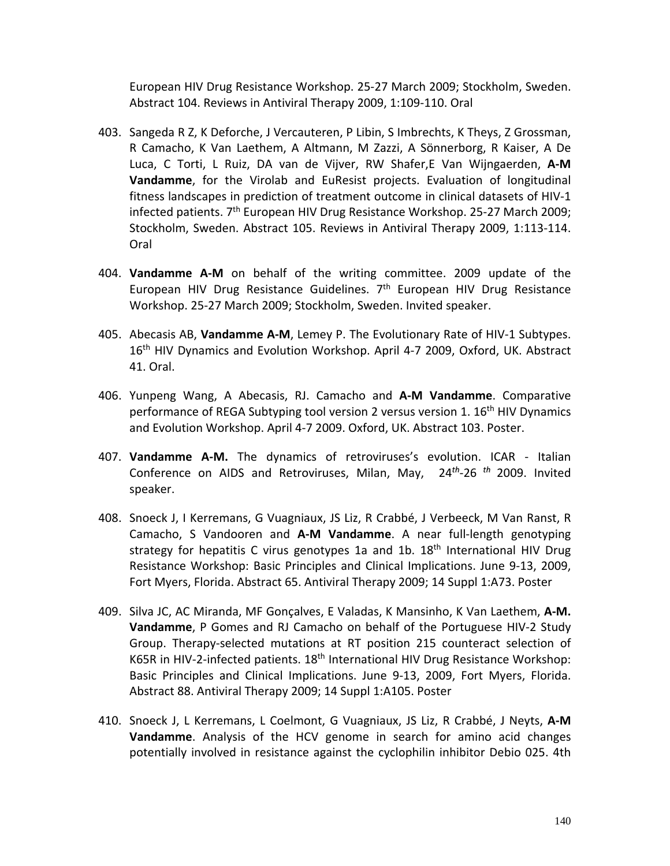European HIV Drug Resistance Workshop. 25-27 March 2009; Stockholm, Sweden. Abstract 104. Reviews in Antiviral Therapy 2009, 1:109-110. Oral

- 403. Sangeda R Z, K Deforche, J Vercauteren, P Libin, S Imbrechts, K Theys, Z Grossman, R Camacho, K Van Laethem, A Altmann, M Zazzi, A Sönnerborg, R Kaiser, A De Luca, C Torti, L Ruiz, DA van de Vijver, RW Shafer,E Van Wijngaerden, **A-M Vandamme**, for the Virolab and EuResist projects. Evaluation of longitudinal fitness landscapes in prediction of treatment outcome in clinical datasets of HIV-1 infected patients. 7<sup>th</sup> European HIV Drug Resistance Workshop. 25-27 March 2009; Stockholm, Sweden. Abstract 105. Reviews in Antiviral Therapy 2009, 1:113-114. Oral
- 404. **Vandamme A-M** on behalf of the writing committee. 2009 update of the European HIV Drug Resistance Guidelines. 7<sup>th</sup> European HIV Drug Resistance Workshop. 25-27 March 2009; Stockholm, Sweden. Invited speaker.
- 405. Abecasis AB, **Vandamme A-M**, Lemey P. The Evolutionary Rate of HIV-1 Subtypes. 16<sup>th</sup> HIV Dynamics and Evolution Workshop. April 4-7 2009, Oxford, UK. Abstract 41. Oral.
- 406. Yunpeng Wang, A Abecasis, RJ. Camacho and **A-M Vandamme**. Comparative performance of REGA Subtyping tool version 2 versus version 1. 16<sup>th</sup> HIV Dynamics and Evolution Workshop. April 4-7 2009. Oxford, UK. Abstract 103. Poster.
- 407. **Vandamme A-M.** The dynamics of retroviruses's evolution. ICAR Italian Conference on AIDS and Retroviruses, Milan, May, 24*th*-26 *th* 2009. Invited speaker.
- 408. Snoeck J, I Kerremans, G Vuagniaux, JS Liz, R Crabbé, J Verbeeck, M Van Ranst, R Camacho, S Vandooren and **A-M Vandamme**. A near full-length genotyping strategy for hepatitis C virus genotypes 1a and 1b.  $18<sup>th</sup>$  International HIV Drug Resistance Workshop: Basic Principles and Clinical Implications. June 9-13, 2009, Fort Myers, Florida. Abstract 65. Antiviral Therapy 2009; 14 Suppl 1:A73. Poster
- 409. Silva JC, AC Miranda, MF Gonçalves, E Valadas, K Mansinho, K Van Laethem, **A-M. Vandamme**, P Gomes and RJ Camacho on behalf of the Portuguese HIV-2 Study Group. Therapy-selected mutations at RT position 215 counteract selection of K65R in HIV-2-infected patients. 18<sup>th</sup> International HIV Drug Resistance Workshop: Basic Principles and Clinical Implications. June 9-13, 2009, Fort Myers, Florida. Abstract 88. Antiviral Therapy 2009; 14 Suppl 1:A105. Poster
- 410. Snoeck J, L Kerremans, L Coelmont, G Vuagniaux, JS Liz, R Crabbé, J Neyts, **A-M Vandamme**. Analysis of the HCV genome in search for amino acid changes potentially involved in resistance against the cyclophilin inhibitor Debio 025. 4th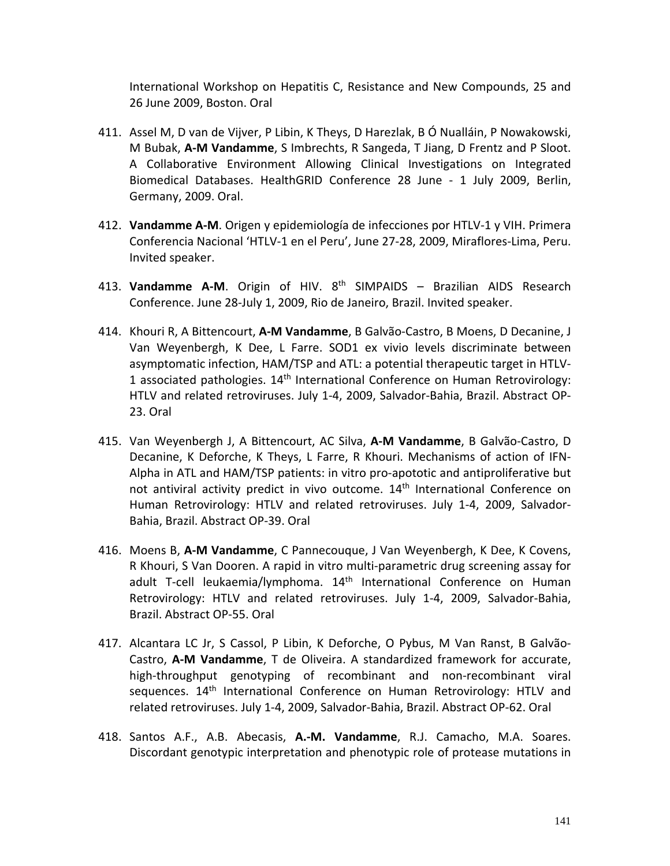International Workshop on Hepatitis C, Resistance and New Compounds, 25 and 26 June 2009, Boston. Oral

- 411. Assel M, D van de Vijver, P Libin, K Theys, D Harezlak, B Ó Nualláin, P Nowakowski, M Bubak, **A-M Vandamme**, S Imbrechts, R Sangeda, T Jiang, D Frentz and P Sloot. A Collaborative Environment Allowing Clinical Investigations on Integrated Biomedical Databases. HealthGRID Conference 28 June - 1 July 2009, Berlin, Germany, 2009. Oral.
- 412. **Vandamme A-M**. Origen y epidemiología de infecciones por HTLV-1 y VIH. Primera Conferencia Nacional 'HTLV-1 en el Peru', June 27-28, 2009, Miraflores-Lima, Peru. Invited speaker.
- 413. **Vandamme A-M**. Origin of HIV. 8th SIMPAIDS Brazilian AIDS Research Conference. June 28-July 1, 2009, Rio de Janeiro, Brazil. Invited speaker.
- 414. Khouri R, A Bittencourt, **A-M Vandamme**, B Galvão-Castro, B Moens, D Decanine, J Van Weyenbergh, K Dee, L Farre. SOD1 ex vivio levels discriminate between asymptomatic infection, HAM/TSP and ATL: a potential therapeutic target in HTLV-1 associated pathologies.  $14<sup>th</sup>$  International Conference on Human Retrovirology: HTLV and related retroviruses. July 1-4, 2009, Salvador-Bahia, Brazil. Abstract OP-23. Oral
- 415. Van Weyenbergh J, A Bittencourt, AC Silva, **A-M Vandamme**, B Galvão-Castro, D Decanine, K Deforche, K Theys, L Farre, R Khouri. Mechanisms of action of IFN-Alpha in ATL and HAM/TSP patients: in vitro pro-apototic and antiproliferative but not antiviral activity predict in vivo outcome. 14<sup>th</sup> International Conference on Human Retrovirology: HTLV and related retroviruses. July 1-4, 2009, Salvador-Bahia, Brazil. Abstract OP-39. Oral
- 416. Moens B, **A-M Vandamme**, C Pannecouque, J Van Weyenbergh, K Dee, K Covens, R Khouri, S Van Dooren. A rapid in vitro multi-parametric drug screening assay for adult T-cell leukaemia/lymphoma. 14<sup>th</sup> International Conference on Human Retrovirology: HTLV and related retroviruses. July 1-4, 2009, Salvador-Bahia, Brazil. Abstract OP-55. Oral
- 417. Alcantara LC Jr, S Cassol, P Libin, K Deforche, O Pybus, M Van Ranst, B Galvão-Castro, **A-M Vandamme**, T de Oliveira. A standardized framework for accurate, high-throughput genotyping of recombinant and non-recombinant viral sequences. 14<sup>th</sup> International Conference on Human Retrovirology: HTLV and related retroviruses. July 1-4, 2009, Salvador-Bahia, Brazil. Abstract OP-62. Oral
- 418. Santos A.F., A.B. Abecasis, **A.-M. Vandamme**, R.J. Camacho, M.A. Soares. Discordant genotypic interpretation and phenotypic role of protease mutations in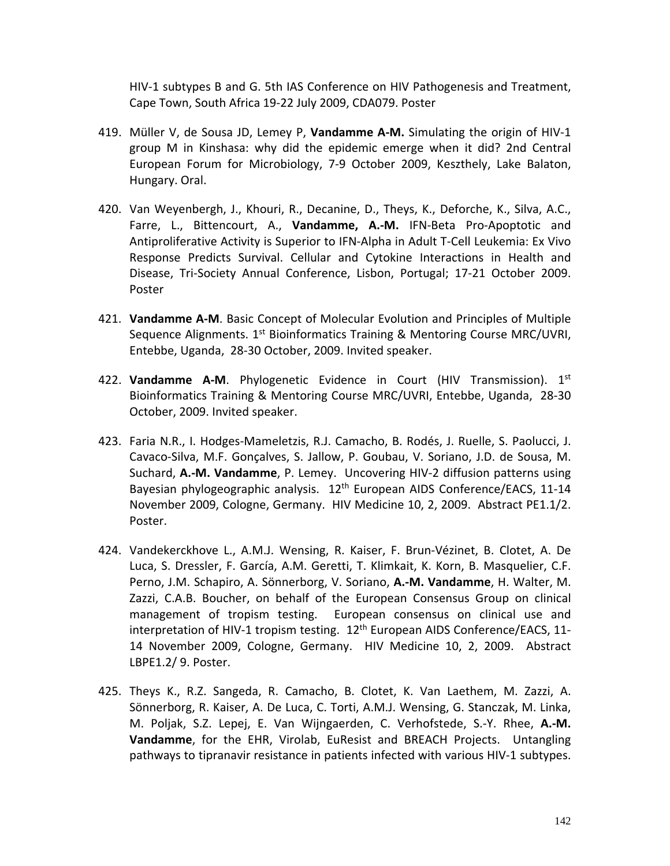HIV-1 subtypes B and G. 5th IAS Conference on HIV Pathogenesis and Treatment, Cape Town, South Africa 19-22 July 2009, CDA079. Poster

- 419. Müller V, de Sousa JD, Lemey P, **Vandamme A-M.** Simulating the origin of HIV-1 group M in Kinshasa: why did the epidemic emerge when it did? 2nd Central European Forum for Microbiology, 7-9 October 2009, Keszthely, Lake Balaton, Hungary. Oral.
- 420. Van Weyenbergh, J., Khouri, R., Decanine, D., Theys, K., Deforche, K., Silva, A.C., Farre, L., Bittencourt, A., **Vandamme, A.-M.** IFN-Beta Pro-Apoptotic and Antiproliferative Activity is Superior to IFN-Alpha in Adult T-Cell Leukemia: Ex Vivo Response Predicts Survival. Cellular and Cytokine Interactions in Health and Disease, Tri-Society Annual Conference, Lisbon, Portugal; 17-21 October 2009. Poster
- 421. **Vandamme A-M**. Basic Concept of Molecular Evolution and Principles of Multiple Sequence Alignments.  $1<sup>st</sup>$  Bioinformatics Training & Mentoring Course MRC/UVRI, Entebbe, Uganda, 28-30 October, 2009. Invited speaker.
- 422. **Vandamme A-M**. Phylogenetic Evidence in Court (HIV Transmission). 1st Bioinformatics Training & Mentoring Course MRC/UVRI, Entebbe, Uganda, 28-30 October, 2009. Invited speaker.
- 423. Faria N.R., I. Hodges-Mameletzis, R.J. Camacho, B. Rodés, J. Ruelle, S. Paolucci, J. Cavaco-Silva, M.F. Gonçalves, S. Jallow, P. Goubau, V. Soriano, J.D. de Sousa, M. Suchard, **A.-M. Vandamme**, P. Lemey. Uncovering HIV-2 diffusion patterns using Bayesian phylogeographic analysis.  $12<sup>th</sup>$  European AIDS Conference/EACS, 11-14 November 2009, Cologne, Germany. HIV Medicine 10, 2, 2009. Abstract PE1.1/2. Poster.
- 424. Vandekerckhove L., A.M.J. Wensing, R. Kaiser, F. Brun-Vézinet, B. Clotet, A. De Luca, S. Dressler, F. García, A.M. Geretti, T. Klimkait, K. Korn, B. Masquelier, C.F. Perno, J.M. Schapiro, A. Sönnerborg, V. Soriano, **A.-M. Vandamme**, H. Walter, M. Zazzi, C.A.B. Boucher, on behalf of the European Consensus Group on clinical management of tropism testing. European consensus on clinical use and interpretation of HIV-1 tropism testing. 12<sup>th</sup> European AIDS Conference/EACS, 11-14 November 2009, Cologne, Germany. HIV Medicine 10, 2, 2009. Abstract LBPE1.2/ 9. Poster.
- 425. Theys K., R.Z. Sangeda, R. Camacho, B. Clotet, K. Van Laethem, M. Zazzi, A. Sönnerborg, R. Kaiser, A. De Luca, C. Torti, A.M.J. Wensing, G. Stanczak, M. Linka, M. Poljak, S.Z. Lepej, E. Van Wijngaerden, C. Verhofstede, S.-Y. Rhee, **A.-M. Vandamme**, for the EHR, Virolab, EuResist and BREACH Projects. Untangling pathways to tipranavir resistance in patients infected with various HIV-1 subtypes.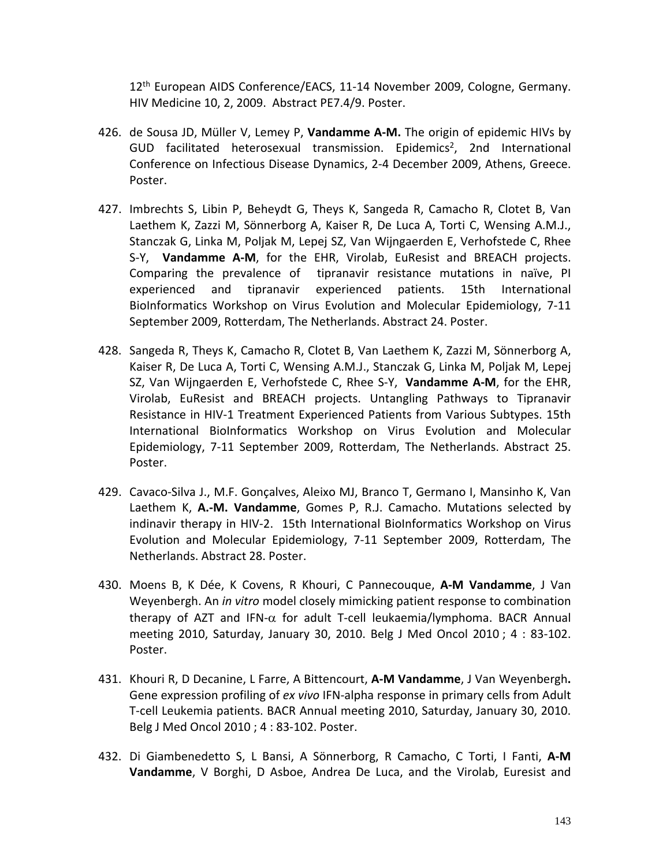12th European AIDS Conference/EACS, 11-14 November 2009, Cologne, Germany. HIV Medicine 10, 2, 2009. Abstract PE7.4/9. Poster.

- 426. de Sousa JD, Müller V, Lemey P, **Vandamme A-M.** The origin of epidemic HIVs by GUD facilitated heterosexual transmission. Epidemics<sup>2</sup>, 2nd International Conference on Infectious Disease Dynamics, 2-4 December 2009, Athens, Greece. Poster.
- 427. Imbrechts S, Libin P, Beheydt G, Theys K, Sangeda R, Camacho R, Clotet B, Van Laethem K, Zazzi M, Sönnerborg A, Kaiser R, De Luca A, Torti C, Wensing A.M.J., Stanczak G, Linka M, Poljak M, Lepej SZ, Van Wijngaerden E, Verhofstede C, Rhee S-Y, **Vandamme A-M**, for the EHR, Virolab, EuResist and BREACH projects. Comparing the prevalence of tipranavir resistance mutations in naïve, PI experienced and tipranavir experienced patients. 15th International BioInformatics Workshop on Virus Evolution and Molecular Epidemiology, 7-11 September 2009, Rotterdam, The Netherlands. Abstract 24. Poster.
- 428. Sangeda R, Theys K, Camacho R, Clotet B, Van Laethem K, Zazzi M, Sönnerborg A, Kaiser R, De Luca A, Torti C, Wensing A.M.J., Stanczak G, Linka M, Poljak M, Lepej SZ, Van Wijngaerden E, Verhofstede C, Rhee S-Y, **Vandamme A-M**, for the EHR, Virolab, EuResist and BREACH projects. Untangling Pathways to Tipranavir Resistance in HIV-1 Treatment Experienced Patients from Various Subtypes. 15th International BioInformatics Workshop on Virus Evolution and Molecular Epidemiology, 7-11 September 2009, Rotterdam, The Netherlands. Abstract 25. Poster.
- 429. Cavaco-Silva J., M.F. Gonçalves, Aleixo MJ, Branco T, Germano I, Mansinho K, Van Laethem K, **A.-M. Vandamme**, Gomes P, R.J. Camacho. Mutations selected by indinavir therapy in HIV-2. 15th International BioInformatics Workshop on Virus Evolution and Molecular Epidemiology, 7-11 September 2009, Rotterdam, The Netherlands. Abstract 28. Poster.
- 430. Moens B, K Dée, K Covens, R Khouri, C Pannecouque, **A-M Vandamme**, J Van Weyenbergh. An *in vitro* model closely mimicking patient response to combination therapy of AZT and IFN-α for adult T-cell leukaemia/lymphoma. BACR Annual meeting 2010, Saturday, January 30, 2010. Belg J Med Oncol 2010 ; 4 : 83-102. Poster.
- 431. Khouri R, D Decanine, L Farre, A Bittencourt, **A-M Vandamme**, J Van Weyenbergh**.**  Gene expression profiling of *ex vivo* IFN-alpha response in primary cells from Adult T-cell Leukemia patients. BACR Annual meeting 2010, Saturday, January 30, 2010. Belg J Med Oncol 2010 ; 4 : 83-102. Poster.
- 432. Di Giambenedetto S, L Bansi, A Sönnerborg, R Camacho, C Torti, I Fanti, **A-M Vandamme**, V Borghi, D Asboe, Andrea De Luca, and the Virolab, Euresist and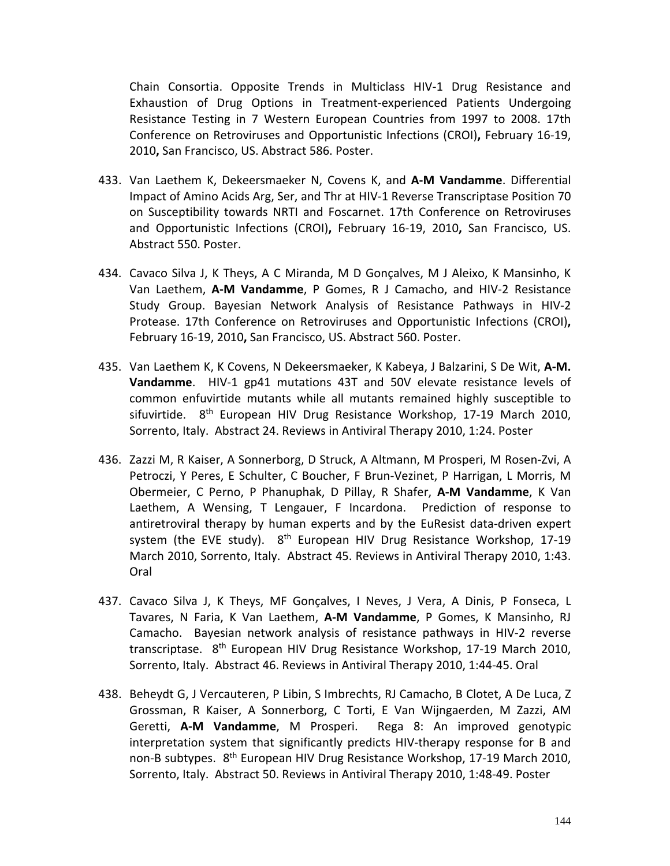Chain Consortia. Opposite Trends in Multiclass HIV-1 Drug Resistance and Exhaustion of Drug Options in Treatment-experienced Patients Undergoing Resistance Testing in 7 Western European Countries from 1997 to 2008. 17th Conference on Retroviruses and Opportunistic Infections (CROI)**,** February 16-19, 2010**,** San Francisco, US. Abstract 586. Poster.

- 433. Van Laethem K, Dekeersmaeker N, Covens K, and **A-M Vandamme**. Differential Impact of Amino Acids Arg, Ser, and Thr at HIV-1 Reverse Transcriptase Position 70 on Susceptibility towards NRTI and Foscarnet. 17th Conference on Retroviruses and Opportunistic Infections (CROI)**,** February 16-19, 2010**,** San Francisco, US. Abstract 550. Poster.
- 434. Cavaco Silva J, K Theys, A C Miranda, M D Gonçalves, M J Aleixo, K Mansinho, K Van Laethem, **A-M Vandamme**, P Gomes, R J Camacho, and HIV-2 Resistance Study Group. [Bayesian Network Analysis of Resistance Pathways in HIV-2](http://www.retroconference.org/2010/Abstracts/37347.htm)  [Protease.](http://www.retroconference.org/2010/Abstracts/37347.htm) 17th Conference on Retroviruses and Opportunistic Infections (CROI)**,**  February 16-19, 2010**,** San Francisco, US. Abstract 560. Poster.
- 435. Van Laethem K, K Covens, N Dekeersmaeker, K Kabeya, J Balzarini, S De Wit, **A-M. Vandamme**. HIV-1 gp41 mutations 43T and 50V elevate resistance levels of common enfuvirtide mutants while all mutants remained highly susceptible to sifuvirtide. 8<sup>th</sup> European HIV Drug Resistance Workshop, 17-19 March 2010, Sorrento, Italy. Abstract 24. Reviews in Antiviral Therapy 2010, 1:24. Poster
- 436. Zazzi M, R Kaiser, A Sonnerborg, D Struck, A Altmann, M Prosperi, M Rosen-Zvi, A Petroczi, Y Peres, E Schulter, C Boucher, F Brun-Vezinet, P Harrigan, L Morris, M Obermeier, C Perno, P Phanuphak, D Pillay, R Shafer, **A-M Vandamme**, K Van Laethem, A Wensing, T Lengauer, F Incardona. Prediction of response to antiretroviral therapy by human experts and by the EuResist data-driven expert system (the EVE study). 8<sup>th</sup> European HIV Drug Resistance Workshop, 17-19 March 2010, Sorrento, Italy. Abstract 45. Reviews in Antiviral Therapy 2010, 1:43. Oral
- 437. Cavaco Silva J, K Theys, MF Gonçalves, I Neves, J Vera, A Dinis, P Fonseca, L Tavares, N Faria, K Van Laethem, **A-M Vandamme**, P Gomes, K Mansinho, RJ Camacho. Bayesian network analysis of resistance pathways in HIV-2 reverse transcriptase. 8<sup>th</sup> European HIV Drug Resistance Workshop, 17-19 March 2010, Sorrento, Italy. Abstract 46. Reviews in Antiviral Therapy 2010, 1:44-45. Oral
- 438. Beheydt G, J Vercauteren, P Libin, S Imbrechts, RJ Camacho, B Clotet, A De Luca, Z Grossman, R Kaiser, A Sonnerborg, C Torti, E Van Wijngaerden, M Zazzi, AM Geretti, **A-M Vandamme**, M Prosperi. Rega 8: An improved genotypic interpretation system that significantly predicts HIV-therapy response for B and non-B subtypes. 8<sup>th</sup> European HIV Drug Resistance Workshop, 17-19 March 2010, Sorrento, Italy. Abstract 50. Reviews in Antiviral Therapy 2010, 1:48-49. Poster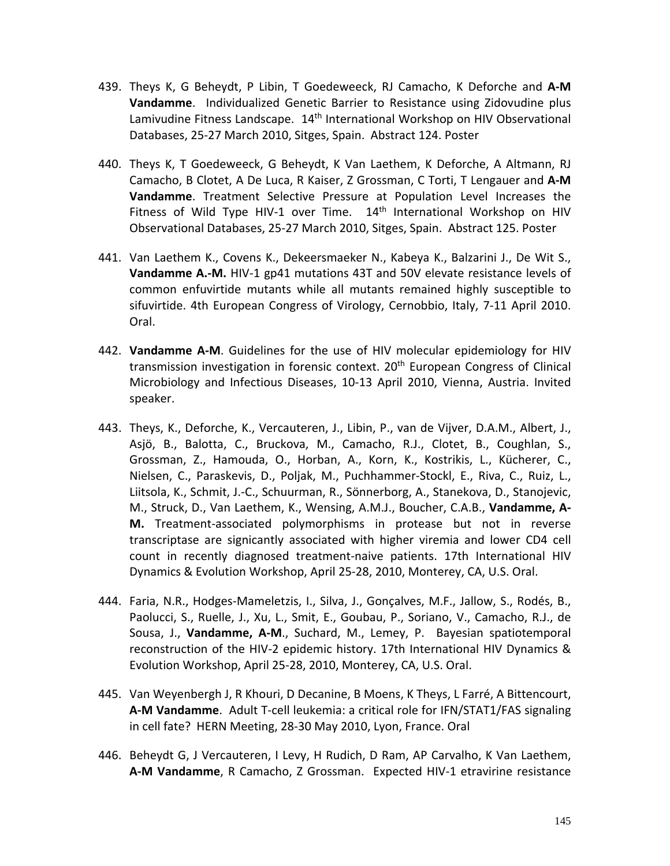- 439. Theys K, G Beheydt, P Libin, T Goedeweeck, RJ Camacho, K Deforche and **A-M Vandamme**. Individualized Genetic Barrier to Resistance using Zidovudine plus Lamivudine Fitness Landscape. 14<sup>th</sup> International Workshop on HIV Observational Databases, 25-27 March 2010, Sitges, Spain. Abstract 124. Poster
- 440. Theys K, T Goedeweeck, G Beheydt, K Van Laethem, K Deforche, A Altmann, RJ Camacho, B Clotet, A De Luca, R Kaiser, Z Grossman, C Torti, T Lengauer and **A-M Vandamme**. Treatment Selective Pressure at Population Level Increases the Fitness of Wild Type HIV-1 over Time.  $14<sup>th</sup>$  International Workshop on HIV Observational Databases, 25-27 March 2010, Sitges, Spain. Abstract 125. Poster
- 441. Van Laethem K., Covens K., Dekeersmaeker N., Kabeya K., Balzarini J., De Wit S., **Vandamme A.-M.** HIV-1 gp41 mutations 43T and 50V elevate resistance levels of common enfuvirtide mutants while all mutants remained highly susceptible to sifuvirtide. 4th European Congress of Virology, Cernobbio, Italy, 7-11 April 2010. Oral.
- 442. **Vandamme A-M**. Guidelines for the use of HIV molecular epidemiology for HIV transmission investigation in forensic context. 20<sup>th</sup> European Congress of Clinical Microbiology and Infectious Diseases, 10-13 April 2010, Vienna, Austria. Invited speaker.
- 443. Theys, K., Deforche, K., Vercauteren, J., Libin, P., van de Vijver, D.A.M., Albert, J., Asjö, B., Balotta, C., Bruckova, M., Camacho, R.J., Clotet, B., Coughlan, S., Grossman, Z., Hamouda, O., Horban, A., Korn, K., Kostrikis, L., Kücherer, C., Nielsen, C., Paraskevis, D., Poljak, M., Puchhammer-Stockl, E., Riva, C., Ruiz, L., Liitsola, K., Schmit, J.-C., Schuurman, R., Sönnerborg, A., Stanekova, D., Stanojevic, M., Struck, D., Van Laethem, K., Wensing, A.M.J., Boucher, C.A.B., **Vandamme, A-M.** Treatment-associated polymorphisms in protease but not in reverse transcriptase are signicantly associated with higher viremia and lower CD4 cell count in recently diagnosed treatment-naive patients. 17th International HIV Dynamics & Evolution Workshop, April 25-28, 2010, Monterey, CA, U.S. Oral.
- 444. Faria, N.R., Hodges-Mameletzis, I., Silva, J., Gonçalves, M.F., Jallow, S., Rodés, B., Paolucci, S., Ruelle, J., Xu, L., Smit, E., Goubau, P., Soriano, V., Camacho, R.J., de Sousa, J., **Vandamme, A-M**., Suchard, M., Lemey, P. Bayesian spatiotemporal reconstruction of the HIV-2 epidemic history. 17th International HIV Dynamics & Evolution Workshop, April 25-28, 2010, Monterey, CA, U.S. Oral.
- 445. Van Weyenbergh J, R Khouri, D Decanine, B Moens, K Theys, L Farré, A Bittencourt, **A-M Vandamme**. Adult T-cell leukemia: a critical role for IFN/STAT1/FAS signaling in cell fate? HERN Meeting, 28-30 May 2010, Lyon, France. Oral
- 446. Beheydt G, J Vercauteren, I Levy, H Rudich, D Ram, AP Carvalho, K Van Laethem, **A-M Vandamme**, R Camacho, Z Grossman. Expected HIV-1 etravirine resistance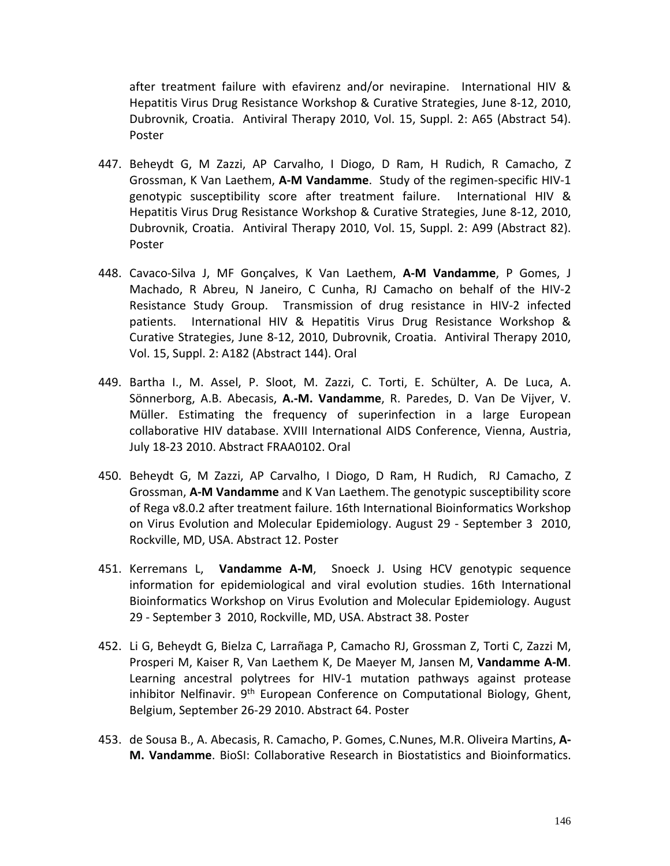after treatment failure with efavirenz and/or nevirapine. International HIV & Hepatitis Virus Drug Resistance Workshop & Curative Strategies, June 8-12, 2010, Dubrovnik, Croatia. Antiviral Therapy 2010, Vol. 15, Suppl. 2: A65 (Abstract 54). Poster

- 447. Beheydt G, M Zazzi, AP Carvalho, I Diogo, D Ram, H Rudich, R Camacho, Z Grossman, K Van Laethem, **A-M Vandamme**. Study of the regimen-specific HIV-1 genotypic susceptibility score after treatment failure. International HIV & Hepatitis Virus Drug Resistance Workshop & Curative Strategies, June 8-12, 2010, Dubrovnik, Croatia. Antiviral Therapy 2010, Vol. 15, Suppl. 2: A99 (Abstract 82). Poster
- 448. Cavaco-Silva J, MF Gonçalves, K Van Laethem, **A-M Vandamme**, P Gomes, J Machado, R Abreu, N Janeiro, C Cunha, RJ Camacho on behalf of the HIV-2 Resistance Study Group. Transmission of drug resistance in HIV-2 infected patients. International HIV & Hepatitis Virus Drug Resistance Workshop & Curative Strategies, June 8-12, 2010, Dubrovnik, Croatia. Antiviral Therapy 2010, Vol. 15, Suppl. 2: A182 (Abstract 144). Oral
- 449. Bartha I., M. Assel, P. Sloot, M. Zazzi, C. Torti, E. Schülter, A. De Luca, A. Sönnerborg, A.B. Abecasis, **A.-M. Vandamme**, R. Paredes, D. Van De Vijver, V. Müller. Estimating the frequency of superinfection in a large European collaborative HIV database. XVIII International AIDS Conference, Vienna, Austria, July 18-23 2010. Abstract FRAA0102. Oral
- 450. Beheydt G, M Zazzi, AP Carvalho, I Diogo, D Ram, H Rudich, RJ Camacho, Z Grossman, **A-M Vandamme** and K Van Laethem. The genotypic susceptibility score of Rega v8.0.2 after treatment failure. 16th International Bioinformatics Workshop on Virus Evolution and Molecular Epidemiology. August 29 - September 3 2010, Rockville, MD, USA. Abstract 12. Poster
- 451. Kerremans L, **Vandamme A-M**, Snoeck J. Using HCV genotypic sequence information for epidemiological and viral evolution studies. 16th International Bioinformatics Workshop on Virus Evolution and Molecular Epidemiology. August 29 - September 3 2010, Rockville, MD, USA. Abstract 38. Poster
- 452. Li G, Beheydt G, Bielza C, Larrañaga P, Camacho RJ, Grossman Z, Torti C, Zazzi M, Prosperi M, Kaiser R, Van Laethem K, De Maeyer M, Jansen M, **Vandamme A-M**. Learning ancestral polytrees for HIV-1 mutation pathways against protease inhibitor Nelfinavir. 9<sup>th</sup> European Conference on Computational Biology, Ghent, Belgium, September 26-29 2010. Abstract 64. Poster
- 453. de Sousa B., A. Abecasis, R. Camacho, P. Gomes, C.Nunes, M.R. Oliveira Martins, **A-M. Vandamme**. BioSI: Collaborative Research in Biostatistics and Bioinformatics.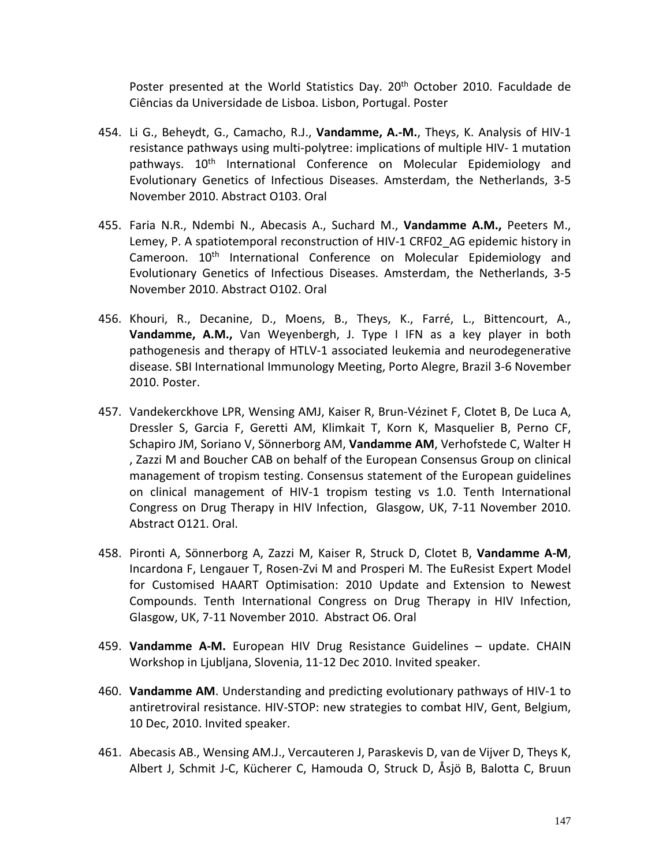Poster presented at the World Statistics Day. 20<sup>th</sup> October 2010. Faculdade de Ciências da Universidade de Lisboa. Lisbon, Portugal. Poster

- 454. Li G., Beheydt, G., Camacho, R.J., **Vandamme, A.-M.**, Theys, K. Analysis of HIV-1 resistance pathways using multi-polytree: implications of multiple HIV- 1 mutation pathways. 10<sup>th</sup> International Conference on Molecular Epidemiology and Evolutionary Genetics of Infectious Diseases. Amsterdam, the Netherlands, 3-5 November 2010. Abstract O103. Oral
- 455. Faria N.R., Ndembi N., Abecasis A., Suchard M., **Vandamme A.M.,** Peeters M., Lemey, P. A spatiotemporal reconstruction of HIV-1 CRF02\_AG epidemic history in Cameroon. 10<sup>th</sup> International Conference on Molecular Epidemiology and Evolutionary Genetics of Infectious Diseases. Amsterdam, the Netherlands, 3-5 November 2010. Abstract O102. Oral
- 456. Khouri, R., Decanine, D., Moens, B., Theys, K., Farré, L., Bittencourt, A., **Vandamme, A.M.,** Van Weyenbergh, J. Type I IFN as a key player in both pathogenesis and therapy of HTLV-1 associated leukemia and neurodegenerative disease. SBI International Immunology Meeting, Porto Alegre, Brazil 3-6 November 2010. Poster.
- 457. Vandekerckhove LPR, Wensing AMJ, Kaiser R, Brun-Vézinet F, Clotet B, De Luca A, Dressler S, Garcia F, Geretti AM, Klimkait T, Korn K, Masquelier B, Perno CF, Schapiro JM, Soriano V, Sönnerborg AM, **Vandamme AM**, Verhofstede C, Walter H , Zazzi M and Boucher CAB on behalf of the European Consensus Group on clinical management of tropism testing. Consensus statement of the European guidelines on clinical management of HIV-1 tropism testing vs 1.0. Tenth International Congress on Drug Therapy in HIV Infection, Glasgow, UK, 7-11 November 2010. Abstract O121. Oral.
- 458. Pironti A, Sönnerborg A, Zazzi M, Kaiser R, Struck D, Clotet B, **Vandamme A-M**, Incardona F, Lengauer T, Rosen-Zvi M and Prosperi M. The EuResist Expert Model for Customised HAART Optimisation: 2010 Update and Extension to Newest Compounds. Tenth International Congress on Drug Therapy in HIV Infection, Glasgow, UK, 7-11 November 2010. Abstract O6. Oral
- 459. **Vandamme A-M.** European HIV Drug Resistance Guidelines update. CHAIN Workshop in Ljubljana, Slovenia, 11-12 Dec 2010. Invited speaker.
- 460. **Vandamme AM**. Understanding and predicting evolutionary pathways of HIV-1 to antiretroviral resistance. HIV-STOP: new strategies to combat HIV, Gent, Belgium, 10 Dec, 2010. Invited speaker.
- 461. Abecasis AB., Wensing AM.J., Vercauteren J, Paraskevis D, van de Vijver D, Theys K, Albert J, Schmit J-C, Kücherer C, Hamouda O, Struck D, Åsjö B, Balotta C, Bruun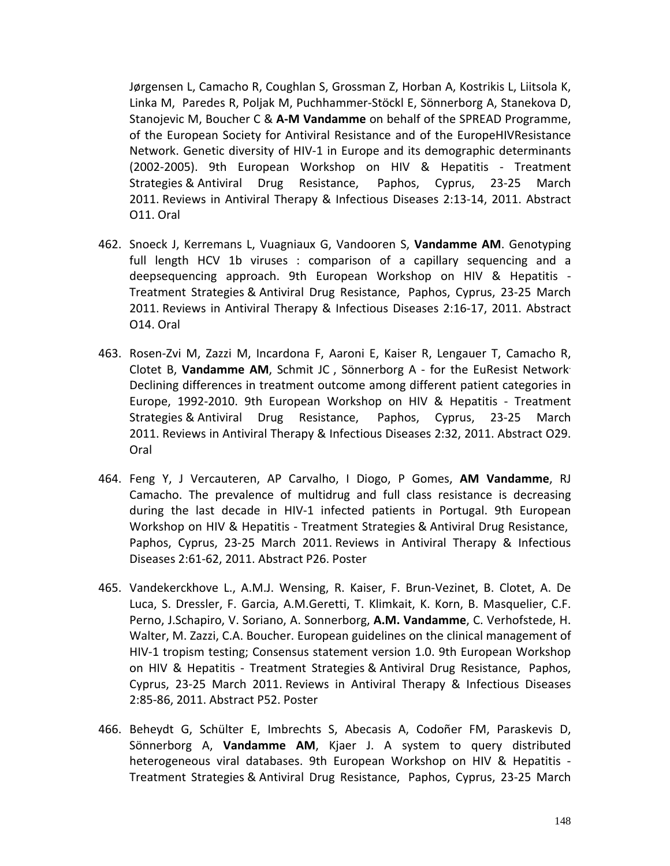Jørgensen L, Camacho R, Coughlan S, Grossman Z, Horban A, Kostrikis L, Liitsola K, Linka M, Paredes R, Poljak M, Puchhammer-Stöckl E, Sönnerborg A, Stanekova D, Stanojevic M, Boucher C & **A-M Vandamme** on behalf of the SPREAD Programme, of the European Society for Antiviral Resistance and of the EuropeHIVResistance Network. Genetic diversity of HIV-1 in Europe and its demographic determinants (2002-2005). 9th European Workshop on HIV & Hepatitis - Treatment Strategies & Antiviral Drug Resistance, Paphos, Cyprus, 23-25 March 2011. Reviews in Antiviral Therapy & Infectious Diseases 2:13-14, 2011. Abstract O11. Oral

- 462. Snoeck J, Kerremans L, Vuagniaux G, Vandooren S, **Vandamme AM**. Genotyping full length HCV 1b viruses : comparison of a capillary sequencing and a deepsequencing approach. 9th European Workshop on HIV & Hepatitis - Treatment Strategies & Antiviral Drug Resistance, Paphos, Cyprus, 23-25 March 2011. Reviews in Antiviral Therapy & Infectious Diseases 2:16-17, 2011. Abstract O14. Oral
- 463. Rosen-Zvi M, Zazzi M, Incardona F, Aaroni E, Kaiser R, Lengauer T, Camacho R, Clotet B, **Vandamme AM**, Schmit JC , Sönnerborg A - for the EuResist Network. Declining differences in treatment outcome among different patient categories in Europe, 1992-2010. 9th European Workshop on HIV & Hepatitis - Treatment Strategies & Antiviral Drug Resistance, Paphos, Cyprus, 23-25 March 2011. Reviews in Antiviral Therapy & Infectious Diseases 2:32, 2011. Abstract O29. Oral
- 464. Feng Y, J Vercauteren, AP Carvalho, I Diogo, P Gomes, **AM Vandamme**, RJ Camacho. The prevalence of multidrug and full class resistance is decreasing during the last decade in HIV-1 infected patients in Portugal. 9th European Workshop on HIV & Hepatitis - Treatment Strategies & Antiviral Drug Resistance, Paphos, Cyprus, 23-25 March 2011. Reviews in Antiviral Therapy & Infectious Diseases 2:61-62, 2011. Abstract P26. Poster
- 465. Vandekerckhove L., A.M.J. Wensing, R. Kaiser, F. Brun-Vezinet, B. Clotet, A. De Luca, S. Dressler, F. Garcia, A.M.Geretti, T. Klimkait, K. Korn, B. Masquelier, C.F. Perno, J.Schapiro, V. Soriano, A. Sonnerborg, **A.M. Vandamme**, C. Verhofstede, H. Walter, M. Zazzi, C.A. Boucher. European guidelines on the clinical management of HIV-1 tropism testing; Consensus statement version 1.0. 9th European Workshop on HIV & Hepatitis - Treatment Strategies & Antiviral Drug Resistance, Paphos, Cyprus, 23-25 March 2011. Reviews in Antiviral Therapy & Infectious Diseases 2:85-86, 2011. Abstract P52. Poster
- 466. Beheydt G, Schülter E, Imbrechts S, Abecasis A, Codoñer FM, Paraskevis D, Sönnerborg A, **Vandamme AM**, Kjaer J. A system to query distributed heterogeneous viral databases. 9th European Workshop on HIV & Hepatitis - Treatment Strategies & Antiviral Drug Resistance, Paphos, Cyprus, 23-25 March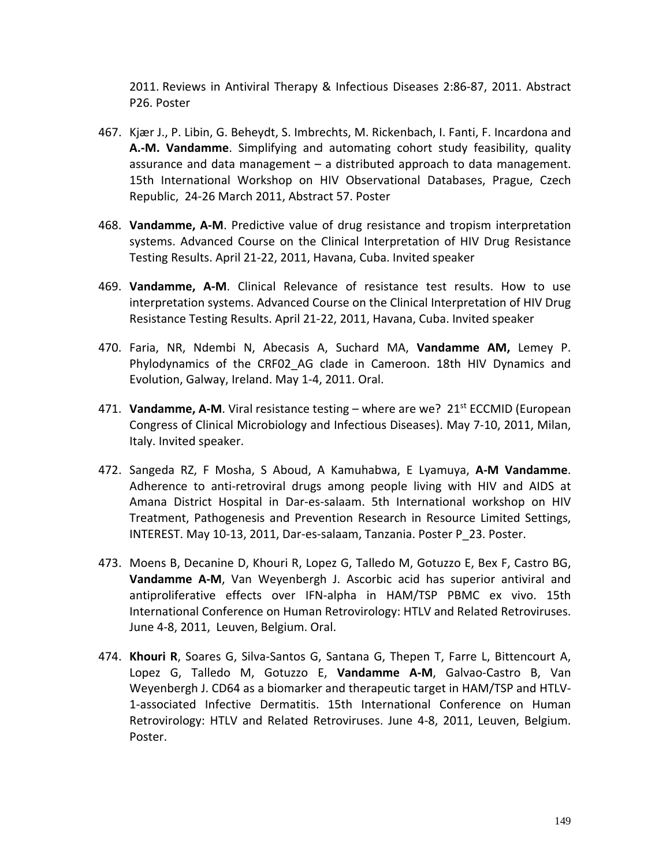2011. Reviews in Antiviral Therapy & Infectious Diseases 2:86-87, 2011. Abstract P26. Poster

- 467. Kjær J., P. Libin, G. Beheydt, S. Imbrechts, M. Rickenbach, I. Fanti, F. Incardona and **A.-M. Vandamme**. Simplifying and automating cohort study feasibility, quality assurance and data management – a distributed approach to data management. 15th International Workshop on HIV Observational Databases, Prague, Czech Republic, 24-26 March 2011, Abstract 57. Poster
- 468. **Vandamme, A-M**. Predictive value of drug resistance and tropism interpretation systems. Advanced Course on the Clinical Interpretation of HIV Drug Resistance Testing Results. April 21-22, 2011, Havana, Cuba. Invited speaker
- 469. **Vandamme, A-M**. Clinical Relevance of resistance test results. How to use interpretation systems. Advanced Course on the Clinical Interpretation of HIV Drug Resistance Testing Results. April 21-22, 2011, Havana, Cuba. Invited speaker
- 470. Faria, NR, Ndembi N, Abecasis A, Suchard MA, **Vandamme AM,** Lemey P. Phylodynamics of the CRF02\_AG clade in Cameroon. 18th HIV Dynamics and Evolution, Galway, Ireland. May 1-4, 2011. Oral.
- 471. Vandamme, A-M. Viral resistance testing where are we? 21<sup>st</sup> ECCMID (European Congress of Clinical Microbiology and Infectious Diseases). May 7-10, 2011, Milan, Italy. Invited speaker.
- 472. Sangeda RZ, F Mosha, S Aboud, A Kamuhabwa, E Lyamuya, **A-M Vandamme**. Adherence to anti-retroviral drugs among people living with HIV and AIDS at Amana District Hospital in Dar-es-salaam. 5th International workshop on HIV Treatment, Pathogenesis and Prevention Research in Resource Limited Settings, INTEREST. May 10-13, 2011, Dar-es-salaam, Tanzania. Poster P\_23. Poster.
- 473. Moens B, Decanine D, Khouri R, Lopez G, Talledo M, Gotuzzo E, Bex F, Castro BG, **Vandamme A-M**, Van Weyenbergh J. Ascorbic acid has superior antiviral and antiproliferative effects over IFN-alpha in HAM/TSP PBMC ex vivo. 15th International Conference on Human Retrovirology: HTLV and Related Retroviruses. June 4-8, 2011, Leuven, Belgium. Oral.
- 474. **Khouri R**, Soares G, Silva-Santos G, Santana G, Thepen T, Farre L, Bittencourt A, Lopez G, Talledo M, Gotuzzo E, **Vandamme A-M**, Galvao-Castro B, Van Weyenbergh J. CD64 as a biomarker and therapeutic target in HAM/TSP and HTLV-1-associated Infective Dermatitis. 15th International Conference on Human Retrovirology: HTLV and Related Retroviruses. June 4-8, 2011, Leuven, Belgium. Poster.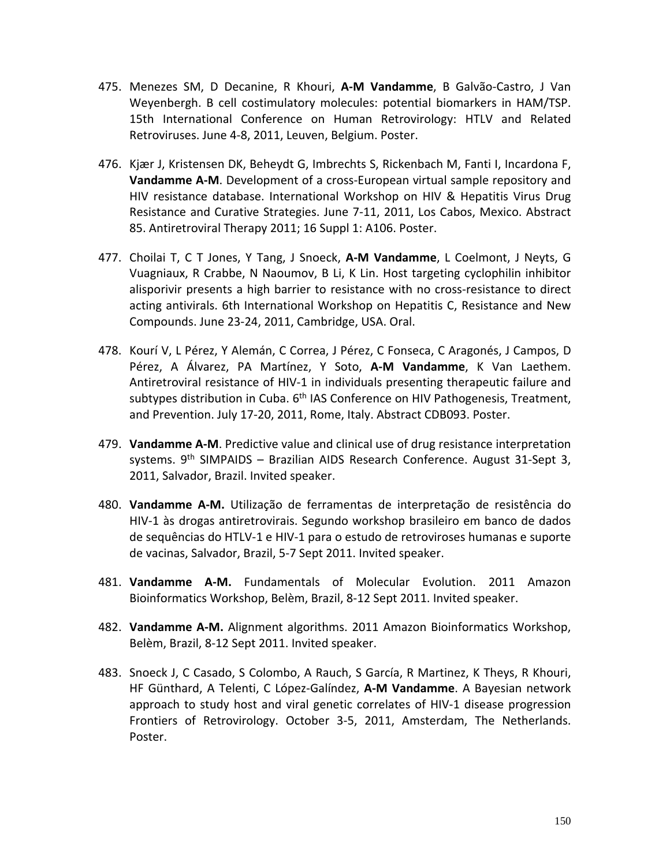- 475. Menezes SM, D Decanine, R Khouri, **A-M Vandamme**, B Galvão-Castro, J Van Weyenbergh. B cell costimulatory molecules: potential biomarkers in HAM/TSP. 15th International Conference on Human Retrovirology: HTLV and Related Retroviruses. June 4-8, 2011, Leuven, Belgium. Poster.
- 476. Kjær J, Kristensen DK, Beheydt G, Imbrechts S, Rickenbach M, Fanti I, Incardona F, **Vandamme A-M**. Development of a cross-European virtual sample repository and HIV resistance database. International Workshop on HIV & Hepatitis Virus Drug Resistance and Curative Strategies. June 7-11, 2011, Los Cabos, Mexico. Abstract 85. Antiretroviral Therapy 2011; 16 Suppl 1: A106. Poster.
- 477. Choilai T, C T Jones, Y Tang, J Snoeck, **A-M Vandamme**, L Coelmont, J Neyts, G Vuagniaux, R Crabbe, N Naoumov, B Li, K Lin. Host targeting cyclophilin inhibitor alisporivir presents a high barrier to resistance with no cross-resistance to direct acting antivirals. 6th International Workshop on Hepatitis C, Resistance and New Compounds. June 23-24, 2011, Cambridge, USA. Oral.
- 478. Kourí V, L Pérez, Y Alemán, C Correa, J Pérez, C Fonseca, C Aragonés, J Campos, D Pérez, A Álvarez, PA Martínez, Y Soto, **A-M Vandamme**, K Van Laethem. Antiretroviral resistance of HIV-1 in individuals presenting therapeutic failure and subtypes distribution in Cuba. 6<sup>th</sup> IAS Conference on HIV Pathogenesis, Treatment, and Prevention. July 17-20, 2011, Rome, Italy. Abstract CDB093. Poster.
- 479. **Vandamme A-M**. Predictive value and clinical use of drug resistance interpretation systems. 9<sup>th</sup> SIMPAIDS – Brazilian AIDS Research Conference. August 31-Sept 3, 2011, Salvador, Brazil. Invited speaker.
- 480. **Vandamme A-M.** Utilização de ferramentas de interpretação de resistência do HIV-1 às drogas antiretrovirais. Segundo workshop brasileiro em banco de dados de sequências do HTLV-1 e HIV-1 para o estudo de retroviroses humanas e suporte de vacinas, Salvador, Brazil, 5-7 Sept 2011. Invited speaker.
- 481. **Vandamme A-M.** Fundamentals of Molecular Evolution. 2011 Amazon Bioinformatics Workshop, Belèm, Brazil, 8-12 Sept 2011. Invited speaker.
- 482. **Vandamme A-M.** Alignment algorithms. 2011 Amazon Bioinformatics Workshop, Belèm, Brazil, 8-12 Sept 2011. Invited speaker.
- 483. Snoeck J, C Casado, S Colombo, A Rauch, S García, R Martinez, K Theys, R Khouri, HF Günthard, A Telenti, C López-Galíndez, **A-M Vandamme**. A Bayesian network approach to study host and viral genetic correlates of HIV-1 disease progression Frontiers of Retrovirology. October 3-5, 2011, Amsterdam, The Netherlands. Poster.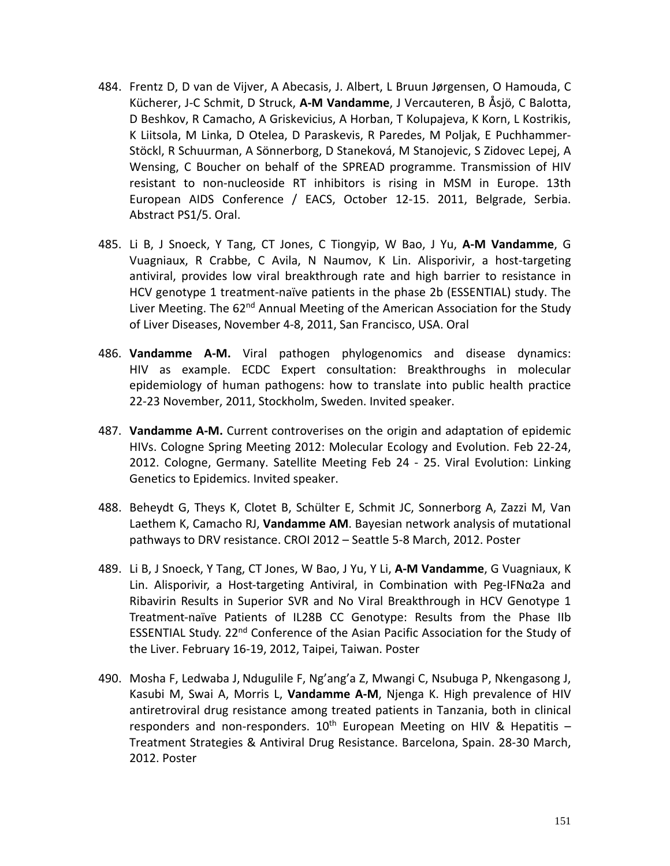- 484. Frentz D, D van de Vijver, A Abecasis, J. Albert, L Bruun Jørgensen, O Hamouda, C Kücherer, J-C Schmit, D Struck, **A-M Vandamme**, J Vercauteren, B Åsjö, C Balotta, D Beshkov, R Camacho, A Griskevicius, A Horban, T Kolupajeva, K Korn, L Kostrikis, K Liitsola, M Linka, D Otelea, D Paraskevis, R Paredes, M Poljak, E Puchhammer-Stöckl, R Schuurman, A Sönnerborg, D Staneková, M Stanojevic, S Zidovec Lepej, A Wensing, C Boucher on behalf of the SPREAD programme. Transmission of HIV resistant to non-nucleoside RT inhibitors is rising in MSM in Europe. 13th European AIDS Conference / EACS, October 12-15. 2011, Belgrade, Serbia. Abstract PS1/5. Oral.
- 485. Li B, J Snoeck, Y Tang, CT Jones, C Tiongyip, W Bao, J Yu, **A-M Vandamme**, G Vuagniaux, R Crabbe, C Avila, N Naumov, K Lin. Alisporivir, a host-targeting antiviral, provides low viral breakthrough rate and high barrier to resistance in HCV genotype 1 treatment-naïve patients in the phase 2b (ESSENTIAL) study. The Liver Meeting. The 62<sup>nd</sup> Annual Meeting of the American Association for the Study of Liver Diseases, November 4-8, 2011, San Francisco, USA. Oral
- 486. **Vandamme A-M.** Viral pathogen phylogenomics and disease dynamics: HIV as example. ECDC Expert consultation: Breakthroughs in molecular epidemiology of human pathogens: how to translate into public health practice 22-23 November, 2011, Stockholm, Sweden. Invited speaker.
- 487. **Vandamme A-M.** Current controverises on the origin and adaptation of epidemic HIVs. Cologne Spring Meeting 2012: Molecular Ecology and Evolution. Feb 22-24, 2012. Cologne, Germany. Satellite Meeting Feb 24 - 25. Viral Evolution: Linking Genetics to Epidemics. Invited speaker.
- 488. Beheydt G, Theys K, Clotet B, Schülter E, Schmit JC, Sonnerborg A, Zazzi M, Van Laethem K, Camacho RJ, **Vandamme AM**. Bayesian network analysis of mutational pathways to DRV resistance. CROI 2012 – Seattle 5-8 March, 2012. Poster
- 489. Li B, J Snoeck, Y Tang, CT Jones, W Bao, J Yu, Y Li, **A-M Vandamme**, G Vuagniaux, K Lin. Alisporivir, a Host-targeting Antiviral, in Combination with Peg-IFNα2a and Ribavirin Results in Superior SVR and No Viral Breakthrough in HCV Genotype 1 Treatment-naïve Patients of IL28B CC Genotype: Results from the Phase IIb ESSENTIAL Study.  $22<sup>nd</sup>$  Conference of the Asian Pacific Association for the Study of the Liver. February 16-19, 2012, Taipei, Taiwan. Poster
- 490. Mosha F, Ledwaba J, Ndugulile F, Ng'ang'a Z, Mwangi C, Nsubuga P, Nkengasong J, Kasubi M, Swai A, Morris L, **Vandamme A-M**, Njenga K. High prevalence of HIV antiretroviral drug resistance among treated patients in Tanzania, both in clinical responders and non-responders.  $10^{th}$  European Meeting on HIV & Hepatitis -Treatment Strategies & Antiviral Drug Resistance. Barcelona, Spain. 28-30 March, 2012. Poster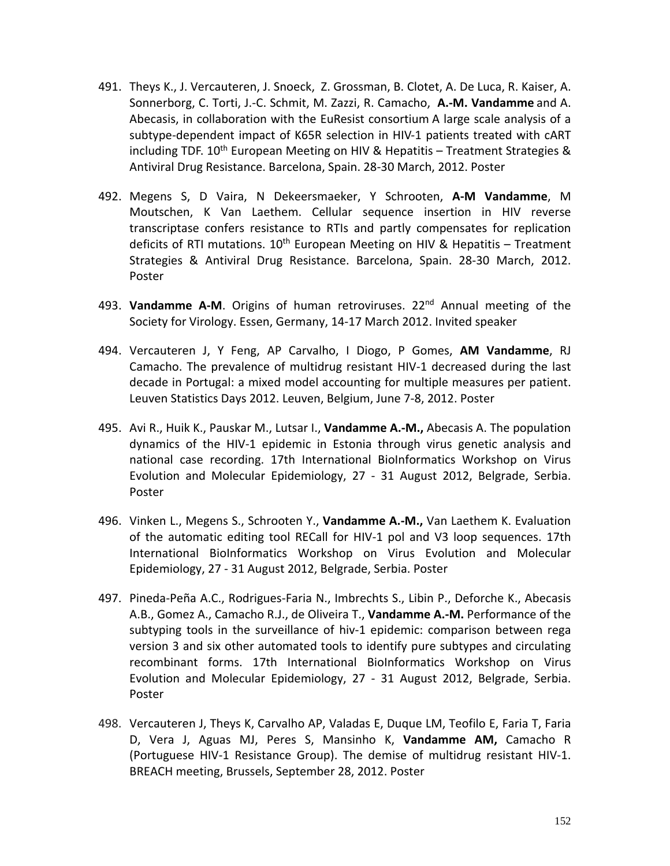- 491. Theys K., J. Vercauteren, J. Snoeck, Z. Grossman, B. Clotet, A. De Luca, R. Kaiser, A. Sonnerborg, C. Torti, J.-C. Schmit, M. Zazzi, R. Camacho, **A.-M. Vandamme** and A. Abecasis, in collaboration with the EuResist consortium A large scale analysis of a subtype-dependent impact of K65R selection in HIV-1 patients treated with cART including TDF. 10<sup>th</sup> European Meeting on HIV & Hepatitis – Treatment Strategies & Antiviral Drug Resistance. Barcelona, Spain. 28-30 March, 2012. Poster
- 492. Megens S, D Vaira, N Dekeersmaeker, Y Schrooten, **A-M Vandamme**, M Moutschen, K Van Laethem. Cellular sequence insertion in HIV reverse transcriptase confers resistance to RTIs and partly compensates for replication deficits of RTI mutations.  $10<sup>th</sup>$  European Meeting on HIV & Hepatitis – Treatment Strategies & Antiviral Drug Resistance. Barcelona, Spain. 28-30 March, 2012. Poster
- 493. **Vandamme A-M**. Origins of human retroviruses. 22nd Annual meeting of the Society for Virology. Essen, Germany, 14-17 March 2012. Invited speaker
- 494. Vercauteren J, Y Feng, AP Carvalho, I Diogo, P Gomes, **AM Vandamme**, RJ Camacho. The prevalence of multidrug resistant HIV-1 decreased during the last decade in Portugal: a mixed model accounting for multiple measures per patient. Leuven Statistics Days 2012. Leuven, Belgium, June 7-8, 2012. Poster
- 495. Avi R., Huik K., Pauskar M., Lutsar I., **Vandamme A.-M.,** Abecasis A. The population dynamics of the HIV-1 epidemic in Estonia through virus genetic analysis and national case recording. 17th International BioInformatics Workshop on Virus Evolution and Molecular Epidemiology, 27 - 31 August 2012, Belgrade, Serbia. Poster
- 496. Vinken L., Megens S., Schrooten Y., **Vandamme A.-M.,** Van Laethem K. Evaluation of the automatic editing tool RECall for HIV-1 pol and V3 loop sequences. 17th International BioInformatics Workshop on Virus Evolution and Molecular Epidemiology, 27 - 31 August 2012, Belgrade, Serbia. Poster
- 497. Pineda-Peña A.C., Rodrigues-Faria N., Imbrechts S., Libin P., Deforche K., Abecasis A.B., Gomez A., Camacho R.J., de Oliveira T., **Vandamme A.-M.** Performance of the subtyping tools in the surveillance of hiv-1 epidemic: comparison between rega version 3 and six other automated tools to identify pure subtypes and circulating recombinant forms. 17th International BioInformatics Workshop on Virus Evolution and Molecular Epidemiology, 27 - 31 August 2012, Belgrade, Serbia. Poster
- 498. Vercauteren J, Theys K, Carvalho AP, Valadas E, Duque LM, Teofilo E, Faria T, Faria D, Vera J, Aguas MJ, Peres S, Mansinho K, **Vandamme AM,** Camacho R (Portuguese HIV-1 Resistance Group). The demise of multidrug resistant HIV-1. BREACH meeting, Brussels, September 28, 2012. Poster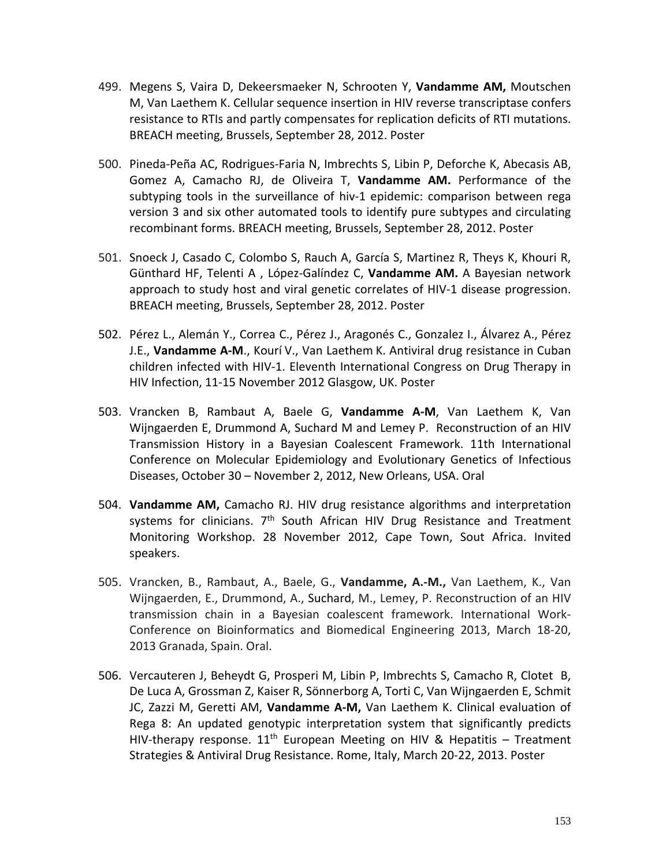- 499. Megens S, Vaira D, Dekeersmaeker N, Schrooten Y, **Vandamme AM,** Moutschen M, Van Laethem K. Cellular sequence insertion in HIV reverse transcriptase confers resistance to RTIs and partly compensates for replication deficits of RTI mutations. BREACH meeting, Brussels, September 28, 2012. Poster
- 500. Pineda-Peña AC, Rodrigues-Faria N, Imbrechts S, Libin P, Deforche K, Abecasis AB, Gomez A, Camacho RJ, de Oliveira T, **Vandamme AM.** Performance of the subtyping tools in the surveillance of hiv-1 epidemic: comparison between rega version 3 and six other automated tools to identify pure subtypes and circulating recombinant forms. BREACH meeting, Brussels, September 28, 2012. Poster
- 501. Snoeck J, Casado C, Colombo S, Rauch A, García S, Martinez R, Theys K, Khouri R, Günthard HF, Telenti A , López-Galíndez C, **Vandamme AM.** A Bayesian network approach to study host and viral genetic correlates of HIV-1 disease progression. BREACH meeting, Brussels, September 28, 2012. Poster
- 502. Pérez L., Alemán Y., Correa C., Pérez J., Aragonés C., Gonzalez I., Álvarez A., Pérez J.E., **Vandamme A-M**., Kourí V., Van Laethem K. Antiviral drug resistance in Cuban children infected with HIV-1. Eleventh International Congress on Drug Therapy in HIV Infection, 11-15 November 2012 Glasgow, UK. Poster
- 503. Vrancken B, Rambaut A, Baele G, **Vandamme A-M**, Van Laethem K, Van Wijngaerden E, Drummond A, Suchard M and Lemey P. Reconstruction of an HIV Transmission History in a Bayesian Coalescent Framework. 11th International Conference on Molecular Epidemiology and Evolutionary Genetics of Infectious Diseases, October 30 – November 2, 2012, New Orleans, USA. Oral
- 504. **Vandamme AM,** Camacho RJ. HIV drug resistance algorithms and interpretation systems for clinicians. 7<sup>th</sup> South African HIV Drug Resistance and Treatment Monitoring Workshop. 28 November 2012, Cape Town, Sout Africa. Invited speakers.
- 505. Vrancken, B., Rambaut, A., Baele, G., **Vandamme, A.-M.,** Van Laethem, K., Van Wijngaerden, E., Drummond, A., Suchard, M., Lemey, P. Reconstruction of an HIV transmission chain in a Bayesian coalescent framework. International Work-Conference on Bioinformatics and Biomedical Engineering 2013, March 18-20, 2013 Granada, Spain. Oral.
- 506. Vercauteren J, Beheydt G, Prosperi M, Libin P, Imbrechts S, Camacho R, Clotet B, De Luca A, Grossman Z, Kaiser R, Sönnerborg A, Torti C, Van Wijngaerden E, Schmit JC, Zazzi M, Geretti AM, **Vandamme A-M,** Van Laethem K. Clinical evaluation of Rega 8: An updated genotypic interpretation system that significantly predicts HIV-therapy response.  $11<sup>th</sup>$  European Meeting on HIV & Hepatitis – Treatment Strategies & Antiviral Drug Resistance. Rome, Italy, March 20-22, 2013. Poster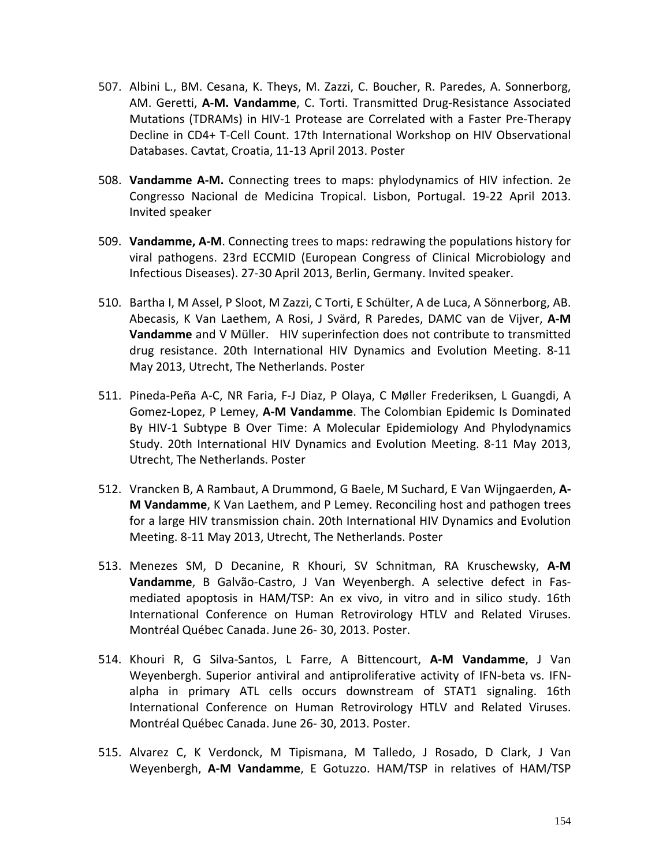- 507. Albini L., BM. Cesana, K. Theys, M. Zazzi, C. Boucher, R. Paredes, A. Sonnerborg, AM. Geretti, **A-M. Vandamme**, C. Torti. Transmitted Drug-Resistance Associated Mutations (TDRAMs) in HIV-1 Protease are Correlated with a Faster Pre-Therapy Decline in CD4+ T-Cell Count. 17th International Workshop on HIV Observational Databases. Cavtat, Croatia, 11-13 April 2013. Poster
- 508. **Vandamme A-M.** Connecting trees to maps: phylodynamics of HIV infection. 2e Congresso Nacional de Medicina Tropical. Lisbon, Portugal. 19-22 April 2013. Invited speaker
- 509. **Vandamme, A-M**. Connecting trees to maps: redrawing the populations history for viral pathogens. 23rd ECCMID (European Congress of Clinical Microbiology and Infectious Diseases). 27-30 April 2013, Berlin, Germany. Invited speaker.
- 510. Bartha I, M Assel, P Sloot, M Zazzi, C Torti, E Schülter, A de Luca, A Sönnerborg, AB. Abecasis, K Van Laethem, A Rosi, J Svärd, R Paredes, DAMC van de Vijver, **A-M Vandamme** and V Müller. HIV superinfection does not contribute to transmitted drug resistance. 20th International HIV Dynamics and Evolution Meeting. 8-11 May 2013, Utrecht, The Netherlands. Poster
- 511. Pineda-Peña A-C, NR Faria, F-J Diaz, P Olaya, C Møller Frederiksen, L Guangdi, A Gomez-Lopez, P Lemey, **A-M Vandamme**. The Colombian Epidemic Is Dominated By HIV-1 Subtype B Over Time: A Molecular Epidemiology And Phylodynamics Study. 20th International HIV Dynamics and Evolution Meeting. 8-11 May 2013, Utrecht, The Netherlands. Poster
- 512. Vrancken B, A Rambaut, A Drummond, G Baele, M Suchard, E Van Wijngaerden, **A-M Vandamme**, K Van Laethem, and P Lemey. Reconciling host and pathogen trees for a large HIV transmission chain. 20th International HIV Dynamics and Evolution Meeting. 8-11 May 2013, Utrecht, The Netherlands. Poster
- 513. Menezes SM, D Decanine, R Khouri, SV Schnitman, RA Kruschewsky, **A-M Vandamme**, B Galvão-Castro, J Van Weyenbergh. A selective defect in Fasmediated apoptosis in HAM/TSP: An ex vivo, in vitro and in silico study. 16th International Conference on Human Retrovirology HTLV and Related Viruses. Montréal Québec Canada. June 26- 30, 2013. Poster.
- 514. Khouri R, G Silva-Santos, L Farre, A Bittencourt, **A-M Vandamme**, J Van Weyenbergh. Superior antiviral and antiproliferative activity of IFN-beta vs. IFNalpha in primary ATL cells occurs downstream of STAT1 signaling. 16th International Conference on Human Retrovirology HTLV and Related Viruses. Montréal Québec Canada. June 26- 30, 2013. Poster.
- 515. Alvarez C, K Verdonck, M Tipismana, M Talledo, J Rosado, D Clark, J Van Weyenbergh, **A-M Vandamme**, E Gotuzzo. HAM/TSP in relatives of HAM/TSP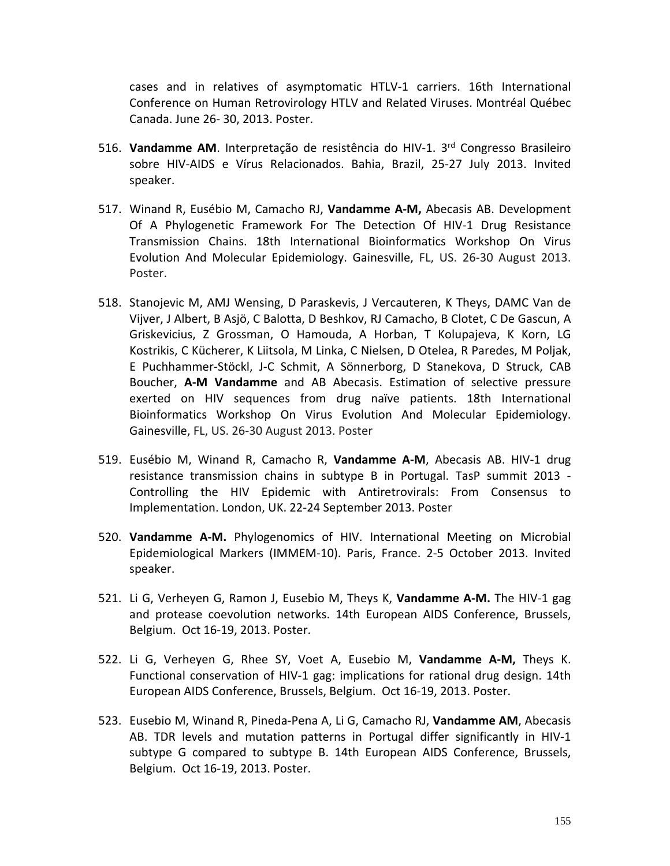cases and in relatives of asymptomatic HTLV-1 carriers. 16th International Conference on Human Retrovirology HTLV and Related Viruses. Montréal Québec Canada. June 26- 30, 2013. Poster.

- 516. **Vandamme AM**. Interpretação de resistência do HIV-1. 3rd Congresso Brasileiro sobre HIV-AIDS e Vírus Relacionados. Bahia, Brazil, 25-27 July 2013. Invited speaker.
- 517. Winand R, Eusébio M, Camacho RJ, **Vandamme A-M,** Abecasis AB. Development Of A Phylogenetic Framework For The Detection Of HIV-1 Drug Resistance Transmission Chains. 18th International Bioinformatics Workshop On Virus Evolution And Molecular Epidemiology. Gainesville, FL, US. 26-30 August 2013. Poster.
- 518. Stanojevic M, AMJ Wensing, D Paraskevis, J Vercauteren, K Theys, DAMC Van de Vijver, J Albert, B Asjö, C Balotta, D Beshkov, RJ Camacho, B Clotet, C De Gascun, A Griskevicius, Z Grossman, O Hamouda, A Horban, T Kolupajeva, K Korn, LG Kostrikis, C Kücherer, K Liitsola, M Linka, C Nielsen, D Otelea, R Paredes, M Poljak, E Puchhammer-Stöckl, J-C Schmit, A Sönnerborg, D Stanekova, D Struck, CAB Boucher, **A-M Vandamme** and AB Abecasis. Estimation of selective pressure exerted on HIV sequences from drug naïve patients. 18th International Bioinformatics Workshop On Virus Evolution And Molecular Epidemiology. Gainesville, FL, US. 26-30 August 2013. Poster
- 519. Eusébio M, Winand R, Camacho R, **Vandamme A-M**, Abecasis AB. HIV-1 drug resistance transmission chains in subtype B in Portugal. TasP summit 2013 - Controlling the HIV Epidemic with Antiretrovirals: From Consensus to Implementation. London, UK. 22-24 September 2013. Poster
- 520. **Vandamme A-M.** Phylogenomics of HIV. International Meeting on Microbial Epidemiological Markers (IMMEM-10). Paris, France. 2-5 October 2013. Invited speaker.
- 521. Li G, Verheyen G, Ramon J, Eusebio M, Theys K, **Vandamme A-M.** The HIV-1 gag and protease coevolution networks. 14th European AIDS Conference, Brussels, Belgium. Oct 16-19, 2013. Poster.
- 522. Li G, Verheyen G, Rhee SY, Voet A, Eusebio M, **Vandamme A-M,** Theys K. Functional conservation of HIV-1 gag: implications for rational drug design. 14th European AIDS Conference, Brussels, Belgium. Oct 16-19, 2013. Poster.
- 523. Eusebio M, Winand R, Pineda-Pena A, Li G, Camacho RJ, **Vandamme AM**, Abecasis AB. TDR levels and mutation patterns in Portugal differ significantly in HIV-1 subtype G compared to subtype B. 14th European AIDS Conference, Brussels, Belgium. Oct 16-19, 2013. Poster.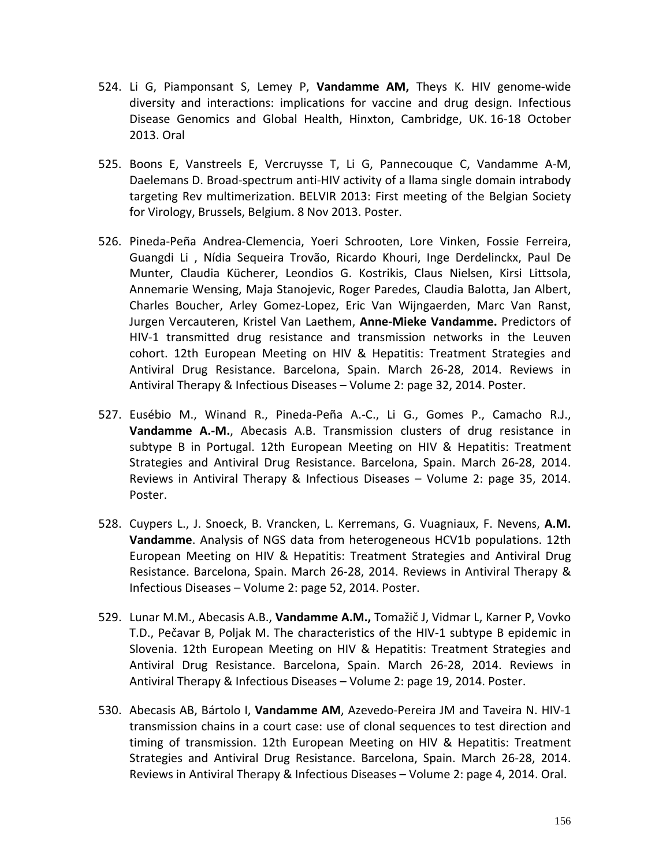- 524. Li G, Piamponsant S, Lemey P, **Vandamme AM,** Theys K. HIV genome-wide diversity and interactions: implications for vaccine and drug design. Infectious Disease Genomics and Global Health, Hinxton, Cambridge, UK. 16-18 October 2013. Oral
- 525. Boons E, Vanstreels E, Vercruysse T, Li G, Pannecouque C, Vandamme A-M, Daelemans D. Broad-spectrum anti-HIV activity of a llama single domain intrabody targeting Rev multimerization. BELVIR 2013: First meeting of the Belgian Society for Virology, Brussels, Belgium. 8 Nov 2013. Poster.
- 526. Pineda-Peña Andrea-Clemencia, Yoeri Schrooten, Lore Vinken, Fossie Ferreira, Guangdi Li , Nídia Sequeira Trovão, Ricardo Khouri, Inge Derdelinckx, Paul De Munter, Claudia Kücherer, Leondios G. Kostrikis, Claus Nielsen, Kirsi Littsola, Annemarie Wensing, Maja Stanojevic, Roger Paredes, Claudia Balotta, Jan Albert, Charles Boucher, Arley Gomez-Lopez, Eric Van Wijngaerden, Marc Van Ranst, Jurgen Vercauteren, Kristel Van Laethem, **Anne-Mieke Vandamme.** Predictors of HIV-1 transmitted drug resistance and transmission networks in the Leuven cohort. 12th European Meeting on HIV & Hepatitis: Treatment Strategies and Antiviral Drug Resistance. Barcelona, Spain. March 26-28, 2014. Reviews in Antiviral Therapy & Infectious Diseases – Volume 2: page 32, 2014. Poster.
- 527. Eusébio M., Winand R., Pineda-Peña A.-C., Li G., Gomes P., Camacho R.J., **Vandamme A.-M.**, Abecasis A.B. Transmission clusters of drug resistance in subtype B in Portugal. 12th European Meeting on HIV & Hepatitis: Treatment Strategies and Antiviral Drug Resistance. Barcelona, Spain. March 26-28, 2014. Reviews in Antiviral Therapy & Infectious Diseases – Volume 2: page 35, 2014. Poster.
- 528. Cuypers L., J. Snoeck, B. Vrancken, L. Kerremans, G. Vuagniaux, F. Nevens, **A.M. Vandamme**. Analysis of NGS data from heterogeneous HCV1b populations. 12th European Meeting on HIV & Hepatitis: Treatment Strategies and Antiviral Drug Resistance. Barcelona, Spain. March 26-28, 2014. Reviews in Antiviral Therapy & Infectious Diseases – Volume 2: page 52, 2014. Poster.
- 529. Lunar M.M., Abecasis A.B., **Vandamme A.M.,** Tomažič J, Vidmar L, Karner P, Vovko T.D., Pečavar B, Poljak M. The characteristics of the HIV-1 subtype B epidemic in Slovenia. 12th European Meeting on HIV & Hepatitis: Treatment Strategies and Antiviral Drug Resistance. Barcelona, Spain. March 26-28, 2014. Reviews in Antiviral Therapy & Infectious Diseases – Volume 2: page 19, 2014. Poster.
- 530. Abecasis AB, Bártolo I, **Vandamme AM**, Azevedo-Pereira JM and Taveira N. HIV-1 transmission chains in a court case: use of clonal sequences to test direction and timing of transmission. 12th European Meeting on HIV & Hepatitis: Treatment Strategies and Antiviral Drug Resistance. Barcelona, Spain. March 26-28, 2014. Reviews in Antiviral Therapy & Infectious Diseases – Volume 2: page 4, 2014. Oral.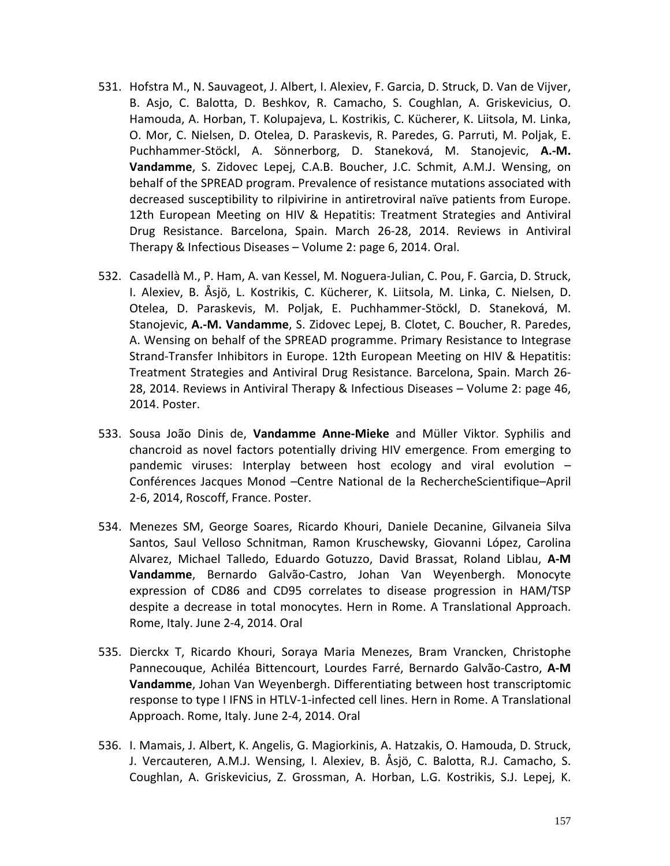- 531. Hofstra M., N. Sauvageot, J. Albert, I. Alexiev, F. Garcia, D. Struck, D. Van de Vijver, B. Asjo, C. Balotta, D. Beshkov, R. Camacho, S. Coughlan, A. Griskevicius, O. Hamouda, A. Horban, T. Kolupajeva, L. Kostrikis, C. Kücherer, K. Liitsola, M. Linka, O. Mor, C. Nielsen, D. Otelea, D. Paraskevis, R. Paredes, G. Parruti, M. Poljak, E. Puchhammer-Stöckl, A. Sönnerborg, D. Staneková, M. Stanojevic, **A.-M. Vandamme**, S. Zidovec Lepej, C.A.B. Boucher, J.C. Schmit, A.M.J. Wensing, on behalf of the SPREAD program. Prevalence of resistance mutations associated with decreased susceptibility to rilpivirine in antiretroviral naïve patients from Europe. 12th European Meeting on HIV & Hepatitis: Treatment Strategies and Antiviral Drug Resistance. Barcelona, Spain. March 26-28, 2014. Reviews in Antiviral Therapy & Infectious Diseases – Volume 2: page 6, 2014. Oral.
- 532. Casadellà M., P. Ham, A. van Kessel, M. Noguera-Julian, C. Pou, F. Garcia, D. Struck, I. Alexiev, B. Åsjö, L. Kostrikis, C. Kücherer, K. Liitsola, M. Linka, C. Nielsen, D. Otelea, D. Paraskevis, M. Poljak, E. Puchhammer-Stöckl, D. Staneková, M. Stanojevic, **A.-M. Vandamme**, S. Zidovec Lepej, B. Clotet, C. Boucher, R. Paredes, A. Wensing on behalf of the SPREAD programme. Primary Resistance to Integrase Strand-Transfer Inhibitors in Europe. 12th European Meeting on HIV & Hepatitis: Treatment Strategies and Antiviral Drug Resistance. Barcelona, Spain. March 26- 28, 2014. Reviews in Antiviral Therapy & Infectious Diseases – Volume 2: page 46, 2014. Poster.
- 533. Sousa João Dinis de, **Vandamme Anne-Mieke** and Müller Viktor. Syphilis and chancroid as novel factors potentially driving HIV emergence. From emerging to pandemic viruses: Interplay between host ecology and viral evolution *–* Conférences Jacques Monod –Centre National de la RechercheScientifique–April 2-6, 2014, Roscoff, France. Poster.
- 534. Menezes SM, George Soares, Ricardo Khouri, Daniele Decanine, Gilvaneia Silva Santos, Saul Velloso Schnitman, Ramon Kruschewsky, Giovanni López, Carolina Alvarez, Michael Talledo, Eduardo Gotuzzo, David Brassat, Roland Liblau, **A-M Vandamme**, Bernardo Galvão-Castro, Johan Van Weyenbergh. Monocyte expression of CD86 and CD95 correlates to disease progression in HAM/TSP despite a decrease in total monocytes. Hern in Rome. A Translational Approach. Rome, Italy. June 2-4, 2014. Oral
- 535. Dierckx T, Ricardo Khouri, Soraya Maria Menezes, Bram Vrancken, Christophe Pannecouque, Achiléa Bittencourt, Lourdes Farré, Bernardo Galvão-Castro, **A-M Vandamme**, Johan Van Weyenbergh. Differentiating between host transcriptomic response to type I IFNS in HTLV-1-infected cell lines. Hern in Rome. A Translational Approach. Rome, Italy. June 2-4, 2014. Oral
- 536. I. Mamais, J. Albert, K. Angelis, G. Magiorkinis, A. Hatzakis, O. Hamouda, D. Struck, J. Vercauteren, A.M.J. Wensing, I. Alexiev, B. Åsjö, C. Balotta, R.J. Camacho, S. Coughlan, A. Griskevicius, Z. Grossman, A. Horban, L.G. Kostrikis, S.J. Lepej, K.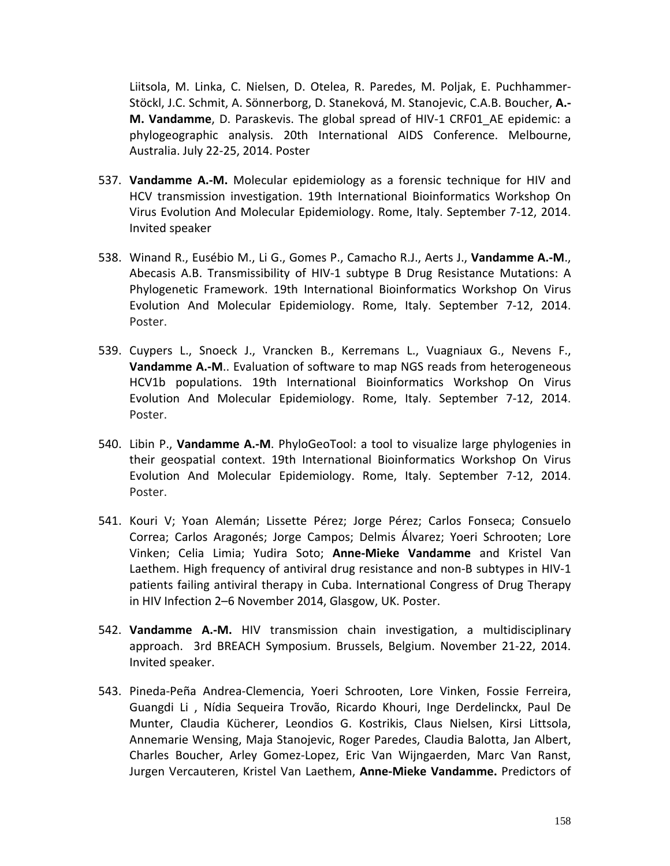Liitsola, M. Linka, C. Nielsen, D. Otelea, R. Paredes, M. Poljak, E. Puchhammer-Stöckl, J.C. Schmit, A. Sönnerborg, D. Staneková, M. Stanojevic, C.A.B. Boucher, **A.- M. Vandamme**, D. Paraskevis. The global spread of HIV-1 CRF01\_AE epidemic: a phylogeographic analysis. 20th International AIDS Conference. Melbourne, Australia. July 22-25, 2014. Poster

- 537. **Vandamme A.-M.** Molecular epidemiology as a forensic technique for HIV and HCV transmission investigation. 19th International Bioinformatics Workshop On Virus Evolution And Molecular Epidemiology. Rome, Italy. September 7-12, 2014. Invited speaker
- 538. Winand R., Eusébio M., Li G., Gomes P., Camacho R.J., Aerts J., **Vandamme A.-M**., Abecasis A.B. Transmissibility of HIV-1 subtype B Drug Resistance Mutations: A Phylogenetic Framework. 19th International Bioinformatics Workshop On Virus Evolution And Molecular Epidemiology. Rome, Italy. September 7-12, 2014. Poster.
- 539. Cuypers L., Snoeck J., Vrancken B., Kerremans L., Vuagniaux G., Nevens F., **Vandamme A.-M**.. Evaluation of software to map NGS reads from heterogeneous HCV1b populations. 19th International Bioinformatics Workshop On Virus Evolution And Molecular Epidemiology. Rome, Italy. September 7-12, 2014. Poster.
- 540. Libin P., **Vandamme A.-M**. PhyloGeoTool: a tool to visualize large phylogenies in their geospatial context. 19th International Bioinformatics Workshop On Virus Evolution And Molecular Epidemiology. Rome, Italy. September 7-12, 2014. Poster.
- 541. Kouri V; Yoan Alemán; Lissette Pérez; Jorge Pérez; Carlos Fonseca; Consuelo Correa; Carlos Aragonés; Jorge Campos; Delmis Álvarez; Yoeri Schrooten; Lore Vinken; Celia Limia; Yudira Soto; **Anne-Mieke Vandamme** and Kristel Van Laethem. High frequency of antiviral drug resistance and non-B subtypes in HIV-1 patients failing antiviral therapy in Cuba. International Congress of Drug Therapy in HIV Infection 2–6 November 2014, Glasgow, UK. Poster.
- 542. **Vandamme A.-M.** HIV transmission chain investigation, a multidisciplinary approach. 3rd BREACH Symposium. Brussels, Belgium. November 21-22, 2014. Invited speaker.
- 543. Pineda-Peña Andrea-Clemencia, Yoeri Schrooten, Lore Vinken, Fossie Ferreira, Guangdi Li , Nídia Sequeira Trovão, Ricardo Khouri, Inge Derdelinckx, Paul De Munter, Claudia Kücherer, Leondios G. Kostrikis, Claus Nielsen, Kirsi Littsola, Annemarie Wensing, Maja Stanojevic, Roger Paredes, Claudia Balotta, Jan Albert, Charles Boucher, Arley Gomez-Lopez, Eric Van Wijngaerden, Marc Van Ranst, Jurgen Vercauteren, Kristel Van Laethem, **Anne-Mieke Vandamme.** Predictors of